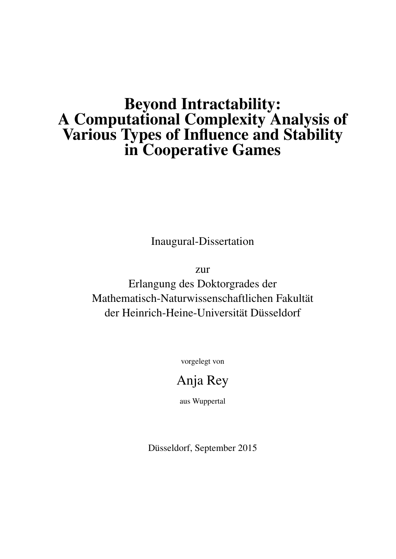### Beyond Intractability: A Computational Complexity Analysis of Various Types of Influence and Stability in Cooperative Games

Inaugural-Dissertation

zur

Erlangung des Doktorgrades der Mathematisch-Naturwissenschaftlichen Fakultät der Heinrich-Heine-Universität Düsseldorf

vorgelegt von

### Anja Rey

aus Wuppertal

Düsseldorf, September 2015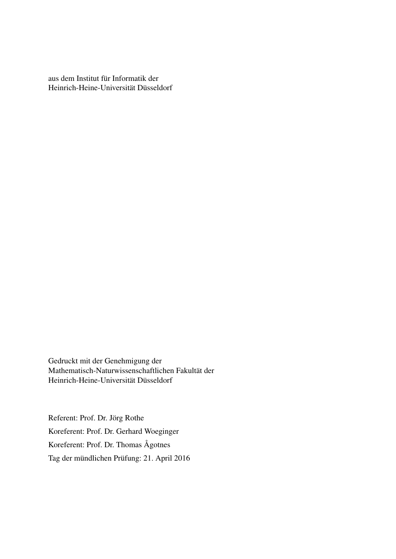aus dem Institut für Informatik der Heinrich-Heine-Universität Düsseldorf

Gedruckt mit der Genehmigung der Mathematisch-Naturwissenschaftlichen Fakultät der Heinrich-Heine-Universität Düsseldorf

Referent: Prof. Dr. Jörg Rothe Koreferent: Prof. Dr. Gerhard Woeginger Koreferent: Prof. Dr. Thomas Ågotnes Tag der mündlichen Prüfung: 21. April 2016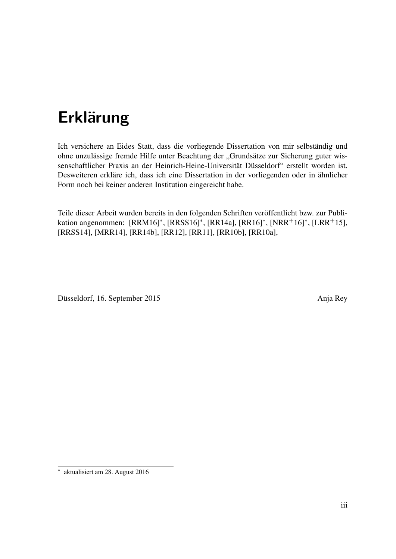# Erklärung

Ich versichere an Eides Statt, dass die vorliegende Dissertation von mir selbständig und ohne unzulässige fremde Hilfe unter Beachtung der "Grundsätze zur Sicherung guter wissenschaftlicher Praxis an der Heinrich-Heine-Universität Düsseldorf" erstellt worden ist. Desweiteren erkläre ich, dass ich eine Dissertation in der vorliegenden oder in ähnlicher Form noch bei keiner anderen Institution eingereicht habe.

Teile dieser Arbeit wurden bereits in den folgenden Schriften veröffentlicht bzw. zur Publikation angenommen: [RRM16]\*, [RRSS16]<sup>\*</sup>, [RR14a], [RR16]<sup>\*</sup>, [NRR<sup>+</sup>16]<sup>\*</sup>, [LRR<sup>+</sup>15], [RRSS14], [MRR14], [RR14b], [RR12], [RR11], [RR10b], [RR10a],

Düsseldorf, 16. September 2015 Anja Rey

∗ aktualisiert am 28. August 2016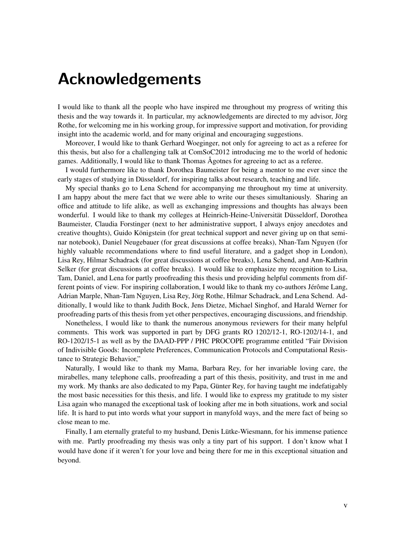### Acknowledgements

I would like to thank all the people who have inspired me throughout my progress of writing this thesis and the way towards it. In particular, my acknowledgements are directed to my advisor, Jörg Rothe, for welcoming me in his working group, for impressive support and motivation, for providing insight into the academic world, and for many original and encouraging suggestions.

Moreover, I would like to thank Gerhard Woeginger, not only for agreeing to act as a referee for this thesis, but also for a challenging talk at ComSoC2012 introducing me to the world of hedonic games. Additionally, I would like to thank Thomas Ågotnes for agreeing to act as a referee.

I would furthermore like to thank Dorothea Baumeister for being a mentor to me ever since the early stages of studying in Düsseldorf, for inspiring talks about research, teaching and life.

My special thanks go to Lena Schend for accompanying me throughout my time at university. I am happy about the mere fact that we were able to write our theses simultaniously. Sharing an office and attitude to life alike, as well as exchanging impressions and thoughts has always been wonderful. I would like to thank my colleges at Heinrich-Heine-Universität Düsseldorf, Dorothea Baumeister, Claudia Forstinger (next to her administrative support, I always enjoy anecdotes and creative thoughts), Guido Königstein (for great technical support and never giving up on that seminar notebook), Daniel Neugebauer (for great discussions at coffee breaks), Nhan-Tam Nguyen (for highly valuable recommendations where to find useful literature, and a gadget shop in London), Lisa Rey, Hilmar Schadrack (for great discussions at coffee breaks), Lena Schend, and Ann-Kathrin Selker (for great discussions at coffee breaks). I would like to emphasize my recognition to Lisa, Tam, Daniel, and Lena for partly proofreading this thesis und providing helpful comments from different points of view. For inspiring collaboration, I would like to thank my co-authors Jérôme Lang, Adrian Marple, Nhan-Tam Nguyen, Lisa Rey, Jörg Rothe, Hilmar Schadrack, and Lena Schend. Additionally, I would like to thank Judith Bock, Jens Dietze, Michael Singhof, and Harald Werner for proofreading parts of this thesis from yet other perspectives, encouraging discussions, and friendship.

Nonetheless, I would like to thank the numerous anonymous reviewers for their many helpful comments. This work was supported in part by DFG grants RO 1202/12-1, RO-1202/14-1, and RO-1202/15-1 as well as by the DAAD-PPP / PHC PROCOPE programme entitled "Fair Division of Indivisible Goods: Incomplete Preferences, Communication Protocols and Computational Resistance to Strategic Behavior,"

Naturally, I would like to thank my Mama, Barbara Rey, for her invariable loving care, the mirabelles, many telephone calls, proofreading a part of this thesis, positivity, and trust in me and my work. My thanks are also dedicated to my Papa, Günter Rey, for having taught me indefatigably the most basic necessities for this thesis, and life. I would like to express my gratitude to my sister Lisa again who managed the exceptional task of looking after me in both situations, work and social life. It is hard to put into words what your support in manyfold ways, and the mere fact of being so close mean to me.

Finally, I am eternally grateful to my husband, Denis Lütke-Wiesmann, for his immense patience with me. Partly proofreading my thesis was only a tiny part of his support. I don't know what I would have done if it weren't for your love and being there for me in this exceptional situation and beyond.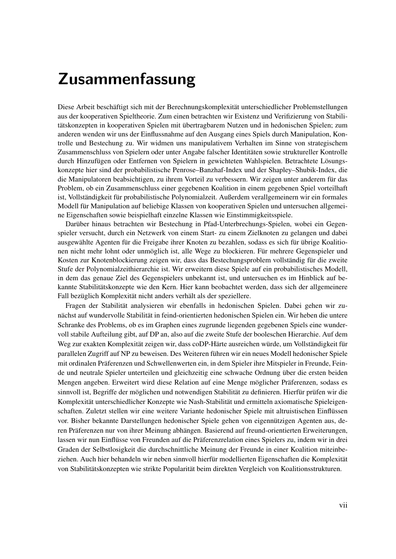## Zusammenfassung

Diese Arbeit beschäftigt sich mit der Berechnungskomplexität unterschiedlicher Problemstellungen aus der kooperativen Spieltheorie. Zum einen betrachten wir Existenz und Verifizierung von Stabilitätskonzepten in kooperativen Spielen mit übertragbarem Nutzen und in hedonischen Spielen; zum anderen wenden wir uns der Einflussnahme auf den Ausgang eines Spiels durch Manipulation, Kontrolle und Bestechung zu. Wir widmen uns manipulativem Verhalten im Sinne von strategischem Zusammenschluss von Spielern oder unter Angabe falscher Identitäten sowie struktureller Kontrolle durch Hinzufügen oder Entfernen von Spielern in gewichteten Wahlspielen. Betrachtete Lösungskonzepte hier sind der probabilistische Penrose–Banzhaf-Index und der Shapley–Shubik-Index, die die Manipulatoren beabsichtigen, zu ihrem Vorteil zu verbessern. Wir zeigen unter anderem für das Problem, ob ein Zusammenschluss einer gegebenen Koalition in einem gegebenen Spiel vorteilhaft ist, Vollständigkeit für probabilistische Polynomialzeit. Außerdem verallgemeinern wir ein formales Modell für Manipulation auf beliebige Klassen von kooperativen Spielen und untersuchen allgemeine Eigenschaften sowie beispielhaft einzelne Klassen wie Einstimmigkeitsspiele.

Darüber hinaus betrachten wir Bestechung in Pfad-Unterbrechungs-Spielen, wobei ein Gegenspieler versucht, durch ein Netzwerk von einem Start- zu einem Zielknoten zu gelangen und dabei ausgewählte Agenten für die Freigabe ihrer Knoten zu bezahlen, sodass es sich für übrige Koalitionen nicht mehr lohnt oder unmöglich ist, alle Wege zu blockieren. Für mehrere Gegenspieler und Kosten zur Knotenblockierung zeigen wir, dass das Bestechungsproblem vollständig für die zweite Stufe der Polynomialzeithierarchie ist. Wir erweitern diese Spiele auf ein probabilistisches Modell, in dem das genaue Ziel des Gegenspielers unbekannt ist, und untersuchen es im Hinblick auf bekannte Stabilitätskonzepte wie den Kern. Hier kann beobachtet werden, dass sich der allgemeinere Fall bezüglich Komplexität nicht anders verhält als der speziellere.

Fragen der Stabilität analysieren wir ebenfalls in hedonischen Spielen. Dabei gehen wir zunächst auf wundervolle Stabilität in feind-orientierten hedonischen Spielen ein. Wir heben die untere Schranke des Problems, ob es im Graphen eines zugrunde liegenden gegebenen Spiels eine wundervoll stabile Aufteilung gibt, auf DP an, also auf die zweite Stufe der booleschen Hierarchie. Auf dem Weg zur exakten Komplexität zeigen wir, dass coDP-Härte ausreichen würde, um Vollständigkeit für parallelen Zugriff auf NP zu beweisen. Des Weiteren führen wir ein neues Modell hedonischer Spiele mit ordinalen Präferenzen und Schwellenwerten ein, in dem Spieler ihre Mitspieler in Freunde, Feinde und neutrale Spieler unterteilen und gleichzeitig eine schwache Ordnung über die ersten beiden Mengen angeben. Erweitert wird diese Relation auf eine Menge möglicher Präferenzen, sodass es sinnvoll ist, Begriffe der möglichen und notwendigen Stabilität zu definieren. Hierfür prüfen wir die Komplexität unterschiedlicher Konzepte wie Nash-Stabilität und ermitteln axiomatische Spieleigenschaften. Zuletzt stellen wir eine weitere Variante hedonischer Spiele mit altruistischen Einflüssen vor. Bisher bekannte Darstellungen hedonischer Spiele gehen von eigennützigen Agenten aus, deren Präferenzen nur von ihrer Meinung abhängen. Basierend auf freund-orientierten Erweiterungen, lassen wir nun Einflüsse von Freunden auf die Präferenzrelation eines Spielers zu, indem wir in drei Graden der Selbstlosigkeit die durchschnittliche Meinung der Freunde in einer Koalition miteinbeziehen. Auch hier behandeln wir neben sinnvoll hierfür modellierten Eigenschaften die Komplexität von Stabilitätskonzepten wie strikte Popularität beim direkten Vergleich von Koalitionsstrukturen.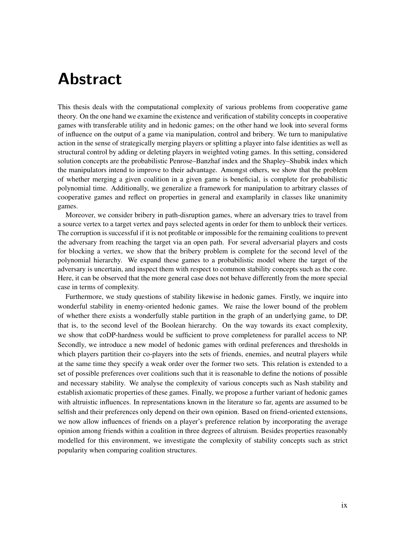## Abstract

This thesis deals with the computational complexity of various problems from cooperative game theory. On the one hand we examine the existence and verification of stability concepts in cooperative games with transferable utility and in hedonic games; on the other hand we look into several forms of influence on the output of a game via manipulation, control and bribery. We turn to manipulative action in the sense of strategically merging players or splitting a player into false identities as well as structural control by adding or deleting players in weighted voting games. In this setting, considered solution concepts are the probabilistic Penrose–Banzhaf index and the Shapley–Shubik index which the manipulators intend to improve to their advantage. Amongst others, we show that the problem of whether merging a given coalition in a given game is beneficial, is complete for probabilistic polynomial time. Additionally, we generalize a framework for manipulation to arbitrary classes of cooperative games and reflect on properties in general and examplarily in classes like unanimity games.

Moreover, we consider bribery in path-disruption games, where an adversary tries to travel from a source vertex to a target vertex and pays selected agents in order for them to unblock their vertices. The corruption is successful if it is not profitable or impossible for the remaining coalitions to prevent the adversary from reaching the target via an open path. For several adversarial players and costs for blocking a vertex, we show that the bribery problem is complete for the second level of the polynomial hierarchy. We expand these games to a probabilistic model where the target of the adversary is uncertain, and inspect them with respect to common stability concepts such as the core. Here, it can be observed that the more general case does not behave differently from the more special case in terms of complexity.

Furthermore, we study questions of stability likewise in hedonic games. Firstly, we inquire into wonderful stability in enemy-oriented hedonic games. We raise the lower bound of the problem of whether there exists a wonderfully stable partition in the graph of an underlying game, to DP, that is, to the second level of the Boolean hierarchy. On the way towards its exact complexity, we show that coDP-hardness would be sufficient to prove completeness for parallel access to NP. Secondly, we introduce a new model of hedonic games with ordinal preferences and thresholds in which players partition their co-players into the sets of friends, enemies, and neutral players while at the same time they specify a weak order over the former two sets. This relation is extended to a set of possible preferences over coalitions such that it is reasonable to define the notions of possible and necessary stability. We analyse the complexity of various concepts such as Nash stability and establish axiomatic properties of these games. Finally, we propose a further variant of hedonic games with altruistic influences. In representations known in the literature so far, agents are assumed to be selfish and their preferences only depend on their own opinion. Based on friend-oriented extensions, we now allow influences of friends on a player's preference relation by incorporating the average opinion among friends within a coalition in three degrees of altruism. Besides properties reasonably modelled for this environment, we investigate the complexity of stability concepts such as strict popularity when comparing coalition structures.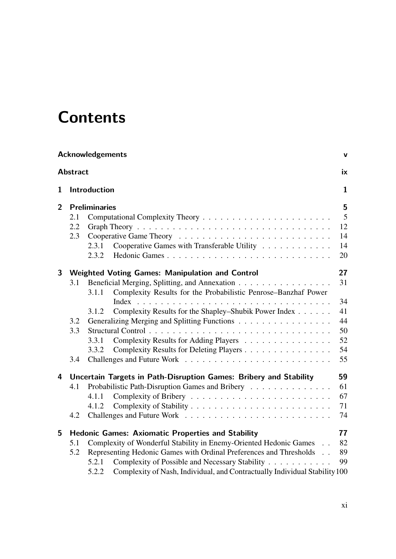# **Contents**

|                | <b>Acknowledgements</b><br>$\mathbf v$ |                                                                                     |                |
|----------------|----------------------------------------|-------------------------------------------------------------------------------------|----------------|
|                | <b>Abstract</b>                        |                                                                                     | ix             |
| $\mathbf{1}$   |                                        | Introduction                                                                        | $\mathbf{1}$   |
| $\overline{2}$ |                                        | <b>Preliminaries</b>                                                                | 5              |
|                | 2.1                                    |                                                                                     | $\overline{5}$ |
|                | 2.2                                    |                                                                                     | 12             |
|                | 2.3                                    |                                                                                     | 14             |
|                |                                        | Cooperative Games with Transferable Utility<br>2.3.1                                | 14             |
|                |                                        | 2.3.2                                                                               | 20             |
| 3              |                                        | <b>Weighted Voting Games: Manipulation and Control</b>                              | 27             |
|                | 3.1                                    | Beneficial Merging, Splitting, and Annexation                                       | 31             |
|                |                                        | Complexity Results for the Probabilistic Penrose-Banzhaf Power<br>3.1.1             |                |
|                |                                        |                                                                                     | 34             |
|                |                                        | Complexity Results for the Shapley-Shubik Power Index<br>3.1.2                      | 41             |
|                | 3.2                                    | Generalizing Merging and Splitting Functions                                        | 44             |
|                | 3.3                                    |                                                                                     | 50             |
|                |                                        | Complexity Results for Adding Players<br>3.3.1                                      | 52             |
|                |                                        | Complexity Results for Deleting Players<br>3.3.2                                    | 54             |
|                | 3.4                                    |                                                                                     | 55             |
| 4              |                                        | Uncertain Targets in Path-Disruption Games: Bribery and Stability                   | 59             |
|                | 4.1                                    | Probabilistic Path-Disruption Games and Bribery                                     | 61             |
|                |                                        | 4.1.1                                                                               | 67             |
|                |                                        | 4.1.2                                                                               | 71             |
|                | 4.2                                    |                                                                                     | 74             |
| 5              |                                        | <b>Hedonic Games: Axiomatic Properties and Stability</b>                            | 77             |
|                | 5.1                                    | Complexity of Wonderful Stability in Enemy-Oriented Hedonic Games                   | 82             |
|                | 5.2                                    | Representing Hedonic Games with Ordinal Preferences and Thresholds                  | 89             |
|                |                                        | Complexity of Possible and Necessary Stability<br>5.2.1                             | 99             |
|                |                                        | Complexity of Nash, Individual, and Contractually Individual Stability 100<br>5.2.2 |                |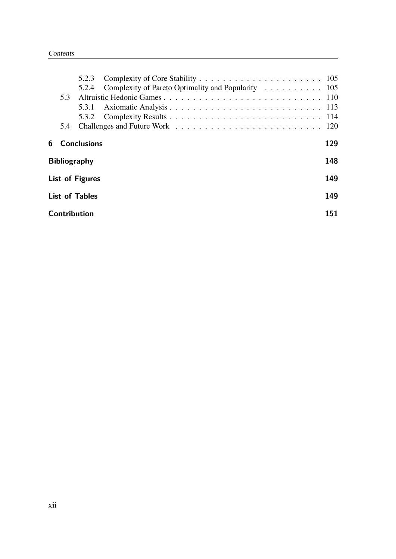|                               |                            | 5.2.3                |                                                    |     |
|-------------------------------|----------------------------|----------------------|----------------------------------------------------|-----|
|                               |                            | 5.2.4                | Complexity of Pareto Optimality and Popularity 105 |     |
|                               | 5.3                        |                      |                                                    |     |
|                               |                            | 5.3.1                |                                                    |     |
|                               |                            |                      |                                                    |     |
|                               | 5.4                        |                      |                                                    |     |
|                               |                            | <b>6</b> Conclusions | 129                                                |     |
|                               | 148<br><b>Bibliography</b> |                      |                                                    |     |
| 149<br><b>List of Figures</b> |                            |                      |                                                    |     |
| 149<br><b>List of Tables</b>  |                            |                      |                                                    |     |
|                               |                            | Contribution         |                                                    | 151 |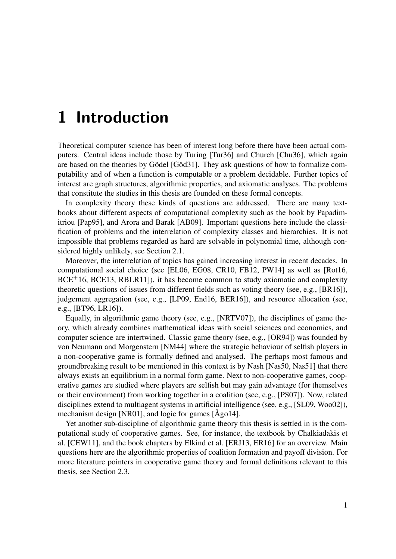## 1 Introduction

Theoretical computer science has been of interest long before there have been actual computers. Central ideas include those by Turing [Tur36] and Church [Chu36], which again are based on the theories by Gödel [Göd31]. They ask questions of how to formalize computability and of when a function is computable or a problem decidable. Further topics of interest are graph structures, algorithmic properties, and axiomatic analyses. The problems that constitute the studies in this thesis are founded on these formal concepts.

In complexity theory these kinds of questions are addressed. There are many textbooks about different aspects of computational complexity such as the book by Papadimitriou [Pap95], and Arora and Barak [AB09]. Important questions here include the classification of problems and the interrelation of complexity classes and hierarchies. It is not impossible that problems regarded as hard are solvable in polynomial time, although considered highly unlikely, see Section 2.1.

Moreover, the interrelation of topics has gained increasing interest in recent decades. In computational social choice (see [EL06, EG08, CR10, FB12, PW14] as well as [Rot16,  $BCE+16$ ,  $BCE13$ ,  $RBLR11$ ]), it has become common to study axiomatic and complexity theoretic questions of issues from different fields such as voting theory (see, e.g., [BR16]), judgement aggregation (see, e.g., [LP09, End16, BER16]), and resource allocation (see, e.g., [BT96, LR16]).

Equally, in algorithmic game theory (see, e.g., [NRTV07]), the disciplines of game theory, which already combines mathematical ideas with social sciences and economics, and computer science are intertwined. Classic game theory (see, e.g., [OR94]) was founded by von Neumann and Morgenstern [NM44] where the strategic behaviour of selfish players in a non-cooperative game is formally defined and analysed. The perhaps most famous and groundbreaking result to be mentioned in this context is by Nash [Nas50, Nas51] that there always exists an equilibrium in a normal form game. Next to non-cooperative games, cooperative games are studied where players are selfish but may gain advantage (for themselves or their environment) from working together in a coalition (see, e.g., [PS07]). Now, related disciplines extend to multiagent systems in artificial intelligence (see, e.g., [SL09, Woo02]), mechanism design [NR01], and logic for games [Ågo14].

Yet another sub-discipline of algorithmic game theory this thesis is settled in is the computational study of cooperative games. See, for instance, the textbook by Chalkiadakis et al. [CEW11], and the book chapters by Elkind et al. [ERJ13, ER16] for an overview. Main questions here are the algorithmic properties of coalition formation and payoff division. For more literature pointers in cooperative game theory and formal definitions relevant to this thesis, see Section 2.3.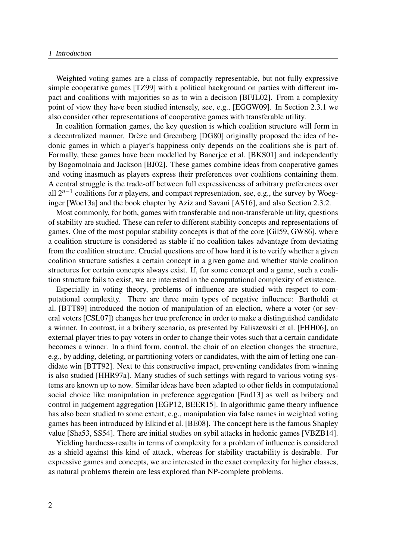#### *1 Introduction*

Weighted voting games are a class of compactly representable, but not fully expressive simple cooperative games [TZ99] with a political background on parties with different impact and coalitions with majorities so as to win a decision [BFJL02]. From a complexity point of view they have been studied intensely, see, e.g., [EGGW09]. In Section 2.3.1 we also consider other representations of cooperative games with transferable utility.

In coalition formation games, the key question is which coalition structure will form in a decentralized manner. Drèze and Greenberg [DG80] originally proposed the idea of hedonic games in which a player's happiness only depends on the coalitions she is part of. Formally, these games have been modelled by Banerjee et al. [BKS01] and independently by Bogomolnaia and Jackson [BJ02]. These games combine ideas from cooperative games and voting inasmuch as players express their preferences over coalitions containing them. A central struggle is the trade-off between full expressiveness of arbitrary preferences over all  $2^{n-1}$  coalitions for *n* players, and compact representation, see, e.g., the survey by Woeginger [Woe13a] and the book chapter by Aziz and Savani [AS16], and also Section 2.3.2.

Most commonly, for both, games with transferable and non-transferable utility, questions of stability are studied. These can refer to different stability concepts and representations of games. One of the most popular stability concepts is that of the core [Gil59, GW86], where a coalition structure is considered as stable if no coalition takes advantage from deviating from the coalition structure. Crucial questions are of how hard it is to verify whether a given coalition structure satisfies a certain concept in a given game and whether stable coalition structures for certain concepts always exist. If, for some concept and a game, such a coalition structure fails to exist, we are interested in the computational complexity of existence.

Especially in voting theory, problems of influence are studied with respect to computational complexity. There are three main types of negative influence: Bartholdi et al. [BTT89] introduced the notion of manipulation of an election, where a voter (or several voters [CSL07]) changes her true preference in order to make a distinguished candidate a winner. In contrast, in a bribery scenario, as presented by Faliszewski et al. [FHH06], an external player tries to pay voters in order to change their votes such that a certain candidate becomes a winner. In a third form, control, the chair of an election changes the structure, e.g., by adding, deleting, or partitioning voters or candidates, with the aim of letting one candidate win [BTT92]. Next to this constructive impact, preventing candidates from winning is also studied [HHR97a]. Many studies of such settings with regard to various voting systems are known up to now. Similar ideas have been adapted to other fields in computational social choice like manipulation in preference aggregation [End13] as well as bribery and control in judgement aggregation [EGP12, BEER15]. In algorithmic game theory influence has also been studied to some extent, e.g., manipulation via false names in weighted voting games has been introduced by Elkind et al. [BE08]. The concept here is the famous Shapley value [Sha53, SS54]. There are initial studies on sybil attacks in hedonic games [VBZB14].

Yielding hardness-results in terms of complexity for a problem of influence is considered as a shield against this kind of attack, whereas for stability tractability is desirable. For expressive games and concepts, we are interested in the exact complexity for higher classes, as natural problems therein are less explored than NP-complete problems.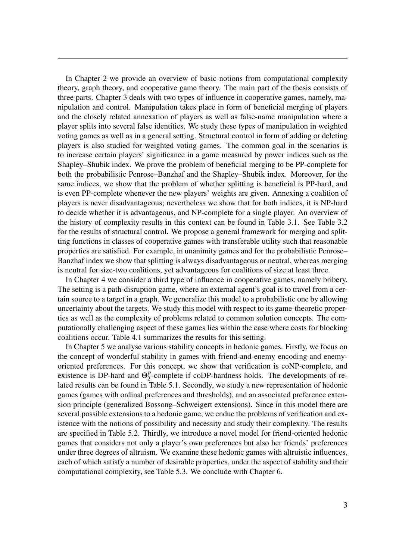In Chapter 2 we provide an overview of basic notions from computational complexity theory, graph theory, and cooperative game theory. The main part of the thesis consists of three parts. Chapter 3 deals with two types of influence in cooperative games, namely, manipulation and control. Manipulation takes place in form of beneficial merging of players and the closely related annexation of players as well as false-name manipulation where a player splits into several false identities. We study these types of manipulation in weighted voting games as well as in a general setting. Structural control in form of adding or deleting players is also studied for weighted voting games. The common goal in the scenarios is to increase certain players' significance in a game measured by power indices such as the Shapley–Shubik index. We prove the problem of beneficial merging to be PP-complete for both the probabilistic Penrose–Banzhaf and the Shapley–Shubik index. Moreover, for the same indices, we show that the problem of whether splitting is beneficial is PP-hard, and is even PP-complete whenever the new players' weights are given. Annexing a coalition of players is never disadvantageous; nevertheless we show that for both indices, it is NP-hard to decide whether it is advantageous, and NP-complete for a single player. An overview of the history of complexity results in this context can be found in Table 3.1. See Table 3.2 for the results of structural control. We propose a general framework for merging and splitting functions in classes of cooperative games with transferable utility such that reasonable properties are satisfied. For example, in unanimity games and for the probabilistic Penrose– Banzhaf index we show that splitting is always disadvantageous or neutral, whereas merging is neutral for size-two coalitions, yet advantageous for coalitions of size at least three.

In Chapter 4 we consider a third type of influence in cooperative games, namely bribery. The setting is a path-disruption game, where an external agent's goal is to travel from a certain source to a target in a graph. We generalize this model to a probabilistic one by allowing uncertainty about the targets. We study this model with respect to its game-theoretic properties as well as the complexity of problems related to common solution concepts. The computationally challenging aspect of these games lies within the case where costs for blocking coalitions occur. Table 4.1 summarizes the results for this setting.

In Chapter 5 we analyse various stability concepts in hedonic games. Firstly, we focus on the concept of wonderful stability in games with friend-and-enemy encoding and enemyoriented preferences. For this concept, we show that verification is coNP-complete, and existence is DP-hard and  $\Theta_2^p$  $_2^p$ -complete if coDP-hardness holds. The developments of related results can be found in Table 5.1. Secondly, we study a new representation of hedonic games (games with ordinal preferences and thresholds), and an associated preference extension principle (generalized Bossong–Schweigert extensions). Since in this model there are several possible extensions to a hedonic game, we endue the problems of verification and existence with the notions of possibility and necessity and study their complexity. The results are specified in Table 5.2. Thirdly, we introduce a novel model for friend-oriented hedonic games that considers not only a player's own preferences but also her friends' preferences under three degrees of altruism. We examine these hedonic games with altruistic influences, each of which satisfy a number of desirable properties, under the aspect of stability and their computational complexity, see Table 5.3. We conclude with Chapter 6.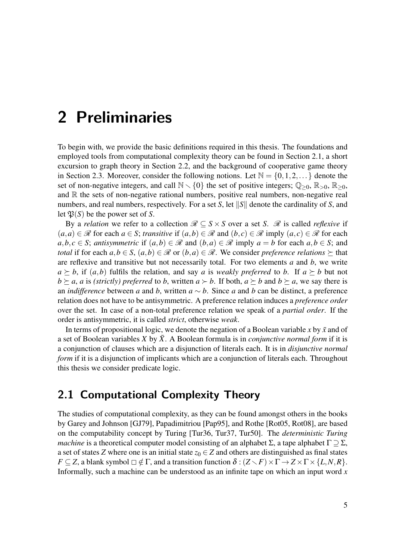## 2 Preliminaries

To begin with, we provide the basic definitions required in this thesis. The foundations and employed tools from computational complexity theory can be found in Section 2.1, a short excursion to graph theory in Section 2.2, and the background of cooperative game theory in Section 2.3. Moreover, consider the following notions. Let  $\mathbb{N} = \{0, 1, 2, \dots\}$  denote the set of non-negative integers, and call  $\mathbb{N}\setminus\{0\}$  the set of positive integers;  $\mathbb{Q}_{\geq 0}$ ,  $\mathbb{R}_{\geq 0}$ ,  $\mathbb{R}_{\geq 0}$ , and  $\mathbb R$  the sets of non-negative rational numbers, positive real numbers, non-negative real numbers, and real numbers, respectively. For a set S, let  $||S||$  denote the cardinality of S, and let  $\mathfrak{P}(S)$  be the power set of S.

By a relation we refer to a collection  $\mathcal{R} \subseteq S \times S$  over a set S.  $\mathcal{R}$  is called reflexive if  $(a,a) \in \mathcal{R}$  for each  $a \in S$ ; transitive if  $(a,b) \in \mathcal{R}$  and  $(b,c) \in \mathcal{R}$  imply  $(a,c) \in \mathcal{R}$  for each  $a, b, c \in S$ ; antisymmetric if  $(a, b) \in \mathcal{R}$  and  $(b, a) \in \mathcal{R}$  imply  $a = b$  for each  $a, b \in S$ ; and total if for each  $a,b \in S$ ,  $(a,b) \in \mathcal{R}$  or  $(b,a) \in \mathcal{R}$ . We consider preference relations  $\succeq$  that are reflexive and transitive but not necessarily total. For two elements  $a$  and  $b$ , we write  $a \succeq b$ , if  $(a,b)$  fulfils the relation, and say a is weakly preferred to b. If  $a \succeq b$  but not  $b \succeq a$ , a is (strictly) preferred to b, written  $a \succ b$ . If both,  $a \succeq b$  and  $b \succeq a$ , we say there is an *indifference* between a and b, written  $a \sim b$ . Since a and b can be distinct, a preference relation does not have to be antisymmetric. A preference relation induces a preference order over the set. In case of a non-total preference relation we speak of a partial order. If the order is antisymmetric, it is called strict, otherwise weak.

In terms of propositional logic, we denote the negation of a Boolean variable x by  $\bar{x}$  and of a set of Boolean variables X by  $\bar{X}$ . A Boolean formula is in *conjunctive normal form* if it is a conjunction of clauses which are a disjunction of literals each. It is in disjunctive normal form if it is a disjunction of implicants which are a conjunction of literals each. Throughout this thesis we consider predicate logic.

### 2.1 Computational Complexity Theory

The studies of computational complexity, as they can be found amongst others in the books by Garey and Johnson [GJ79], Papadimitriou [Pap95], and Rothe [Rot05, Rot08], are based on the computability concept by Turing [Tur36, Tur37, Tur50]. The *deterministic Turing* machine is a theoretical computer model consisting of an alphabet  $\Sigma$ , a tape alphabet  $\Gamma \supseteq \Sigma$ , a set of states Z where one is an initial state  $z_0 \in Z$  and others are distinguished as final states  $F \subseteq Z$ , a blank symbol  $\Box \notin \Gamma$ , and a transition function  $\delta : (Z \setminus F) \times \Gamma \to Z \times \Gamma \times \{L,N,R\}.$ Informally, such a machine can be understood as an infinite tape on which an input word  $x$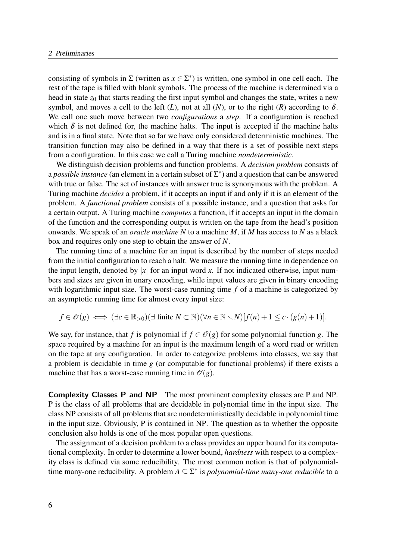consisting of symbols in  $\Sigma$  (written as  $x \in \Sigma^*$ ) is written, one symbol in one cell each. The rest of the tape is filled with blank symbols. The process of the machine is determined via a head in state  $z_0$  that starts reading the first input symbol and changes the state, writes a new symbol, and moves a cell to the left  $(L)$ , not at all  $(N)$ , or to the right  $(R)$  according to  $\delta$ . We call one such move between two *configurations* a *step*. If a configuration is reached which  $\delta$  is not defined for, the machine halts. The input is accepted if the machine halts and is in a final state. Note that so far we have only considered deterministic machines. The transition function may also be defined in a way that there is a set of possible next steps from a configuration. In this case we call a Turing machine nondeterministic.

We distinguish decision problems and function problems. A *decision problem* consists of a possible instance (an element in a certain subset of  $\Sigma^*$ ) and a question that can be answered with true or false. The set of instances with answer true is synonymous with the problem. A Turing machine decides a problem, if it accepts an input if and only if it is an element of the problem. A functional problem consists of a possible instance, and a question that asks for a certain output. A Turing machine computes a function, if it accepts an input in the domain of the function and the corresponding output is written on the tape from the head's position onwards. We speak of an *oracle machine*  $N$  to a machine  $M$ , if  $M$  has access to  $N$  as a black box and requires only one step to obtain the answer of N.

The running time of a machine for an input is described by the number of steps needed from the initial configuration to reach a halt. We measure the running time in dependence on the input length, denoted by |x| for an input word x. If not indicated otherwise, input numbers and sizes are given in unary encoding, while input values are given in binary encoding with logarithmic input size. The worst-case running time  $f$  of a machine is categorized by an asymptotic running time for almost every input size:

$$
f \in \mathscr{O}(g) \iff (\exists c \in \mathbb{R}_{>0})(\exists \text{ finite } N \subset \mathbb{N})(\forall n \in \mathbb{N} \setminus N)[f(n) + 1 \leq c \cdot (g(n) + 1)].
$$

We say, for instance, that f is polynomial if  $f \in \mathcal{O}(g)$  for some polynomial function g. The space required by a machine for an input is the maximum length of a word read or written on the tape at any configuration. In order to categorize problems into classes, we say that a problem is decidable in time  $g$  (or computable for functional problems) if there exists a machine that has a worst-case running time in  $\mathcal{O}(g)$ .

Complexity Classes P and NP The most prominent complexity classes are P and NP. P is the class of all problems that are decidable in polynomial time in the input size. The class NP consists of all problems that are nondeterministically decidable in polynomial time in the input size. Obviously, P is contained in NP. The question as to whether the opposite conclusion also holds is one of the most popular open questions.

The assignment of a decision problem to a class provides an upper bound for its computational complexity. In order to determine a lower bound, hardness with respect to a complexity class is defined via some reducibility. The most common notion is that of polynomialtime many-one reducibility. A problem  $A \subseteq \Sigma^*$  is *polynomial-time many-one reducible* to a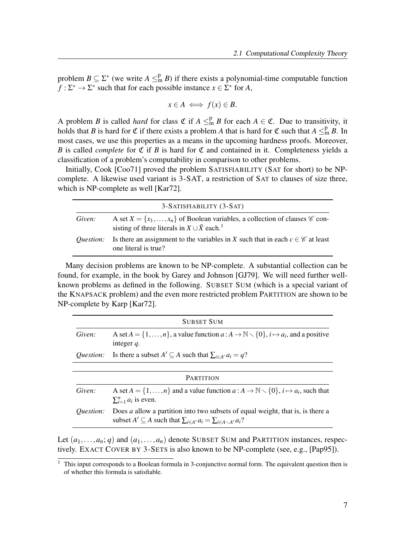problem  $B \subseteq \Sigma^*$  (we write  $A \leq^P_m B$ ) if there exists a polynomial-time computable function  $f : \Sigma^* \to \Sigma^*$  such that for each possible instance  $x \in \Sigma^*$  for A,

$$
x \in A \iff f(x) \in B.
$$

A problem B is called *hard* for class  $\mathfrak{C}$  if  $A \leq^{\mathsf{p}}_{m} B$  for each  $A \in \mathfrak{C}$ . Due to transitivity, it holds that B is hard for  $\mathfrak C$  if there exists a problem A that is hard for  $\mathfrak C$  such that  $A \leq^p_m B$ . In most cases, we use this properties as a means in the upcoming hardness proofs. Moreover, B is called *complete* for  $\mathfrak C$  if B is hard for  $\mathfrak C$  and contained in it. Completeness yields a classification of a problem's computability in comparison to other problems.

Initially, Cook [Coo71] proved the problem SATISFIABILITY (SAT for short) to be NPcomplete. A likewise used variant is 3-SAT, a restriction of SAT to clauses of size three, which is NP-complete as well [Kar72].

|                  | 3-SATISFIABILITY (3-SAT)                                                                                                                                                  |
|------------------|---------------------------------------------------------------------------------------------------------------------------------------------------------------------------|
| Given:           | A set $X = \{x_1, \ldots, x_n\}$ of Boolean variables, a collection of clauses $\mathscr C$ con-<br>sisting of three literals in $X \cup \overline{X}$ each. <sup>1</sup> |
| <i>Ouestion:</i> | Is there an assignment to the variables in X such that in each $c \in \mathscr{C}$ at least<br>one literal is true?                                                       |

Many decision problems are known to be NP-complete. A substantial collection can be found, for example, in the book by Garey and Johnson [GJ79]. We will need further wellknown problems as defined in the following. SUBSET SUM (which is a special variant of the KNAPSACK problem) and the even more restricted problem PARTITION are shown to be NP-complete by Karp [Kar72].

|                  | <b>SUBSET SUM</b>                                                                                                                                                             |  |
|------------------|-------------------------------------------------------------------------------------------------------------------------------------------------------------------------------|--|
| Given:           | A set $A = \{1, , n\}$ , a value function $a : A \to \mathbb{N} \setminus \{0\}$ , $i \mapsto a_i$ , and a positive<br>integer $q$ .                                          |  |
| <i>Ouestion:</i> | Is there a subset $A' \subseteq A$ such that $\sum_{i \in A'} a_i = q$ ?                                                                                                      |  |
|                  |                                                                                                                                                                               |  |
| <b>PARTITION</b> |                                                                                                                                                                               |  |
| Given:           | A set $A = \{1, , n\}$ and a value function $a : A \to \mathbb{N} \setminus \{0\}, i \mapsto a_i$ , such that<br>$\sum_{i=1}^n a_i$ is even.                                  |  |
| Question:        | Does a allow a partition into two subsets of equal weight, that is, is there a<br>subset $A' \subseteq A$ such that $\sum_{i \in A'} a_i = \sum_{i \in A \setminus A'} a_i$ ? |  |

Let  $(a_1,...,a_n; q)$  and  $(a_1,...,a_n)$  denote SUBSET SUM and PARTITION instances, respectively. EXACT COVER BY 3-SETS is also known to be NP-complete (see, e.g., [Pap95]).

<sup>&</sup>lt;sup>1</sup> This input corresponds to a Boolean formula in 3-conjunctive normal form. The equivalent question then is of whether this formula is satisfiable.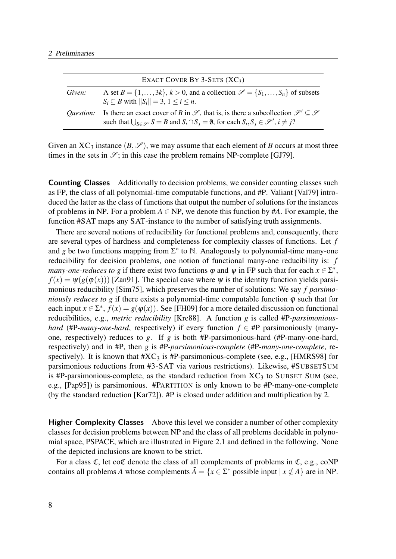|                  | EXACT COVER BY 3-SETS $(XC_3)$                                                                                                                                                                                                                                |
|------------------|---------------------------------------------------------------------------------------------------------------------------------------------------------------------------------------------------------------------------------------------------------------|
| Given:           | A set $B = \{1, , 3k\}, k > 0$ , and a collection $\mathcal{S} = \{S_1, , S_n\}$ of subsets<br>$S_i \subseteq B$ with $  S_i   = 3, 1 \le i \le n$ .                                                                                                          |
| <i>Ouestion:</i> | Is there an exact cover of B in $\mathscr{S}$ , that is, is there a subcollection $\mathscr{S}' \subseteq \mathscr{S}$<br>such that $\bigcup_{S \in \mathcal{S}'} S = B$ and $S_i \cap S_j = \emptyset$ , for each $S_i, S_j \in \mathcal{S}'$ , $i \neq j$ ? |

Given an XC<sub>3</sub> instance  $(B,\mathscr{S})$ , we may assume that each element of B occurs at most three times in the sets in  $\mathscr{S}$ ; in this case the problem remains NP-complete [GJ79].

Counting Classes Additionally to decision problems, we consider counting classes such as FP, the class of all polynomial-time computable functions, and #P. Valiant [Val79] introduced the latter as the class of functions that output the number of solutions for the instances of problems in NP. For a problem  $A \in NP$ , we denote this function by #A. For example, the function #SAT maps any SAT-instance to the number of satisfying truth assignments.

There are several notions of reducibility for functional problems and, consequently, there are several types of hardness and completeness for complexity classes of functions. Let f and g be two functions mapping from  $\Sigma^*$  to  $\mathbb N$ . Analogously to polynomial-time many-one reducibility for decision problems, one notion of functional many-one reducibility is: f *many-one-reduces to g* if there exist two functions  $\varphi$  and  $\psi$  in FP such that for each  $x \in \Sigma^*$ ,  $f(x) = \psi(g(\varphi(x)))$  [Zan91]. The special case where  $\psi$  is the identity function yields parsimonious reducibility [Sim75], which preserves the number of solutions: We say f parsimoniously reduces to g if there exists a polynomial-time computable function  $\varphi$  such that for each input  $x \in \Sigma^*$ ,  $f(x) = g(\varphi(x))$ . See [FH09] for a more detailed discussion on functional reducibilities, e.g., *metric reducibility* [Kre88]. A function g is called #P-parsimonioushard (#P-many-one-hard, respectively) if every function  $f \in \mathsf{H}$  parsimoniously (manyone, respectively) reduces to g. If g is both  $#P$ -parsimonious-hard ( $#P$ -many-one-hard, respectively) and in #P, then g is #P-parsimonious-complete (#P-many-one-complete, respectively). It is known that  $\#XC_3$  is  $\#P$ -parsimonious-complete (see, e.g., [HMRS98] for parsimonious reductions from #3-SAT via various restrictions). Likewise, #SUBSETSUM is #P-parsimonious-complete, as the standard reduction from  $XC<sub>3</sub>$  to SUBSET SUM (see, e.g., [Pap95]) is parsimonious. #PARTITION is only known to be #P-many-one-complete (by the standard reduction [Kar72]). #P is closed under addition and multiplication by 2.

Higher Complexity Classes Above this level we consider a number of other complexity classes for decision problems between NP and the class of all problems decidable in polynomial space, PSPACE, which are illustrated in Figure 2.1 and defined in the following. None of the depicted inclusions are known to be strict.

For a class  $\mathfrak{C}$ , let co $\mathfrak{C}$  denote the class of all complements of problems in  $\mathfrak{C}$ , e.g., coNP contains all problems A whose complements  $\overline{A} = \{x \in \Sigma^* \text{ possible input} \mid x \notin A\}$  are in NP.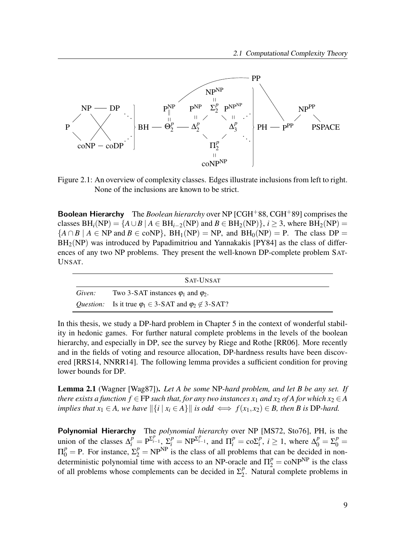

Figure 2.1: An overview of complexity classes. Edges illustrate inclusions from left to right. None of the inclusions are known to be strict.

**Boolean Hierarchy** The *Boolean hierarchy* over NP  $[CGH<sup>+</sup>88, CGH<sup>+</sup>89]$  comprises the classes  $BH_i(NP) = \{A \cup B \mid A \in BH_{i-2}(NP) \text{ and } B \in BH_2(NP)\}\$ ,  $i \geq 3$ , where  $BH_2(NP) =$  ${A \cap B \mid A \in NP \text{ and } B \in \text{coNP}}$ ,  $BH_1(NP) = NP$ , and  $BH_0(NP) = P$ . The class  $DP =$  $BH<sub>2</sub>(NP)$  was introduced by Papadimitriou and Yannakakis [PY84] as the class of differences of any two NP problems. They present the well-known DP-complete problem SAT-UNSAT.

|        | SAT-UNSAT                                                                  |
|--------|----------------------------------------------------------------------------|
| Given: | Two 3-SAT instances $\varphi_1$ and $\varphi_2$ .                          |
|        | Question: Is it true $\varphi_1 \in 3$ -SAT and $\varphi_2 \notin 3$ -SAT? |

In this thesis, we study a DP-hard problem in Chapter 5 in the context of wonderful stability in hedonic games. For further natural complete problems in the levels of the boolean hierarchy, and especially in DP, see the survey by Riege and Rothe [RR06]. More recently and in the fields of voting and resource allocation, DP-hardness results have been discovered [RRS14, NNRR14]. The following lemma provides a sufficient condition for proving lower bounds for DP.

Lemma 2.1 (Wagner [Wag87]). Let A be some NP-hard problem, and let B be any set. If there exists a function  $f \in FP$  such that, for any two instances  $x_1$  and  $x_2$  of A for which  $x_2 \in A$ implies that  $x_1 \in A$ , we have  $\|\{i \mid x_i \in A\}\|$  is odd  $\iff f(x_1, x_2) \in B$ , then B is DP-hard.

Polynomial Hierarchy The polynomial hierarchy over NP [MS72, Sto76], PH, is the union of the classes  $\Delta_i^p = P^{\sum_{i=1}^p}$ ,  $\sum_i^p = NP^{\sum_{i=1}^p}$ , and  $\Pi_i^p = \text{co}\Sigma_i^p$  $i<sup>p</sup>$ ,  $i \geq 1$ , where  $\Delta_0^p = \Sigma_0^p =$  $\Pi_0^p = \text{P}$ . For instance,  $\Sigma_2^p = \text{NP}^{\text{NP}}$  is the class of all problems that can be decided in nondeterministic polynomial time with access to an NP-oracle and  $\Pi_2^p = \text{coNP}^{\text{NP}}$  is the class of all problems whose complements can be decided in  $\Sigma_2^p$  $_2^p$ . Natural complete problems in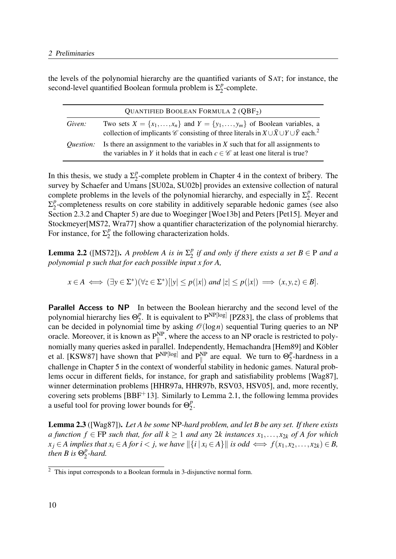the levels of the polynomial hierarchy are the quantified variants of SAT; for instance, the second-level quantified Boolean formula problem is  $\Sigma_2^p$  $n_2^p$ -complete.

|                  | <b>QUANTIFIED BOOLEAN FORMULA 2 (QBF2)</b>                                                                                                                                                                                            |
|------------------|---------------------------------------------------------------------------------------------------------------------------------------------------------------------------------------------------------------------------------------|
| Given:           | Two sets $X = \{x_1, \ldots, x_n\}$ and $Y = \{y_1, \ldots, y_m\}$ of Boolean variables, a<br>collection of implicants $\mathscr C$ consisting of three literals in $X \cup \overline{X} \cup Y \cup \overline{Y}$ each. <sup>2</sup> |
| <i>Ouestion:</i> | Is there an assignment to the variables in $X$ such that for all assignments to<br>the variables in Y it holds that in each $c \in \mathscr{C}$ at least one literal is true?                                                         |

In this thesis, we study a  $\Sigma_2^p$  $\frac{p}{2}$ -complete problem in Chapter 4 in the context of bribery. The survey by Schaefer and Umans [SU02a, SU02b] provides an extensive collection of natural complete problems in the levels of the polynomial hierarchy, and especially in  $\Sigma_2^p$  $n_2^p$ . Recent  $\Sigma^p_2$  $2^P$ -completeness results on core stability in additively separable hedonic games (see also Section 2.3.2 and Chapter 5) are due to Woeginger [Woe13b] and Peters [Pet15]. Meyer and Stockmeyer[MS72, Wra77] show a quantifier characterization of the polynomial hierarchy. For instance, for  $\Sigma_2^p$  $_2^p$  the following characterization holds.

**Lemma 2.2** ([MS72]). A problem A is in  $\Sigma_2^p$  $\frac{p}{2}$  if and only if there exists a set  $B \in \mathrm{P}$  and a polynomial p such that for each possible input x for A,

 $x \in A \iff (\exists y \in \Sigma^*) (\forall z \in \Sigma^*) [ |y| \le p(|x|) \text{ and } |z| \le p(|x|) \implies (x, y, z) \in B].$ 

Parallel Access to NP In between the Boolean hierarchy and the second level of the polynomial hierarchy lies  $\Theta_2^p$  $_2^p$ . It is equivalent to  $P^{NP[log]}$  [PZ83], the class of problems that can be decided in polynomial time by asking  $\mathcal{O}(\log n)$  sequential Turing queries to an NP oracle. Moreover, it is known as  $P_{\parallel}^{NP}$ , where the access to an NP oracle is restricted to polynomially many queries asked in parallel. Independently, Hemachandra [Hem89] and Köbler et al. [KSW87] have shown that  $P^{NP[log]}$  and  $P_{\parallel}^{NP}$  are equal. We turn to  $\Theta_2^P$  $n<sub>2</sub><sup>p</sup>$ -hardness in a challenge in Chapter 5 in the context of wonderful stability in hedonic games. Natural problems occur in different fields, for instance, for graph and satisfiability problems [Wag87], winner determination problems [HHR97a, HHR97b, RSV03, HSV05], and, more recently, covering sets problems [BBF+13]. Similarly to Lemma 2.1, the following lemma provides a useful tool for proving lower bounds for  $\Theta_2^p$  $\frac{p}{2}$ .

**Lemma 2.3** ([Wag87]). Let A be some NP-hard problem, and let B be any set. If there exists a function  $f \in FP$  such that, for all  $k \ge 1$  and any 2k instances  $x_1, \ldots, x_{2k}$  of A for which  $x_j \in A$  implies that  $x_i \in A$  for  $i < j$ , we have  $\|\{i \mid x_i \in A\}\|$  is odd  $\iff f(x_1, x_2, \ldots, x_{2k}) \in B$ , then B is  $\Theta_2^p$  $\frac{p}{2}$ -hard.

 $2$  This input corresponds to a Boolean formula in 3-disjunctive normal form.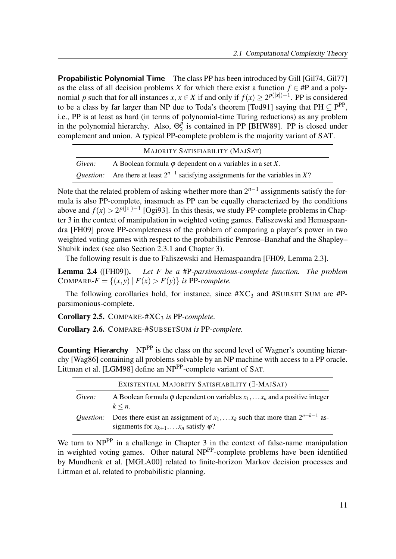**Propabilistic Polynomial Time** The class PP has been introduced by Gill [Gil74, Gil77] as the class of all decision problems X for which there exist a function  $f \in \mathsf{#P}$  and a polynomial p such that for all instances  $x, x \in X$  if and only if  $f(x) \ge 2^{p(|x|)-1}$ . PP is considered to be a class by far larger than NP due to Toda's theorem [Tod91] saying that  $PH \subseteq P^{PP}$ , i.e., PP is at least as hard (in terms of polynomial-time Turing reductions) as any problem in the polynomial hierarchy. Also,  $\Theta_2^{\vec{p}}$  $\frac{p}{2}$  is contained in PP [BHW89]. PP is closed under complement and union. A typical PP-complete problem is the majority variant of SAT.

|        | MAJORITY SATISFIABILITY (MAJSAT)                                                             |
|--------|----------------------------------------------------------------------------------------------|
| Given: | A Boolean formula $\varphi$ dependent on <i>n</i> variables in a set X.                      |
|        | <i>Question:</i> Are there at least $2^{n-1}$ satisfying assignments for the variables in X? |

Note that the related problem of asking whether more than  $2^{n-1}$  assignments satisfy the formula is also PP-complete, inasmuch as PP can be equally characterized by the conditions above and  $f(x) > 2^{p(|x|)-1}$  [Ogi93]. In this thesis, we study PP-complete problems in Chapter 3 in the context of manipulation in weighted voting games. Faliszewski and Hemaspaandra [FH09] prove PP-completeness of the problem of comparing a player's power in two weighted voting games with respect to the probabilistic Penrose–Banzhaf and the Shapley– Shubik index (see also Section 2.3.1 and Chapter 3).

The following result is due to Faliszewski and Hemaspaandra [FH09, Lemma 2.3].

**Lemma 2.4** ([FH09]). Let F be a #P-parsimonious-complete function. The problem COMPARE- $F = \{(x, y) | F(x) > F(y) \}$  is PP-complete.

The following corollaries hold, for instance, since  $\#XC_3$  and  $\#SUBSET$  SUM are  $\#P$ parsimonious-complete.

Corollary 2.5. COMPARE-# $XC<sub>3</sub>$  is PP-complete.

Corollary 2.6. COMPARE-#SUBSETSUM is PP-complete.

**Counting Hierarchy** NP<sup>PP</sup> is the class on the second level of Wagner's counting hierarchy [Wag86] containing all problems solvable by an NP machine with access to a PP oracle. Littman et al. [LGM98] define an NP<sup>PP</sup>-complete variant of SAT.

|                  | EXISTENTIAL MAJORITY SATISFIABILITY (E-MAJSAT)                                                                                                       |
|------------------|------------------------------------------------------------------------------------------------------------------------------------------------------|
| Given:           | A Boolean formula $\varphi$ dependent on variables $x_1, \ldots, x_n$ and a positive integer<br>$k \leq n$ .                                         |
| <i>Ouestion:</i> | Does there exist an assignment of $x_1, \ldots, x_k$ such that more than $2^{n-k-1}$ as-<br>signments for $x_{k+1}, \ldots, x_n$ satisfy $\varphi$ ? |

We turn to NP<sup>PP</sup> in a challenge in Chapter 3 in the context of false-name manipulation in weighted voting games. Other natural NPPP-complete problems have been identified by Mundhenk et al. [MGLA00] related to finite-horizon Markov decision processes and Littman et al. related to probabilistic planning.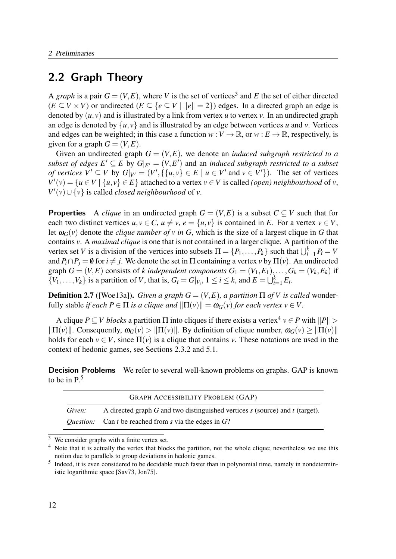### 2.2 Graph Theory

A graph is a pair  $G = (V, E)$ , where V is the set of vertices<sup>3</sup> and E the set of either directed  $(E \subset V \times V)$  or undirected  $(E \subset \{e \subset V \mid ||e|| = 2\})$  edges. In a directed graph an edge is denoted by  $(u, v)$  and is illustrated by a link from vertex u to vertex v. In an undirected graph an edge is denoted by  $\{u, v\}$  and is illustrated by an edge between vertices u and v. Vertices and edges can be weighted; in this case a function  $w: V \to \mathbb{R}$ , or  $w: E \to \mathbb{R}$ , respectively, is given for a graph  $G = (V, E)$ .

Given an undirected graph  $G = (V, E)$ , we denote an *induced subgraph restricted to a* subset of edges  $E' \subseteq E$  by  $G|_{E'} = (V, E')$  and an induced subgraph restricted to a subset *of vertices*  $V' \subseteq V$  by  $G|_{V'} = (V', \{\{u, v\} \in E \mid u \in V' \text{ and } v \in V'\})$ . The set of vertices  $V'(v) = {u \in V | {u, v} \in E}$  attached to a vertex  $v \in V$  is called (*open*) neighbourhood of v,  $V'(v) \cup \{v\}$  is called *closed neighbourhood* of v.

**Properties** A *clique* in an undirected graph  $G = (V, E)$  is a subset  $C \subseteq V$  such that for each two distinct vertices  $u, v \in C$ ,  $u \neq v$ ,  $e = \{u, v\}$  is contained in E. For a vertex  $v \in V$ , let  $\omega_G(v)$  denote the *clique number of v in G*, which is the size of a largest clique in G that contains v. A maximal clique is one that is not contained in a larger clique. A partition of the vertex set V is a division of the vertices into subsets  $\Pi = \{P_1, \ldots, P_k\}$  such that  $\bigcup_{i=1}^k P_i = V$ and  $P_i \cap P_j = \emptyset$  for  $i \neq j$ . We denote the set in  $\Pi$  containing a vertex v by  $\Pi(v)$ . An undirected graph  $G = (V, E)$  consists of k independent components  $G_1 = (V_1, E_1), \ldots, G_k = (V_k, E_k)$  if  $\{V_1, \ldots, V_k\}$  is a partition of V, that is,  $G_i = G|_{V_i}$ ,  $1 \le i \le k$ , and  $E = \bigcup_{i=1}^k E_i$ .

**Definition 2.7** ([Woe13a]). Given a graph  $G = (V, E)$ , a partition  $\Pi$  of V is called wonderfully stable if each  $P \in \Pi$  is a clique and  $\|\Pi(v)\| = \omega_G(v)$  for each vertex  $v \in V$ .

A clique  $P \subseteq V$  blocks a partition  $\Pi$  into cliques if there exists a vertex<sup>4</sup>  $v \in P$  with  $||P|| >$  $\|\Pi(v)\|$ . Consequently,  $\omega_G(v) > \|\Pi(v)\|$ . By definition of clique number,  $\omega_G(v) \ge \|\Pi(v)\|$ holds for each  $v \in V$ , since  $\Pi(v)$  is a clique that contains v. These notations are used in the context of hedonic games, see Sections 2.3.2 and 5.1.

**Decision Problems** We refer to several well-known problems on graphs. GAP is known to be in  $P<sup>5</sup>$ 

|        | <b>GRAPH ACCESSIBILITY PROBLEM (GAP)</b>                                         |
|--------|----------------------------------------------------------------------------------|
| Given: | A directed graph G and two distinguished vertices $s$ (source) and $t$ (target). |
|        | <i>Question:</i> Can t be reached from s via the edges in $G$ ?                  |

<sup>3</sup> We consider graphs with a finite vertex set.

<sup>&</sup>lt;sup>4</sup> Note that it is actually the vertex that blocks the partition, not the whole clique; nevertheless we use this notion due to parallels to group deviations in hedonic games.

<sup>&</sup>lt;sup>5</sup> Indeed, it is even considered to be decidable much faster than in polynomial time, namely in nondeterministic logarithmic space [Sav73, Jon75].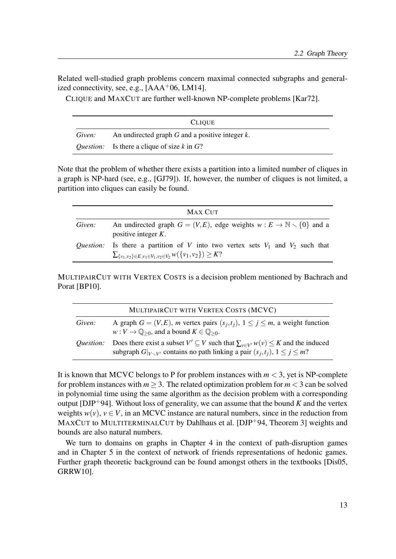Related well-studied graph problems concern maximal connected subgraphs and generalized connectivity, see, e.g.,  $[AAA<sup>+</sup>06, LM14]$ .

CLIQUE and MAXCUT are further well-known NP-complete problems [Kar72].

|        | <b>CLIQUE</b>                                           |
|--------|---------------------------------------------------------|
| Given: | An undirected graph $G$ and a positive integer $k$ .    |
|        | <i>Question:</i> Is there a clique of size $k$ in $G$ ? |

Note that the problem of whether there exists a partition into a limited number of cliques in a graph is NP-hard (see, e.g., [GJ79]). If, however, the number of cliques is not limited, a partition into cliques can easily be found.

|                  | MAX CUT                                                                                                                                                 |
|------------------|---------------------------------------------------------------------------------------------------------------------------------------------------------|
| Given:           | An undirected graph $G = (V, E)$ , edge weights $w : E \to \mathbb{N} \setminus \{0\}$ and a<br>positive integer $K$ .                                  |
| <i>Ouestion:</i> | Is there a partition of V into two vertex sets $V_1$ and $V_2$ such that<br>$\sum_{\{v_1,v_2\} \in E, v_1 \in V_1, v_2 \in V_2} w(\{v_1,v_2\}) \geq K?$ |

MULTIPAIRCUT WITH VERTEX COSTS is a decision problem mentioned by Bachrach and Porat [BP10].

|                  | MULTIPAIRCUT WITH VERTEX COSTS (MCVC)                                                                                                                                                                   |
|------------------|---------------------------------------------------------------------------------------------------------------------------------------------------------------------------------------------------------|
| Given:           | A graph $G = (V, E)$ , <i>m</i> vertex pairs $(s_j, t_j)$ , $1 \le j \le m$ , a weight function<br>$w: V \to \mathbb{Q}_{\geq 0}$ , and a bound $K \in \mathbb{Q}_{\geq 0}$ .                           |
| <i>Ouestion:</i> | Does there exist a subset $V' \subseteq V$ such that $\sum_{v \in V'} w(v) \leq K$ and the induced<br>subgraph $G _{V \setminus V'}$ contains no path linking a pair $(s_i, t_i)$ , $1 \leq j \leq m$ ? |

It is known that MCVC belongs to P for problem instances with  $m < 3$ , yet is NP-complete for problem instances with  $m > 3$ . The related optimization problem for  $m < 3$  can be solved in polynomial time using the same algorithm as the decision problem with a corresponding output [DJP<sup>+</sup>94]. Without loss of generality, we can assume that the bound K and the vertex weights  $w(v)$ ,  $v \in V$ , in an MCVC instance are natural numbers, since in the reduction from MAXCUT to MULTITERMINALCUT by Dahlhaus et al. [DJP<sup>+</sup>94, Theorem 3] weights and bounds are also natural numbers.

We turn to domains on graphs in Chapter 4 in the context of path-disruption games and in Chapter 5 in the context of network of friends representations of hedonic games. Further graph theoretic background can be found amongst others in the textbooks [Dis05, GRRW10].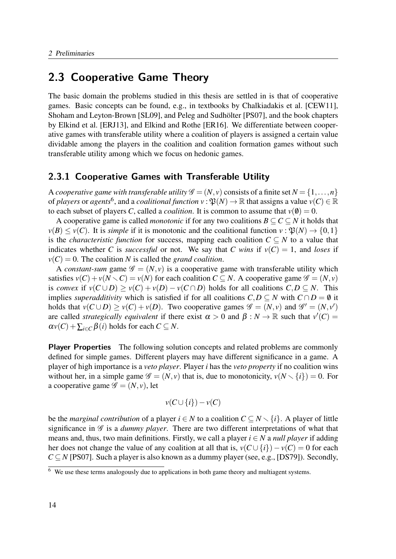### 2.3 Cooperative Game Theory

The basic domain the problems studied in this thesis are settled in is that of cooperative games. Basic concepts can be found, e.g., in textbooks by Chalkiadakis et al. [CEW11], Shoham and Leyton-Brown [SL09], and Peleg and Sudhölter [PS07], and the book chapters by Elkind et al. [ERJ13], and Elkind and Rothe [ER16]. We differentiate between cooperative games with transferable utility where a coalition of players is assigned a certain value dividable among the players in the coalition and coalition formation games without such transferable utility among which we focus on hedonic games.

### 2.3.1 Cooperative Games with Transferable Utility

A cooperative game with transferable utility  $\mathscr{G} = (N, v)$  consists of a finite set  $N = \{1, \ldots, n\}$ of players or agents<sup>6</sup>, and a coalitional function  $v: \mathfrak{P}(N) \to \mathbb{R}$  that assigns a value  $v(C) \in \mathbb{R}$ to each subset of players C, called a *coalition*. It is common to assume that  $v(\theta) = 0$ .

A cooperative game is called *monotonic* if for any two coalitions  $B \subseteq C \subseteq N$  it holds that  $\nu(B) \leq \nu(C)$ . It is simple if it is monotonic and the coalitional function  $\nu : \mathfrak{B}(N) \to \{0,1\}$ is the *characteristic function* for success, mapping each coalition  $C \subseteq N$  to a value that indicates whether C is successful or not. We say that C wins if  $v(C) = 1$ , and loses if  $v(C) = 0$ . The coalition N is called the grand coalition.

A constant-sum game  $\mathscr{G} = (N, v)$  is a cooperative game with transferable utility which satisfies  $v(C) + v(N \setminus C) = v(N)$  for each coalition  $C \subseteq N$ . A cooperative game  $\mathscr{G} = (N, v)$ is convex if  $v(C \cup D) > v(C) + v(D) - v(C \cap D)$  holds for all coalitions  $C, D \subseteq N$ . This implies *superadditivity* which is satisfied if for all coalitions  $C, D \subseteq N$  with  $C \cap D = \emptyset$  it holds that  $v(C \cup D) \ge v(C) + v(D)$ . Two cooperative games  $\mathscr{G} = (N, v)$  and  $\mathscr{G}' = (N, v')$ are called *strategically equivalent* if there exist  $\alpha > 0$  and  $\beta : N \to \mathbb{R}$  such that  $v'(C) =$  $\alpha v(C) + \sum_{i \in C} \beta(i)$  holds for each  $C \subseteq N$ .

Player Properties The following solution concepts and related problems are commonly defined for simple games. Different players may have different significance in a game. A player of high importance is a veto player. Player i has the veto property if no coalition wins without her, in a simple game  $\mathscr{G} = (N, v)$  that is, due to monotonicity,  $v(N \setminus \{i\}) = 0$ . For a cooperative game  $\mathscr{G} = (N, v)$ , let

$$
v(C \cup \{i\}) - v(C)
$$

be the *marginal contribution* of a player  $i \in N$  to a coalition  $C \subseteq N \setminus \{i\}$ . A player of little significance in  $\mathscr G$  is a *dummy player*. There are two different interpretations of what that means and, thus, two main definitions. Firstly, we call a player  $i \in N$  a *null player* if adding her does not change the value of any coalition at all that is,  $v(C \cup \{i\}) - v(C) = 0$  for each  $C \subseteq N$  [PS07]. Such a player is also known as a dummy player (see, e.g., [DS79]). Secondly,

 $\overline{6}$  We use these terms analogously due to applications in both game theory and multiagent systems.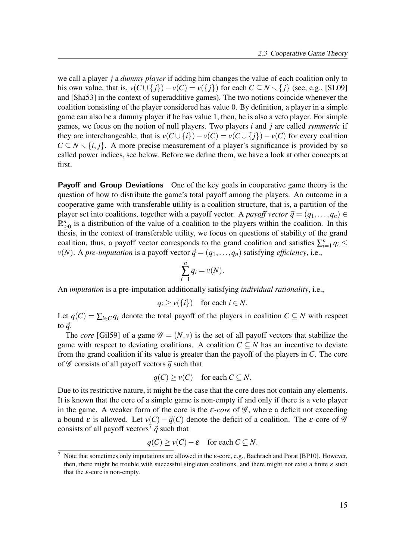we call a player *j* a *dummy player* if adding him changes the value of each coalition only to his own value, that is,  $v(C \cup \{j\}) - v(C) = v(\{j\})$  for each  $C \subseteq N \setminus \{j\}$  (see, e.g., [SL09] and [Sha53] in the context of superadditive games). The two notions coincide whenever the coalition consisting of the player considered has value 0. By definition, a player in a simple game can also be a dummy player if he has value 1, then, he is also a veto player. For simple games, we focus on the notion of null players. Two players  $i$  and  $j$  are called symmetric if they are interchangeable, that is  $v(C \cup \{i\}) - v(C) = v(C \cup \{i\}) - v(C)$  for every coalition  $C \subseteq N \setminus \{i, j\}$ . A more precise measurement of a player's significance is provided by so called power indices, see below. Before we define them, we have a look at other concepts at first.

Payoff and Group Deviations One of the key goals in cooperative game theory is the question of how to distribute the game's total payoff among the players. An outcome in a cooperative game with transferable utility is a coalition structure, that is, a partition of the player set into coalitions, together with a payoff vector. A *payoff vector*  $\vec{q} = (q_1, \ldots, q_n) \in$  $\mathbb{R}^n_{\geq 0}$  is a distribution of the value of a coalition to the players within the coalition. In this thesis, in the context of transferable utility, we focus on questions of stability of the grand coalition, thus, a payoff vector corresponds to the grand coalition and satisfies  $\sum_{i=1}^{n} q_i \leq$  $v(N)$ . A pre-imputation is a payoff vector  $\vec{q} = (q_1, \ldots, q_n)$  satisfying efficiency, i.e.,

$$
\sum_{i=1}^n q_i = v(N).
$$

An imputation is a pre-imputation additionally satisfying individual rationality, i.e.,

$$
q_i \ge v(\{i\}) \quad \text{for each } i \in N.
$$

Let  $q(C) = \sum_{i \in C} q_i$  denote the total payoff of the players in coalition  $C \subseteq N$  with respect to  $\vec{q}$ .

The *core* [Gil59] of a game  $\mathscr{G} = (N, v)$  is the set of all payoff vectors that stabilize the game with respect to deviating coalitions. A coalition  $C \subseteq N$  has an incentive to deviate from the grand coalition if its value is greater than the payoff of the players in C. The core of  $\mathscr G$  consists of all payoff vectors  $\vec q$  such that

$$
q(C) \ge v(C) \quad \text{for each } C \subseteq N.
$$

Due to its restrictive nature, it might be the case that the core does not contain any elements. It is known that the core of a simple game is non-empty if and only if there is a veto player in the game. A weaker form of the core is the  $\varepsilon$ -core of  $\mathscr G$ , where a deficit not exceeding a bound  $\varepsilon$  is allowed. Let  $v(C) - \vec{q}(C)$  denote the deficit of a coalition. The  $\varepsilon$ -core of  $\mathscr G$ consists of all payoff vectors<sup>7</sup>  $\vec{q}$  such that

$$
q(C) \ge v(C) - \varepsilon \quad \text{for each } C \subseteq N.
$$

 $\overline{7}$  Note that sometimes only imputations are allowed in the  $\varepsilon$ -core, e.g., Bachrach and Porat [BP10]. However, then, there might be trouble with successful singleton coalitions, and there might not exist a finite  $\varepsilon$  such that the  $\varepsilon$ -core is non-empty.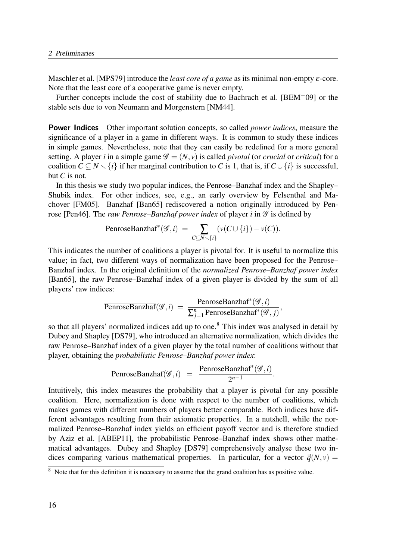Maschler et al. [MPS79] introduce the *least core of a game* as its minimal non-empty  $\varepsilon$ -core. Note that the least core of a cooperative game is never empty.

Further concepts include the cost of stability due to Bachrach et al.  $[BEM<sup>+</sup>09]$  or the stable sets due to von Neumann and Morgenstern [NM44].

**Power Indices** Other important solution concepts, so called *power indices*, measure the significance of a player in a game in different ways. It is common to study these indices in simple games. Nevertheless, note that they can easily be redefined for a more general setting. A player *i* in a simple game  $\mathcal{G} = (N, v)$  is called *pivotal* (or *crucial* or *critical*) for a coalition  $C \subseteq N \setminus \{i\}$  if her marginal contribution to C is 1, that is, if  $C \cup \{i\}$  is successful, but  $C$  is not.

In this thesis we study two popular indices, the Penrose–Banzhaf index and the Shapley– Shubik index. For other indices, see, e.g., an early overview by Felsenthal and Machover [FM05]. Banzhaf [Ban65] rediscovered a notion originally introduced by Penrose [Pen46]. The raw Penrose–Banzhaf power index of player i in  $\mathscr G$  is defined by

$$
\text{PenroseBanzhaf}^*(\mathcal{G},i) = \sum_{C \subseteq N \smallsetminus \{i\}} (\nu(C \cup \{i\}) - \nu(C)).
$$

This indicates the number of coalitions a player is pivotal for. It is useful to normalize this value; in fact, two different ways of normalization have been proposed for the Penrose– Banzhaf index. In the original definition of the normalized Penrose–Banzhaf power index [Ban65], the raw Penrose–Banzhaf index of a given player is divided by the sum of all players' raw indices:

$$
\overline{\text{PenroseBanzhaf}}(\mathscr{G},i) = \frac{\text{PenroseBanzhaf}^*(\mathscr{G},i)}{\sum_{j=1}^n \text{PenroseBanzhaf}^*(\mathscr{G},j)},
$$

so that all players' normalized indices add up to one.<sup>8</sup> This index was analysed in detail by Dubey and Shapley [DS79], who introduced an alternative normalization, which divides the raw Penrose–Banzhaf index of a given player by the total number of coalitions without that player, obtaining the probabilistic Penrose–Banzhaf power index:

$$
\text{PenroseBanzhaf}(\mathcal{G},i) = \frac{\text{PenroseBanzhaf}^*(\mathcal{G},i)}{2^{n-1}}.
$$

Intuitively, this index measures the probability that a player is pivotal for any possible coalition. Here, normalization is done with respect to the number of coalitions, which makes games with different numbers of players better comparable. Both indices have different advantages resulting from their axiomatic properties. In a nutshell, while the normalized Penrose–Banzhaf index yields an efficient payoff vector and is therefore studied by Aziz et al. [ABEP11], the probabilistic Penrose–Banzhaf index shows other mathematical advantages. Dubey and Shapley [DS79] comprehensively analyse these two indices comparing various mathematical properties. In particular, for a vector  $\vec{q}(N, v)$  =

<sup>&</sup>lt;sup>8</sup> Note that for this definition it is necessary to assume that the grand coalition has as positive value.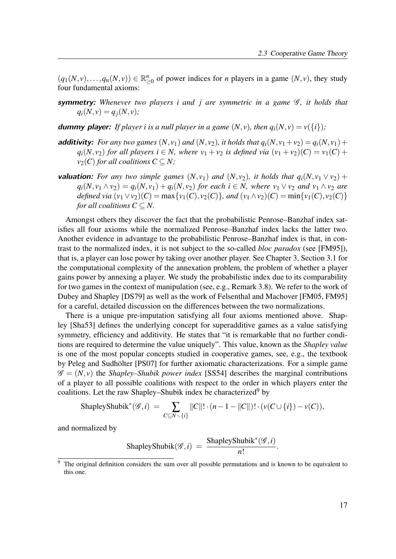$(q_1(N, v),..., q_n(N, v)) \in \mathbb{R}_{\geq 0}^n$  of power indices for *n* players in a game  $(N, v)$ , they study four fundamental axioms:

**symmetry:** Whenever two players i and j are symmetric in a game  $\mathcal{G}$ , it holds that  $q_i(N, v) = q_i(N, v);$ 

**dummy player:** If player i is a null player in a game  $(N, v)$ , then  $q_i(N, v) = v({i})$ ;

- **additivity:** For any two games  $(N, v_1)$  and  $(N, v_2)$ , it holds that  $q_i(N, v_1+v_2) = q_i(N, v_1) + q_i(N, v_2)$  $q_i(N, v_2)$  for all players  $i \in N$ , where  $v_1 + v_2$  is defined via  $(v_1 + v_2)(C) = v_1(C) +$  $v_2(C)$  for all coalitions  $C \subseteq N$ ;
- **valuation:** For any two simple games  $(N, v_1)$  and  $(N, v_2)$ , it holds that  $q_i(N, v_1 \vee v_2)$  +  $q_i(N, v_1 \wedge v_2) = q_i(N, v_1) + q_i(N, v_2)$  for each  $i \in N$ , where  $v_1 \vee v_2$  and  $v_1 \wedge v_2$  are defined via  $(v_1 \vee v_2)(C) = \max\{v_1(C), v_2(C)\}\$ , and  $(v_1 \wedge v_2)(C) = \min\{v_1(C), v_2(C)\}\$ for all coalitions  $C \subseteq N$ .

Amongst others they discover the fact that the probabilistic Penrose–Banzhaf index satisfies all four axioms while the normalized Penrose–Banzhaf index lacks the latter two. Another evidence in advantage to the probabilistic Penrose–Banzhaf index is that, in contrast to the normalized index, it is not subject to the so-called bloc paradox (see [FM95]), that is, a player can lose power by taking over another player. See Chapter 3, Section 3.1 for the computational complexity of the annexation problem, the problem of whether a player gains power by annexing a player. We study the probabilistic index due to its comparability for two games in the context of manipulation (see, e.g., Remark 3.8). We refer to the work of Dubey and Shapley [DS79] as well as the work of Felsenthal and Machover [FM05, FM95] for a careful, detailed discussion on the differences between the two normalizations.

There is a unique pre-imputation satisfying all four axioms mentioned above. Shapley [Sha53] defines the underlying concept for superadditive games as a value satisfying symmetry, efficiency and additivity. He states that "it is remarkable that no further conditions are required to determine the value uniquely". This value, known as the Shapley value is one of the most popular concepts studied in cooperative games, see, e.g., the textbook by Peleg and Sudhölter [PS07] for further axiomatic characterizations. For a simple game  $\mathscr{G} = (N, v)$  the *Shapley–Shubik power index* [SS54] describes the marginal contributions of a player to all possible coalitions with respect to the order in which players enter the coalitions. Let the raw Shapley–Shubik index be characterized<sup>9</sup> by

ShapleyShubik<sup>\*</sup>
$$
(\mathscr{G},i)
$$
 =  $\sum_{C \subseteq N \setminus \{i\}} ||C||! \cdot (n-1-||C||)! \cdot (\nu(C \cup \{i\}) - \nu(C)),$ 

and normalized by

ShapleyShubik(
$$
\mathscr{G}, i
$$
) =  $\frac{\text{ShapleyShubik}^*(\mathscr{G}, i)}{n!}$ .

<sup>&</sup>lt;sup>9</sup> The original definition considers the sum over all possible permutations and is known to be equivalent to this one.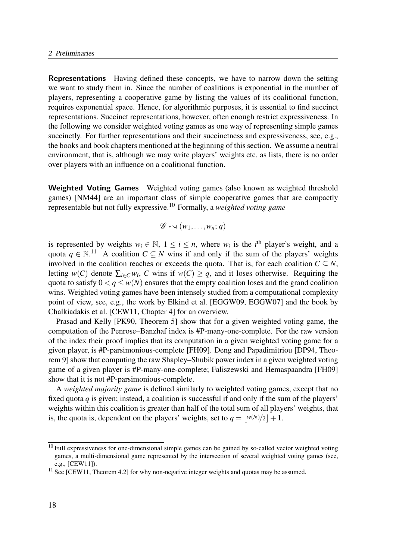Representations Having defined these concepts, we have to narrow down the setting we want to study them in. Since the number of coalitions is exponential in the number of players, representing a cooperative game by listing the values of its coalitional function, requires exponential space. Hence, for algorithmic purposes, it is essential to find succinct representations. Succinct representations, however, often enough restrict expressiveness. In the following we consider weighted voting games as one way of representing simple games succinctly. For further representations and their succinctness and expressiveness, see, e.g., the books and book chapters mentioned at the beginning of this section. We assume a neutral environment, that is, although we may write players' weights etc. as lists, there is no order over players with an influence on a coalitional function.

Weighted Voting Games Weighted voting games (also known as weighted threshold games) [NM44] are an important class of simple cooperative games that are compactly representable but not fully expressive.<sup>10</sup> Formally, a *weighted voting game* 

$$
\mathscr{G} \curvearrowleft (w_1, \dots, w_n; q)
$$

is represented by weights  $w_i \in \mathbb{N}$ ,  $1 \le i \le n$ , where  $w_i$  is the *i*<sup>th</sup> player's weight, and a quota  $q \in \mathbb{N}$ .<sup>11</sup> A coalition  $C \subseteq N$  wins if and only if the sum of the players' weights involved in the coalition reaches or exceeds the quota. That is, for each coalition  $C \subseteq N$ , letting  $w(C)$  denote  $\sum_{i \in C} w_i$ , C wins if  $w(C) \geq q$ , and it loses otherwise. Requiring the quota to satisfy  $0 < q \leq w(N)$  ensures that the empty coalition loses and the grand coalition wins. Weighted voting games have been intensely studied from a computational complexity point of view, see, e.g., the work by Elkind et al. [EGGW09, EGGW07] and the book by Chalkiadakis et al. [CEW11, Chapter 4] for an overview.

Prasad and Kelly [PK90, Theorem 5] show that for a given weighted voting game, the computation of the Penrose–Banzhaf index is #P-many-one-complete. For the raw version of the index their proof implies that its computation in a given weighted voting game for a given player, is #P-parsimonious-complete [FH09]. Deng and Papadimitriou [DP94, Theorem 9] show that computing the raw Shapley–Shubik power index in a given weighted voting game of a given player is #P-many-one-complete; Faliszewski and Hemaspaandra [FH09] show that it is not #P-parsimonious-complete.

A weighted majority game is defined similarly to weighted voting games, except that no fixed quota  $q$  is given; instead, a coalition is successful if and only if the sum of the players' weights within this coalition is greater than half of the total sum of all players' weights, that is, the quota is, dependent on the players' weights, set to  $q = |w(N)/2| + 1$ .

 $10$  Full expressiveness for one-dimensional simple games can be gained by so-called vector weighted voting games, a multi-dimensional game represented by the intersection of several weighted voting games (see, e.g., [CEW11]).

<sup>&</sup>lt;sup>11</sup> See [CEW11, Theorem 4.2] for why non-negative integer weights and quotas may be assumed.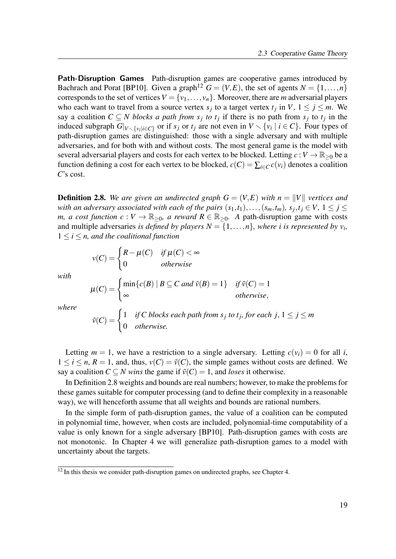Path-Disruption Games Path-disruption games are cooperative games introduced by Bachrach and Porat [BP10]. Given a graph<sup>12</sup>  $G = (V, E)$ , the set of agents  $N = \{1, \ldots, n\}$ corresponds to the set of vertices  $V = \{v_1, \ldots, v_n\}$ . Moreover, there are *m* adversarial players who each want to travel from a source vertex  $s_j$  to a target vertex  $t_j$  in  $V$ ,  $1 \le j \le m$ . We say a coalition  $C \subseteq N$  blocks a path from  $s_j$  to  $t_j$  if there is no path from  $s_j$  to  $t_j$  in the induced subgraph  $G|_{V \setminus \{v_i | i \in C\}}$  or if  $s_j$  or  $t_j$  are not even in  $V \setminus \{v_i | i \in C\}$ . Four types of path-disruption games are distinguished: those with a single adversary and with multiple adversaries, and for both with and without costs. The most general game is the model with several adversarial players and costs for each vertex to be blocked. Letting  $c:V \to \mathbb{R}_{\geq 0}$  be a function defining a cost for each vertex to be blocked,  $c(C) = \sum_{i \in C} c(v_i)$  denotes a coalition C's cost.

**Definition 2.8.** We are given an undirected graph  $G = (V, E)$  with  $n = ||V||$  vertices and with an adversary associated with each of the pairs  $(s_1,t_1),\ldots,(s_m,t_m)$ ,  $s_j,t_j\in V$ ,  $1\leq j\leq n$ m, a cost function  $c: V \to \mathbb{R}_{\geq 0}$ , a reward  $R \in \mathbb{R}_{\geq 0}$ . A path-disruption game with costs and multiple adversaries *is defined by players*  $N = \{1, ..., n\}$ , where *i* is represented by  $v_i$ ,  $1 \leq i \leq n$ , and the coalitional function

$$
v(C) = \begin{cases} R - \mu(C) & \text{if } \mu(C) < \infty \\ 0 & \text{otherwise} \end{cases}
$$

with

$$
\mu(C) = \begin{cases} \min\{c(B) \mid B \subseteq C \text{ and } \tilde{v}(B) = 1\} & \text{ if } \tilde{v}(C) = 1 \\ \infty & \text{ otherwise,} \end{cases}
$$

where

$$
\tilde{v}(C) = \begin{cases} 1 & \text{if } C \text{ blocks each path from } s_j \text{ to } t_j \text{, for each } j, 1 \le j \le m \\ 0 & \text{otherwise.} \end{cases}
$$

Letting  $m = 1$ , we have a restriction to a single adversary. Letting  $c(v_i) = 0$  for all i,  $1 \le i \le n$ ,  $R = 1$ , and, thus,  $v(C) = \tilde{v}(C)$ , the simple games without costs are defined. We say a coalition  $C \subseteq N$  wins the game if  $\tilde{v}(C) = 1$ , and loses it otherwise.

In Definition 2.8 weights and bounds are real numbers; however, to make the problems for these games suitable for computer processing (and to define their complexity in a reasonable way), we will henceforth assume that all weights and bounds are rational numbers.

In the simple form of path-disruption games, the value of a coalition can be computed in polynomial time, however, when costs are included, polynomial-time computability of a value is only known for a single adversary [BP10]. Path-disruption games with costs are not monotonic. In Chapter 4 we will generalize path-disruption games to a model with uncertainty about the targets.

 $12$  In this thesis we consider path-disruption games on undirected graphs, see Chapter 4.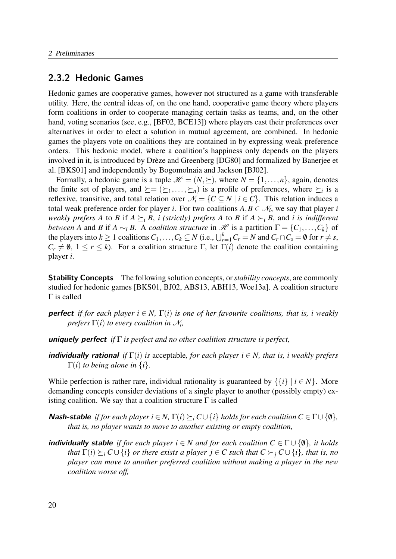### 2.3.2 Hedonic Games

Hedonic games are cooperative games, however not structured as a game with transferable utility. Here, the central ideas of, on the one hand, cooperative game theory where players form coalitions in order to cooperate managing certain tasks as teams, and, on the other hand, voting scenarios (see, e.g., [BF02, BCE13]) where players cast their preferences over alternatives in order to elect a solution in mutual agreement, are combined. In hedonic games the players vote on coalitions they are contained in by expressing weak preference orders. This hedonic model, where a coalition's happiness only depends on the players involved in it, is introduced by Drèze and Greenberg [DG80] and formalized by Banerjee et al. [BKS01] and independently by Bogomolnaia and Jackson [BJ02].

Formally, a hedonic game is a tuple  $\mathcal{H} = (N, \geq)$ , where  $N = \{1, ..., n\}$ , again, denotes the finite set of players, and  $\succeq = (\succeq_1, \ldots, \succeq_n)$  is a profile of preferences, where  $\succeq_i$  is a reflexive, transitive, and total relation over  $\mathcal{N}_i = \{C \subseteq N \mid i \in C\}$ . This relation induces a total weak preference order for player *i*. For two coalitions  $A, B \in \mathcal{N}_i$ , we say that player *i* weakly prefers A to B if  $A \succeq_i B$ , i (strictly) prefers A to B if  $A \succ_i B$ , and i is indifferent between A and B if  $A \sim_i B$ . A coalition structure in H is a partition  $\Gamma = \{C_1, \ldots, C_k\}$  of the players into  $k \ge 1$  coalitions  $C_1, \ldots, C_k \subseteq N$  (i.e.,  $\bigcup_{r=1}^k C_r = N$  and  $C_r \cap C_s = \emptyset$  for  $r \ne s$ ,  $C_r \neq \emptyset$ ,  $1 \leq r \leq k$ ). For a coalition structure Γ, let Γ(i) denote the coalition containing player i.

**Stability Concepts** The following solution concepts, or *stability concepts*, are commonly studied for hedonic games [BKS01, BJ02, ABS13, ABH13, Woe13a]. A coalition structure Γ is called

**perfect** if for each player  $i \in N$ ,  $\Gamma(i)$  is one of her favourite coalitions, that is, i weakly prefers  $\Gamma(i)$  to every coalition in  $\mathcal{N}_i$ ,

**uniquely perfect** if  $\Gamma$  is perfect and no other coalition structure is perfect,

**individually rational** if  $\Gamma(i)$  is acceptable, for each player  $i \in N$ , that is, i weakly prefers  $\Gamma(i)$  to being alone in  $\{i\}$ .

While perfection is rather rare, individual rationality is guaranteed by  $\{\{i\} \mid i \in N\}$ . More demanding concepts consider deviations of a single player to another (possibly empty) existing coalition. We say that a coalition structure  $\Gamma$  is called

- **Nash-stable** if for each player  $i \in N$ ,  $\Gamma(i) \succeq_i C \cup \{i\}$  holds for each coalition  $C \in \Gamma \cup \{\emptyset\}$ , that is, no player wants to move to another existing or empty coalition,
- **individually stable** if for each player  $i \in N$  and for each coalition  $C \in \Gamma \cup \{0\}$ , it holds that  $\Gamma(i) \succ_i C \cup \{i\}$  or there exists a player  $j \in C$  such that  $C \succ_i C \cup \{i\}$ , that is, no player can move to another preferred coalition without making a player in the new coalition worse off,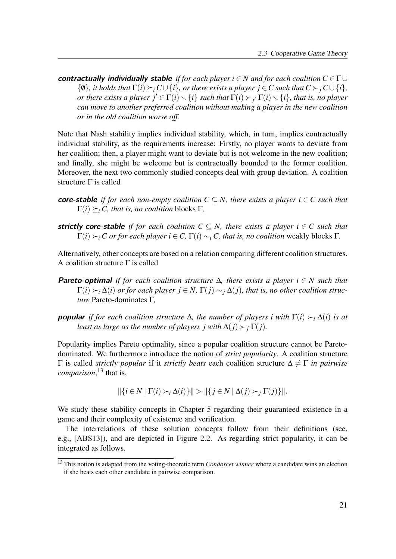contractually individually stable if for each player  $i \in N$  and for each coalition  $C \in \Gamma \cup$  $\{\emptyset\}$ , it holds that  $\Gamma(i) \succ_i C\cup \{i\}$ , or there exists a player  $j \in C$  such that  $C \succ_i C\cup \{i\}$ , or there exists a player  $j'\in \Gamma(i)\smallsetminus \{i\}$  such that  $\Gamma(i)\succ_{j'}\Gamma(i)\smallsetminus \{i\}$ , that is, no player can move to another preferred coalition without making a player in the new coalition or in the old coalition worse off.

Note that Nash stability implies individual stability, which, in turn, implies contractually individual stability, as the requirements increase: Firstly, no player wants to deviate from her coalition; then, a player might want to deviate but is not welcome in the new coalition; and finally, she might be welcome but is contractually bounded to the former coalition. Moreover, the next two commonly studied concepts deal with group deviation. A coalition structure  $\Gamma$  is called

- **core-stable** if for each non-empty coalition  $C \subseteq N$ , there exists a player  $i \in C$  such that  $\Gamma(i) \succ_i C$ , that is, no coalition blocks Γ,
- strictly core-stable if for each coalition  $C \subseteq N$ , there exists a player  $i \in C$  such that  $\Gamma(i) \succ_i C$  or for each player  $i \in C$ ,  $\Gamma(i) \sim_i C$ , that is, no coalition weakly blocks  $\Gamma$ .

Alternatively, other concepts are based on a relation comparing different coalition structures. A coalition structure  $\Gamma$  is called

- **Pareto-optimal** if for each coalition structure  $\Delta$ , there exists a player  $i \in N$  such that  $\Gamma(i) \succ_i \Delta(i)$  or for each player  $j \in N$ ,  $\Gamma(j) \sim_i \Delta(i)$ , that is, no other coalition structure Pareto-dominates Γ,
- **popular** if for each coalition structure  $\Delta$ , the number of players i with  $\Gamma(i) \succ_i \Delta(i)$  is at least as large as the number of players j with  $\Delta(j) \succ_i \Gamma(j)$ .

Popularity implies Pareto optimality, since a popular coalition structure cannot be Paretodominated. We furthermore introduce the notion of strict popularity. A coalition structure  $Γ$  is called *strictly popular* if it *strictly beats* each coalition structure  $Δ ≠ Γ$  *in pairwise* comparison,<sup>13</sup> that is,

$$
\|\{i\in N \mid \Gamma(i)\succ_i \Delta(i)\}\| > \|\{j\in N \mid \Delta(j)\succ_j \Gamma(j)\}\|.
$$

We study these stability concepts in Chapter 5 regarding their guaranteed existence in a game and their complexity of existence and verification.

The interrelations of these solution concepts follow from their definitions (see, e.g., [ABS13]), and are depicted in Figure 2.2. As regarding strict popularity, it can be integrated as follows.

<sup>&</sup>lt;sup>13</sup> This notion is adapted from the voting-theoretic term *Condorcet winner* where a candidate wins an election if she beats each other candidate in pairwise comparison.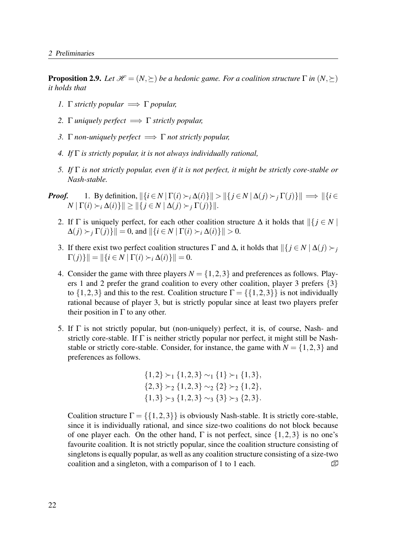**Proposition 2.9.** Let  $\mathcal{H} = (N, \succeq)$  be a hedonic game. For a coalition structure  $\Gamma$  in  $(N, \succeq)$ it holds that

- 1.  $\Gamma$  strictly popular  $\implies \Gamma$  popular,
- 2. Γ uniquely perfect  $\implies$  Γ strictly popular,
- 3. Γ non-uniquely perfect  $\implies \Gamma$  not strictly popular,
- 4. If  $\Gamma$  is strictly popular, it is not always individually rational,
- 5. If  $\Gamma$  is not strictly popular, even if it is not perfect, it might be strictly core-stable or Nash-stable.
- **Proof.** 1. By definition,  $\|\{i \in N | \Gamma(i) \succ_i \Delta(i)\}\| > \|\{j \in N | \Delta(j) \succ_i \Gamma(j)\}\| \implies \|\{i \in N | \Gamma(i) \succ_i \Delta(i)\}\| > \|\{j \in N | \Delta(j) \succ_i \Gamma(j)\}\|$  $N \mid \Gamma(i) \succ_i \Delta(i) \mid \mid \geq \|\{j \in N \mid \Delta(j) \succ_j \Gamma(j)\}\|.$ 
	- 2. If  $\Gamma$  is uniquely perfect, for each other coalition structure  $\Delta$  it holds that  $\left\| \{ j \in N \mid \right\}$  $\Delta(j) \succ_i \Gamma(j)$ } $\| = 0$ , and  $\|\{i \in N \mid \Gamma(i) \succ_i \Delta(i)\}\| > 0$ .
	- 3. If there exist two perfect coalition structures  $\Gamma$  and  $\Delta$ , it holds that  $\|\{j \in N \mid \Delta(j) \succ_j\}$  $\Gamma(j)\}\| = \|\{i \in N \mid \Gamma(i) \succ_i \Delta(i)\}\| = 0.$
	- 4. Consider the game with three players  $N = \{1,2,3\}$  and preferences as follows. Players 1 and 2 prefer the grand coalition to every other coalition, player 3 prefers {3} to  $\{1,2,3\}$  and this to the rest. Coalition structure  $\Gamma = \{\{1,2,3\}\}\$ is not individually rational because of player 3, but is strictly popular since at least two players prefer their position in  $\Gamma$  to any other.
	- 5. If  $\Gamma$  is not strictly popular, but (non-uniquely) perfect, it is, of course, Nash- and strictly core-stable. If Γ is neither strictly popular nor perfect, it might still be Nashstable or strictly core-stable. Consider, for instance, the game with  $N = \{1, 2, 3\}$  and preferences as follows.

$$
\{1,2\} \succ_1 \{1,2,3\} \sim_1 \{1\} \succ_1 \{1,3\},
$$
  

$$
\{2,3\} \succ_2 \{1,2,3\} \sim_2 \{2\} \succ_2 \{1,2\},
$$
  

$$
\{1,3\} \succ_3 \{1,2,3\} \sim_3 \{3\} \succ_3 \{2,3\}.
$$

Coalition structure  $\Gamma = \{\{1,2,3\}\}\$ is obviously Nash-stable. It is strictly core-stable, since it is individually rational, and since size-two coalitions do not block because of one player each. On the other hand,  $\Gamma$  is not perfect, since  $\{1,2,3\}$  is no one's favourite coalition. It is not strictly popular, since the coalition structure consisting of singletons is equally popular, as well as any coalition structure consisting of a size-two coalition and a singleton, with a comparison of 1 to 1 each.  $\mathbb{D}$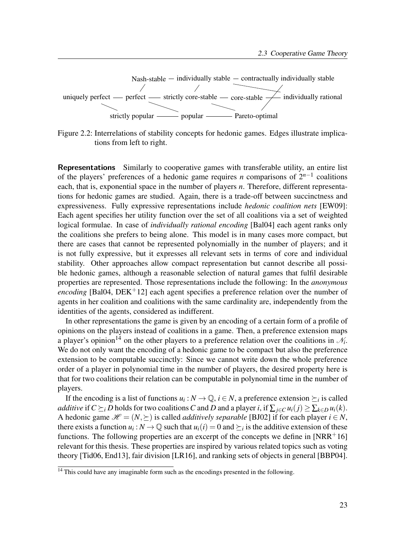

Figure 2.2: Interrelations of stability concepts for hedonic games. Edges illustrate implications from left to right.

Representations Similarly to cooperative games with transferable utility, an entire list of the players' preferences of a hedonic game requires *n* comparisons of  $2^{n-1}$  coalitions each, that is, exponential space in the number of players  $n$ . Therefore, different representations for hedonic games are studied. Again, there is a trade-off between succinctness and expressiveness. Fully expressive representations include hedonic coalition nets [EW09]: Each agent specifies her utility function over the set of all coalitions via a set of weighted logical formulae. In case of *individually rational encoding* [Bal04] each agent ranks only the coalitions she prefers to being alone. This model is in many cases more compact, but there are cases that cannot be represented polynomially in the number of players; and it is not fully expressive, but it expresses all relevant sets in terms of core and individual stability. Other approaches allow compact representation but cannot describe all possible hedonic games, although a reasonable selection of natural games that fulfil desirable properties are represented. Those representations include the following: In the anonymous encoding [Bal04, DEK<sup>+</sup>12] each agent specifies a preference relation over the number of agents in her coalition and coalitions with the same cardinality are, independently from the identities of the agents, considered as indifferent.

In other representations the game is given by an encoding of a certain form of a profile of opinions on the players instead of coalitions in a game. Then, a preference extension maps a player's opinion<sup>14</sup> on the other players to a preference relation over the coalitions in  $\mathcal{N}_i$ . We do not only want the encoding of a hedonic game to be compact but also the preference extension to be computable succinctly: Since we cannot write down the whole preference order of a player in polynomial time in the number of players, the desired property here is that for two coalitions their relation can be computable in polynomial time in the number of players.

If the encoding is a list of functions  $u_i : N \to \mathbb{Q}$ ,  $i \in N$ , a preference extension  $\succeq_i$  is called additive if  $C \succeq_i D$  holds for two coalitions C and D and a player i, if  $\sum_{i \in C} u_i(j) \geq \sum_{k \in D} u_i(k)$ . A hedonic game  $\mathcal{H} = (N, \succeq)$  is called *additively separable* [BJ02] if for each player  $i \in N$ , there exists a function  $u_i : N \to \mathbb{Q}$  such that  $u_i(i) = 0$  and  $\succeq_i$  is the additive extension of these functions. The following properties are an excerpt of the concepts we define in  $[NRR+16]$ relevant for this thesis. These properties are inspired by various related topics such as voting theory [Tid06, End13], fair division [LR16], and ranking sets of objects in general [BBP04].

<sup>&</sup>lt;sup>14</sup> This could have any imaginable form such as the encodings presented in the following.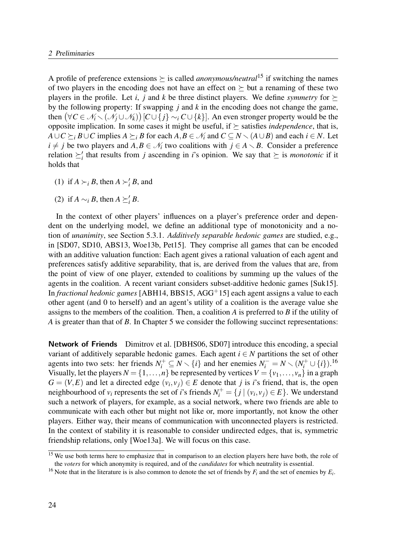A profile of preference extensions  $\geq$  is called *anonymous/neutral*<sup>15</sup> if switching the names of two players in the encoding does not have an effect on  $\succeq$  but a renaming of these two players in the profile. Let i, j and k be three distinct players. We define symmetry for  $\succ$ by the following property: If swapping  $j$  and  $k$  in the encoding does not change the game, then  $(\forall C \in \mathcal{N}_i \setminus (\mathcal{N}_j \cup \mathcal{N}_k))$   $[C \cup \{j\} \sim_i C \cup \{k\}]$ . An even stronger property would be the opposite implication. In some cases it might be useful, if  $\succeq$  satisfies *independence*, that is,  $A\cup C\succeq_i B\cup C$  implies  $A\succeq_i B$  for each  $A, B\in \mathcal{N}_i$  and  $C\subseteq N\setminus (A\cup B)$  and each  $i\in N$ . Let  $i \neq j$  be two players and  $A, B \in \mathcal{N}_i$  two coalitions with  $j \in A \setminus B$ . Consider a preference relation  $\geq_i'$  that results from j ascending in i's opinion. We say that  $\succeq$  is *monotonic* if it holds that

- (1) if  $A \succ_i B$ , then  $A \succ'_i B$ , and
- (2) if  $A \sim_i B$ , then  $A \succeq_i B$ .

In the context of other players' influences on a player's preference order and dependent on the underlying model, we define an additional type of monotonicity and a notion of unanimity, see Section 5.3.1. Additively separable hedonic games are studied, e.g., in [SD07, SD10, ABS13, Woe13b, Pet15]. They comprise all games that can be encoded with an additive valuation function: Each agent gives a rational valuation of each agent and preferences satisfy additive separability, that is, are derived from the values that are, from the point of view of one player, extended to coalitions by summing up the values of the agents in the coalition. A recent variant considers subset-additive hedonic games [Suk15]. In fractional hedonic games [ABH14, BBS15, AGG<sup>+</sup>15] each agent assigns a value to each other agent (and 0 to herself) and an agent's utility of a coalition is the average value she assigns to the members of the coalition. Then, a coalition  $\overline{A}$  is preferred to  $\overline{B}$  if the utility of A is greater than that of B. In Chapter 5 we consider the following succinct representations:

Network of Friends Dimitrov et al. [DBHS06, SD07] introduce this encoding, a special variant of additively separable hedonic games. Each agent  $i \in N$  partitions the set of other agents into two sets: her friends  $N_i^+ \subseteq N \setminus \{i\}$  and her enemies  $N_i^- = N \setminus (N_i^+ \cup \{i\})$ .<sup>16</sup> Visually, let the players  $N = \{1, ..., n\}$  be represented by vertices  $V = \{v_1, ..., v_n\}$  in a graph  $G = (V, E)$  and let a directed edge  $(v_i, v_j) \in E$  denote that j is i's friend, that is, the open neighbourhood of  $v_i$  represents the set of *i*'s friends  $N_i^+ = \{ j | (v_i, v_j) \in E \}$ . We understand such a network of players, for example, as a social network, where two friends are able to communicate with each other but might not like or, more importantly, not know the other players. Either way, their means of communication with unconnected players is restricted. In the context of stability it is reasonable to consider undirected edges, that is, symmetric friendship relations, only [Woe13a]. We will focus on this case.

<sup>&</sup>lt;sup>15</sup> We use both terms here to emphasize that in comparison to an election players here have both, the role of the voters for which anonymity is required, and of the *candidates* for which neutrality is essential.

<sup>&</sup>lt;sup>16</sup> Note that in the literature is is also common to denote the set of friends by  $F_i$  and the set of enemies by  $E_i$ .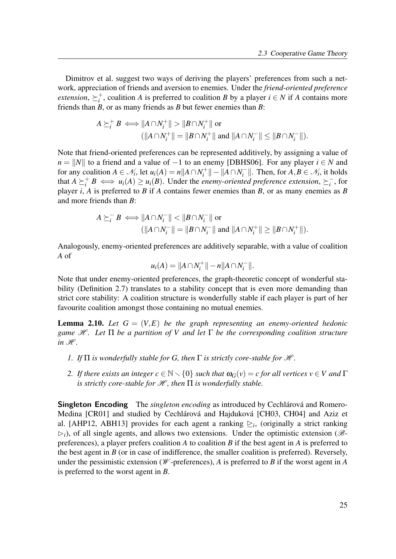Dimitrov et al. suggest two ways of deriving the players' preferences from such a network, appreciation of friends and aversion to enemies. Under the friend-oriented preference extension,  $\succeq_i^+$ <sup>+</sup>, coalition A is preferred to coalition B by a player  $i \in N$  if A contains more friends than  $B$ , or as many friends as  $B$  but fewer enemies than  $B$ :

$$
A \succeq_i^+ B \iff ||A \cap N_i^+|| > ||B \cap N_i^+|| \text{ or}
$$
  

$$
(||A \cap N_i^+|| = ||B \cap N_i^+|| \text{ and } ||A \cap N_i^-|| \le ||B \cap N_i^-||).
$$

Note that friend-oriented preferences can be represented additively, by assigning a value of  $n = ||N||$  to a friend and a value of −1 to an enemy [DBHS06]. For any player  $i \in N$  and for any coalition  $A \in \mathcal{N}_i$ , let  $u_i(A) = n || A \cap N_i^+$  $\|a_i^{+}\| - \|A \cap N_i^{-}\|$  $\mathcal{F}_i^-$ ||. Then, for  $A, B \in \mathcal{N}_i$ , it holds that  $A \succeq_i^+ B \iff u_i(A) \ge u_i(B)$ . Under the *enemy-oriented preference extension*,  $\succeq_i^ \frac{1}{i}$ , for player *i*, *A* is preferred to *B* if *A* contains fewer enemies than *B*, or as many enemies as *B* and more friends than B:

$$
A \succeq_i^- B \iff ||A \cap N_i^-|| < ||B \cap N_i^-|| \text{ or}
$$
  

$$
(||A \cap N_i^-|| = ||B \cap N_i^-|| \text{ and } ||A \cap N_i^+|| \ge ||B \cap N_i^+||).
$$

Analogously, enemy-oriented preferences are additively separable, with a value of coalition A of

$$
u_i(A) = ||A \cap N_i^+|| - n||A \cap N_i^-||.
$$

Note that under enemy-oriented preferences, the graph-theoretic concept of wonderful stability (Definition 2.7) translates to a stability concept that is even more demanding than strict core stability: A coalition structure is wonderfully stable if each player is part of her favourite coalition amongst those containing no mutual enemies.

**Lemma 2.10.** Let  $G = (V, E)$  be the graph representing an enemy-oriented hedonic game  $\mathcal{H}$ . Let  $\Pi$  be a partition of V and let  $\Gamma$  be the corresponding coalition structure in  $\mathcal{H}$ .

- 1. If  $\Pi$  is wonderfully stable for G, then  $\Gamma$  is strictly core-stable for  $\mathcal{H}$ .
- 2. If there exists an integer  $c \in \mathbb{N} \setminus \{0\}$  such that  $\omega_G(v) = c$  for all vertices  $v \in V$  and  $\Gamma$ is strictly core-stable for  $\mathcal H$ , then  $\Pi$  is wonderfully stable.

**Singleton Encoding** The *singleton encoding* as introduced by Cechlárová and Romero-Medina [CR01] and studied by Cechlárová and Hajduková [CH03, CH04] and Aziz et al. [AHP12, ABH13] provides for each agent a ranking  $\geq_i$ , (originally a strict ranking  $\triangleright_i$ ), of all single agents, and allows two extensions. Under the optimistic extension ( $\mathscr{B}$ preferences), a player prefers coalition  $A$  to coalition  $B$  if the best agent in  $A$  is preferred to the best agent in  $B$  (or in case of indifference, the smaller coalition is preferred). Reversely, under the pessimistic extension ( $W$ -preferences), A is preferred to B if the worst agent in A is preferred to the worst agent in B.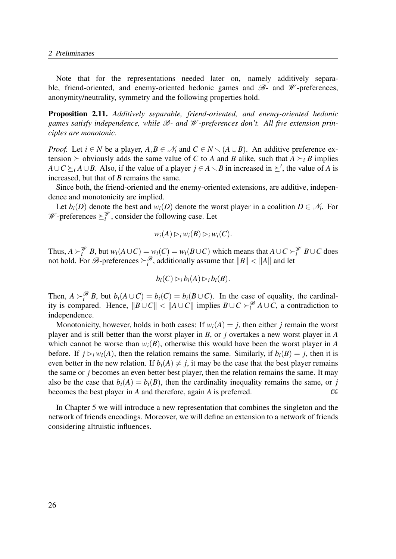Note that for the representations needed later on, namely additively separable, friend-oriented, and enemy-oriented hedonic games and  $\mathcal{B}$ - and  $\mathcal{W}$ -preferences, anonymity/neutrality, symmetry and the following properties hold.

Proposition 2.11. Additively separable, friend-oriented, and enemy-oriented hedonic games satisfy independence, while  $\mathcal{B}$ - and  $\mathcal{W}$ -preferences don't. All five extension principles are monotonic.

*Proof.* Let  $i \in N$  be a player,  $A, B \in \mathcal{N}_i$  and  $C \in N \setminus (A \cup B)$ . An additive preference extension  $\geq$  obviously adds the same value of C to A and B alike, such that  $A \geq i B$  implies  $A\cup C \succeq_i A\cup B$ . Also, if the value of a player  $j \in A \setminus B$  in increased in  $\succeq'$ , the value of A is increased, but that of B remains the same.

Since both, the friend-oriented and the enemy-oriented extensions, are additive, independence and monotonicity are implied.

Let  $b_i(D)$  denote the best and  $w_i(D)$  denote the worst player in a coalition  $D \in \mathcal{N}_i$ . For  $\mathscr{W}$ -preferences  $\succeq_i^{\mathscr{W}}$ , consider the following case. Let

$$
w_i(A) \rhd_i w_i(B) \rhd_i w_i(C).
$$

Thus,  $A \succ_i^{\mathcal{W}} B$ , but  $w_i(A \cup C) = w_i(C) = w_i(B \cup C)$  which means that  $A \cup C \succ_i^{\mathcal{W}} B \cup C$  does not hold. For  $\mathscr{B}$ -preferences  $\geq_i^{\mathscr{B}}$ , additionally assume that  $||B|| < ||A||$  and let

$$
b_i(C) \rhd_i b_i(A) \rhd_i b_i(B).
$$

Then,  $A \succ_i^{\mathcal{B}} B$ , but  $b_i(A \cup C) = b_i(C) = b_i(B \cup C)$ . In the case of equality, the cardinality is compared. Hence,  $||B \cup C|| < ||A \cup C||$  implies  $B \cup C \succ_i^{\mathscr{B}} A \cup C$ , a contradiction to independence.

Monotonicity, however, holds in both cases: If  $w_i(A) = j$ , then either j remain the worst player and is still better than the worst player in B, or j overtakes a new worst player in A which cannot be worse than  $w_i(B)$ , otherwise this would have been the worst player in A before. If  $j \triangleright_i w_i(A)$ , then the relation remains the same. Similarly, if  $b_i(B) = j$ , then it is even better in the new relation. If  $b_i(A) \neq j$ , it may be the case that the best player remains the same or j becomes an even better best player, then the relation remains the same. It may also be the case that  $b_i(A) = b_i(B)$ , then the cardinality inequality remains the same, or j becomes the best player in A and therefore, again A is preferred.  $\Box$ 

In Chapter 5 we will introduce a new representation that combines the singleton and the network of friends encodings. Moreover, we will define an extension to a network of friends considering altruistic influences.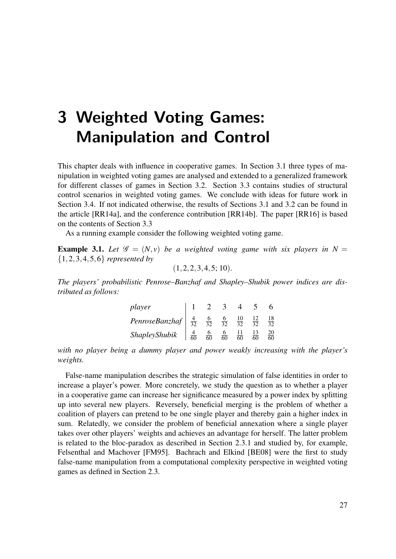# 3 Weighted Voting Games: Manipulation and Control

This chapter deals with influence in cooperative games. In Section 3.1 three types of manipulation in weighted voting games are analysed and extended to a generalized framework for different classes of games in Section 3.2. Section 3.3 contains studies of structural control scenarios in weighted voting games. We conclude with ideas for future work in Section 3.4. If not indicated otherwise, the results of Sections 3.1 and 3.2 can be found in the article [RR14a], and the conference contribution [RR14b]. The paper [RR16] is based on the contents of Section 3.3

As a running example consider the following weighted voting game.

**Example 3.1.** Let  $\mathcal{G} = (N, v)$  be a weighted voting game with six players in  $N =$  ${1, 2, 3, 4, 5, 6}$  represented by

$$
(1, 2, 2, 3, 4, 5; 10).
$$

The players' probabilistic Penrose–Banzhaf and Shapley–Shubik power indices are distributed as follows:

| player                                       |                |                |                 |                 |                 |          |
|----------------------------------------------|----------------|----------------|-----------------|-----------------|-----------------|----------|
| PenroseBanzhaf $\frac{4}{32}$ $\frac{6}{32}$ |                |                | $rac{6}{32}$    | $\frac{10}{32}$ | $\overline{32}$ | 18<br>37 |
| ShapleyShubik                                | $\frac{4}{60}$ | $\frac{6}{60}$ | $\overline{60}$ |                 |                 | 20<br>60 |

with no player being a dummy player and power weakly increasing with the player's weights.

False-name manipulation describes the strategic simulation of false identities in order to increase a player's power. More concretely, we study the question as to whether a player in a cooperative game can increase her significance measured by a power index by splitting up into several new players. Reversely, beneficial merging is the problem of whether a coalition of players can pretend to be one single player and thereby gain a higher index in sum. Relatedly, we consider the problem of beneficial annexation where a single player takes over other players' weights and achieves an advantage for herself. The latter problem is related to the bloc-paradox as described in Section 2.3.1 and studied by, for example, Felsenthal and Machover [FM95]. Bachrach and Elkind [BE08] were the first to study false-name manipulation from a computational complexity perspective in weighted voting games as defined in Section 2.3.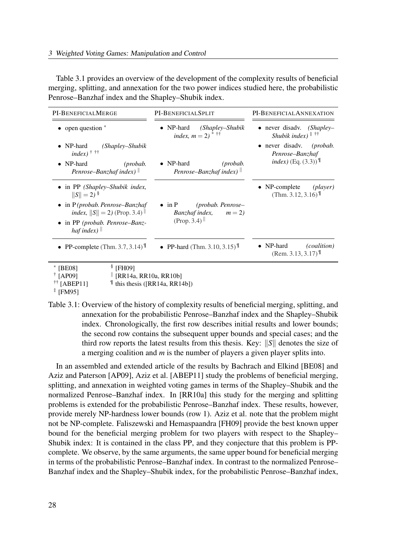Table 3.1 provides an overview of the development of the complexity results of beneficial merging, splitting, and annexation for the two power indices studied here, the probabilistic Penrose–Banzhaf index and the Shapley–Shubik index.

| PI-BENEFICIALMERGE                                                                                                | PI-BENEFICIALSPLIT                                                          | PI-BENEFICIALANNEXATION                                                                             |
|-------------------------------------------------------------------------------------------------------------------|-----------------------------------------------------------------------------|-----------------------------------------------------------------------------------------------------|
| open question *                                                                                                   | • NP-hard<br>(Shapley–Shubik<br>index, $m = 2$ ) <sup>*</sup> <sup>††</sup> | • never disadv.<br>$(Shaplev-$<br>Shubik index) $*$ <sup><math>\dagger</math>†</sup>                |
| NP-hard<br>(Shapley–Shubik<br>$index)$ <sup>†</sup> ††<br>$\bullet$ NP-hard<br>(probab.<br>Penrose–Banzhaf index) | $\bullet$ NP-hard<br>(probab.<br>Penrose-Banzhaf index) $\parallel$         | • never disadv. ( <i>probab</i> .<br>Penrose-Banzhaf<br><i>index</i> ) (Eq. $(3.3)$ ) <sup>II</sup> |
| • in PP (Shapley–Shubik index,<br>$  S   = 2$ ) <sup>§</sup><br>$\bullet$ in P(probab. Penrose–Banzhaf            | $\bullet$ in P<br>$(probab. Penrose-$                                       | $\bullet$ NP-complete<br>(player)<br>(Thm. 3.12, 3.16) $\text{L}$                                   |
| <i>index</i> , $  S   = 2$ (Prop. 3.4) $  $<br>$\bullet$ in PP (probab. Penrose–Banz-<br>haf index) $\parallel$   | <i>Banzhaf index</i> , $m = 2$<br>(Prop. 3.4)                               |                                                                                                     |
| • PP-complete (Thm. 3.7, 3.14) $^{\mathbb{T}}$                                                                    | • PP-hard (Thm. 3.10, 3.15) $^{\mathbb{T}}$                                 | $\bullet$ NP-hard<br><i>(coalition)</i><br>$(Rem. 3.13, 3.17)^{\frac{1}{2}}$                        |
| $$$ [FH09]<br>$*$ [BE08]<br>$\dagger$ [AP09]<br>$\parallel$ [RR14a, RR10a, RR10b]<br>$^{\dagger\dagger}$ [ABEP11] | $\text{This thesis ([RR14a, RR14b])}$                                       |                                                                                                     |

 $\mathsf{H}$  [ABEP11]

Table 3.1: Overview of the history of complexity results of beneficial merging, splitting, and annexation for the probabilistic Penrose–Banzhaf index and the Shapley–Shubik index. Chronologically, the first row describes initial results and lower bounds; the second row contains the subsequent upper bounds and special cases; and the third row reports the latest results from this thesis. Key:  $||S||$  denotes the size of a merging coalition and  $m$  is the number of players a given player splits into.

In an assembled and extended article of the results by Bachrach and Elkind [BE08] and Aziz and Paterson [AP09], Aziz et al. [ABEP11] study the problems of beneficial merging, splitting, and annexation in weighted voting games in terms of the Shapley–Shubik and the normalized Penrose–Banzhaf index. In [RR10a] this study for the merging and splitting problems is extended for the probabilistic Penrose–Banzhaf index. These results, however, provide merely NP-hardness lower bounds (row 1). Aziz et al. note that the problem might not be NP-complete. Faliszewski and Hemaspaandra [FH09] provide the best known upper bound for the beneficial merging problem for two players with respect to the Shapley– Shubik index: It is contained in the class PP, and they conjecture that this problem is PPcomplete. We observe, by the same arguments, the same upper bound for beneficial merging in terms of the probabilistic Penrose–Banzhaf index. In contrast to the normalized Penrose– Banzhaf index and the Shapley–Shubik index, for the probabilistic Penrose–Banzhaf index,

<sup>‡</sup> [FM95]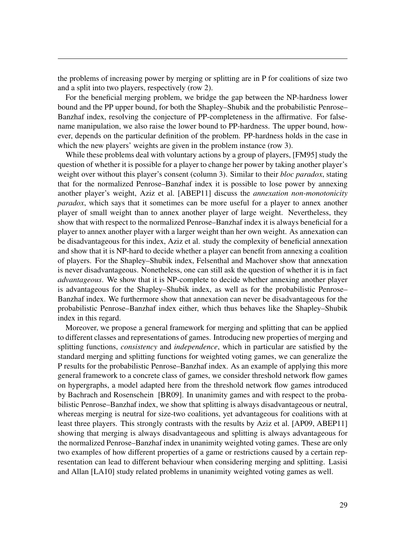the problems of increasing power by merging or splitting are in P for coalitions of size two and a split into two players, respectively (row 2).

For the beneficial merging problem, we bridge the gap between the NP-hardness lower bound and the PP upper bound, for both the Shapley–Shubik and the probabilistic Penrose– Banzhaf index, resolving the conjecture of PP-completeness in the affirmative. For falsename manipulation, we also raise the lower bound to PP-hardness. The upper bound, however, depends on the particular definition of the problem. PP-hardness holds in the case in which the new players' weights are given in the problem instance (row 3).

While these problems deal with voluntary actions by a group of players, [FM95] study the question of whether it is possible for a player to change her power by taking another player's weight over without this player's consent (column 3). Similar to their *bloc paradox*, stating that for the normalized Penrose–Banzhaf index it is possible to lose power by annexing another player's weight, Aziz et al. [ABEP11] discuss the annexation non-monotonicity paradox, which says that it sometimes can be more useful for a player to annex another player of small weight than to annex another player of large weight. Nevertheless, they show that with respect to the normalized Penrose–Banzhaf index it is always beneficial for a player to annex another player with a larger weight than her own weight. As annexation can be disadvantageous for this index, Aziz et al. study the complexity of beneficial annexation and show that it is NP-hard to decide whether a player can benefit from annexing a coalition of players. For the Shapley–Shubik index, Felsenthal and Machover show that annexation is never disadvantageous. Nonetheless, one can still ask the question of whether it is in fact advantageous. We show that it is NP-complete to decide whether annexing another player is advantageous for the Shapley–Shubik index, as well as for the probabilistic Penrose– Banzhaf index. We furthermore show that annexation can never be disadvantageous for the probabilistic Penrose–Banzhaf index either, which thus behaves like the Shapley–Shubik index in this regard.

Moreover, we propose a general framework for merging and splitting that can be applied to different classes and representations of games. Introducing new properties of merging and splitting functions, *consistency* and *independence*, which in particular are satisfied by the standard merging and splitting functions for weighted voting games, we can generalize the P results for the probabilistic Penrose–Banzhaf index. As an example of applying this more general framework to a concrete class of games, we consider threshold network flow games on hypergraphs, a model adapted here from the threshold network flow games introduced by Bachrach and Rosenschein [BR09]. In unanimity games and with respect to the probabilistic Penrose–Banzhaf index, we show that splitting is always disadvantageous or neutral, whereas merging is neutral for size-two coalitions, yet advantageous for coalitions with at least three players. This strongly contrasts with the results by Aziz et al. [AP09, ABEP11] showing that merging is always disadvantageous and splitting is always advantageous for the normalized Penrose–Banzhaf index in unanimity weighted voting games. These are only two examples of how different properties of a game or restrictions caused by a certain representation can lead to different behaviour when considering merging and splitting. Lasisi and Allan [LA10] study related problems in unanimity weighted voting games as well.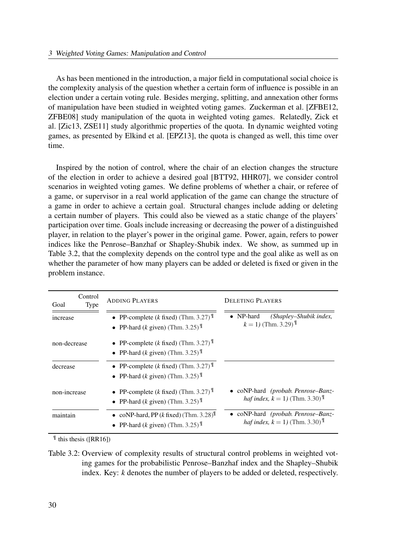As has been mentioned in the introduction, a major field in computational social choice is the complexity analysis of the question whether a certain form of influence is possible in an election under a certain voting rule. Besides merging, splitting, and annexation other forms of manipulation have been studied in weighted voting games. Zuckerman et al. [ZFBE12, ZFBE08] study manipulation of the quota in weighted voting games. Relatedly, Zick et al. [Zic13, ZSE11] study algorithmic properties of the quota. In dynamic weighted voting games, as presented by Elkind et al. [EPZ13], the quota is changed as well, this time over time.

Inspired by the notion of control, where the chair of an election changes the structure of the election in order to achieve a desired goal [BTT92, HHR07], we consider control scenarios in weighted voting games. We define problems of whether a chair, or referee of a game, or supervisor in a real world application of the game can change the structure of a game in order to achieve a certain goal. Structural changes include adding or deleting a certain number of players. This could also be viewed as a static change of the players' participation over time. Goals include increasing or decreasing the power of a distinguished player, in relation to the player's power in the original game. Power, again, refers to power indices like the Penrose–Banzhaf or Shapley-Shubik index. We show, as summed up in Table 3.2, that the complexity depends on the control type and the goal alike as well as on whether the parameter of how many players can be added or deleted is fixed or given in the problem instance.

| Control<br><b>Type</b><br>Goal | <b>ADDING PLAYERS</b>                                                                                     | <b>DELETING PLAYERS</b>                                                                            |
|--------------------------------|-----------------------------------------------------------------------------------------------------------|----------------------------------------------------------------------------------------------------|
| increase                       | • PP-complete (k fixed) (Thm. 3.27) $\mathbb{I}$<br>• PP-hard ( <i>k</i> given) (Thm. 3.25) $\mathbb{I}$  | (Shapley-Shubik index,<br>• $NP$ -hard<br>$k = 1$ ) (Thm. 3.29) <sup>¶</sup>                       |
| non-decrease                   | • PP-complete (k fixed) (Thm. 3.27) $^{\mathbb{T}}$<br>• PP-hard (k given) (Thm. 3.25) $^{\mathbb{T}}$    |                                                                                                    |
| decrease                       | • PP-complete (k fixed) (Thm. 3.27) $^{\mathbb{T}}$<br>• PP-hard (k given) (Thm. 3.25) $^{\mathbb{T}}$    |                                                                                                    |
| non-increase                   | • PP-complete (k fixed) (Thm. 3.27) $\mathbb{I}$<br>• PP-hard (k given) (Thm. 3.25) $^{\mathbb{T}}$       | • $coNP$ -hard <i>(probab. Penrose–Banz-</i><br><i>haf index, k</i> = 1) (Thm. 3.30) <sup>II</sup> |
| maintain                       | • coNP-hard, PP (k fixed) (Thm. $3.28$ ) <sup>II</sup><br>• PP-hard (k given) (Thm. 3.25) $^{\mathbb{T}}$ | • coNP-hard (probab. Penrose–Banz-<br><i>haf index, k</i> = 1) (Thm. 3.30) <sup>II</sup>           |

 $\text{This thesis ([RR16])}$ 

Table 3.2: Overview of complexity results of structural control problems in weighted voting games for the probabilistic Penrose–Banzhaf index and the Shapley–Shubik index. Key: k denotes the number of players to be added or deleted, respectively.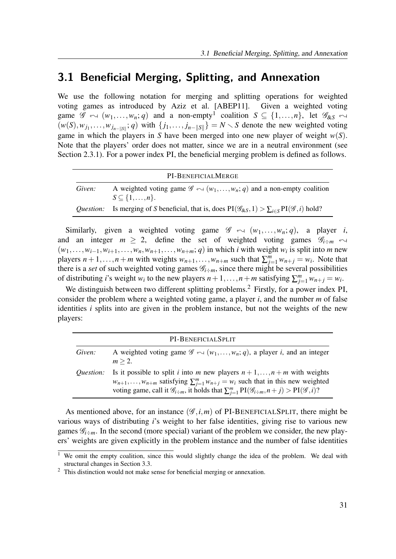## 3.1 Beneficial Merging, Splitting, and Annexation

We use the following notation for merging and splitting operations for weighted voting games as introduced by Aziz et al. [ABEP11]. Given a weighted voting game  $\mathscr{G} \leftrightarrow (w_1,\ldots,w_n; q)$  and a non-empty<sup>1</sup> coalition  $S \subseteq \{1,\ldots,n\}$ , let  $\mathscr{G}_{\&S} \leftrightarrow$  $(w(S), w_{j_1}, \ldots, w_{j_{n-||S||}}; q)$  with  $\{j_1, \ldots, j_{n-||S||}\} = N \setminus S$  denote the new weighted voting game in which the players in S have been merged into one new player of weight  $w(S)$ . Note that the players' order does not matter, since we are in a neutral environment (see Section 2.3.1). For a power index PI, the beneficial merging problem is defined as follows.

|                  | PI-BENEFICIALMERGE                                                                                                               |
|------------------|----------------------------------------------------------------------------------------------------------------------------------|
| Given:           | A weighted voting game $\mathscr{G} \leftarrow (w_1, \ldots, w_n; q)$ and a non-empty coalition<br>$S \subseteq \{1,\ldots,n\}.$ |
| <i>Ouestion:</i> | Is merging of S beneficial, that is, does $PI(\mathscr{G}_{\&S}, 1) > \sum_{i \in S} PI(\mathscr{G}, i)$ hold?                   |

Similarly, given a weighted voting game  $\mathscr{G} \leftrightarrow (w_1,\ldots,w_n; q)$ , a player i, and an integer  $m \geq 2$ , define the set of weighted voting games  $\mathscr{G}_{i \div m}$   $\leftrightarrow$  $(w_1,...,w_{i-1},w_{i+1},...,w_n,w_{n+1},...,w_{n+m}; q)$  in which i with weight w<sub>i</sub> is split into m new players  $n+1,\ldots,n+m$  with weights  $w_{n+1},\ldots,w_{n+m}$  such that  $\sum_{j=1}^{m} w_{n+j} = w_i$ . Note that there is a set of such weighted voting games  $\mathcal{G}_{i \div m}$ , since there might be several possibilities of distributing *i*'s weight  $w_i$  to the new players  $n+1,\ldots,n+m$  satisfying  $\sum_{j=1}^{m} w_{n+j} = w_i$ .

We distinguish between two different splitting problems.<sup>2</sup> Firstly, for a power index PI, consider the problem where a weighted voting game, a player  $i$ , and the number  $m$  of false identities *i* splits into are given in the problem instance, but not the weights of the new players:

|                  | PI-BENEFICIALSPLIT                                                                                                                                                                                                                                                                                                         |
|------------------|----------------------------------------------------------------------------------------------------------------------------------------------------------------------------------------------------------------------------------------------------------------------------------------------------------------------------|
| Given:           | A weighted voting game $\mathscr{G} \leftarrow (w_1, \ldots, w_n; q)$ , a player <i>i</i> , and an integer<br>$m > 2$ .                                                                                                                                                                                                    |
| <i>Ouestion:</i> | Is it possible to split <i>i</i> into <i>m</i> new players $n+1, , n+m$ with weights<br>$w_{n+1}, \ldots, w_{n+m}$ satisfying $\sum_{i=1}^{m} w_{n+j} = w_i$ such that in this new weighted<br>voting game, call it $\mathcal{G}_{i+m}$ , it holds that $\sum_{i=1}^{m} PI(\mathcal{G}_{i+m}, n+j) > PI(\mathcal{G}, i)$ ? |

As mentioned above, for an instance  $(\mathscr{G}, i, m)$  of PI-BENEFICIALSPLIT, there might be various ways of distributing *i*'s weight to her false identities, giving rise to various new games  $\mathscr{G}_{i \div m}$ . In the second (more special) variant of the problem we consider, the new players' weights are given explicitly in the problem instance and the number of false identities

<sup>&</sup>lt;sup>1</sup> We omit the empty coalition, since this would slightly change the idea of the problem. We deal with structural changes in Section 3.3.

<sup>&</sup>lt;sup>2</sup> This distinction would not make sense for beneficial merging or annexation.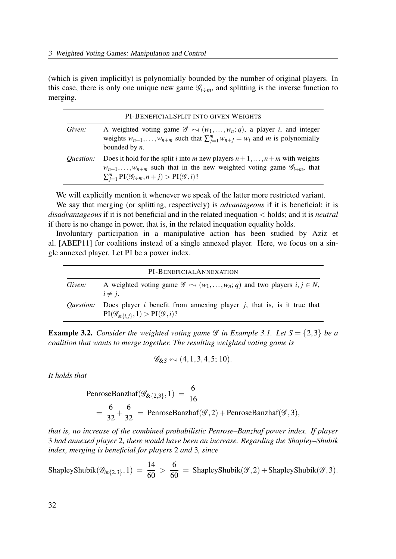(which is given implicitly) is polynomially bounded by the number of original players. In this case, there is only one unique new game  $\mathcal{G}_{i+m}$ , and splitting is the inverse function to merging.

|                  | PI-BENEFICIALSPLIT INTO GIVEN WEIGHTS                                                                                                                                                                                                                                              |
|------------------|------------------------------------------------------------------------------------------------------------------------------------------------------------------------------------------------------------------------------------------------------------------------------------|
| Given:           | A weighted voting game $\mathscr{G} \curvearrowright (w_1, \dots, w_n; q)$ , a player <i>i</i> , and integer<br>weights $w_{n+1}, \ldots, w_{n+m}$ such that $\sum_{i=1}^{m} w_{n+j} = w_i$ and m is polynomially<br>bounded by $n$ .                                              |
| <i>Ouestion:</i> | Does it hold for the split <i>i</i> into <i>m</i> new players $n+1, , n+m$ with weights<br>$w_{n+1}, \ldots, w_{n+m}$ such that in the new weighted voting game $\mathscr{G}_{i+m}$ , that<br>$\sum_{i=1}^{m} \text{PI}(\mathscr{G}_{i \div m}, n+j) > \text{PI}(\mathscr{G}, i)?$ |

We will explicitly mention it whenever we speak of the latter more restricted variant. We say that merging (or splitting, respectively) is *advantageous* if it is beneficial; it is  $disadvantageous$  if it is not beneficial and in the related inequation  $\lt$  holds; and it is *neutral* if there is no change in power, that is, in the related inequation equality holds.

Involuntary participation in a manipulative action has been studied by Aziz et al. [ABEP11] for coalitions instead of a single annexed player. Here, we focus on a single annexed player. Let PI be a power index.

|                  | PI-BENEFICIALANNEXATION                                                                                                             |
|------------------|-------------------------------------------------------------------------------------------------------------------------------------|
| Given:           | A weighted voting game $\mathscr{G} \curvearrowright (w_1, \dots, w_n; q)$ and two players $i, j \in N$ ,<br>$i \neq j$ .           |
| <i>Ouestion:</i> | Does player $i$ benefit from annexing player $j$ , that is, is it true that<br>$PI(\mathscr{G}_{\&{i,j\}},1) > PI(\mathscr{G},i)$ ? |

**Example 3.2.** Consider the weighted voting game  $\mathcal G$  in Example 3.1. Let  $S = \{2,3\}$  be a coalition that wants to merge together. The resulting weighted voting game is

$$
\mathscr{G}_{\&S} \leftarrow (4,1,3,4,5;10).
$$

It holds that

PenroseBanzhaf(
$$
\mathcal{G}_{\&{2,3}}
$$
, 1) =  $\frac{6}{16}$   
=  $\frac{6}{32} + \frac{6}{32}$  = PenroseBanzhaf( $\mathcal{G}, 2$ ) + PenroseBanzhaf( $\mathcal{G}, 3$ ),

that is, no increase of the combined probabilistic Penrose–Banzhaf power index. If player 3 had annexed player 2, there would have been an increase. Regarding the Shapley–Shubik index, merging is beneficial for players 2 and 3, since

ShapleyShubik(
$$
\mathscr{G}_{\&{2,3}}
$$
, 1) =  $\frac{14}{60} > \frac{6}{60}$  = ShapleyShubik( $\mathscr{G}, 2$ ) + ShapleyShubik( $\mathscr{G}, 3$ ).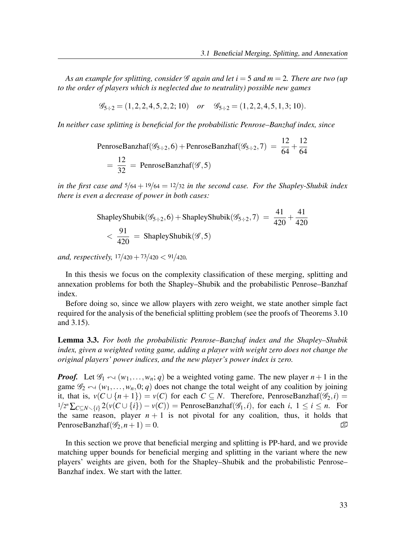As an example for splitting, consider  $\mathscr G$  again and let  $i = 5$  and  $m = 2$ . There are two (up to the order of players which is neglected due to neutrality) possible new games

$$
\mathcal{G}_{5 \div 2} = (1, 2, 2, 4, 5, 2, 2; 10) \quad \text{or} \quad \mathcal{G}_{5 \div 2} = (1, 2, 2, 4, 5, 1, 3; 10).
$$

In neither case splitting is beneficial for the probabilistic Penrose–Banzhaf index, since

PenroseBanzhaf( $\mathcal{G}_{5 \div 2}$ , 6) + PenroseBanzhaf( $\mathcal{G}_{5 \div 2}$ , 7) =  $\frac{12}{64}$  + 12 64 = 12  $\frac{12}{32}$  = PenroseBanzhaf( $\mathscr{G}, 5$ )

in the first case and  $\frac{5}{64} + \frac{19}{64} = \frac{12}{32}$  in the second case. For the Shapley-Shubik index there is even a decrease of power in both cases:

ShapleyShubik(
$$
\mathscr{G}_{5 \div 2}
$$
, 6) + ShapleyShubik( $\mathscr{G}_{5 \div 2}$ , 7) =  $\frac{41}{420} + \frac{41}{420}$   
<  $\frac{91}{420}$  = ShapleyShubik( $\mathscr{G}$ , 5)

and, respectively,  $\frac{17}{420} + \frac{73}{420} < \frac{91}{420}$ .

In this thesis we focus on the complexity classification of these merging, splitting and annexation problems for both the Shapley–Shubik and the probabilistic Penrose–Banzhaf index.

Before doing so, since we allow players with zero weight, we state another simple fact required for the analysis of the beneficial splitting problem (see the proofs of Theorems 3.10 and 3.15).

Lemma 3.3. For both the probabilistic Penrose–Banzhaf index and the Shapley–Shubik index, given a weighted voting game, adding a player with weight zero does not change the original players' power indices, and the new player's power index is zero.

**Proof.** Let  $\mathscr{G}_1 \leftarrow (w_1, \ldots, w_n; q)$  be a weighted voting game. The new player  $n+1$  in the game  $\mathscr{G}_2 \leftarrow (w_1,\ldots,w_n,0;q)$  does not change the total weight of any coalition by joining it, that is,  $v(C \cup \{n+1\}) = v(C)$  for each  $C \subseteq N$ . Therefore, PenroseBanzhaf( $\mathscr{G}_2$ , i) =  $1/2^{n} \sum_{C \subseteq N \setminus \{i\}} 2(v(C \cup \{i\}) - v(C)) =$  PenroseBanzhaf( $\mathscr{G}_1, i$ ), for each  $i, 1 \le i \le n$ . For the same reason, player  $n + 1$  is not pivotal for any coalition, thus, it holds that PenroseBanzhaf( $\mathcal{G}_2$ ,  $n+1$ ) = 0.  $\Box$ 

In this section we prove that beneficial merging and splitting is PP-hard, and we provide matching upper bounds for beneficial merging and splitting in the variant where the new players' weights are given, both for the Shapley–Shubik and the probabilistic Penrose– Banzhaf index. We start with the latter.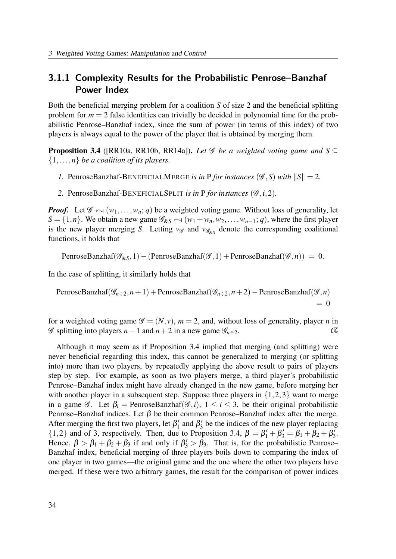### 3.1.1 Complexity Results for the Probabilistic Penrose–Banzhaf Power Index

Both the beneficial merging problem for a coalition S of size 2 and the beneficial splitting problem for  $m = 2$  false identities can trivially be decided in polynomial time for the probabilistic Penrose–Banzhaf index, since the sum of power (in terms of this index) of two players is always equal to the power of the player that is obtained by merging them.

**Proposition 3.4** ([RR10a, RR10b, RR14a]). Let  $\mathscr G$  be a weighted voting game and  $S \subseteq$  $\{1,\ldots,n\}$  be a coalition of its players.

- 1. PenroseBanzhaf-BENEFICIALMERGE is in P for instances ( $\mathscr{G}, S$ ) with  $||S|| = 2$ .
- 2. PenroseBanzhaf-BENEFICIALSPLIT is in P for instances  $(\mathscr{G}, i, 2)$ .

**Proof.** Let  $\mathscr{G} \sim (w_1,\ldots,w_n; q)$  be a weighted voting game. Without loss of generality, let  $S = \{1, n\}$ . We obtain a new game  $\mathscr{G}_{\&S} \leftrightarrow (w_1 + w_n, w_2, \dots, w_{n-1}; q)$ , where the first player is the new player merging S. Letting  $v_{\mathscr{G}}$  and  $v_{\mathscr{G}_{\&S}}$  denote the corresponding coalitional functions, it holds that

PenroseBanzhaf( $\mathscr{G}_{\& S}$ , 1) – (PenroseBanzhaf( $\mathscr{G}$ , 1) + PenroseBanzhaf( $\mathscr{G}$ , n)) = 0.

In the case of splitting, it similarly holds that

PenroseBanzhaf(
$$
\mathcal{G}_{n+2}, n+1
$$
) + PenroseBanzhaf( $\mathcal{G}_{n+2}, n+2$ ) - PenroseBanzhaf( $\mathcal{G}, n$ )  
= 0

for a weighted voting game  $\mathscr{G} = (N, v)$ ,  $m = 2$ , and, without loss of generality, player *n* in  $\mathscr G$  splitting into players  $n+1$  and  $n+2$  in a new game  $\mathscr G_{n+2}$ .

Although it may seem as if Proposition 3.4 implied that merging (and splitting) were never beneficial regarding this index, this cannot be generalized to merging (or splitting into) more than two players, by repeatedly applying the above result to pairs of players step by step. For example, as soon as two players merge, a third player's probabilistic Penrose–Banzhaf index might have already changed in the new game, before merging her with another player in a subsequent step. Suppose three players in  $\{1,2,3\}$  want to merge in a game  $\mathscr{G}$ . Let  $\beta_i$  = PenroseBanzhaf $(\mathscr{G}, i)$ ,  $1 \le i \le 3$ , be their original probabilistic Penrose–Banzhaf indices. Let  $\beta$  be their common Penrose–Banzhaf index after the merge. After merging the first two players, let  $\beta'_1$  and  $\beta'_3$  be the indices of the new player replacing {1,2} and of 3, respectively. Then, due to Proposition 3.4,  $\beta = \beta'_1 + \beta'_3 = \beta_1 + \beta_2 + \beta'_3$ . Hence,  $\beta > \beta_1 + \beta_2 + \beta_3$  if and only if  $\beta'_3 > \beta_3$ . That is, for the probabilistic Penrose-Banzhaf index, beneficial merging of three players boils down to comparing the index of one player in two games—the original game and the one where the other two players have merged. If these were two arbitrary games, the result for the comparison of power indices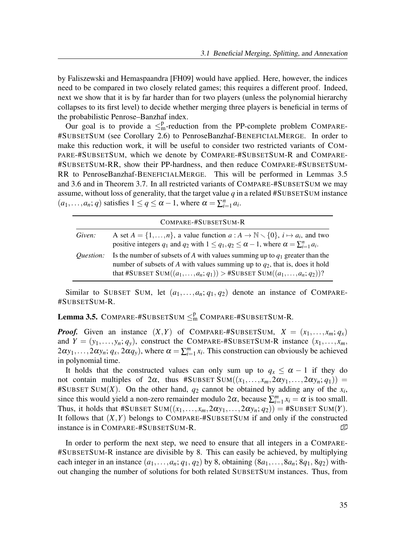by Faliszewski and Hemaspaandra [FH09] would have applied. Here, however, the indices need to be compared in two closely related games; this requires a different proof. Indeed, next we show that it is by far harder than for two players (unless the polynomial hierarchy collapses to its first level) to decide whether merging three players is beneficial in terms of the probabilistic Penrose–Banzhaf index.

Our goal is to provide a  $\leq^p_m$ -reduction from the PP-complete problem COMPARE-#SUBSETSUM (see Corollary 2.6) to PenroseBanzhaf-BENEFICIALMERGE. In order to make this reduction work, it will be useful to consider two restricted variants of COM-PARE-#SUBSETSUM, which we denote by COMPARE-#SUBSETSUM-R and COMPARE- #SUBSETSUM-RR, show their PP-hardness, and then reduce COMPARE-#SUBSETSUM-RR to PenroseBanzhaf-BENEFICIALMERGE. This will be performed in Lemmas 3.5 and 3.6 and in Theorem 3.7. In all restricted variants of COMPARE-#SUBSETSUM we may assume, without loss of generality, that the target value  $q$  in a related #SUBSETSUM instance  $(a_1,...,a_n;q)$  satisfies  $1 \le q \le \alpha - 1$ , where  $\alpha = \sum_{i=1}^n a_i$ .

|                  | COMPARE-#SUBSETSUM-R                                                                                                                                                                                                                                              |
|------------------|-------------------------------------------------------------------------------------------------------------------------------------------------------------------------------------------------------------------------------------------------------------------|
| Given:           | A set $A = \{1, , n\}$ , a value function $a : A \to \mathbb{N} \setminus \{0\}$ , $i \mapsto a_i$ , and two<br>positive integers $q_1$ and $q_2$ with $1 \leq q_1, q_2 \leq \alpha - 1$ , where $\alpha = \sum_{i=1}^n a_i$ .                                    |
| <i>Ouestion:</i> | Is the number of subsets of A with values summing up to $q_1$ greater than the<br>number of subsets of A with values summing up to $q_2$ , that is, does it hold<br>that #SUBSET SUM $((a_1, \ldots, a_n; q_1)) > \text{\#SUBSET SUM}((a_1, \ldots, a_n; q_2))$ ? |

Similar to SUBSET SUM, let  $(a_1,...,a_n; q_1, q_2)$  denote an instance of COMPARE-#SUBSETSUM-R.

## **Lemma 3.5.** COMPARE-#SUBSETSUM  $\leq^p_{\text{m}}$  COMPARE-#SUBSETSUM-R.

**Proof.** Given an instance  $(X, Y)$  of COMPARE-#SUBSETSUM,  $X = (x_1, \ldots, x_m; q_x)$ and  $Y = (y_1, \ldots, y_n; q_y)$ , construct the COMPARE-#SUBSETSUM-R instance  $(x_1, \ldots, x_m, y_m; q_y)$  $2\alpha y_1, \ldots, 2\alpha y_n; q_x, 2\alpha q_y$ , where  $\alpha = \sum_{i=1}^m x_i$ . This construction can obviously be achieved in polynomial time.

It holds that the constructed values can only sum up to  $q_x \le \alpha - 1$  if they do not contain multiples of  $2\alpha$ , thus #SUBSET SUM $((x_1,...,x_m,2\alpha y_1,...,2\alpha y_n;q_1))$  = #SUBSET SUM(X). On the other hand,  $q_2$  cannot be obtained by adding any of the  $x_i$ , since this would yield a non-zero remainder modulo  $2\alpha$ , because  $\sum_{i=1}^{m} x_i = \alpha$  is too small. Thus, it holds that #SUBSET SUM $((x_1,...,x_m,2\alpha y_1,...,2\alpha y_n;q_2)) =$ #SUBSET SUM $(Y)$ . It follows that  $(X, Y)$  belongs to COMPARE-#SUBSETSUM if and only if the constructed instance is in COMPARE-#SUBSETSUM-R.  $\mathbb{D}$ 

In order to perform the next step, we need to ensure that all integers in a COMPARE- #SUBSETSUM-R instance are divisible by 8. This can easily be achieved, by multiplying each integer in an instance  $(a_1,\ldots,a_n; q_1, q_2)$  by 8, obtaining  $(8a_1,\ldots,8a_n; 8q_1, 8q_2)$  without changing the number of solutions for both related SUBSETSUM instances. Thus, from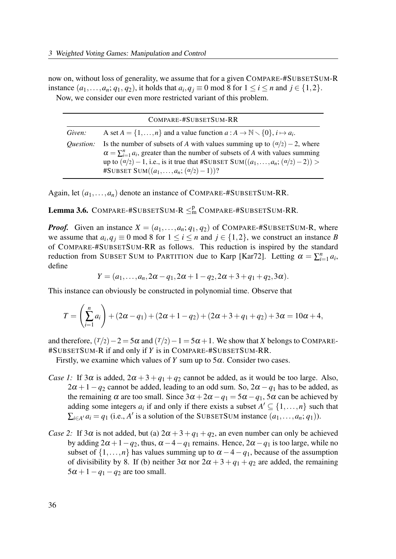now on, without loss of generality, we assume that for a given COMPARE-#SUBSETSUM-R instance  $(a_1, \ldots, a_n; q_1, q_2)$ , it holds that  $a_i, q_j \equiv 0 \mod 8$  for  $1 \le i \le n$  and  $j \in \{1, 2\}$ . Now, we consider our even more restricted variant of this problem.

|                  | COMPARE-#SUBSETSUM-RR                                                                                                                                                                                                                                                                                                              |
|------------------|------------------------------------------------------------------------------------------------------------------------------------------------------------------------------------------------------------------------------------------------------------------------------------------------------------------------------------|
| Given:           | A set $A = \{1, , n\}$ and a value function $a : A \to \mathbb{N} \setminus \{0\}, i \mapsto a_i$ .                                                                                                                                                                                                                                |
| <i>Ouestion:</i> | Is the number of subsets of A with values summing up to $(\alpha/2) - 2$ , where<br>$\alpha = \sum_{i=1}^{n} a_i$ , greater than the number of subsets of A with values summing<br>up to $(\alpha/2) - 1$ , i.e., is it true that #SUBSET SUM $((a_1, \ldots, a_n; (\alpha/2) - 2))$<br>#SUBSET SUM $((a_1,,a_n; (\alpha/2)-1))$ ? |

Again, let  $(a_1, \ldots, a_n)$  denote an instance of COMPARE-#SUBSETSUM-RR.

**Lemma 3.6.** COMPARE-#SUBSETSUM-R  $\leq^p_m$  COMPARE-#SUBSETSUM-RR.

**Proof.** Given an instance  $X = (a_1, \ldots, a_n; q_1, q_2)$  of COMPARE-#SUBSETSUM-R, where we assume that  $a_i, q_j \equiv 0 \mod 8$  for  $1 \le i \le n$  and  $j \in \{1, 2\}$ , we construct an instance B of COMPARE-#SUBSETSUM-RR as follows. This reduction is inspired by the standard reduction from SUBSET SUM to PARTITION due to Karp [Kar72]. Letting  $\alpha = \sum_{i=1}^{n} a_i$ , define

$$
Y = (a_1, \ldots, a_n, 2\alpha - q_1, 2\alpha + 1 - q_2, 2\alpha + 3 + q_1 + q_2, 3\alpha).
$$

This instance can obviously be constructed in polynomial time. Observe that

$$
T = \left(\sum_{i=1}^{n} a_i\right) + (2\alpha - q_1) + (2\alpha + 1 - q_2) + (2\alpha + 3 + q_1 + q_2) + 3\alpha = 10\alpha + 4,
$$

and therefore,  $(T/2)-2=5\alpha$  and  $(T/2)-1=5\alpha+1$ . We show that X belongs to COMPARE-#SUBSETSUM-R if and only if Y is in COMPARE-#SUBSETSUM-RR.

Firstly, we examine which values of Y sum up to  $5\alpha$ . Consider two cases.

- *Case 1:* If 3 $\alpha$  is added,  $2\alpha + 3 + q_1 + q_2$  cannot be added, as it would be too large. Also,  $2\alpha + 1 - q_2$  cannot be added, leading to an odd sum. So,  $2\alpha - q_1$  has to be added, as the remaining  $\alpha$  are too small. Since  $3\alpha + 2\alpha - q_1 = 5\alpha - q_1$ ,  $5\alpha$  can be achieved by adding some integers  $a_i$  if and only if there exists a subset  $A' \subseteq \{1, ..., n\}$  such that  $\sum_{i \in A'} a_i = q_1$  (i.e., A' is a solution of the SUBSETSUM instance  $(a_1, \ldots, a_n; q_1)$ ).
- *Case 2:* If  $3\alpha$  is not added, but (a)  $2\alpha + 3 + q_1 + q_2$ , an even number can only be achieved by adding  $2\alpha + 1 - q_2$ , thus,  $\alpha - 4 - q_1$  remains. Hence,  $2\alpha - q_1$  is too large, while no subset of  $\{1,\ldots,n\}$  has values summing up to  $\alpha-4-q_1$ , because of the assumption of divisibility by 8. If (b) neither  $3\alpha$  nor  $2\alpha + 3 + q_1 + q_2$  are added, the remaining  $5\alpha + 1 - q_1 - q_2$  are too small.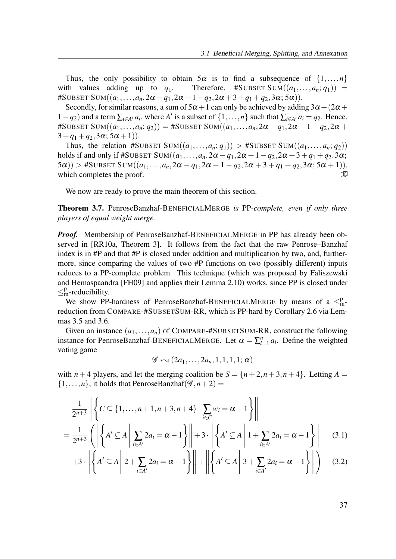Thus, the only possibility to obtain  $5\alpha$  is to find a subsequence of  $\{1,\ldots,n\}$ with values adding up to  $q_1$ . Therefore, #SUBSET SUM $((a_1,...,a_n;q_1))$  = #SUBSET SUM $((a_1,...,a_n,2\alpha-q_1,2\alpha+1-q_2,2\alpha+3+q_1+q_2,3\alpha;5\alpha)).$ 

Secondly, for similar reasons, a sum of  $5\alpha + 1$  can only be achieved by adding  $3\alpha + (2\alpha +$  $1-q_2$ ) and a term  $\sum_{i\in A'} a_i$ , where A' is a subset of  $\{1,\ldots,n\}$  such that  $\sum_{i\in A'} a_i = q_2$ . Hence, #SUBSET SUM $((a_1,...,a_n;q_2)) =$  #SUBSET SUM $((a_1,...,a_n,2\alpha-q_1,2\alpha+1-q_2,2\alpha+1)$  $3+q_1+q_2, 3\alpha; 5\alpha+1)$ ).

Thus, the relation #SUBSET SUM $((a_1,...,a_n;q_1)) > #$ SUBSET SUM $((a_1,...,a_n;q_2))$ holds if and only if #SUBSET SUM $((a_1,...,a_n,2\alpha-q_1,2\alpha+1-q_2,2\alpha+3+q_1+q_2,3\alpha;$  $(5\alpha)$ ) > #SUBSET SUM $((a_1,...,a_n,2\alpha-q_1,2\alpha+1-q_2,2\alpha+3+q_1+q_2,3\alpha;5\alpha+1)),$ which completes the proof.  $\Box$ 

We now are ready to prove the main theorem of this section.

**Theorem 3.7.** PenroseBanzhaf-BENEFICIALMERGE is PP-complete, even if only three players of equal weight merge.

*Proof.* Membership of PenroseBanzhaf-BENEFICIALMERGE in PP has already been observed in [RR10a, Theorem 3]. It follows from the fact that the raw Penrose–Banzhaf index is in #P and that #P is closed under addition and multiplication by two, and, furthermore, since comparing the values of two #P functions on two (possibly different) inputs reduces to a PP-complete problem. This technique (which was proposed by Faliszewski and Hemaspaandra [FH09] and applies their Lemma 2.10) works, since PP is closed under  $\leq_m^p$ -reducibility.

We show PP-hardness of PenroseBanzhaf-BENEFICIALMERGE by means of a  $\leq^p_m$ reduction from COMPARE-#SUBSETSUM-RR, which is PP-hard by Corollary 2.6 via Lemmas 3.5 and 3.6.

Given an instance  $(a_1,...,a_n)$  of COMPARE-#SUBSETSUM-RR, construct the following instance for PenroseBanzhaf-BENEFICIALMERGE. Let  $\alpha = \sum_{i=1}^{n} a_i$ . Define the weighted voting game

$$
\mathscr{G} \leftarrow (2a_1, \ldots, 2a_n, 1, 1, 1, 1; \alpha)
$$

with  $n + 4$  players, and let the merging coalition be  $S = \{n+2, n+3, n+4\}$ . Letting  $A =$  $\{1,\ldots,n\}$ , it holds that PenroseBanzhaf $(\mathscr{G},n+2)$  =

$$
\frac{1}{2^{n+3}} \left\| \left\{ C \subseteq \{1, \dots, n+1, n+3, n+4\} \middle| \sum_{i \in C} w_i = \alpha - 1 \right\} \right\|
$$
\n
$$
= \frac{1}{2^{n+3}} \left( \left\| \left\{ A' \subseteq A \middle| \sum_{i \in A'} 2a_i = \alpha - 1 \right\} \right\| + 3 \cdot \left\| \left\{ A' \subseteq A \middle| 1 + \sum_{i \in A'} 2a_i = \alpha - 1 \right\} \right\| \right] \tag{3.1}
$$

$$
+3 \cdot \left\| \left\{ A' \subseteq A \; \middle| \; 2 + \sum_{i \in A'} 2a_i = \alpha - 1 \right\} \right\| + \left\| \left\{ A' \subseteq A \; \middle| \; 3 + \sum_{i \in A'} 2a_i = \alpha - 1 \right\} \right\| \right) \quad (3.2)
$$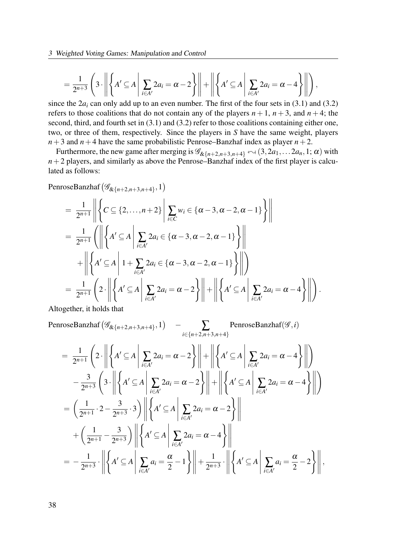3 Weighted Voting Games: Manipulation and Control

$$
=\frac{1}{2^{n+3}}\left(3\cdot\left\| \left\{A'\subseteq A\,\middle|\,\sum_{i\in A'}2a_i=\alpha-2\right\}\right\|+\left\| \left\{A'\subseteq A\,\middle|\,\sum_{i\in A'}2a_i=\alpha-4\right\}\right\|\right),
$$

since the  $2a_i$  can only add up to an even number. The first of the four sets in (3.1) and (3.2) refers to those coalitions that do not contain any of the players  $n + 1$ ,  $n + 3$ , and  $n + 4$ ; the second, third, and fourth set in  $(3.1)$  and  $(3.2)$  refer to those coalitions containing either one, two, or three of them, respectively. Since the players in S have the same weight, players  $n+3$  and  $n+4$  have the same probabilistic Penrose–Banzhaf index as player  $n+2$ .

Furthermore, the new game after merging is  $\mathscr{G}_{\&{n+2,n+3,n+4}} \sim (3, 2a_1, \ldots, 2a_n, 1; \alpha)$  with  $n+2$  players, and similarly as above the Penrose–Banzhaf index of the first player is calculated as follows:

PenroseBanzhaf $(\mathscr{G}_{\&{n+2,n+3,n+4\}}$ , 1)

$$
= \frac{1}{2^{n+1}} \left\| \left\{ C \subseteq \{2,\ldots,n+2\} \middle| \sum_{i \in C} w_i \in \{\alpha-3,\alpha-2,\alpha-1\} \right\} \right\|
$$
  
\n
$$
= \frac{1}{2^{n+1}} \left( \left\| \left\{ A' \subseteq A \middle| \sum_{i \in A'} 2a_i \in \{\alpha-3,\alpha-2,\alpha-1\} \right\} \right\|
$$
  
\n
$$
+ \left\| \left\{ A' \subseteq A \middle| 1 + \sum_{i \in A'} 2a_i \in \{\alpha-3,\alpha-2,\alpha-1\} \right\} \right\|
$$
  
\n
$$
= \frac{1}{2^{n+1}} \left( 2 \cdot \left\| \left\{ A' \subseteq A \middle| \sum_{i \in A'} 2a_i = \alpha - 2 \right\} \right\| + \left\| \left\{ A' \subseteq A \middle| \sum_{i \in A'} 2a_i = \alpha - 4 \right\} \right\| \right).
$$

Altogether, it holds that

$$
\begin{split}\n\text{PenroseBanzhaf}\left(\mathscr{G}_{\&{n+2,n+3,n+4\}},1\right) & - \sum_{i\in{n+2,n+3,n+4\}} \text{PenroseBanzhaf}(\mathscr{G},i) \\
& = \frac{1}{2^{n+1}} \left(2 \cdot \left\| \left\{ A' \subseteq A \, \left| \sum_{i\in A'} 2a_i = \alpha - 2 \right\} \right\| + \left\| \left\{ A' \subseteq A \, \left| \sum_{i\in A'} 2a_i = \alpha - 4 \right\} \right\| \right)\right. \\
& \left. - \frac{3}{2^{n+3}} \left(3 \cdot \left\| \left\{ A' \subseteq A \, \left| \sum_{i\in A'} 2a_i = \alpha - 2 \right\} \right\| + \left\| \left\{ A' \subseteq A \, \left| \sum_{i\in A'} 2a_i = \alpha - 4 \right\} \right\| \right)\right.\n\end{split}
$$
\n
$$
= \left( \frac{1}{2^{n+1}} \cdot 2 - \frac{3}{2^{n+3}} \cdot 3 \right) \left\| \left\{ A' \subseteq A \, \left| \sum_{i\in A'} 2a_i = \alpha - 2 \right\} \right\| \\
& + \left( \frac{1}{2^{n+1}} - \frac{3}{2^{n+3}} \right) \left\| \left\{ A' \subseteq A \, \left| \sum_{i\in A'} 2a_i = \alpha - 4 \right\} \right\| \right.\n\left. - \frac{1}{2^{n+3}} \cdot \left\| \left\{ A' \subseteq A \, \left| \sum_{i\in A'} a_i = \frac{\alpha}{2} - 1 \right\} \right\| + \frac{1}{2^{n+3}} \cdot \left\| \left\{ A' \subseteq A \, \left| \sum_{i\in A'} a_i = \frac{\alpha}{2} - 2 \right\} \right\| \right.\n\right.
$$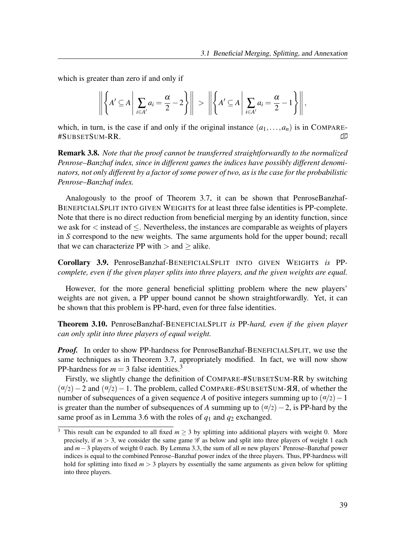which is greater than zero if and only if

$$
\left\| \left\{ A' \subseteq A \, \middle| \, \sum_{i \in A'} a_i = \frac{\alpha}{2} - 2 \right\} \right\| \, > \, \left\| \left\{ A' \subseteq A \, \middle| \, \sum_{i \in A'} a_i = \frac{\alpha}{2} - 1 \right\} \right\|,
$$

which, in turn, is the case if and only if the original instance  $(a_1,...,a_n)$  is in COMPARE-#SUBSETSUM-RR. �

**Remark 3.8.** Note that the proof cannot be transferred straightforwardly to the normalized Penrose–Banzhaf index, since in different games the indices have possibly different denominators, not only different by a factor of some power of two, as is the case for the probabilistic Penrose–Banzhaf index.

Analogously to the proof of Theorem 3.7, it can be shown that PenroseBanzhaf-BENEFICIALSPLIT INTO GIVEN WEIGHTS for at least three false identities is PP-complete. Note that there is no direct reduction from beneficial merging by an identity function, since we ask for < instead of ≤. Nevertheless, the instances are comparable as weights of players in S correspond to the new weights. The same arguments hold for the upper bound; recall that we can characterize PP with  $>$  and  $>$  alike.

Corollary 3.9. PenroseBanzhaf-BENEFICIALSPLIT INTO GIVEN WEIGHTS is PPcomplete, even if the given player splits into three players, and the given weights are equal.

However, for the more general beneficial splitting problem where the new players' weights are not given, a PP upper bound cannot be shown straightforwardly. Yet, it can be shown that this problem is PP-hard, even for three false identities.

Theorem 3.10. PenroseBanzhaf-BENEFICIALSPLIT is PP-hard, even if the given player can only split into three players of equal weight.

*Proof.* In order to show PP-hardness for PenroseBanzhaf-BENEFICIALSPLIT, we use the same techniques as in Theorem 3.7, appropriately modified. In fact, we will now show PP-hardness for  $m = 3$  false identities.<sup>3</sup>

Firstly, we slightly change the definition of COMPARE-#SUBSETSUM-RR by switching  $(\alpha/2)-2$  and  $(\alpha/2)-1$ . The problem, called COMPARE-#SUBSETSUM- **ЯЯ**, of whether the number of subsequences of a given sequence A of positive integers summing up to  $(\alpha/2)-1$ is greater than the number of subsequences of A summing up to  $(\alpha/2)-2$ , is PP-hard by the same proof as in Lemma 3.6 with the roles of  $q_1$  and  $q_2$  exchanged.

<sup>&</sup>lt;sup>3</sup> This result can be expanded to all fixed  $m \ge 3$  by splitting into additional players with weight 0. More precisely, if  $m > 3$ , we consider the same game  $\mathscr G$  as below and split into three players of weight 1 each and m−3 players of weight 0 each. By Lemma 3.3, the sum of all m new players' Penrose–Banzhaf power indices is equal to the combined Penrose–Banzhaf power index of the three players. Thus, PP-hardness will hold for splitting into fixed  $m > 3$  players by essentially the same arguments as given below for splitting into three players.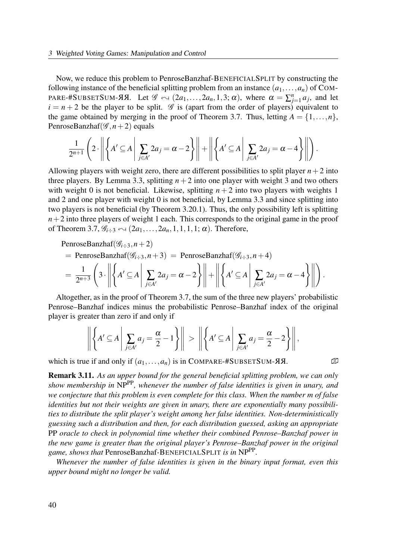Now, we reduce this problem to PenroseBanzhaf-BENEFICIALSPLIT by constructing the following instance of the beneficial splitting problem from an instance  $(a_1, \ldots, a_n)$  of COM-PARE-#SUBSETSUM-ЯЯ. Let  $\mathscr{G} \leftrightarrow (2a_1,\ldots,2a_n,1,3;\alpha)$ , where  $\alpha = \sum_{j=1}^n a_j$ , and let  $i = n + 2$  be the player to be split. G is (apart from the order of players) equivalent to the game obtained by merging in the proof of Theorem 3.7. Thus, letting  $A = \{1, \ldots, n\}$ , PenroseBanzhaf( $\mathscr{G}, n+2$ ) equals

$$
\frac{1}{2^{n+1}}\left(2\cdot\left\|\left\{A'\subseteq A\middle|\ \sum_{j\in A'}2a_j=\alpha-2\right\}\right\|+\left\|\left\{A'\subseteq A\middle|\ \sum_{j\in A'}2a_j=\alpha-4\right\}\right\|\right).
$$

Allowing players with weight zero, there are different possibilities to split player  $n+2$  into three players. By Lemma 3.3, splitting  $n+2$  into one player with weight 3 and two others with weight 0 is not beneficial. Likewise, splitting  $n + 2$  into two players with weights 1 and 2 and one player with weight 0 is not beneficial, by Lemma 3.3 and since splitting into two players is not beneficial (by Theorem 3.20.1). Thus, the only possibility left is splitting  $n+2$  into three players of weight 1 each. This corresponds to the original game in the proof of Theorem 3.7,  $\mathcal{G}_{i \div 3} \leftarrow (2a_1,\ldots,2a_n,1,1,1,1;\alpha)$ . Therefore,

PenroseBanzhaf( $\mathcal{G}_{i \div 3}, n+2$ )

= PenroseBanzha
$$
f(\mathcal{G}_{i \div 3}, n+3)
$$
 = PenroseBanzha $f(\mathcal{G}_{i \div 3}, n+4)$ 

$$
= \frac{1}{2^{n+3}} \left( 3 \cdot \left\| \left\{ A' \subseteq A \, \middle| \, \sum_{j \in A'} 2a_j = \alpha - 2 \right\} \right\| + \left\| \left\{ A' \subseteq A \, \middle| \, \sum_{j \in A'} 2a_j = \alpha - 4 \right\} \right\| \right).
$$

Altogether, as in the proof of Theorem 3.7, the sum of the three new players' probabilistic Penrose–Banzhaf indices minus the probabilistic Penrose–Banzhaf index of the original player is greater than zero if and only if

$$
\left\| \left\{ A' \subseteq A \, \middle| \, \sum_{j \in A'} a_j = \frac{\alpha}{2} - 1 \right\} \right\| > \left\| \left\{ A' \subseteq A \, \middle| \, \sum_{j \in A'} a_j = \frac{\alpha}{2} - 2 \right\} \right\|,
$$

which is true if and only if  $(a_1,...,a_n)$  is in COMPARE-#SUBSETSUM-AR.

**Remark 3.11.** As an upper bound for the general beneficial splitting problem, we can only show membership in  $NP^{PP}$ , whenever the number of false identities is given in unary, and we conjecture that this problem is even complete for this class. When the number m of false identities but not their weights are given in unary, there are exponentially many possibilities to distribute the split player's weight among her false identities. Non-deterministically guessing such a distribution and then, for each distribution guessed, asking an appropriate PP oracle to check in polynomial time whether their combined Penrose–Banzhaf power in the new game is greater than the original player's Penrose–Banzhaf power in the original game, shows that PenroseBanzhaf-BENEFICIALSPLIT is in NPPP.

Whenever the number of false identities is given in the binary input format, even this upper bound might no longer be valid.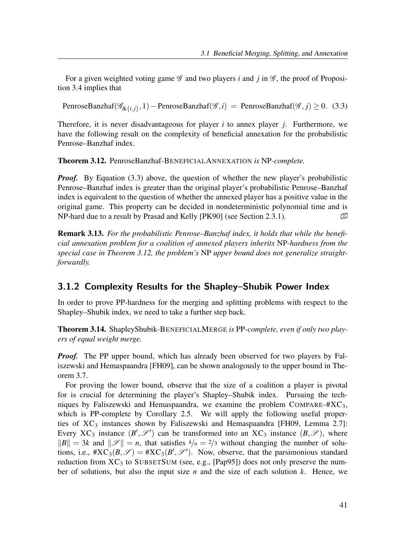For a given weighted voting game  $\mathscr G$  and two players i and j in  $\mathscr G$ , the proof of Proposition 3.4 implies that

PenroseBanzhaf( $\mathscr{G}_{\&{i,j\}}$ , 1) – PenroseBanzhaf( $\mathscr{G}, i$ ) = PenroseBanzhaf( $\mathscr{G}, j$ ) ≥ 0. (3.3)

Therefore, it is never disadvantageous for player  $i$  to annex player  $j$ . Furthermore, we have the following result on the complexity of beneficial annexation for the probabilistic Penrose–Banzhaf index.

Theorem 3.12. PenroseBanzhaf-BENEFICIALANNEXATION is NP-complete.

*Proof.* By Equation (3.3) above, the question of whether the new player's probabilistic Penrose–Banzhaf index is greater than the original player's probabilistic Penrose–Banzhaf index is equivalent to the question of whether the annexed player has a positive value in the original game. This property can be decided in nondeterministic polynomial time and is NP-hard due to a result by Prasad and Kelly [PK90] (see Section 2.3.1).

Remark 3.13. For the probabilistic Penrose–Banzhaf index, it holds that while the beneficial annexation problem for a coalition of annexed players inherits NP-hardness from the special case in Theorem 3.12, the problem's NP upper bound does not generalize straightforwardly.

### 3.1.2 Complexity Results for the Shapley–Shubik Power Index

In order to prove PP-hardness for the merging and splitting problems with respect to the Shapley–Shubik index, we need to take a further step back.

Theorem 3.14. ShapleyShubik-BENEFICIALMERGE is PP-complete, even if only two players of equal weight merge.

**Proof.** The PP upper bound, which has already been observed for two players by Faliszewski and Hemaspaandra [FH09], can be shown analogously to the upper bound in Theorem 3.7.

For proving the lower bound, observe that the size of a coalition a player is pivotal for is crucial for determining the player's Shapley–Shubik index. Pursuing the techniques by Faliszewski and Hemaspaandra, we examine the problem COMPARE- $\#XC_3$ , which is PP-complete by Corollary 2.5. We will apply the following useful properties of  $XC_3$  instances shown by Faliszewski and Hemaspaandra [FH09, Lemma 2.7]: Every XC<sub>3</sub> instance  $(B', \mathscr{S}')$  can be transformed into an XC<sub>3</sub> instance  $(B, \mathscr{S})$ , where  $||B|| = 3k$  and  $||\mathcal{S}|| = n$ , that satisfies  $k/n = 2/3$  without changing the number of solutions, i.e.,  $\#XC_3(B, \mathscr{S}) = \#XC_3(B', \mathscr{S}')$ . Now, observe, that the parsimonious standard reduction from  $XC_3$  to SUBSETSUM (see, e.g., [Pap95]) does not only preserve the number of solutions, but also the input size  $n$  and the size of each solution  $k$ . Hence, we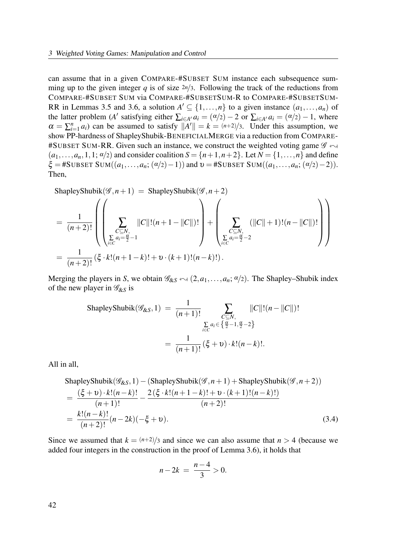can assume that in a given COMPARE-#SUBSET SUM instance each subsequence summing up to the given integer q is of size  $2n/3$ . Following the track of the reductions from COMPARE-#SUBSET SUM via COMPARE-#SUBSETSUM-R to COMPARE-#SUBSETSUM-RR in Lemmas 3.5 and 3.6, a solution  $A' \subseteq \{1, ..., n\}$  to a given instance  $(a_1, ..., a_n)$  of the latter problem (A' satisfying either  $\sum_{i \in A'} a_i = (\alpha/2) - 2$  or  $\sum_{i \in A'} a_i = (\alpha/2) - 1$ , where  $\alpha = \sum_{i=1}^{n} a_i$  can be assumed to satisfy  $||A'|| = k = (n+2)/3$ . Under this assumption, we show PP-hardness of ShapleyShubik-BENEFICIALMERGE via a reduction from COMPARE- #SUBSET SUM-RR. Given such an instance, we construct the weighted voting game  $\mathscr{G} \leftrightarrow$  $(a_1,\ldots,a_n,1,1;\alpha/2)$  and consider coalition  $S = \{n+1,n+2\}$ . Let  $N = \{1,\ldots,n\}$  and define  $\xi =$ #SUBSET SUM(( $a_1,...,a_n$ ; ( $\alpha/2$ )−1)) and  $v =$ #SUBSET SUM(( $a_1,...,a_n$ ; ( $\alpha/2$ )−2)). Then,

ShapleyShubik(
$$
\mathscr{G}, n + 1
$$
) = ShapleyShubik( $\mathscr{G}, n + 2$ )  
\n
$$
= \frac{1}{(n+2)!} \left( \left( \sum_{\substack{C \subseteq N, \\ \sum_{i \in C} a_i = \frac{\alpha}{2} - 1}} \|C\|!((n+1 - \|C\|)!) \right) + \left( \sum_{\substack{C \subseteq N, \\ \sum_{i \in C} a_i = \frac{\alpha}{2} - 2}} (\|C\| + 1)!(n - \|C\|)! \right) \right)
$$
\n
$$
= \frac{1}{(n+2)!} (\xi \cdot k!(n+1-k)! + \upsilon \cdot (k+1)!(n-k)!).
$$

Merging the players in S, we obtain  $\mathscr{G}_{\&S} \leftrightarrow (2,a_1,\ldots,a_n;\alpha/2)$ . The Shapley–Shubik index of the new player in  $\mathcal{G}_{8, S}$  is

ShapleyShubik(
$$
\mathscr{G}_{\&S}, 1
$$
) =  $\frac{1}{(n+1)!} \sum_{\substack{C \subseteq N, \\ \sum_{i \in C} a_i \in \{\frac{\alpha}{2} - 1, \frac{\alpha}{2} - 2\}}} ||C||!(n - ||C||)!$   
 =  $\frac{1}{(n+1)!} (\xi + v) \cdot k!(n - k)!$ .

All in all,

ShapleyShubik(
$$
\mathscr{G}_{\&S}, 1
$$
) – (ShapleyShubik( $\mathscr{G}, n + 1$ ) + ShapleyShubik( $\mathscr{G}, n + 2$ ))  
\n=
$$
\frac{(\xi + \nu) \cdot k!(n - k)!}{(n + 1)!} - \frac{2(\xi \cdot k!(n + 1 - k)! + \nu \cdot (k + 1)!(n - k)!)}{(n + 2)!}
$$
\n=
$$
\frac{k!(n - k)!}{(n + 2)!} (n - 2k)(-\xi + \nu).
$$
\n(3.4)

Since we assumed that  $k = \frac{(n+2)}{3}$  and since we can also assume that  $n > 4$  (because we added four integers in the construction in the proof of Lemma 3.6), it holds that

$$
n - 2k = \frac{n - 4}{3} > 0.
$$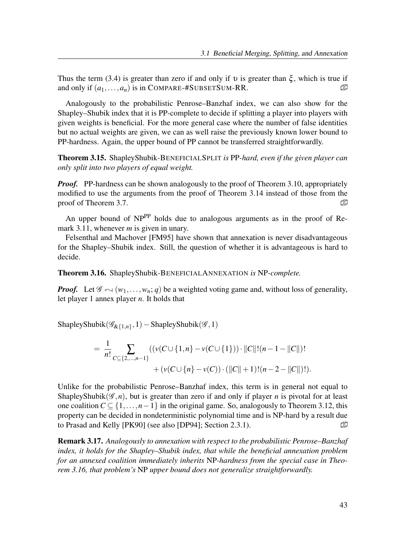Thus the term (3.4) is greater than zero if and only if  $\nu$  is greater than  $\xi$ , which is true if and only if  $(a_1,...,a_n)$  is in COMPARE-#SUBSETSUM-RR.  $\mathbb{D}$ 

Analogously to the probabilistic Penrose–Banzhaf index, we can also show for the Shapley–Shubik index that it is PP-complete to decide if splitting a player into players with given weights is beneficial. For the more general case where the number of false identities but no actual weights are given, we can as well raise the previously known lower bound to PP-hardness. Again, the upper bound of PP cannot be transferred straightforwardly.

Theorem 3.15. ShapleyShubik-BENEFICIALSPLIT is PP-hard, even if the given player can only split into two players of equal weight.

*Proof.* PP-hardness can be shown analogously to the proof of Theorem 3.10, appropriately modified to use the arguments from the proof of Theorem 3.14 instead of those from the proof of Theorem 3.7.  $\Box$ 

An upper bound of NP<sup>PP</sup> holds due to analogous arguments as in the proof of Remark 3.11, whenever  $m$  is given in unary.

Felsenthal and Machover [FM95] have shown that annexation is never disadvantageous for the Shapley–Shubik index. Still, the question of whether it is advantageous is hard to decide.

Theorem 3.16. ShapleyShubik-BENEFICIALANNEXATION is NP-complete.

**Proof.** Let  $\mathscr{G} \sim (w_1,\ldots,w_n; q)$  be a weighted voting game and, without loss of generality, let player 1 annex player  $n$ . It holds that

ShapleyShubik $(\mathscr{G}_{\&{1,n},1})$  – ShapleyShubik $(\mathscr{G},1)$ 

$$
= \frac{1}{n!} \sum_{C \subseteq \{2,\dots,n-1\}} \left( \left( v(C \cup \{1,n\} - v(C \cup \{1\}) \right) \cdot ||C|| \cdot (n-1-||C||) \right) + \left( v(C \cup \{n\} - v(C)) \cdot (||C|| + 1) \cdot (n-2-||C||) \cdot \right).
$$

Unlike for the probabilistic Penrose–Banzhaf index, this term is in general not equal to ShapleyShubik( $\mathscr{G}, n$ ), but is greater than zero if and only if player n is pivotal for at least one coalition  $C \subseteq \{1, ..., n-1\}$  in the original game. So, analogously to Theorem 3.12, this property can be decided in nondeterministic polynomial time and is NP-hard by a result due to Prasad and Kelly [PK90] (see also [DP94]; Section 2.3.1).

Remark 3.17. Analogously to annexation with respect to the probabilistic Penrose–Banzhaf index, it holds for the Shapley–Shubik index, that while the beneficial annexation problem for an annexed coalition immediately inherits NP-hardness from the special case in Theorem 3.16, that problem's NP upper bound does not generalize straightforwardly.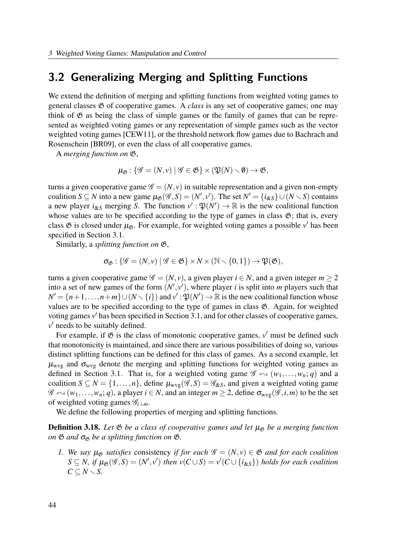## 3.2 Generalizing Merging and Splitting Functions

We extend the definition of merging and splitting functions from weighted voting games to general classes  $\mathfrak G$  of cooperative games. A *class* is any set of cooperative games; one may think of  $\mathfrak G$  as being the class of simple games or the family of games that can be represented as weighted voting games or any representation of simple games such as the vector weighted voting games [CEW11], or the threshold network flow games due to Bachrach and Rosenschein [BR09], or even the class of all cooperative games.

A merging function on G,

$$
\mu_{\mathfrak{G}}: \{\mathscr{G}=(N,v)\mid \mathscr{G}\in\mathfrak{G}\}\times(\mathfrak{P}(N)\setminus\emptyset)\to\mathfrak{G},
$$

turns a given cooperative game  $\mathscr{G} = (N, v)$  in suitable representation and a given non-empty coalition  $S \subseteq N$  into a new game  $\mu_{\mathfrak{G}}(\mathscr{G}, S) = (N', v')$ . The set  $N' = \{i_{\&S}\} \cup (N \setminus S)$  contains a new player  $i_{\&S}$  merging S. The function  $v': \mathfrak{P}(N') \to \mathbb{R}$  is the new coalitional function whose values are to be specified according to the type of games in class  $\mathfrak{G}$ ; that is, every class  $\mathfrak G$  is closed under  $\mu_{\mathfrak G}$ . For example, for weighted voting games a possible v' has been specified in Section 3.1.

Similarly, a splitting function on G,

$$
\sigma_{\mathfrak{G}}: \{\mathscr{G}=(N,v) \mid \mathscr{G} \in \mathfrak{G}\}\times N\times (N\smallsetminus\{0,1\}) \to \mathfrak{P}(\mathfrak{G}),
$$

turns a given cooperative game  $\mathscr{G} = (N, v)$ , a given player  $i \in N$ , and a given integer  $m \ge 2$ into a set of new games of the form  $(N', v')$ , where player i is split into m players such that  $N' = \{n+1,\ldots,n+m\} \cup (N \setminus \{i\})$  and  $v' : \mathfrak{P}(N') \to \mathbb{R}$  is the new coalitional function whose values are to be specified according to the type of games in class G. Again, for weighted voting games v' has been specified in Section 3.1, and for other classes of cooperative games,  $v'$  needs to be suitably defined.

For example, if  $\mathfrak G$  is the class of monotonic cooperative games,  $v'$  must be defined such that monotonicity is maintained, and since there are various possibilities of doing so, various distinct splitting functions can be defined for this class of games. As a second example, let  $\mu_{\text{wvg}}$  and  $\sigma_{\text{wvg}}$  denote the merging and splitting functions for weighted voting games as defined in Section 3.1. That is, for a weighted voting game  $\mathscr{G} \leftarrow (w_1,\ldots,w_n; q)$  and a coalition  $S \subseteq N = \{1, ..., n\}$ , define  $\mu_{wvg}(\mathscr{G}, S) = \mathscr{G}_{\&S}$ , and given a weighted voting game  $\mathscr{G} \leftarrow (w_1,\ldots,w_n; q)$ , a player  $i \in N$ , and an integer  $m \geq 2$ , define  $\sigma_{wvg}(\mathscr{G}, i,m)$  to be the set of weighted voting games  $\mathscr{G}_{i \div m}$ .

We define the following properties of merging and splitting functions.

**Definition 3.18.** Let  $\mathfrak{G}$  be a class of cooperative games and let  $\mu_{\mathfrak{G}}$  be a merging function on  $\mathfrak G$  and  $\sigma_{\mathfrak G}$  be a splitting function on  $\mathfrak G$ .

1. We say  $\mu_{\mathfrak{G}}$  satisfies consistency if for each  $\mathscr{G} = (N, v) \in \mathfrak{G}$  and for each coalition  $S \subseteq N$ , if  $\mu_{\mathfrak{G}}(\mathscr{G},S) = (N',v')$  then  $v(C \cup S) = v'(C \cup \{i_{\&S}\})$  holds for each coalition  $C \subseteq N \setminus S$ .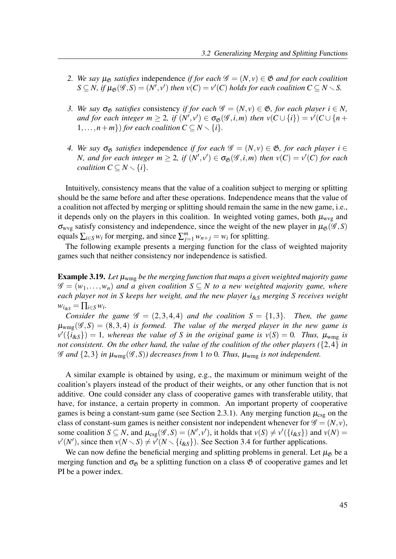- 2. We say  $\mu_{\mathfrak{G}}$  satisfies independence if for each  $\mathscr{G} = (N, v) \in \mathfrak{G}$  and for each coalition  $S \subseteq N$ , if  $\mu_{\mathfrak{G}}(\mathscr{G},S) = (N',v')$  then  $v(C) = v'(C)$  holds for each coalition  $C \subseteq N \setminus S$ .
- 3. We say  $\sigma_{\mathfrak{G}}$  satisfies consistency if for each  $\mathscr{G} = (N, v) \in \mathfrak{G}$ , for each player  $i \in N$ , and for each integer  $m \geq 2$ , if  $(N',v') \in \sigma_{\mathfrak{G}}(\mathscr{G},i,m)$  then  $v(C \cup \{i\}) = v'(C \cup \{n +$  $1,\ldots,n+m$ }) for each coalition  $C \subseteq N \setminus \{i\}.$
- 4. We say  $\sigma_{\mathfrak{G}}$  satisfies independence if for each  $\mathscr{G} = (N, v) \in \mathfrak{G}$ , for each player  $i \in$ N, and for each integer  $m \geq 2$ , if  $(N',v') \in \sigma_{\mathfrak{G}}(\mathscr{G},i,m)$  then  $v(C) = v'(C)$  for each coalition  $C \subseteq N \setminus \{i\}.$

Intuitively, consistency means that the value of a coalition subject to merging or splitting should be the same before and after these operations. Independence means that the value of a coalition not affected by merging or splitting should remain the same in the new game, i.e., it depends only on the players in this coalition. In weighted voting games, both  $\mu_{\rm wvg}$  and  $\sigma_{wvg}$  satisfy consistency and independence, since the weight of the new player in  $\mu_{\mathfrak{G}}(\mathcal{G}, S)$ equals  $\sum_{i \in S} w_i$  for merging, and since  $\sum_{j=1}^m w_{n+j} = w_i$  for splitting.

The following example presents a merging function for the class of weighted majority games such that neither consistency nor independence is satisfied.

**Example 3.19.** Let  $\mu_{wmg}$  be the merging function that maps a given weighted majority game  $\mathscr{G} = (w_1, \ldots, w_n)$  and a given coalition  $S \subseteq N$  to a new weighted majority game, where each player not in S keeps her weight, and the new player  $i_{\&S}$  merging S receives weight  $w_{i_{\&S}} = \prod_{i \in S} w_i$ .

Consider the game  $\mathscr{G} = (2,3,4,4)$  and the coalition  $S = \{1,3\}$ . Then, the game  $\mu_{wmg}(\mathscr{G},S) = (8,3,4)$  is formed. The value of the merged player in the new game is  $v'(\{\tilde{i}_{\&S}\}) = 1$ , whereas the value of S in the original game is  $v(S) = 0$ . Thus,  $\mu_{wmg}$  is not consistent. On the other hand, the value of the coalition of the other players ( $\{2,4\}$  in G and  $\{2,3\}$  in  $\mu_{wmg}(\mathscr{G},S)$ ) decreases from 1 to 0. Thus,  $\mu_{wmg}$  is not independent.

A similar example is obtained by using, e.g., the maximum or minimum weight of the coalition's players instead of the product of their weights, or any other function that is not additive. One could consider any class of cooperative games with transferable utility, that have, for instance, a certain property in common. An important property of cooperative games is being a constant-sum game (see Section 2.3.1). Any merging function  $\mu_{csg}$  on the class of constant-sum games is neither consistent nor independent whenever for  $\mathcal{G} = (N, v)$ , some coalition  $S \subseteq N$ , and  $\mu_{csg}(\mathscr{G}, S) = (N', v')$ , it holds that  $v(S) \neq v'(\{i_{\&S}\})$  and  $v(N) =$  $v'(N')$ , since then  $v(N \setminus S) \neq v'(N \setminus \{i_{\&S}\})$ . See Section 3.4 for further applications.

We can now define the beneficial merging and splitting problems in general. Let  $\mu_{\mathfrak{G}}$  be a merging function and  $\sigma_{\emptyset}$  be a splitting function on a class  $\mathfrak{G}$  of cooperative games and let PI be a power index.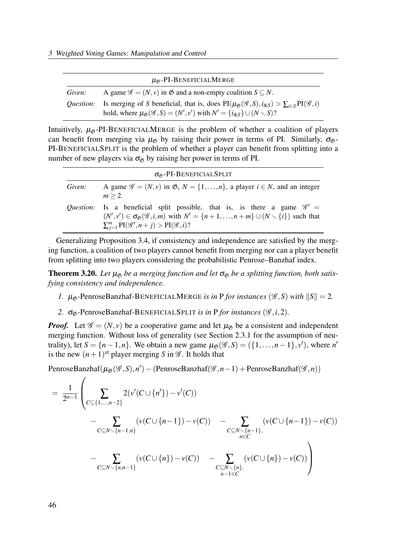|                  | $\mu_{\mathfrak{G}}$ -PI-BENEFICIALMERGE                                                                                                                                                                                                    |
|------------------|---------------------------------------------------------------------------------------------------------------------------------------------------------------------------------------------------------------------------------------------|
| Given:           | A game $\mathscr{G} = (N, v)$ in $\mathfrak{G}$ and a non-empty coalition $S \subseteq N$ .                                                                                                                                                 |
| <i>Ouestion:</i> | Is merging of S beneficial, that is, does $PI(\mu_{\mathfrak{G}}(\mathcal{G},S), i_{\&S}) > \sum_{i \in S} PI(\mathcal{G},i)$<br>hold, where $\mu_{\mathfrak{G}}(\mathcal{G}, S) = (N', v')$ with $N' = \{i_{\&S}\} \cup (N \setminus S)$ ? |

Intuitively,  $\mu_{\emptyset}$ -PI-BENEFICIALMERGE is the problem of whether a coalition of players can benefit from merging via  $\mu_{\mathfrak{G}}$  by raising their power in terms of PI. Similarly,  $\sigma_{\mathfrak{G}}$ -PI-BENEFICIALSPLIT is the problem of whether a player can benefit from splitting into a number of new players via  $\sigma_{\beta}$  by raising her power in terms of PI.

|        | $\sigma_{\beta}$ -PI-BENEFICIALSPLIT                                                                                                                                                                                                                                          |
|--------|-------------------------------------------------------------------------------------------------------------------------------------------------------------------------------------------------------------------------------------------------------------------------------|
| Given: | A game $\mathscr{G} = (N, v)$ in $\mathfrak{G}, N = \{1, \ldots, n\}$ , a player $i \in N$ , and an integer<br>$m > 2$ .                                                                                                                                                      |
|        | Question: Is a beneficial split possible, that is, is there a game $\mathscr{G}' =$<br>$(N',v') \in \sigma_{\mathfrak{G}}(\mathcal{G},i,m)$ with $N' = \{n+1,\ldots,n+m\} \cup (N \setminus \{i\})$ such that<br>$\sum_{i=1}^{m} PI(\mathscr{G}', n+j) > PI(\mathscr{G}, i)?$ |

Generalizing Proposition 3.4, if consistency and independence are satisfied by the merging function, a coalition of two players cannot benefit from merging nor can a player benefit from splitting into two players considering the probabilistic Penrose–Banzhaf index.

**Theorem 3.20.** Let  $\mu_{\mathcal{B}}$  be a merging function and let  $\sigma_{\mathcal{B}}$  be a splitting function, both satisfying consistency and independence.

- 1.  $\mu_{\mathcal{B}}$ -PenroseBanzhaf-BENEFICIALMERGE is in P for instances ( $\mathcal{G}, S$ ) with  $||S|| = 2$ .
- 2.  $\sigma_{\mathfrak{G}}$ -PenroseBanzhaf-BENEFICIALSPLIT is in P for instances ( $\mathcal{G}, i, 2$ ).

**Proof.** Let  $\mathscr{G} = (N, v)$  be a cooperative game and let  $\mu_{\mathfrak{G}}$  be a consistent and independent merging function. Without loss of generality (see Section 2.3.1 for the assumption of neutrality), let  $S = \{n-1,n\}$ . We obtain a new game  $\mu_{\mathfrak{G}}(\mathscr{G}, S) = (\{1, ..., n-1\}, v')$ , where n' is the new  $(n+1)$ <sup>st</sup> player merging S in  $\mathscr G$ . It holds that

PenroseBanzhaf( $\mu_{\mathfrak{G}}(\mathscr{G},S),n') -$ (PenroseBanzhaf( $(\mathscr{G},n-1) +$ PenroseBanzhaf( $(\mathscr{G},n)$ )

$$
= \frac{1}{2^{n-1}} \left( \sum_{C \subseteq \{1, \ldots, n-2\}} 2(\nu'(C \cup \{n'\}) - \nu'(C)) - \sum_{C \subseteq N \setminus \{n-1\}, \atop n \in C} (\nu(C \cup \{n-1\}) - \nu(C)) - \sum_{C \subseteq N \setminus \{n-1\}, \atop n \in C} (\nu(C \cup \{n\}) - \nu(C)) - \sum_{C \subseteq N \setminus \{n\}, \atop n-1 \in C} (\nu(C \cup \{n\}) - \nu(C)) - \sum_{C \subseteq N \setminus \{n\}, \atop n-1 \in C} (\nu(C \cup \{n\}) - \nu(C)) \right)
$$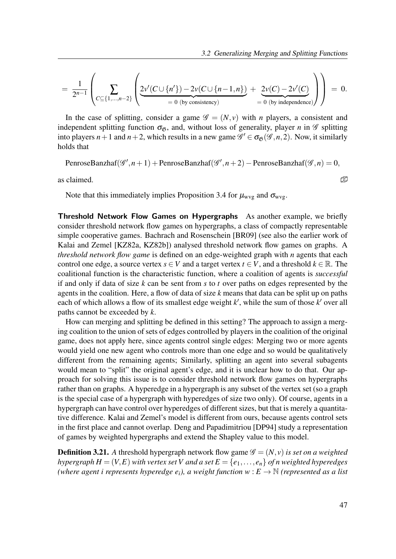$$
= \frac{1}{2^{n-1}} \left( \sum_{C \subseteq \{1,\ldots,n-2\}} \left( 2v'(C \cup \{n'\}) - 2v(C \cup \{n-1,n\}) + 2v(C) - 2v'(C) \over = 0 \text{ (by consistency)} \right) \right) = 0.
$$

In the case of splitting, consider a game  $\mathscr{G} = (N, v)$  with *n* players, a consistent and independent splitting function  $\sigma_{\mathfrak{G}}$ , and, without loss of generality, player *n* in  $\mathscr G$  splitting into players  $n+1$  and  $n+2$ , which results in a new game  $\mathscr{G}' \in \sigma_{\mathfrak{G}}(\mathscr{G}, n, 2)$ . Now, it similarly holds that

PenroseBanzhaf( $\mathscr{G}', n+1$ ) + PenroseBanzhaf( $\mathscr{G}', n+2$ ) – PenroseBanzhaf( $\mathscr{G}, n$ ) = 0,

as claimed.  $\mathbb{Z}$ 

Note that this immediately implies Proposition 3.4 for  $\mu_{wvg}$  and  $\sigma_{wvg}$ .

Threshold Network Flow Games on Hypergraphs As another example, we briefly consider threshold network flow games on hypergraphs, a class of compactly representable simple cooperative games. Bachrach and Rosenschein [BR09] (see also the earlier work of Kalai and Zemel [KZ82a, KZ82b]) analysed threshold network flow games on graphs. A threshold network flow game is defined on an edge-weighted graph with  $n$  agents that each control one edge, a source vertex  $s \in V$  and a target vertex  $t \in V$ , and a threshold  $k \in \mathbb{R}$ . The coalitional function is the characteristic function, where a coalition of agents is successful if and only if data of size  $k$  can be sent from  $s$  to  $t$  over paths on edges represented by the agents in the coalition. Here, a flow of data of size  $k$  means that data can be split up on paths each of which allows a flow of its smallest edge weight  $k'$ , while the sum of those  $k'$  over all paths cannot be exceeded by  $k$ .

How can merging and splitting be defined in this setting? The approach to assign a merging coalition to the union of sets of edges controlled by players in the coalition of the original game, does not apply here, since agents control single edges: Merging two or more agents would yield one new agent who controls more than one edge and so would be qualitatively different from the remaining agents; Similarly, splitting an agent into several subagents would mean to "split" the original agent's edge, and it is unclear how to do that. Our approach for solving this issue is to consider threshold network flow games on hypergraphs rather than on graphs. A hyperedge in a hypergraph is any subset of the vertex set (so a graph is the special case of a hypergraph with hyperedges of size two only). Of course, agents in a hypergraph can have control over hyperedges of different sizes, but that is merely a quantitative difference. Kalai and Zemel's model is different from ours, because agents control sets in the first place and cannot overlap. Deng and Papadimitriou [DP94] study a representation of games by weighted hypergraphs and extend the Shapley value to this model.

**Definition 3.21.** A threshold hypergraph network flow game  $\mathcal{G} = (N, v)$  is set on a weighted hypergraph  $H = (V, E)$  with vertex set V and a set  $E = \{e_1, \ldots, e_n\}$  of n weighted hyperedges (where agent i represents hyperedge  $e_i$ ), a weight function  $w : E \to \mathbb{N}$  (represented as a list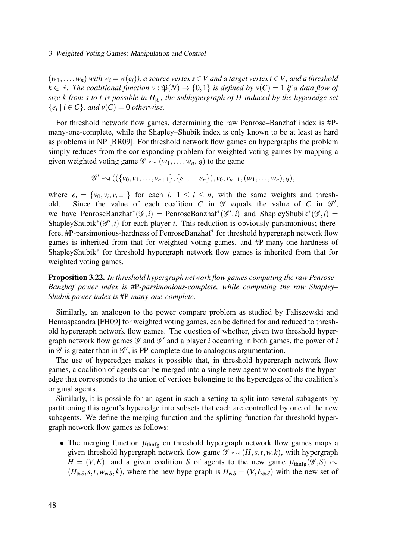$(w_1,...,w_n)$  with  $w_i = w(e_i)$ ), a source vertex  $s \in V$  and a target vertex  $t \in V$ , and a threshold  $k \in \mathbb{R}$ . The coalitional function  $v : \mathfrak{P}(N) \to \{0,1\}$  is defined by  $v(C) = 1$  if a data flow of size k from s to t is possible in  $H_{|C}$ , the subhypergraph of H induced by the hyperedge set  $\{e_i \mid i \in C\}$ , and  $v(C) = 0$  otherwise.

For threshold network flow games, determining the raw Penrose–Banzhaf index is #Pmany-one-complete, while the Shapley–Shubik index is only known to be at least as hard as problems in NP [BR09]. For threshold network flow games on hypergraphs the problem simply reduces from the corresponding problem for weighted voting games by mapping a given weighted voting game  $\mathscr{G} \leftarrow (w_1,\ldots,w_n, q)$  to the game

$$
\mathscr{G}' \leftarrow ((\{v_0,v_1,\ldots,v_{n+1}\},\{e_1,\ldots e_n\}),v_0,v_{n+1},(w_1,\ldots,w_n),q),
$$

where  $e_i = \{v_0, v_i, v_{n+1}\}\$  for each  $i, 1 \le i \le n$ , with the same weights and threshold. Since the value of each coalition C in  $\mathscr G$  equals the value of C in  $\mathscr G'$ , we have PenroseBanzhaf<sup>\*</sup>( $\mathscr{G}, i$ ) = PenroseBanzhaf<sup>\*</sup>( $\mathscr{G}', i$ ) and ShapleyShubik<sup>\*</sup>( $\mathscr{G}, i$ ) = ShapleyShubik<sup>\*</sup>( $\mathscr{G}',i$ ) for each player *i*. This reduction is obviously parsimonious; therefore, #P-parsimonious-hardness of PenroseBanzhaf<sup>∗</sup> for threshold hypergraph network flow games is inherited from that for weighted voting games, and #P-many-one-hardness of ShapleyShubik<sup>∗</sup> for threshold hypergraph network flow games is inherited from that for weighted voting games.

**Proposition 3.22.** In threshold hypergraph network flow games computing the raw Penrose– Banzhaf power index is #P-parsimonious-complete, while computing the raw Shapley– Shubik power index is #P-many-one-complete.

Similarly, an analogon to the power compare problem as studied by Faliszewski and Hemaspaandra [FH09] for weighted voting games, can be defined for and reduced to threshold hypergraph network flow games. The question of whether, given two threshold hypergraph network flow games  $\mathscr G$  and  $\mathscr G'$  and a player *i* occurring in both games, the power of *i* in  $\mathscr G$  is greater than in  $\mathscr G'$ , is PP-complete due to analogous argumentation.

The use of hyperedges makes it possible that, in threshold hypergraph network flow games, a coalition of agents can be merged into a single new agent who controls the hyperedge that corresponds to the union of vertices belonging to the hyperedges of the coalition's original agents.

Similarly, it is possible for an agent in such a setting to split into several subagents by partitioning this agent's hyperedge into subsets that each are controlled by one of the new subagents. We define the merging function and the splitting function for threshold hypergraph network flow games as follows:

• The merging function  $\mu_{\text{thnfg}}$  on threshold hypergraph network flow games maps a given threshold hypergraph network flow game  $\mathscr{G} \leftarrow (H, s, t, w, k)$ , with hypergraph  $H = (V, E)$ , and a given coalition S of agents to the new game  $\mu_{\text{thnfg}}(\mathscr{G}, S) \leftrightarrow$  $(H_{\& S}, s, t, w_{\& S}, k)$ , where the new hypergraph is  $H_{\& S} = (V, E_{\& S})$  with the new set of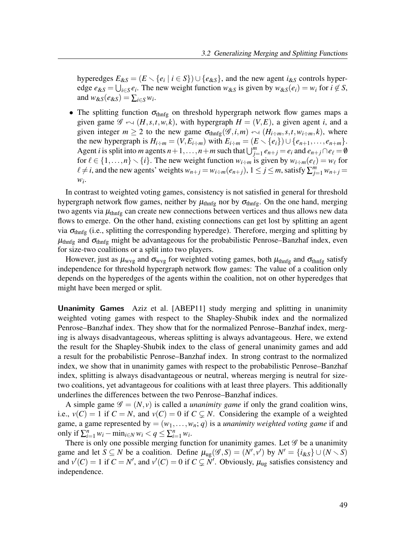hyperedges  $E_{\&S} = (E \setminus \{e_i \mid i \in S\}) \cup \{e_{\&S}\}\)$ , and the new agent  $i_{\&S}$  controls hyperedge  $e_{\&S} = \bigcup_{i \in S} e_i$ . The new weight function  $w_{\&S}$  is given by  $w_{\&S}(e_i) = w_i$  for  $i \notin S$ , and  $w_{\&S}(e_{\&S}) = \sum_{i \in S} w_i$ .

• The splitting function  $\sigma_{\text{thnfg}}$  on threshold hypergraph network flow games maps a given game  $\mathscr{G} \leftarrow (H, s, t, w, k)$ , with hypergraph  $H = (V, E)$ , a given agent i, and a given integer  $m \ge 2$  to the new game  $\sigma_{thnfg}(\mathscr{G},i,m) \sim (H_{i+m},s,t,w_{i+m},k)$ , where the new hypergraph is  $H_{i \div m} = (V, E_{i \div m})$  with  $E_{i \div m} = (E \setminus \{e_i\}) \cup \{e_{n+1}, \ldots, e_{n+m}\}.$ Agent *i* is split into *m* agents  $n+1, ..., n+m$  such that  $\bigcup_{j=1}^{m} e_{n+j} = e_i$  and  $e_{n+j} \cap e_{\ell} = \emptyset$ for  $\ell \in \{1, ..., n\} \setminus \{i\}$ . The new weight function  $w_{i \div m}$  is given by  $w_{i \div m}(e_{\ell}) = w_{\ell}$  for  $\ell \neq i$ , and the new agents' weights  $w_{n+j} = w_{i+m}(e_{n+j}), 1 \leq j \leq m$ , satisfy  $\sum_{j=1}^{m} w_{n+j} =$  $W_i$ .

In contrast to weighted voting games, consistency is not satisfied in general for threshold hypergraph network flow games, neither by  $\mu_{\text{thnfg}}$  nor by  $\sigma_{\text{thnfg}}$ . On the one hand, merging two agents via  $\mu_{\text{thnfg}}$  can create new connections between vertices and thus allows new data flows to emerge. On the other hand, existing connections can get lost by splitting an agent via  $\sigma_{\text{thnfg}}$  (i.e., splitting the corresponding hyperedge). Therefore, merging and splitting by  $\mu_{\text{thnfg}}$  and  $\sigma_{\text{thnfg}}$  might be advantageous for the probabilistic Penrose–Banzhaf index, even for size-two coalitions or a split into two players.

However, just as  $\mu_{wvg}$  and  $\sigma_{wvg}$  for weighted voting games, both  $\mu_{thnfe}$  and  $\sigma_{thnfe}$  satisfy independence for threshold hypergraph network flow games: The value of a coalition only depends on the hyperedges of the agents within the coalition, not on other hyperedges that might have been merged or split.

Unanimity Games Aziz et al. [ABEP11] study merging and splitting in unanimity weighted voting games with respect to the Shapley-Shubik index and the normalized Penrose–Banzhaf index. They show that for the normalized Penrose–Banzhaf index, merging is always disadvantageous, whereas splitting is always advantageous. Here, we extend the result for the Shapley-Shubik index to the class of general unanimity games and add a result for the probabilistic Penrose–Banzhaf index. In strong contrast to the normalized index, we show that in unanimity games with respect to the probabilistic Penrose–Banzhaf index, splitting is always disadvantageous or neutral, whereas merging is neutral for sizetwo coalitions, yet advantageous for coalitions with at least three players. This additionally underlines the differences between the two Penrose–Banzhaf indices.

A simple game  $\mathscr{G} = (N, v)$  is called a *unanimity game* if only the grand coalition wins, i.e.,  $v(C) = 1$  if  $C = N$ , and  $v(C) = 0$  if  $C \subsetneq N$ . Considering the example of a weighted game, a game represented by  $=(w_1,\ldots,w_n;q)$  is a *unanimity weighted voting game* if and only if  $\sum_{i=1}^n w_i - \min_{i \in N} w_i < q \le \sum_{i=1}^n w_i$ .

There is only one possible merging function for unanimity games. Let  $\mathscr G$  be a unanimity game and let  $S \subseteq N$  be a coalition. Define  $\mu_{\text{ug}}(\mathscr{G}, S) = (N', \nu')$  by  $N' = \{i_{\&S}\} \cup (N \setminus S)$ and  $v'(C) = 1$  if  $C = N'$ , and  $v'(C) = 0$  if  $C \subsetneq N'$ . Obviously,  $\mu_{\text{ug}}$  satisfies consistency and independence.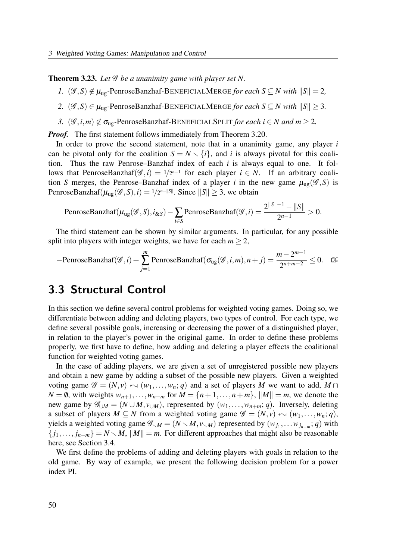**Theorem 3.23.** Let  $\mathscr G$  be a unanimity game with player set N.

- 1.  $(\mathscr{G}, S) \notin \mu_{\text{ug}}$ -PenroseBanzhaf-BENEFICIALMERGE for each  $S \subseteq N$  with  $||S|| = 2$ ,
- 2.  $(\mathscr{G}, S) \in \mu_{\text{ue}}$ -PenroseBanzhaf-BENEFICIALMERGE for each  $S \subseteq N$  with  $||S|| \geq 3$ .
- 3.  $(\mathscr{G}, i, m) \notin \sigma_{\text{ug}}$ -PenroseBanzhaf-BENEFICIALSPLIT for each  $i \in N$  and  $m \geq 2$ .

*Proof.* The first statement follows immediately from Theorem 3.20.

In order to prove the second statement, note that in a unanimity game, any player  $i$ can be pivotal only for the coalition  $S = N \setminus \{i\}$ , and i is always pivotal for this coalition. Thus the raw Penrose–Banzhaf index of each  $i$  is always equal to one. It follows that PenroseBanzhaf( $\mathscr{G}, i$ ) = 1/2<sup>n-1</sup> for each player  $i \in N$ . If an arbitrary coalition S merges, the Penrose–Banzhaf index of a player i in the new game  $\mu_{\text{ug}}(\mathscr{G},S)$  is PenroseBanzhaf( $\mu_{\text{ug}}(\mathscr{G}, S), i) = 1/2^{n-||S||}$ . Since  $||S|| \geq 3$ , we obtain

PenroseBanzhaf(
$$
\mu_{\text{ug}}(\mathcal{G}, S)
$$
,  $i_{\&S}$ ) -  $\sum_{i \in S}$  PenroseBanzhaf( $\mathcal{G}, i$ ) =  $\frac{2^{\|S\|-1} - \|S\|}{2^{n-1}} > 0$ .

The third statement can be shown by similar arguments. In particular, for any possible split into players with integer weights, we have for each  $m \geq 2$ ,

$$
-\text{PenroseBanzhaf}(\mathscr{G},i) + \sum_{j=1}^{m} \text{PenroseBanzhaf}(\sigma_{\text{ug}}(\mathscr{G},i,m),n+j) = \frac{m-2^{m-1}}{2^{n+m-2}} \leq 0. \quad \text{as}
$$

## 3.3 Structural Control

In this section we define several control problems for weighted voting games. Doing so, we differentiate between adding and deleting players, two types of control. For each type, we define several possible goals, increasing or decreasing the power of a distinguished player, in relation to the player's power in the original game. In order to define these problems properly, we first have to define, how adding and deleting a player effects the coalitional function for weighted voting games.

In the case of adding players, we are given a set of unregistered possible new players and obtain a new game by adding a subset of the possible new players. Given a weighted voting game  $\mathscr{G} = (N, v) \sim (w_1, \ldots, w_n; q)$  and a set of players M we want to add,  $M \cap$  $N = \emptyset$ , with weights  $w_{n+1}, \ldots, w_{n+m}$  for  $M = \{n+1, \ldots, n+m\}$ ,  $||M|| = m$ , we denote the new game by  $\mathscr{G}_{\cup M} = (N \cup M, v_{\cup M})$ , represented by  $(w_1, \ldots, w_{n+m}; q)$ . Inversely, deleting a subset of players  $M \subseteq N$  from a weighted voting game  $\mathscr{G} = (N, v) \leftrightarrow (w_1, \ldots, w_n; q)$ , yields a weighted voting game  $\mathscr{G}_{\leq M} = (N \leq M, v_{\leq M})$  represented by  $(w_{j_1}, \dots w_{j_{n-m}}; q)$  with  ${j_1,...,j_{n-m}} = N \setminus M$ ,  $||M|| = m$ . For different approaches that might also be reasonable here, see Section 3.4.

We first define the problems of adding and deleting players with goals in relation to the old game. By way of example, we present the following decision problem for a power index PI.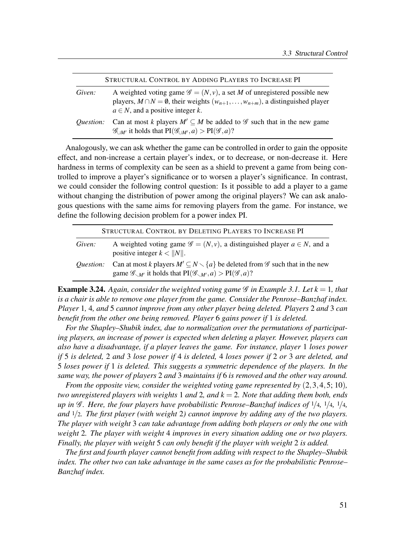|                  | STRUCTURAL CONTROL BY ADDING PLAYERS TO INCREASE PI                                                                                                                                                                                    |
|------------------|----------------------------------------------------------------------------------------------------------------------------------------------------------------------------------------------------------------------------------------|
| Given:           | A weighted voting game $\mathscr{G} = (N, v)$ , a set M of unregistered possible new<br>players, $M \cap N = \emptyset$ , their weights $(w_{n+1}, \ldots, w_{n+m})$ , a distinguished player<br>$a \in N$ , and a positive integer k. |
| <i>Ouestion:</i> | Can at most k players $M' \subseteq M$ be added to $\mathscr G$ such that in the new game<br>$\mathscr{G}_{\square M'}$ it holds that $PI(\mathscr{G}_{\square M'}, a) > PI(\mathscr{G}, a)$ ?                                         |

Analogously, we can ask whether the game can be controlled in order to gain the opposite effect, and non-increase a certain player's index, or to decrease, or non-decrease it. Here hardness in terms of complexity can be seen as a shield to prevent a game from being controlled to improve a player's significance or to worsen a player's significance. In contrast, we could consider the following control question: Is it possible to add a player to a game without changing the distribution of power among the original players? We can ask analogous questions with the same aims for removing players from the game. For instance, we define the following decision problem for a power index PI.

| STRUCTURAL CONTROL BY DELETING PLAYERS TO INCREASE PI |                                                                                                                                                                                                                      |  |
|-------------------------------------------------------|----------------------------------------------------------------------------------------------------------------------------------------------------------------------------------------------------------------------|--|
| Given:                                                | A weighted voting game $\mathscr{G} = (N, v)$ , a distinguished player $a \in N$ , and a<br>positive integer $k <   N  $ .                                                                                           |  |
| <i>Ouestion:</i>                                      | Can at most k players $M' \subseteq N \setminus \{a\}$ be deleted from $\mathscr G$ such that in the new<br>game $\mathscr{G}_{\mathcal{M}'}$ it holds that $PI(\mathscr{G}_{\mathcal{M}'},a) > PI(\mathscr{G},a)$ ? |  |

**Example 3.24.** Again, consider the weighted voting game  $\mathscr G$  in Example 3.1. Let  $k = 1$ , that is a chair is able to remove one player from the game. Consider the Penrose–Banzhaf index. Player 1, 4, and 5 cannot improve from any other player being deleted. Players 2 and 3 can benefit from the other one being removed. Player 6 gains power if 1 is deleted.

For the Shapley–Shubik index, due to normalization over the permutations of participating players, an increase of power is expected when deleting a player. However, players can also have a disadvantage, if a player leaves the game. For instance, player 1 loses power if 5 is deleted, 2 and 3 lose power if 4 is deleted, 4 loses power if 2 or 3 are deleted, and 5 loses power if 1 is deleted. This suggests a symmetric dependence of the players. In the same way, the power of players 2 and 3 maintains if 6 is removed and the other way around.

From the opposite view, consider the weighted voting game represented by  $(2,3,4,5;10)$ , two unregistered players with weights 1 and 2, and  $k = 2$ . Note that adding them both, ends up in  $\mathscr G$ . Here, the four players have probabilistic Penrose–Banzhaf indices of  $1/4$ ,  $1/4$ ,  $1/4$ , and  $1/2$ . The first player (with weight 2) cannot improve by adding any of the two players. The player with weight 3 can take advantage from adding both players or only the one with weight 2. The player with weight 4 improves in every situation adding one or two players. Finally, the player with weight 5 can only benefit if the player with weight 2 is added.

The first and fourth player cannot benefit from adding with respect to the Shapley–Shubik index. The other two can take advantage in the same cases as for the probabilistic Penrose– Banzhaf index.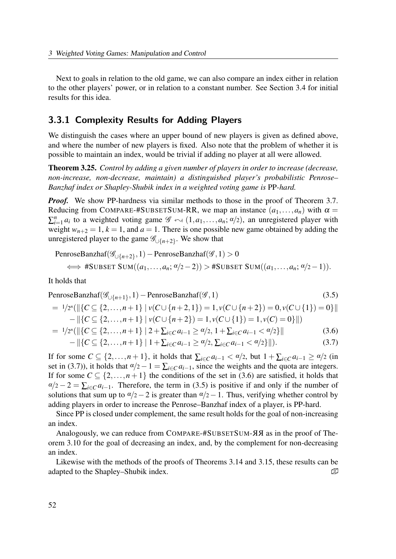Next to goals in relation to the old game, we can also compare an index either in relation to the other players' power, or in relation to a constant number. See Section 3.4 for initial results for this idea.

#### 3.3.1 Complexity Results for Adding Players

We distinguish the cases where an upper bound of new players is given as defined above, and where the number of new players is fixed. Also note that the problem of whether it is possible to maintain an index, would be trivial if adding no player at all were allowed.

**Theorem 3.25.** Control by adding a given number of players in order to increase (decrease, non-increase, non-decrease, maintain) a distinguished player's probabilistic Penrose– Banzhaf index or Shapley-Shubik index in a weighted voting game is PP-hard.

*Proof.* We show PP-hardness via similar methods to those in the proof of Theorem 3.7. Reducing from COMPARE-#SUBSETSUM-RR, we map an instance  $(a_1,...,a_n)$  with  $\alpha =$  $\sum_{i=1}^n a_i$  to a weighted voting game  $\mathscr{G} \leftrightarrow (1,a_1,\ldots,a_n;\alpha/2)$ , an unregistered player with weight  $w_{n+2} = 1$ ,  $k = 1$ , and  $a = 1$ . There is one possible new game obtained by adding the unregistered player to the game  $\mathscr{G}_{\cup \{n+2\}}$ . We show that

$$
\text{PenroseBanzhaf}(\mathcal{G}_{\cup\{n+2\}},1) - \text{Penrose Banzhaf}(\mathcal{G},1) > 0
$$
\n
$$
\iff \# \text{SUBSET SUM}((a_1,\ldots,a_n;\alpha/2-2)) > \# \text{SUBSET SUM}((a_1,\ldots,a_n;\alpha/2-1)).
$$

It holds that

PenroseBanzhaf(
$$
\mathcal{G}_{\cup\{n+1\}}, 1
$$
) – PenroseBanzhaf( $\mathcal{G}, 1$ )  
= 1/2<sup>n</sup>( $||{C \subseteq {2,...,n+1}}| v(C \cup {n+2,1}) = 1, v(C \cup {n+2}) = 0, v(C \cup {1}) = 0$ ||  
||[C \subseteq {2,...,n+1}] | v(G \cup {n+2}) | 1, v(G \cup {1}) | 1, v(G \cup {0}) ||

$$
-\|\{C \subseteq \{2,\ldots,n+1\} \mid v(C \cup \{n+2\}) = 1, v(C \cup \{1\}) = 1, v(C) = 0\}\|)
$$
  
=  $1/2^n (\|\{C \subseteq \{2,\ldots,n+1\} \mid 2 + \sum_{i \in C} a_{i-1} \ge \alpha/2, 1 + \sum_{i \in C} a_{i-1} < \alpha/2\}\|$  (3.6)

$$
-\left\|\left\{C\subseteq\{2,\ldots,n+1\}\,\right|\,1+\sum_{i\in C}a_{i-1}\geq\alpha/2,\sum_{i\in C}a_{i-1}<\alpha/2\}\right\|\right).
$$
 (3.7)

If for some  $C \subseteq \{2,\ldots,n+1\}$ , it holds that  $\sum_{i \in C} a_{i-1} < \alpha/2$ , but  $1 + \sum_{i \in C} a_{i-1} \ge \alpha/2$  (in set in (3.7)), it holds that  $\alpha/2-1=\sum_{i\in\mathbb{C}}a_{i-1}$ , since the weights and the quota are integers. If for some  $C \subseteq \{2,\ldots,n+1\}$  the conditions of the set in (3.6) are satisfied, it holds that  $\alpha/2 - 2 = \sum_{i \in \mathbb{C}} a_{i-1}$ . Therefore, the term in (3.5) is positive if and only if the number of solutions that sum up to  $\alpha/2-2$  is greater than  $\alpha/2-1$ . Thus, verifying whether control by adding players in order to increase the Penrose–Banzhaf index of a player, is PP-hard.

Since PP is closed under complement, the same result holds for the goal of non-increasing an index.

Analogously, we can reduce from COMPARE-#SUBSETSUM- $\overline{A}A$  as in the proof of Theorem 3.10 for the goal of decreasing an index, and, by the complement for non-decreasing an index.

Likewise with the methods of the proofs of Theorems 3.14 and 3.15, these results can be adapted to the Shapley–Shubik index.  $\Box$   $\Box$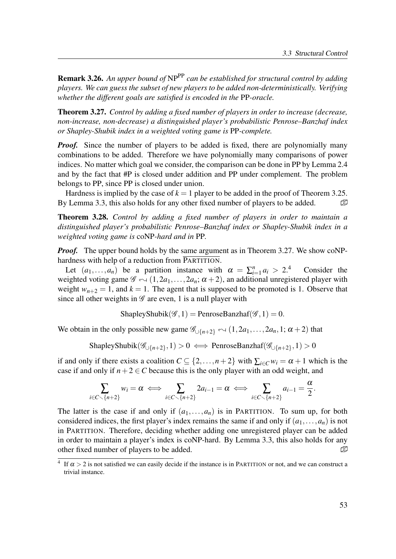**Remark 3.26.** An upper bound of  $NP^{PP}$  can be established for structural control by adding players. We can guess the subset of new players to be added non-deterministically. Verifying whether the different goals are satisfied is encoded in the PP-oracle.

Theorem 3.27. Control by adding a fixed number of players in order to increase (decrease, non-increase, non-decrease) a distinguished player's probabilistic Penrose–Banzhaf index or Shapley-Shubik index in a weighted voting game is PP-complete.

*Proof.* Since the number of players to be added is fixed, there are polynomially many combinations to be added. Therefore we have polynomially many comparisons of power indices. No matter which goal we consider, the comparison can be done in PP by Lemma 2.4 and by the fact that #P is closed under addition and PP under complement. The problem belongs to PP, since PP is closed under union.

Hardness is implied by the case of  $k = 1$  player to be added in the proof of Theorem 3.25. By Lemma 3.3, this also holds for any other fixed number of players to be added.  $\Box$ 

Theorem 3.28. Control by adding a fixed number of players in order to maintain a distinguished player's probabilistic Penrose–Banzhaf index or Shapley-Shubik index in a weighted voting game is coNP-hard and in PP.

*Proof.* The upper bound holds by the same argument as in Theorem 3.27. We show coNPhardness with help of a reduction from PARTITION.

Let  $(a_1,..., a_n)$  be a partition instance with  $\alpha = \sum_{i=1}^n a_i$ Consider the weighted voting game  $\mathscr{G} \leftarrow (1,2a_1,\ldots,2a_n;\alpha+2)$ , an additional unregistered player with weight  $w_{n+2} = 1$ , and  $k = 1$ . The agent that is supposed to be promoted is 1. Observe that since all other weights in  $\mathscr G$  are even, 1 is a null player with

ShapleyShubik( $\mathscr{G}, 1$ ) = PenroseBanzhaf( $\mathscr{G}, 1$ ) = 0.

We obtain in the only possible new game  $\mathscr{G}_{\cup\{n+2\}} \sim (1,2a_1,\ldots,2a_n,1;\alpha+2)$  that

ShapleyShubik $(\mathscr{G}_{\cup \{n+2\}},1) > 0 \iff \text{PenroseBanzhaf}(\mathscr{G}_{\cup \{n+2\}},1) > 0$ 

if and only if there exists a coalition  $C \subseteq \{2,\ldots,n+2\}$  with  $\sum_{i \in C} w_i = \alpha + 1$  which is the case if and only if  $n+2 \in C$  because this is the only player with an odd weight, and

$$
\sum_{i\in C\smallsetminus\{n+2\}}w_i=\alpha\iff\sum_{i\in C\smallsetminus\{n+2\}}2a_{i-1}=\alpha\iff\sum_{i\in C\smallsetminus\{n+2\}}a_{i-1}=\frac{\alpha}{2}.
$$

The latter is the case if and only if  $(a_1,...,a_n)$  is in PARTITION. To sum up, for both considered indices, the first player's index remains the same if and only if  $(a_1, \ldots, a_n)$  is not in PARTITION. Therefore, deciding whether adding one unregistered player can be added in order to maintain a player's index is coNP-hard. By Lemma 3.3, this also holds for any other fixed number of players to be added.  $\Box$ 

<sup>&</sup>lt;sup>4</sup> If  $\alpha > 2$  is not satisfied we can easily decide if the instance is in PARTITION or not, and we can construct a trivial instance.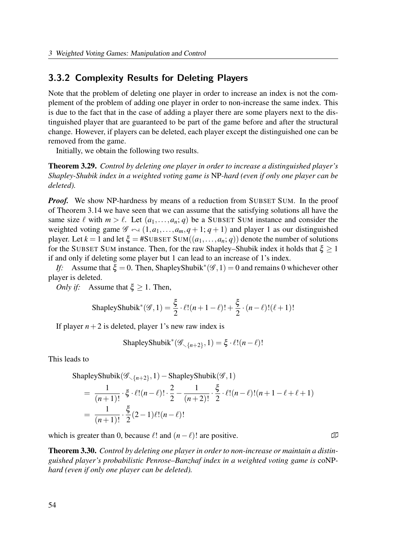#### 3.3.2 Complexity Results for Deleting Players

Note that the problem of deleting one player in order to increase an index is not the complement of the problem of adding one player in order to non-increase the same index. This is due to the fact that in the case of adding a player there are some players next to the distinguished player that are guaranteed to be part of the game before and after the structural change. However, if players can be deleted, each player except the distinguished one can be removed from the game.

Initially, we obtain the following two results.

Theorem 3.29. Control by deleting one player in order to increase a distinguished player's Shapley-Shubik index in a weighted voting game is NP-hard (even if only one player can be deleted).

*Proof.* We show NP-hardness by means of a reduction from SUBSET SUM. In the proof of Theorem 3.14 we have seen that we can assume that the satisfying solutions all have the same size  $\ell$  with  $m > \ell$ . Let  $(a_1, \ldots, a_n; q)$  be a SUBSET SUM instance and consider the weighted voting game  $\mathscr{G} \leftarrow (1, a_1, \ldots, a_m, q + 1; q + 1)$  and player 1 as our distinguished player. Let  $k = 1$  and let  $\xi = #SUBSET SUM((a_1, ..., a_n; q))$  denote the number of solutions for the SUBSET SUM instance. Then, for the raw Shapley–Shubik index it holds that  $\xi \geq 1$ if and only if deleting some player but 1 can lead to an increase of 1's index.

If: Assume that  $\xi = 0$ . Then, ShapleyShubik<sup>\*</sup>( $\mathscr{G}, 1$ ) = 0 and remains 0 whichever other player is deleted.

*Only if:* Assume that  $\xi \geq 1$ . Then,

$$
\text{ShapleyShubik}^*(\mathcal{G}, 1) = \frac{\xi}{2} \cdot \ell! (n+1-\ell)! + \frac{\xi}{2} \cdot (n-\ell)! (\ell+1)!
$$

If player  $n+2$  is deleted, player 1's new raw index is

ShapleyShubik<sup>\*</sup> $(\mathscr{G}_{\setminus {n+2}}, 1) = \xi \cdot \ell!(n-\ell)!$ 

This leads to

$$
ShapleyShubik(\mathcal{G}_{\langle n+2\rangle},1)-ShapleyShubik(\mathcal{G},1)
$$

$$
= \frac{1}{(n+1)!} \cdot \xi \cdot \ell! (n-\ell)! \cdot \frac{2}{2} - \frac{1}{(n+2)!} \cdot \frac{\xi}{2} \cdot \ell! (n-\ell)! (n+1-\ell+\ell+1)
$$
  
= 
$$
\frac{1}{(n+1)!} \cdot \frac{\xi}{2} (2-1) \ell! (n-\ell)!
$$

which is greater than 0, because  $\ell!$  and  $(n-\ell)!$  are positive.  $\Box$ 

Theorem 3.30. Control by deleting one player in order to non-increase or maintain a distinguished player's probabilistic Penrose–Banzhaf index in a weighted voting game is coNPhard (even if only one player can be deleted).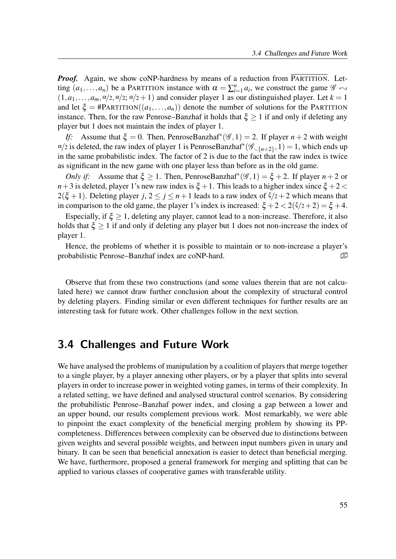**Proof.** Again, we show coNP-hardness by means of a reduction from PARTITION. Letting  $(a_1,..., a_n)$  be a PARTITION instance with  $\alpha = \sum_{i=1}^n a_i$ , we construct the game  $\mathscr{G} \leftrightarrow$  $(1,a_1,\ldots,a_m,\alpha/2,\alpha/2;\alpha/2+1)$  and consider player 1 as our distinguished player. Let  $k=1$ and let  $\xi = \text{HParITION}((a_1,...,a_n))$  denote the number of solutions for the PARTITION instance. Then, for the raw Penrose–Banzhaf it holds that  $\xi \geq 1$  if and only if deleting any player but 1 does not maintain the index of player 1.

If: Assume that  $\xi = 0$ . Then, PenroseBanzhaf<sup>\*</sup>( $\mathscr{G}, 1$ ) = 2. If player  $n + 2$  with weight  $\alpha/2$  is deleted, the raw index of player 1 is PenroseBanzhaf<sup>\*</sup> $(\mathscr{G}_{\langle n+2\rangle}, 1) = 1$ , which ends up in the same probabilistic index. The factor of 2 is due to the fact that the raw index is twice as significant in the new game with one player less than before as in the old game.

Only if: Assume that  $\xi \ge 1$ . Then, PenroseBanzhaf<sup>\*</sup>( $\mathscr{G}, 1$ ) =  $\xi + 2$ . If player  $n + 2$  or  $n+3$  is deleted, player 1's new raw index is  $\xi +1$ . This leads to a higher index since  $\xi +2 < \xi$  $2(\xi + 1)$ . Deleting player  $j, 2 \le j \le n+1$  leads to a raw index of  $\xi/2+2$  which means that in comparison to the old game, the player 1's index is increased:  $\xi + 2 < 2(\xi/2 + 2) = \xi + 4$ .

Especially, if  $\xi \geq 1$ , deleting any player, cannot lead to a non-increase. Therefore, it also holds that  $\xi \geq 1$  if and only if deleting any player but 1 does not non-increase the index of player 1.

Hence, the problems of whether it is possible to maintain or to non-increase a player's probabilistic Penrose–Banzhaf index are coNP-hard.  $\Box$ 

Observe that from these two constructions (and some values therein that are not calculated here) we cannot draw further conclusion about the complexity of structural control by deleting players. Finding similar or even different techniques for further results are an interesting task for future work. Other challenges follow in the next section.

# 3.4 Challenges and Future Work

We have analysed the problems of manipulation by a coalition of players that merge together to a single player, by a player annexing other players, or by a player that splits into several players in order to increase power in weighted voting games, in terms of their complexity. In a related setting, we have defined and analysed structural control scenarios. By considering the probabilistic Penrose–Banzhaf power index, and closing a gap between a lower and an upper bound, our results complement previous work. Most remarkably, we were able to pinpoint the exact complexity of the beneficial merging problem by showing its PPcompleteness. Differences between complexity can be observed due to distinctions between given weights and several possible weights, and between input numbers given in unary and binary. It can be seen that beneficial annexation is easier to detect than beneficial merging. We have, furthermore, proposed a general framework for merging and splitting that can be applied to various classes of cooperative games with transferable utility.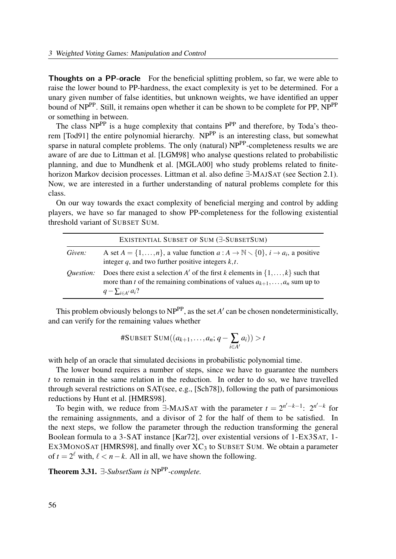Thoughts on a PP-oracle For the beneficial splitting problem, so far, we were able to raise the lower bound to PP-hardness, the exact complexity is yet to be determined. For a unary given number of false identities, but unknown weights, we have identified an upper bound of NP<sup>PP</sup>. Still, it remains open whether it can be shown to be complete for PP, NP<sup>PP</sup> or something in between.

The class  $NP^{PP}$  is a huge complexity that contains  $P^{PP}$  and therefore, by Toda's theorem [Tod91] the entire polynomial hierarchy. NP<sup>PP</sup> is an interesting class, but somewhat sparse in natural complete problems. The only (natural) NP<sup>PP</sup>-completeness results we are aware of are due to Littman et al. [LGM98] who analyse questions related to probabilistic planning, and due to Mundhenk et al. [MGLA00] who study problems related to finitehorizon Markov decision processes. Littman et al. also define ∃-MAJSAT (see Section 2.1). Now, we are interested in a further understanding of natural problems complete for this class.

On our way towards the exact complexity of beneficial merging and control by adding players, we have so far managed to show PP-completeness for the following existential threshold variant of SUBSET SUM.

|                  | EXISTENTIAL SUBSET OF SUM (E-SUBSETSUM)                                                                                                                                                                    |  |
|------------------|------------------------------------------------------------------------------------------------------------------------------------------------------------------------------------------------------------|--|
| Given:           | A set $A = \{1, , n\}$ , a value function $a : A \to \mathbb{N} \setminus \{0\}$ , $i \to a_i$ , a positive<br>integer q, and two further positive integers $k, t$ .                                       |  |
| <i>Ouestion:</i> | Does there exist a selection A' of the first k elements in $\{1, \ldots, k\}$ such that<br>more than t of the remaining combinations of values $a_{k+1}, \ldots, a_n$ sum up to<br>$q-\sum_{i\in A'}a_i$ ? |  |

This problem obviously belongs to  $NP^{PP}$ , as the set A' can be chosen nondeterministically, and can verify for the remaining values whether

$$
\texttt{\#SUBSET SUM}((a_{k+1},\ldots,a_n;q-\sum_{i\in A'}a_i))>t
$$

with help of an oracle that simulated decisions in probabilistic polynomial time.

The lower bound requires a number of steps, since we have to guarantee the numbers t to remain in the same relation in the reduction. In order to do so, we have travelled through several restrictions on SAT(see, e.g., [Sch78]), following the path of parsimonious reductions by Hunt et al. [HMRS98].

To begin with, we reduce from  $\exists$ -MAJSAT with the parameter  $t = 2^{n'-k-1}$ :  $2^{n'-k}$  for the remaining assignments, and a divisor of 2 for the half of them to be satisfied. In the next steps, we follow the parameter through the reduction transforming the general Boolean formula to a 3-SAT instance [Kar72], over existential versions of 1-EX3SAT, 1- EX3MONOSAT [HMRS98], and finally over  $XC_3$  to SUBSET SUM. We obtain a parameter of  $t = 2^{\ell}$  with,  $\ell < n - k$ . All in all, we have shown the following.

Theorem 3.31.  $∃-SubsetSum$  is NP<sup>PP</sup>-complete.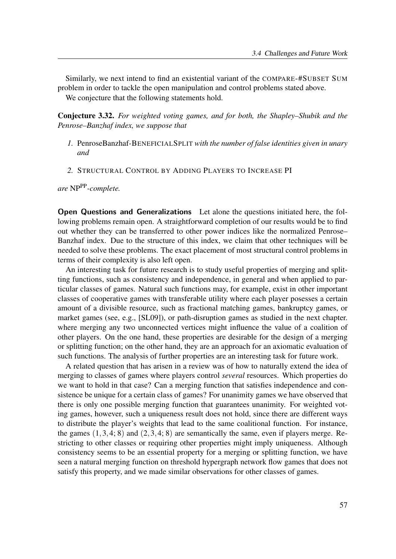Similarly, we next intend to find an existential variant of the COMPARE-#SUBSET SUM problem in order to tackle the open manipulation and control problems stated above. We conjecture that the following statements hold.

Conjecture 3.32. For weighted voting games, and for both, the Shapley–Shubik and the Penrose–Banzhaf index, we suppose that

- 1. PenroseBanzhaf-BENEFICIALSPLIT with the number of false identities given in unary and
- 2. STRUCTURAL CONTROL BY ADDING PLAYERS TO INCREASE PI

are NPPP-complete.

Open Questions and Generalizations Let alone the questions initiated here, the following problems remain open. A straightforward completion of our results would be to find out whether they can be transferred to other power indices like the normalized Penrose– Banzhaf index. Due to the structure of this index, we claim that other techniques will be needed to solve these problems. The exact placement of most structural control problems in terms of their complexity is also left open.

An interesting task for future research is to study useful properties of merging and splitting functions, such as consistency and independence, in general and when applied to particular classes of games. Natural such functions may, for example, exist in other important classes of cooperative games with transferable utility where each player posesses a certain amount of a divisible resource, such as fractional matching games, bankruptcy games, or market games (see, e.g., [SL09]), or path-disruption games as studied in the next chapter. where merging any two unconnected vertices might influence the value of a coalition of other players. On the one hand, these properties are desirable for the design of a merging or splitting function; on the other hand, they are an approach for an axiomatic evaluation of such functions. The analysis of further properties are an interesting task for future work.

A related question that has arisen in a review was of how to naturally extend the idea of merging to classes of games where players control several resources. Which properties do we want to hold in that case? Can a merging function that satisfies independence and consistence be unique for a certain class of games? For unanimity games we have observed that there is only one possible merging function that guarantees unanimity. For weighted voting games, however, such a uniqueness result does not hold, since there are different ways to distribute the player's weights that lead to the same coalitional function. For instance, the games  $(1,3,4; 8)$  and  $(2,3,4; 8)$  are semantically the same, even if players merge. Restricting to other classes or requiring other properties might imply uniqueness. Although consistency seems to be an essential property for a merging or splitting function, we have seen a natural merging function on threshold hypergraph network flow games that does not satisfy this property, and we made similar observations for other classes of games.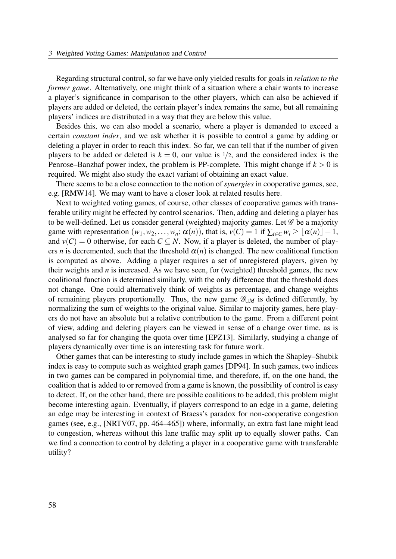Regarding structural control, so far we have only yielded results for goals in relation to the former game. Alternatively, one might think of a situation where a chair wants to increase a player's significance in comparison to the other players, which can also be achieved if players are added or deleted, the certain player's index remains the same, but all remaining players' indices are distributed in a way that they are below this value.

Besides this, we can also model a scenario, where a player is demanded to exceed a certain constant index, and we ask whether it is possible to control a game by adding or deleting a player in order to reach this index. So far, we can tell that if the number of given players to be added or deleted is  $k = 0$ , our value is  $1/2$ , and the considered index is the Penrose–Banzhaf power index, the problem is PP-complete. This might change if  $k > 0$  is required. We might also study the exact variant of obtaining an exact value.

There seems to be a close connection to the notion of *synergies* in cooperative games, see, e.g. [RMW14]. We may want to have a closer look at related results here.

Next to weighted voting games, of course, other classes of cooperative games with transferable utility might be effected by control scenarios. Then, adding and deleting a player has to be well-defined. Let us consider general (weighted) majority games. Let  $\mathscr G$  be a majority game with representation  $(w_1, w_2,..., w_n; \alpha(n))$ , that is,  $v(C) = 1$  if  $\sum_{i \in C} w_i \geq |\alpha(n)| + 1$ , and  $v(C) = 0$  otherwise, for each  $C \subseteq N$ . Now, if a player is deleted, the number of players *n* is decremented, such that the threshold  $\alpha(n)$  is changed. The new coalitional function is computed as above. Adding a player requires a set of unregistered players, given by their weights and  $n$  is increased. As we have seen, for (weighted) threshold games, the new coalitional function is determined similarly, with the only difference that the threshold does not change. One could alternatively think of weights as percentage, and change weights of remaining players proportionally. Thus, the new game  $\mathscr{G}_{\cup M}$  is defined differently, by normalizing the sum of weights to the original value. Similar to majority games, here players do not have an absolute but a relative contribution to the game. From a different point of view, adding and deleting players can be viewed in sense of a change over time, as is analysed so far for changing the quota over time [EPZ13]. Similarly, studying a change of players dynamically over time is an interesting task for future work.

Other games that can be interesting to study include games in which the Shapley–Shubik index is easy to compute such as weighted graph games [DP94]. In such games, two indices in two games can be compared in polynomial time, and therefore, if, on the one hand, the coalition that is added to or removed from a game is known, the possibility of control is easy to detect. If, on the other hand, there are possible coalitions to be added, this problem might become interesting again. Eventually, if players correspond to an edge in a game, deleting an edge may be interesting in context of Braess's paradox for non-cooperative congestion games (see, e.g., [NRTV07, pp. 464–465]) where, informally, an extra fast lane might lead to congestion, whereas without this lane traffic may split up to equally slower paths. Can we find a connection to control by deleting a player in a cooperative game with transferable utility?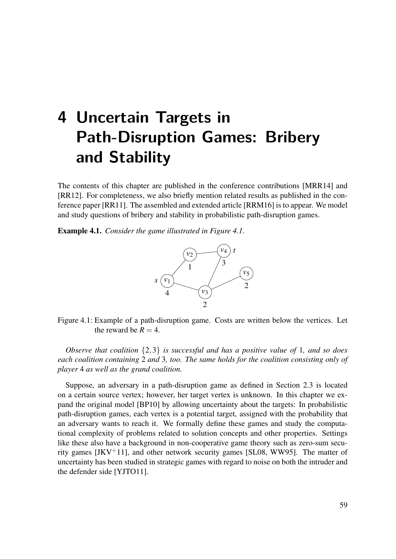# 4 Uncertain Targets in Path-Disruption Games: Bribery and Stability

The contents of this chapter are published in the conference contributions [MRR14] and [RR12]. For completeness, we also briefly mention related results as published in the conference paper [RR11]. The assembled and extended article [RRM16] is to appear. We model and study questions of bribery and stability in probabilistic path-disruption games.

Example 4.1. Consider the game illustrated in Figure 4.1.



Figure 4.1: Example of a path-disruption game. Costs are written below the vertices. Let the reward be  $R = 4$ .

Observe that coalition  $\{2,3\}$  is successful and has a positive value of 1, and so does each coalition containing 2 and 3, too. The same holds for the coalition consisting only of player 4 as well as the grand coalition.

Suppose, an adversary in a path-disruption game as defined in Section 2.3 is located on a certain source vertex; however, her target vertex is unknown. In this chapter we expand the original model [BP10] by allowing uncertainty about the targets: In probabilistic path-disruption games, each vertex is a potential target, assigned with the probability that an adversary wants to reach it. We formally define these games and study the computational complexity of problems related to solution concepts and other properties. Settings like these also have a background in non-cooperative game theory such as zero-sum security games  $[JKV^+11]$ , and other network security games [SL08, WW95]. The matter of uncertainty has been studied in strategic games with regard to noise on both the intruder and the defender side [YJTO11].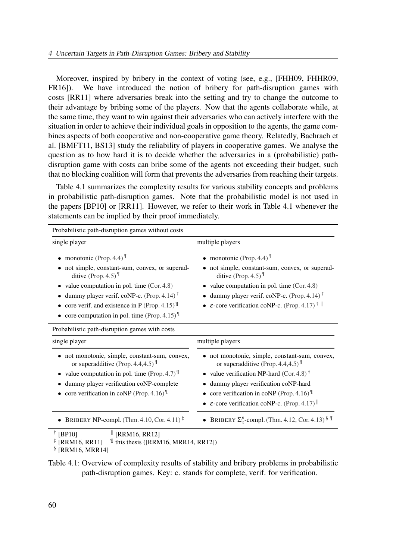Moreover, inspired by bribery in the context of voting (see, e.g., [FHH09, FHHR09, FR16]). We have introduced the notion of bribery for path-disruption games with costs [RR11] where adversaries break into the setting and try to change the outcome to their advantage by bribing some of the players. Now that the agents collaborate while, at the same time, they want to win against their adversaries who can actively interfere with the situation in order to achieve their individual goals in opposition to the agents, the game combines aspects of both cooperative and non-cooperative game theory. Relatedly, Bachrach et al. [BMFT11, BS13] study the reliability of players in cooperative games. We analyse the question as to how hard it is to decide whether the adversaries in a (probabilistic) pathdisruption game with costs can bribe some of the agents not exceeding their budget, such that no blocking coalition will form that prevents the adversaries from reaching their targets.

Table 4.1 summarizes the complexity results for various stability concepts and problems in probabilistic path-disruption games. Note that the probabilistic model is not used in the papers [BP10] or [RR11]. However, we refer to their work in Table 4.1 whenever the statements can be implied by their proof immediately.

| Probabilistic path-disruption games without costs                                                                                                                                                                                                                                                 |                                                                                                                                                                                                                                                                                                                          |
|---------------------------------------------------------------------------------------------------------------------------------------------------------------------------------------------------------------------------------------------------------------------------------------------------|--------------------------------------------------------------------------------------------------------------------------------------------------------------------------------------------------------------------------------------------------------------------------------------------------------------------------|
| single player                                                                                                                                                                                                                                                                                     | multiple players                                                                                                                                                                                                                                                                                                         |
| • monotonic (Prop. 4.4) $\mathbb{I}$<br>not simple, constant-sum, convex, or superad-<br>ditive (Prop. 4.5) $\mathbb{I}$<br>• value computation in pol. time $(Cor. 4.8)$<br>dummy player verif. coNP-c. (Prop. 4.14) <sup>†</sup><br>core verif. and existence in P (Prop. 4.15) $^{\mathbb{T}}$ | • monotonic (Prop. 4.4) $\mathbb{I}$<br>not simple, constant-sum, convex, or superad-<br>ditive (Prop. 4.5) $\mathbb{I}$<br>• value computation in pol. time $(Cor. 4.8)$<br>• dummy player verif. coNP-c. (Prop. 4.14) <sup>†</sup><br>• $\varepsilon$ -core verification coNP-c. (Prop. 4.17) <sup>†</sup>             |
| • core computation in pol. time (Prop. 4.15) $^{\mathbb{T}}$<br>Probabilistic path-disruption games with costs                                                                                                                                                                                    |                                                                                                                                                                                                                                                                                                                          |
| single player                                                                                                                                                                                                                                                                                     | multiple players                                                                                                                                                                                                                                                                                                         |
| not monotonic, simple, constant-sum, convex,<br>or superadditive (Prop. 4.4,4.5) $^{\mathbb{T}}$<br>value computation in pol. time (Prop. 4.7) $\mathbb{I}$<br>dummy player verification coNP-complete<br>core verification in coNP (Prop. 4.16)                                                  | • not monotonic, simple, constant-sum, convex,<br>or superadditive (Prop. 4.4,4.5) $^{\mathbb{T}}$<br>• value verification NP-hard (Cor. 4.8) <sup>†</sup><br>dummy player verification coNP-hard<br>• core verification in coNP (Prop. 4.16) $^{\mathbb{T}}$<br>• $\varepsilon$ -core verification coNP-c. (Prop. 4.17) |
| • BRIBERY NP-compl. (Thm. 4.10, Cor. 4.11) <sup><math>\ddagger</math></sup><br>سيورد والمستور ال                                                                                                                                                                                                  | • BRIBERY $\Sigma_2^p$ -compl. (Thm. 4.12, Cor. 4.13) § 1                                                                                                                                                                                                                                                                |

† [BP10]  $\parallel$  [RRM16, RR12]

§ [RRM16, MRR14]

Table 4.1: Overview of complexity results of stability and bribery problems in probabilistic path-disruption games. Key: c. stands for complete, verif. for verification.

 $\text{\text{*}}$  [RRM16, RR11]  $\text{\text{I}}$  this thesis ([RRM16, MRR14, RR12])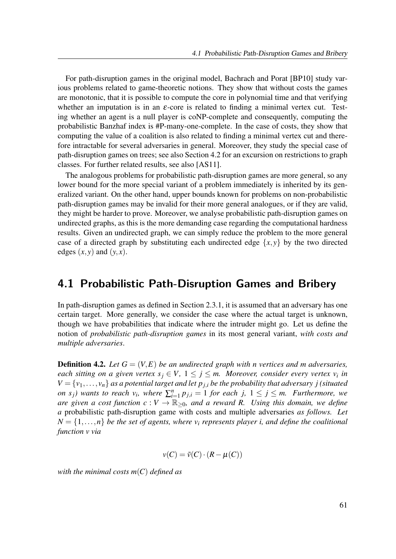For path-disruption games in the original model, Bachrach and Porat [BP10] study various problems related to game-theoretic notions. They show that without costs the games are monotonic, that it is possible to compute the core in polynomial time and that verifying whether an imputation is in an  $\varepsilon$ -core is related to finding a minimal vertex cut. Testing whether an agent is a null player is coNP-complete and consequently, computing the probabilistic Banzhaf index is #P-many-one-complete. In the case of costs, they show that computing the value of a coalition is also related to finding a minimal vertex cut and therefore intractable for several adversaries in general. Moreover, they study the special case of path-disruption games on trees; see also Section 4.2 for an excursion on restrictions to graph classes. For further related results, see also [AS11].

The analogous problems for probabilistic path-disruption games are more general, so any lower bound for the more special variant of a problem immediately is inherited by its generalized variant. On the other hand, upper bounds known for problems on non-probabilistic path-disruption games may be invalid for their more general analogues, or if they are valid, they might be harder to prove. Moreover, we analyse probabilistic path-disruption games on undirected graphs, as this is the more demanding case regarding the computational hardness results. Given an undirected graph, we can simply reduce the problem to the more general case of a directed graph by substituting each undirected edge  $\{x, y\}$  by the two directed edges  $(x, y)$  and  $(y, x)$ .

## 4.1 Probabilistic Path-Disruption Games and Bribery

In path-disruption games as defined in Section 2.3.1, it is assumed that an adversary has one certain target. More generally, we consider the case where the actual target is unknown, though we have probabilities that indicate where the intruder might go. Let us define the notion of *probabilistic path-disruption games* in its most general variant, with costs and multiple adversaries.

**Definition 4.2.** Let  $G = (V, E)$  be an undirected graph with n vertices and m adversaries, each sitting on a given vertex  $s_j \in V$ ,  $1 \leq j \leq m$ . Moreover, consider every vertex  $v_i$  in  $V = \{v_1, \ldots, v_n\}$  as a potential target and let  $p_{j,i}$  be the probability that adversary j (situated on  $s_j$ ) wants to reach  $v_i$ , where  $\sum_{i=1}^n p_{j,i} = 1$  for each j,  $1 \le j \le m$ . Furthermore, we are given a cost function  $c: V \to \mathbb{R}_{\geq 0}$ , and a reward R. Using this domain, we define a probabilistic path-disruption game with costs and multiple adversaries as follows. Let  $N = \{1, \ldots, n\}$  be the set of agents, where  $v_i$  represents player i, and define the coalitional function  $v$  via

$$
v(C) = \tilde{v}(C) \cdot (R - \mu(C))
$$

with the minimal costs  $m(C)$  defined as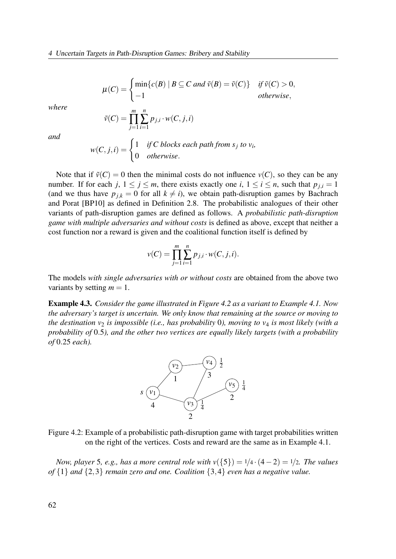$$
\mu(C) = \begin{cases} \min\{c(B) \mid B \subseteq C \text{ and } \tilde{v}(B) = \tilde{v}(C)\} & \text{if } \tilde{v}(C) > 0, \\ -1 & \text{otherwise,} \end{cases}
$$

where

$$
\tilde{\nu}(C) = \prod_{j=1}^{m} \sum_{i=1}^{n} p_{j,i} \cdot w(C, j, i)
$$

and

$$
w(C, j, i) = \begin{cases} 1 & \text{if } C \text{ blocks each path from } s_j \text{ to } v_i, \\ 0 & \text{otherwise.} \end{cases}
$$

Note that if  $\tilde{v}(C) = 0$  then the minimal costs do not influence  $v(C)$ , so they can be any number. If for each j,  $1 \le j \le m$ , there exists exactly one i,  $1 \le i \le n$ , such that  $p_{j,i} = 1$ (and we thus have  $p_{j,k} = 0$  for all  $k \neq i$ ), we obtain path-disruption games by Bachrach and Porat [BP10] as defined in Definition 2.8. The probabilistic analogues of their other variants of path-disruption games are defined as follows. A probabilistic path-disruption game with multiple adversaries and without costs is defined as above, except that neither a cost function nor a reward is given and the coalitional function itself is defined by

$$
v(C) = \prod_{j=1}^{m} \sum_{i=1}^{n} p_{j,i} \cdot w(C, j, i).
$$

The models with single adversaries with or without costs are obtained from the above two variants by setting  $m = 1$ .

Example 4.3. Consider the game illustrated in Figure 4.2 as a variant to Example 4.1. Now the adversary's target is uncertain. We only know that remaining at the source or moving to the destination  $v_2$  is impossible (i.e., has probability 0), moving to  $v_4$  is most likely (with a probability of 0.5), and the other two vertices are equally likely targets (with a probability of 0.25 each).



Figure 4.2: Example of a probabilistic path-disruption game with target probabilities written on the right of the vertices. Costs and reward are the same as in Example 4.1.

Now, player 5, e.g., has a more central role with  $v({5}) = 1/4 \cdot (4-2) = 1/2$ . The values of  $\{1\}$  and  $\{2,3\}$  remain zero and one. Coalition  $\{3,4\}$  even has a negative value.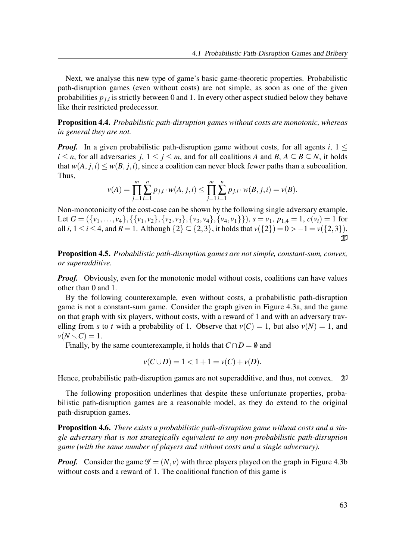Next, we analyse this new type of game's basic game-theoretic properties. Probabilistic path-disruption games (even without costs) are not simple, as soon as one of the given probabilities  $p_{j,i}$  is strictly between 0 and 1. In every other aspect studied below they behave like their restricted predecessor.

Proposition 4.4. Probabilistic path-disruption games without costs are monotonic, whereas in general they are not.

**Proof.** In a given probabilistic path-disruption game without costs, for all agents i,  $1 \leq$  $i \leq n$ , for all adversaries j,  $1 \leq j \leq m$ , and for all coalitions A and B,  $A \subseteq B \subseteq N$ , it holds that  $w(A, j,i) \leq w(B, j,i)$ , since a coalition can never block fewer paths than a subcoalition. Thus,

$$
\nu(A) = \prod_{j=1}^{m} \sum_{i=1}^{n} p_{j,i} \cdot w(A,j,i) \le \prod_{j=1}^{m} \sum_{i=1}^{n} p_{j,i} \cdot w(B,j,i) = \nu(B).
$$

Non-monotonicity of the cost-case can be shown by the following single adversary example. Let  $G = (\{v_1, \ldots, v_4\}, \{\{v_1, v_2\}, \{v_2, v_3\}, \{v_3, v_4\}, \{v_4, v_1\}\}), s = v_1, p_{1,4} = 1, c(v_i) = 1$  for all *i*,  $1 \le i \le 4$ , and  $R = 1$ . Although  $\{2\} \subseteq \{2,3\}$ , it holds that  $v(\{2\}) = 0 > -1 = v(\{2,3\})$ . �

Proposition 4.5. Probabilistic path-disruption games are not simple, constant-sum, convex, or superadditive.

*Proof.* Obviously, even for the monotonic model without costs, coalitions can have values other than 0 and 1.

By the following counterexample, even without costs, a probabilistic path-disruption game is not a constant-sum game. Consider the graph given in Figure 4.3a, and the game on that graph with six players, without costs, with a reward of 1 and with an adversary travelling from s to t with a probability of 1. Observe that  $v(C) = 1$ , but also  $v(N) = 1$ , and  $\nu(N \setminus C) = 1.$ 

Finally, by the same counterexample, it holds that  $C \cap D = \emptyset$  and

$$
v(C \cup D) = 1 < 1 + 1 = v(C) + v(D).
$$

Hence, probabilistic path-disruption games are not superadditive, and thus, not convex.

The following proposition underlines that despite these unfortunate properties, probabilistic path-disruption games are a reasonable model, as they do extend to the original path-disruption games.

**Proposition 4.6.** There exists a probabilistic path-disruption game without costs and a single adversary that is not strategically equivalent to any non-probabilistic path-disruption game (with the same number of players and without costs and a single adversary).

**Proof.** Consider the game  $\mathcal{G} = (N, v)$  with three players played on the graph in Figure 4.3b without costs and a reward of 1. The coalitional function of this game is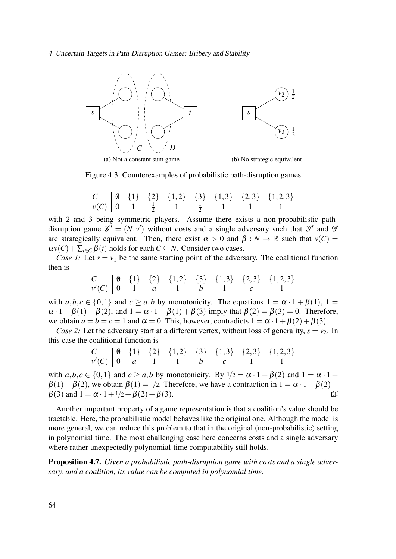

Figure 4.3: Counterexamples of probabilistic path-disruption games

$$
\begin{array}{c|cccccc}\nC & 0 & \{1\} & \{2\} & \{1,2\} & \{3\} & \{1,3\} & \{2,3\} & \{1,2,3\} \\
\nu(C) & 0 & 1 & \frac{1}{2} & 1 & \frac{1}{2} & 1 & 1 & 1\n\end{array}
$$

with 2 and 3 being symmetric players. Assume there exists a non-probabilistic pathdisruption game  $\mathscr{G}' = (N, v')$  without costs and a single adversary such that  $\mathscr{G}'$  and  $\mathscr{G}$ are strategically equivalent. Then, there exist  $\alpha > 0$  and  $\beta : N \to \mathbb{R}$  such that  $v(C) =$  $\alpha v(C) + \sum_{i \in C} \beta(i)$  holds for each  $C \subseteq N$ . Consider two cases.

Case 1: Let  $s = v_1$  be the same starting point of the adversary. The coalitional function then is

$$
\begin{array}{c|cccccc}\nC & 0 & \{1\} & \{2\} & \{1,2\} & \{3\} & \{1,3\} & \{2,3\} & \{1,2,3\} \\
V'(C) & 0 & 1 & a & 1 & b & 1 & c & 1\n\end{array}
$$

with  $a, b, c \in \{0, 1\}$  and  $c \ge a, b$  by monotonicity. The equations  $1 = \alpha \cdot 1 + \beta(1)$ ,  $1 =$  $\alpha \cdot 1 + \beta(1) + \beta(2)$ , and  $1 = \alpha \cdot 1 + \beta(1) + \beta(3)$  imply that  $\beta(2) = \beta(3) = 0$ . Therefore, we obtain  $a = b = c = 1$  and  $\alpha = 0$ . This, however, contradicts  $1 = \alpha \cdot 1 + \beta(2) + \beta(3)$ .

Case 2: Let the adversary start at a different vertex, without loss of generality,  $s = v<sub>2</sub>$ . In this case the coalitional function is

$$
\begin{array}{c|cccccc}\nC & 0 & \{1\} & \{2\} & \{1,2\} & \{3\} & \{1,3\} & \{2,3\} & \{1,2,3\} \\
\nu'(C) & 0 & a & 1 & 1 & b & c & 1 & 1\n\end{array}
$$

with  $a, b, c \in \{0, 1\}$  and  $c > a, b$  by monotonicity. By  $1/2 = \alpha \cdot 1 + \beta(2)$  and  $1 = \alpha \cdot 1 + \beta(2)$  $\beta(1) + \beta(2)$ , we obtain  $\beta(1) = 1/2$ . Therefore, we have a contraction in  $1 = \alpha \cdot 1 + \beta(2) + \beta(3)$  $\beta(3)$  and  $1 = \alpha \cdot 1 + 1/2 + \beta(2) + \beta(3)$ .

Another important property of a game representation is that a coalition's value should be tractable. Here, the probabilistic model behaves like the original one. Although the model is more general, we can reduce this problem to that in the original (non-probabilistic) setting in polynomial time. The most challenging case here concerns costs and a single adversary where rather unexpectedly polynomial-time computability still holds.

Proposition 4.7. Given a probabilistic path-disruption game with costs and a single adversary, and a coalition, its value can be computed in polynomial time.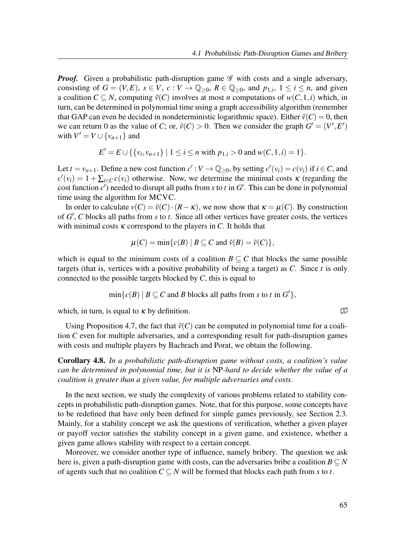**Proof.** Given a probabilistic path-disruption game  $\mathscr G$  with costs and a single adversary, consisting of  $G = (V, E)$ ,  $s \in V$ ,  $c: V \to \mathbb{Q}_{\geq 0}$ ,  $R \in \mathbb{Q}_{\geq 0}$ , and  $p_{1,i}$ ,  $1 \leq i \leq n$ , and given a coalition  $C \subseteq N$ , computing  $\tilde{v}(C)$  involves at most *n* computations of  $w(C,1,i)$  which, in turn, can be determined in polynomial time using a graph accessibility algorithm (remember that GAP can even be decided in nondeterministic logarithmic space). Either  $\tilde{v}(C) = 0$ , then we can return 0 as the value of C; or,  $\tilde{v}(C) > 0$ . Then we consider the graph  $G' = (V', E')$ with  $V' = V \cup \{v_{n+1}\}\$ and

$$
E' = E \cup \{ \{v_i, v_{n+1}\} \mid 1 \le i \le n \text{ with } p_{1,i} > 0 \text{ and } w(C, 1, i) = 1 \}.
$$

Let  $t = v_{n+1}$ . Define a new cost function  $c' : V \to \mathbb{Q}_{\geq 0}$ , by setting  $c'(v_i) = c(v_i)$  if  $i \in C$ , and  $c'(v_i) = 1 + \sum_{i \in C} c(v_i)$  otherwise. Now, we determine the minimal costs  $\kappa$  (regarding the cost function  $c'$ ) needed to disrupt all paths from s to t in  $G'$ . This can be done in polynomial time using the algorithm for MCVC.

In order to calculate  $v(C) = \tilde{v}(C) \cdot (R - \kappa)$ , we now show that  $\kappa = \mu(C)$ . By construction of  $G'$ , C blocks all paths from s to t. Since all other vertices have greater costs, the vertices with minimal costs  $\kappa$  correspond to the players in C. It holds that

$$
\mu(C) = \min \{c(B) \mid B \subseteq C \text{ and } \tilde{\nu}(B) = \tilde{\nu}(C) \},
$$

which is equal to the minimum costs of a coalition  $B \subseteq C$  that blocks the same possible targets (that is, vertices with a positive probability of being a target) as  $C$ . Since  $t$  is only connected to the possible targets blocked by  $C$ , this is equal to

$$
\min\{c(B) \mid B \subseteq C \text{ and } B \text{ blocks all paths from } s \text{ to } t \text{ in } G'\},
$$

which, in turn, is equal to  $\kappa$  by definition.  $\mathbb{D}$ 

Using Proposition 4.7, the fact that  $\tilde{v}(C)$  can be computed in polynomial time for a coalition C even for multiple adversaries, and a corresponding result for path-disruption games with costs and multiple players by Bachrach and Porat, we obtain the following.

Corollary 4.8. In a probabilistic path-disruption game without costs, a coalition's value can be determined in polynomial time, but it is NP-hard to decide whether the value of a coalition is greater than a given value, for multiple adversaries and costs.

In the next section, we study the complexity of various problems related to stability concepts in probabilistic path-disruption games. Note, that for this purpose, some concepts have to be redefined that have only been defined for simple games previously, see Section 2.3. Mainly, for a stability concept we ask the questions of verification, whether a given player or payoff vector satisfies the stability concept in a given game, and existence, whether a given game allows stability with respect to a certain concept.

Moreover, we consider another type of influence, namely bribery. The question we ask here is, given a path-disruption game with costs, can the adversaries bribe a coalition  $B \subseteq N$ of agents such that no coalition  $C \subseteq N$  will be formed that blocks each path from s to t.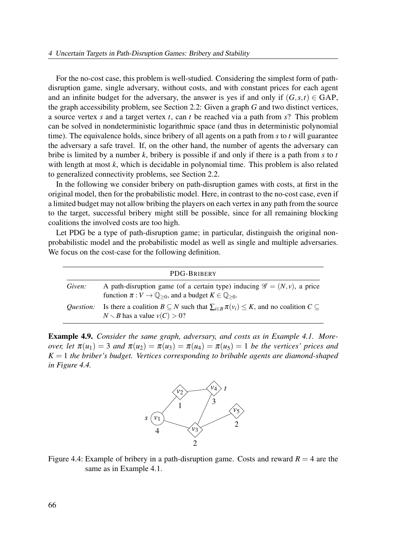For the no-cost case, this problem is well-studied. Considering the simplest form of pathdisruption game, single adversary, without costs, and with constant prices for each agent and an infinite budget for the adversary, the answer is yes if and only if  $(G, s, t) \in \text{GAP}$ , the graph accessibility problem, see Section 2.2: Given a graph G and two distinct vertices, a source vertex s and a target vertex t, can t be reached via a path from  $s$ ? This problem can be solved in nondeterministic logarithmic space (and thus in deterministic polynomial time). The equivalence holds, since bribery of all agents on a path from  $s$  to  $t$  will guarantee the adversary a safe travel. If, on the other hand, the number of agents the adversary can bribe is limited by a number  $k$ , bribery is possible if and only if there is a path from  $s$  to  $t$ with length at most  $k$ , which is decidable in polynomial time. This problem is also related to generalized connectivity problems, see Section 2.2.

In the following we consider bribery on path-disruption games with costs, at first in the original model, then for the probabilistic model. Here, in contrast to the no-cost case, even if a limited budget may not allow bribing the players on each vertex in any path from the source to the target, successful bribery might still be possible, since for all remaining blocking coalitions the involved costs are too high.

Let PDG be a type of path-disruption game; in particular, distinguish the original nonprobabilistic model and the probabilistic model as well as single and multiple adversaries. We focus on the cost-case for the following definition.

|                  | PDG-BRIBERY                                                                                                                                                                    |
|------------------|--------------------------------------------------------------------------------------------------------------------------------------------------------------------------------|
| Given:           | A path-disruption game (of a certain type) inducing $\mathscr{G} = (N, v)$ , a price<br>function $\pi: V \to \mathbb{Q}_{\geq 0}$ , and a budget $K \in \mathbb{Q}_{\geq 0}$ . |
| <i>Ouestion:</i> | Is there a coalition $B \subseteq N$ such that $\sum_{i \in B} \pi(v_i) \leq K$ , and no coalition $C \subseteq$<br>$N \setminus B$ has a value $v(C) > 0$ ?                   |

Example 4.9. Consider the same graph, adversary, and costs as in Example 4.1. Moreover, let  $\pi(u_1) = 3$  and  $\pi(u_2) = \pi(u_3) = \pi(u_4) = \pi(u_5) = 1$  be the vertices' prices and  $K = 1$  the briber's budget. Vertices corresponding to bribable agents are diamond-shaped in Figure 4.4.



Figure 4.4: Example of bribery in a path-disruption game. Costs and reward  $R = 4$  are the same as in Example 4.1.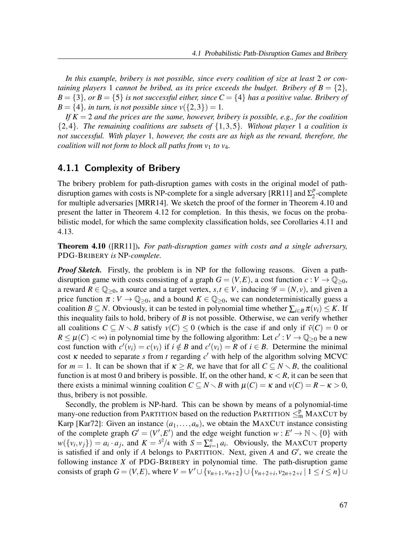In this example, bribery is not possible, since every coalition of size at least 2 or containing players 1 cannot be bribed, as its price exceeds the budget. Bribery of  $B = \{2\}$ ,  $B = \{3\}$ , or  $B = \{5\}$  is not successful either, since  $C = \{4\}$  has a positive value. Bribery of  $B = \{4\}$ , in turn, is not possible since  $v(\{2,3\}) = 1$ .

If  $K = 2$  and the prices are the same, however, bribery is possible, e.g., for the coalition  ${2,4}$ . The remaining coalitions are subsets of  ${1,3,5}$ . Without player 1 a coalition is not successful. With player 1, however, the costs are as high as the reward, therefore, the coalition will not form to block all paths from  $v_1$  to  $v_4$ .

### 4.1.1 Complexity of Bribery

The bribery problem for path-disruption games with costs in the original model of pathdisruption games with costs is NP-complete for a single adversary [RR11] and  $\Sigma_2^p$  $n_2^p$ -complete for multiple adversaries [MRR14]. We sketch the proof of the former in Theorem 4.10 and present the latter in Theorem 4.12 for completion. In this thesis, we focus on the probabilistic model, for which the same complexity classification holds, see Corollaries 4.11 and 4.13.

**Theorem 4.10** ([RR11]). For path-disruption games with costs and a single adversary, PDG-BRIBERY is NP-complete.

**Proof Sketch.** Firstly, the problem is in NP for the following reasons. Given a pathdisruption game with costs consisting of a graph  $G = (V, E)$ , a cost function  $c : V \to \mathbb{Q}_{\geq 0}$ , a reward  $R \in \mathbb{Q}_{\geq 0}$ , a source and a target vertex,  $s, t \in V$ , inducing  $\mathscr{G} = (N, v)$ , and given a price function  $\pi : V \to \mathbb{Q}_{\geq 0}$ , and a bound  $K \in \mathbb{Q}_{\geq 0}$ , we can nondeterministically guess a coalition  $B \subseteq N$ . Obviously, it can be tested in polynomial time whether  $\sum_{i \in B} \pi(v_i) \leq K$ . If this inequality fails to hold, bribery of  $B$  is not possible. Otherwise, we can verify whether all coalitions  $C \subseteq N \setminus B$  satisfy  $v(C) \leq 0$  (which is the case if and only if  $\tilde{v}(C) = 0$  or  $R \leq \mu(C) < \infty$ ) in polynomial time by the following algorithm: Let  $c': V \to \mathbb{Q}_{\geq 0}$  be a new cost function with  $c'(v_i) = c(v_i)$  if  $i \notin B$  and  $c'(v_i) = R$  of  $i \in B$ . Determine the minimal cost  $\kappa$  needed to separate s from t regarding  $c'$  with help of the algorithm solving MCVC for  $m = 1$ . It can be shown that if  $\kappa \ge R$ , we have that for all  $C \subseteq N \setminus B$ , the coalitional function is at most 0 and bribery is possible. If, on the other hand,  $\kappa < R$ , it can be seen that there exists a minimal winning coalition  $C \subseteq N \setminus B$  with  $\mu(C) = \kappa$  and  $\nu(C) = R - \kappa > 0$ , thus, bribery is not possible.

Secondly, the problem is NP-hard. This can be shown by means of a polynomial-time many-one reduction from PARTITION based on the reduction PARTITION  $\leq^p_m$  MAXCUT by Karp [Kar72]: Given an instance  $(a_1, \ldots, a_n)$ , we obtain the MAXCUT instance consisting of the complete graph  $G' = (V', E')$  and the edge weight function  $w : E' \to \mathbb{N} \setminus \{0\}$  with  $w(\{v_i, v_j\}) = a_i \cdot a_j$ , and  $K = s^2/4$  with  $S = \sum_{i=1}^n a_i$ . Obviously, the MAXCUT property is satisfied if and only if A belongs to PARTITION. Next, given A and  $G'$ , we create the following instance  $X$  of PDG-BRIBERY in polynomial time. The path-disruption game consists of graph  $G = (V, E)$ , where  $V = V' \cup \{v_{n+1}, v_{n+2}\} \cup \{v_{n+2+i}, v_{2n+2+i} \mid 1 \le i \le n\}$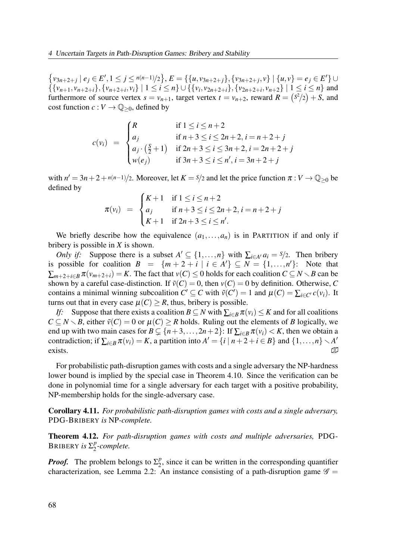$\{v_{3n+2+j} \mid e_j \in E', 1 \le j \le n(n-1)/2\}, E = \{\{u, v_{3n+2+j}\}, \{v_{3n+2+j}, v\} \mid \{u, v\} = e_j \in E'\} \cup$  $\{\{v_{n+1}, v_{n+2+i}\}, \{v_{n+2+i}, v_i\} \mid 1 \le i \le n\} \cup \{\{v_i, v_{2n+2+i}\}, \{v_{2n+2+i}, v_{n+2}\} \mid 1 \le i \le n\}$  and furthermore of source vertex  $s = v_{n+1}$ , target vertex  $t = v_{n+2}$ , reward  $R = \left(\frac{s^2}{2}\right) + S$ , and cost function  $c : V \to \mathbb{Q}_{\geq 0}$ , defined by

$$
c(v_i) = \begin{cases} R & \text{if } 1 \le i \le n+2 \\ a_j & \text{if } n+3 \le i \le 2n+2, i = n+2+j \\ a_j \cdot (\frac{5}{2}+1) & \text{if } 2n+3 \le i \le 3n+2, i = 2n+2+j \\ w(e_j) & \text{if } 3n+3 \le i \le n', i = 3n+2+j \end{cases}
$$

with  $n' = 3n + 2 + n(n-1)/2$ . Moreover, let  $K = s/2$  and let the price function  $\pi : V \to \mathbb{Q}_{\geq 0}$  be defined by

$$
\pi(v_i) = \begin{cases} K+1 & \text{if } 1 \le i \le n+2 \\ a_j & \text{if } n+3 \le i \le 2n+2, i = n+2+j \\ K+1 & \text{if } 2n+3 \le i \le n' . \end{cases}
$$

We briefly describe how the equivalence  $(a_1,...,a_n)$  is in PARTITION if and only if bribery is possible in  $X$  is shown.

*Only if:* Suppose there is a subset  $A' \subseteq \{1, ..., n\}$  with  $\sum_{i \in A'} a_i = s/2$ . Then bribery is possible for coalition  $B = \{m+2+i \mid i \in A'\} \subseteq N = \{1,...,n'\}$ : Note that  $\sum_{m+2+i\in B} \pi(v_{m+2+i}) = K$ . The fact that  $v(C) \le 0$  holds for each coalition  $C \subseteq N \setminus B$  can be shown by a careful case-distinction. If  $\tilde{v}(C) = 0$ , then  $v(C) = 0$  by definition. Otherwise, C contains a minimal winning subcoalition  $C' \subseteq C$  with  $\tilde{v}(C') = 1$  and  $\mu(C) = \sum_{i \in C'} c(v_i)$ . It turns out that in every case  $\mu(C) > R$ , thus, bribery is possible.

If: Suppose that there exists a coalition  $B \subseteq N$  with  $\sum_{i \in B} \pi(v_i) \leq K$  and for all coalitions  $C \subseteq N \setminus B$ , either  $\tilde{v}(C) = 0$  or  $\mu(C) \ge R$  holds. Ruling out the elements of B logically, we end up with two main cases for  $B \subsetneq \{n+3,\ldots,2n+2\}$ : If  $\sum_{i\in B}\pi(v_i) < K$ , then we obtain a contradiction; if  $\sum_{i \in B} \pi(v_i) = K$ , a partition into  $A' = \{i \mid n+2+i \in B\}$  and  $\{1, \ldots, n\} \setminus A'$ exists. �

For probabilistic path-disruption games with costs and a single adversary the NP-hardness lower bound is implied by the special case in Theorem 4.10. Since the verification can be done in polynomial time for a single adversary for each target with a positive probability, NP-membership holds for the single-adversary case.

Corollary 4.11. For probabilistic path-disruption games with costs and a single adversary, PDG-BRIBERY is NP-complete.

Theorem 4.12. For path-disruption games with costs and multiple adversaries, PDG-BRIBERY is  $\Sigma_2^p$  $n_2^p$ -complete.

**Proof.** The problem belongs to  $\Sigma_2^p$  $2<sup>p</sup>$ , since it can be written in the corresponding quantifier characterization, see Lemma 2.2: An instance consisting of a path-disruption game  $\mathscr{G}$  =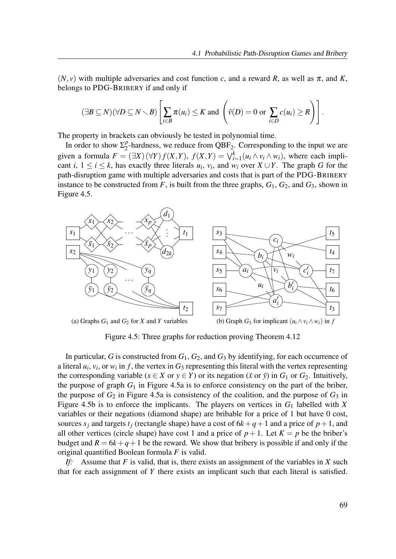$(N, v)$  with multiple adversaries and cost function c, and a reward R, as well as  $\pi$ , and K, belongs to PDG-BRIBERY if and only if

$$
(\exists B \subseteq N)(\forall D \subseteq N \setminus B) \left[ \sum_{i \in B} \pi(u_i) \leq K \text{ and } \left( \tilde{\nu}(D) = 0 \text{ or } \sum_{i \in D} c(u_i) \geq R \right) \right].
$$

The property in brackets can obviously be tested in polynomial time.

In order to show  $\Sigma_2^p$  $^{p}_{2}$ -hardness, we reduce from QBF<sub>2</sub>. Corresponding to the input we are given a formula  $F = (\exists X)(\forall Y) f(X,Y)$ ,  $f(X,Y) = \bigvee_{i=1}^{k} (u_i \wedge v_i \wedge w_i)$ , where each implicant *i*,  $1 \le i \le k$ , has exactly three literals  $u_i$ ,  $v_i$ , and  $w_i$  over  $X \cup Y$ . The graph G for the path-disruption game with multiple adversaries and costs that is part of the PDG-BRIBERY instance to be constructed from F, is built from the three graphs,  $G_1$ ,  $G_2$ , and  $G_3$ , shown in Figure 4.5.



Figure 4.5: Three graphs for reduction proving Theorem 4.12

In particular, G is constructed from  $G_1$ ,  $G_2$ , and  $G_3$  by identifying, for each occurrence of a literal  $u_i$ ,  $v_i$ , or  $w_i$  in f, the vertex in  $G_3$  representing this literal with the vertex representing the corresponding variable ( $x \in X$  or  $y \in Y$ ) or its negation ( $\bar{x}$  or  $\bar{y}$ ) in  $G_1$  or  $G_2$ . Intuitively, the purpose of graph  $G_1$  in Figure 4.5a is to enforce consistency on the part of the briber, the purpose of  $G_2$  in Figure 4.5a is consistency of the coalition, and the purpose of  $G_3$  in Figure 4.5b is to enforce the implicants. The players on vertices in  $G_1$  labelled with X variables or their negations (diamond shape) are bribable for a price of 1 but have 0 cost, sources  $s_j$  and targets  $t_j$  (rectangle shape) have a cost of  $6k+q+1$  and a price of  $p+1$ , and all other vertices (circle shape) have cost 1 and a price of  $p+1$ . Let  $K = p$  be the briber's budget and  $R = 6k+q+1$  be the reward. We show that bribery is possible if and only if the original quantified Boolean formula  $F$  is valid.

If: Assume that F is valid, that is, there exists an assignment of the variables in X such that for each assignment of Y there exists an implicant such that each literal is satisfied.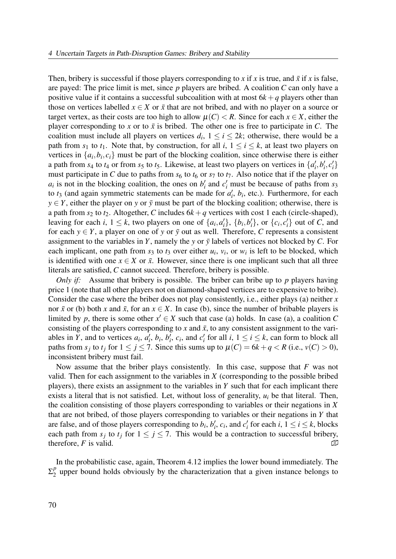Then, bribery is successful if those players corresponding to x if x is true, and  $\bar{x}$  if x is false, are payed: The price limit is met, since  $p$  players are bribed. A coalition  $C$  can only have a positive value if it contains a successful subcoalition with at most  $6k + q$  players other than those on vertices labelled  $x \in X$  or  $\bar{x}$  that are not bribed, and with no player on a source or target vertex, as their costs are too high to allow  $\mu(C) < R$ . Since for each  $x \in X$ , either the player corresponding to x or to  $\bar{x}$  is bribed. The other one is free to participate in C. The coalition must include all players on vertices  $d_i$ ,  $1 \le i \le 2k$ ; otherwise, there would be a path from  $s_1$  to  $t_1$ . Note that, by construction, for all  $i, 1 \le i \le k$ , at least two players on vertices in  $\{a_i, b_i, c_i\}$  must be part of the blocking coalition, since otherwise there is either a path from  $s_4$  to  $t_4$  or from  $s_5$  to  $t_5$ . Likewise, at least two players on vertices in  $\{a'_i, b'_i, c'_i\}$ must participate in C due to paths from  $s_6$  to  $t_6$  or  $s_7$  to  $t_7$ . Also notice that if the player on  $a_i$  is not in the blocking coalition, the ones on  $b'_i$  and  $c'_i$  must be because of paths from  $s_3$ to  $t_3$  (and again symmetric statements can be made for  $a'_i$ ,  $b_i$ , etc.). Furthermore, for each  $y \in Y$ , either the player on y or  $\bar{y}$  must be part of the blocking coalition; otherwise, there is a path from  $s_2$  to  $t_2$ . Altogether, C includes  $6k+q$  vertices with cost 1 each (circle-shaped), leaving for each i,  $1 \leq k$ , two players on one of  $\{a_i, a'_i\}$ ,  $\{b_i, b'_i\}$ , or  $\{c_i, c'_i\}$  out of C, and for each  $y \in Y$ , a player on one of y or  $\bar{y}$  out as well. Therefore, C represents a consistent assignment to the variables in Y, namely the y or  $\bar{y}$  labels of vertices not blocked by C. For each implicant, one path from  $s_3$  to  $t_3$  over either  $u_i$ ,  $v_i$ , or  $w_i$  is left to be blocked, which is identified with one  $x \in X$  or  $\bar{x}$ . However, since there is one implicant such that all three literals are satisfied, C cannot succeed. Therefore, bribery is possible.

Only if: Assume that bribery is possible. The briber can bribe up to  $p$  players having price 1 (note that all other players not on diamond-shaped vertices are to expensive to bribe). Consider the case where the briber does not play consistently, i.e., either plays (a) neither  $x$ nor  $\bar{x}$  or (b) both x and  $\bar{x}$ , for an  $x \in X$ . In case (b), since the number of bribable players is limited by p, there is some other  $x' \in X$  such that case (a) holds. In case (a), a coalition C consisting of the players corresponding to x and  $\bar{x}$ , to any consistent assignment to the variables in Y, and to vertices  $a_i$ ,  $a'_i$ ,  $b_i$ ,  $b'_i$ ,  $c_i$ , and  $c'_i$  for all  $i, 1 \le i \le k$ , can form to block all paths from  $s_j$  to  $t_j$  for  $1 \le j \le 7$ . Since this sums up to  $\mu(C) = 6k + q < R$  (i.e.,  $\nu(C) > 0$ ), inconsistent bribery must fail.

Now assume that the briber plays consistently. In this case, suppose that  $F$  was not valid. Then for each assignment to the variables in  $X$  (corresponding to the possible bribed players), there exists an assignment to the variables in  $Y$  such that for each implicant there exists a literal that is not satisfied. Let, without loss of generality,  $u_i$  be that literal. Then, the coalition consisting of those players corresponding to variables or their negations in  $X$ that are not bribed, of those players corresponding to variables or their negations in  $Y$  that are false, and of those players corresponding to  $b_i$ ,  $b'_i$ ,  $c_i$ , and  $c'_i$  for each  $i$ ,  $1 \le i \le k$ , blocks each path from  $s_j$  to  $t_j$  for  $1 \leq j \leq 7$ . This would be a contraction to successful bribery, therefore, F is valid.  $\mathbb{D}$ 

In the probabilistic case, again, Theorem 4.12 implies the lower bound immediately. The  $\Sigma^p_2$  $2<sup>p</sup>$  upper bound holds obviously by the characterization that a given instance belongs to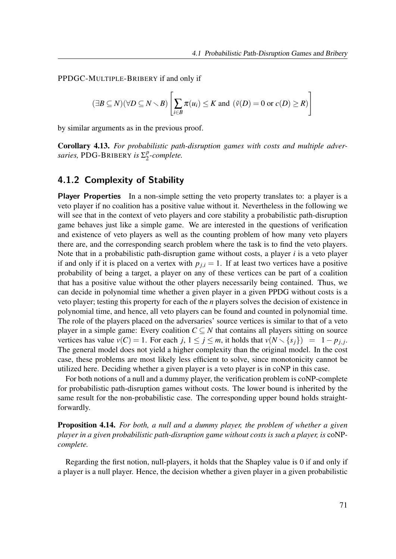PPDGC-MULTIPLE-BRIBERY if and only if

$$
(\exists B \subseteq N)(\forall D \subseteq N \setminus B) \left[ \sum_{i \in B} \pi(u_i) \le K \text{ and } (\tilde{\nu}(D) = 0 \text{ or } c(D) \ge R) \right]
$$

by similar arguments as in the previous proof.

Corollary 4.13. For probabilistic path-disruption games with costs and multiple adversaries, PDG-BRIBERY is  $\Sigma_2^p$  $n/2$ -complete.

### 4.1.2 Complexity of Stability

Player Properties In a non-simple setting the veto property translates to: a player is a veto player if no coalition has a positive value without it. Nevertheless in the following we will see that in the context of veto players and core stability a probabilistic path-disruption game behaves just like a simple game. We are interested in the questions of verification and existence of veto players as well as the counting problem of how many veto players there are, and the corresponding search problem where the task is to find the veto players. Note that in a probabilistic path-disruption game without costs, a player  $i$  is a veto player if and only if it is placed on a vertex with  $p_{i,i} = 1$ . If at least two vertices have a positive probability of being a target, a player on any of these vertices can be part of a coalition that has a positive value without the other players necessarily being contained. Thus, we can decide in polynomial time whether a given player in a given PPDG without costs is a veto player; testing this property for each of the  $n$  players solves the decision of existence in polynomial time, and hence, all veto players can be found and counted in polynomial time. The role of the players placed on the adversaries' source vertices is similar to that of a veto player in a simple game: Every coalition  $C \subseteq N$  that contains all players sitting on source vertices has value  $v(C) = 1$ . For each j,  $1 \le j \le m$ , it holds that  $v(N \setminus \{s_j\}) = 1 - p_{j,j}$ . The general model does not yield a higher complexity than the original model. In the cost case, these problems are most likely less efficient to solve, since monotonicity cannot be utilized here. Deciding whether a given player is a veto player is in coNP in this case.

For both notions of a null and a dummy player, the verification problem is coNP-complete for probabilistic path-disruption games without costs. The lower bound is inherited by the same result for the non-probabilistic case. The corresponding upper bound holds straightforwardly.

**Proposition 4.14.** For both, a null and a dummy player, the problem of whether a given player in a given probabilistic path-disruption game without costs is such a player, is coNPcomplete.

Regarding the first notion, null-players, it holds that the Shapley value is 0 if and only if a player is a null player. Hence, the decision whether a given player in a given probabilistic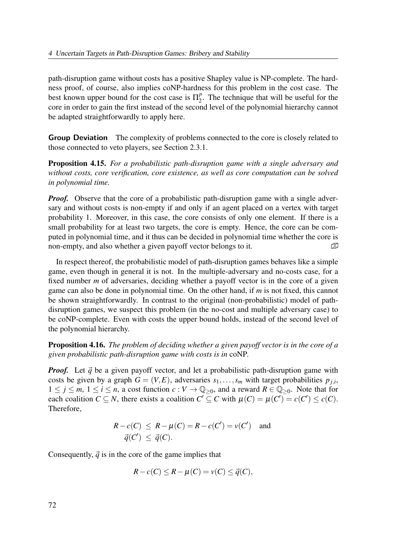path-disruption game without costs has a positive Shapley value is NP-complete. The hardness proof, of course, also implies coNP-hardness for this problem in the cost case. The best known upper bound for the cost case is  $\Pi_2^p$  $2^p$ . The technique that will be useful for the core in order to gain the first instead of the second level of the polynomial hierarchy cannot be adapted straightforwardly to apply here.

Group Deviation The complexity of problems connected to the core is closely related to those connected to veto players, see Section 2.3.1.

Proposition 4.15. For a probabilistic path-disruption game with a single adversary and without costs, core verification, core existence, as well as core computation can be solved in polynomial time.

**Proof.** Observe that the core of a probabilistic path-disruption game with a single adversary and without costs is non-empty if and only if an agent placed on a vertex with target probability 1. Moreover, in this case, the core consists of only one element. If there is a small probability for at least two targets, the core is empty. Hence, the core can be computed in polynomial time, and it thus can be decided in polynomial time whether the core is non-empty, and also whether a given payoff vector belongs to it.

In respect thereof, the probabilistic model of path-disruption games behaves like a simple game, even though in general it is not. In the multiple-adversary and no-costs case, for a fixed number  $m$  of adversaries, deciding whether a payoff vector is in the core of a given game can also be done in polynomial time. On the other hand, if  $m$  is not fixed, this cannot be shown straightforwardly. In contrast to the original (non-probabilistic) model of pathdisruption games, we suspect this problem (in the no-cost and multiple adversary case) to be coNP-complete. Even with costs the upper bound holds, instead of the second level of the polynomial hierarchy.

**Proposition 4.16.** The problem of deciding whether a given payoff vector is in the core of a given probabilistic path-disruption game with costs is in coNP.

**Proof.** Let  $\vec{q}$  be a given payoff vector, and let a probabilistic path-disruption game with costs be given by a graph  $G = (V, E)$ , adversaries  $s_1, \ldots, s_m$  with target probabilities  $p_{j,i}$ ,  $1 \le j \le m$ ,  $1 \le i \le n$ , a cost function  $c: V \to \mathbb{Q}_{\ge 0}$ , and a reward  $R \in \mathbb{Q}_{\ge 0}$ . Note that for each coalition  $C \subseteq N$ , there exists a coalition  $C' \subseteq C$  with  $\mu(C) = \mu(C') = c(C') \leq c(C)$ . Therefore,

$$
R - c(C) \le R - \mu(C) = R - c(C') = \nu(C')
$$
 and  

$$
\vec{q}(C') \le \vec{q}(C).
$$

Consequently,  $\vec{q}$  is in the core of the game implies that

$$
R - c(C) \le R - \mu(C) = \nu(C) \le \vec{q}(C),
$$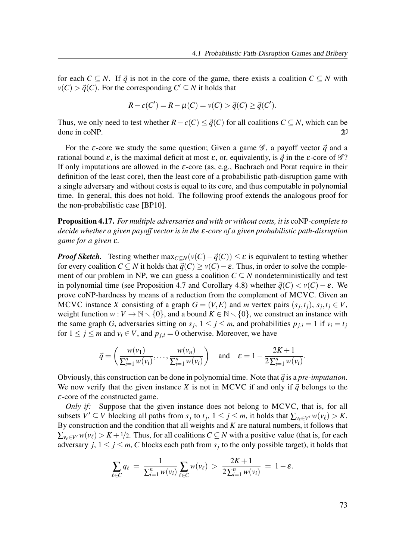for each  $C \subseteq N$ . If  $\vec{q}$  is not in the core of the game, there exists a coalition  $C \subseteq N$  with  $v(C) > \vec{q}(C)$ . For the corresponding  $C' \subseteq N$  it holds that

$$
R - c(C') = R - \mu(C) = \nu(C) > \vec{q}(C) \ge \vec{q}(C').
$$

Thus, we only need to test whether  $R - c(C) \le \vec{q}(C)$  for all coalitions  $C \subseteq N$ , which can be done in coNP.  $\Box$ 

For the  $\varepsilon$ -core we study the same question; Given a game  $\mathscr{G}$ , a payoff vector  $\vec{q}$  and a rational bound  $\varepsilon$ , is the maximal deficit at most  $\varepsilon$ , or, equivalently, is  $\vec{q}$  in the  $\varepsilon$ -core of  $\mathscr{G}$ ? If only imputations are allowed in the  $\varepsilon$ -core (as, e.g., Bachrach and Porat require in their definition of the least core), then the least core of a probabilistic path-disruption game with a single adversary and without costs is equal to its core, and thus computable in polynomial time. In general, this does not hold. The following proof extends the analogous proof for the non-probabilistic case [BP10].

Proposition 4.17. For multiple adversaries and with or without costs, it is coNP-complete to decide whether a given payoff vector is in the  $\varepsilon$ -core of a given probabilistic path-disruption game for a given ε.

**Proof Sketch.** Testing whether  $\max_{C \subseteq N} (v(C) - \vec{q}(C)) \le \varepsilon$  is equivalent to testing whether for every coalition  $C \subseteq N$  it holds that  $\vec{q}(C) \ge v(C) - \varepsilon$ . Thus, in order to solve the complement of our problem in NP, we can guess a coalition  $C \subseteq N$  nondeterministically and test in polynomial time (see Proposition 4.7 and Corollary 4.8) whether  $\vec{q}(C) < v(C) - \varepsilon$ . We prove coNP-hardness by means of a reduction from the complement of MCVC. Given an MCVC instance X consisting of a graph  $G = (V, E)$  and m vertex pairs  $(s_j, t_j)$ ,  $s_j, t_j \in V$ , weight function  $w: V \to \mathbb{N} \setminus \{0\}$ , and a bound  $K \in \mathbb{N} \setminus \{0\}$ , we construct an instance with the same graph G, adversaries sitting on  $s_j$ ,  $1 \le j \le m$ , and probabilities  $p_{j,i} = 1$  if  $v_i = t_j$ for  $1 \le j \le m$  and  $v_i \in V$ , and  $p_{i,i} = 0$  otherwise. Moreover, we have

$$
\vec{q} = \left(\frac{w(v_1)}{\sum_{i=1}^n w(v_i)}, \dots, \frac{w(v_n)}{\sum_{i=1}^n w(v_i)}\right) \text{ and } \varepsilon = 1 - \frac{2K + 1}{2\sum_{i=1}^n w(v_i)}.
$$

Obviously, this construction can be done in polynomial time. Note that  $\vec{q}$  is a pre-imputation. We now verify that the given instance X is not in MCVC if and only if  $\vec{q}$  belongs to the ε-core of the constructed game.

Only if: Suppose that the given instance does not belong to MCVC, that is, for all subsets  $V' \subseteq V$  blocking all paths from  $s_j$  to  $t_j$ ,  $1 \le j \le m$ , it holds that  $\sum_{v_\ell \in V'} w(v_\ell) > K$ . By construction and the condition that all weights and  $K$  are natural numbers, it follows that  $\sum_{v \in V'} w(v_\ell) > K + 1/2$ . Thus, for all coalitions  $C \subseteq N$  with a positive value (that is, for each adversary  $j, 1 \le j \le m$ , C blocks each path from  $s_j$  to the only possible target), it holds that

$$
\sum_{\ell \in C} q_{\ell} = \frac{1}{\sum_{i=1}^{n} w(v_i)} \sum_{\ell \in C} w(v_{\ell}) > \frac{2K + 1}{2\sum_{i=1}^{n} w(v_i)} = 1 - \varepsilon.
$$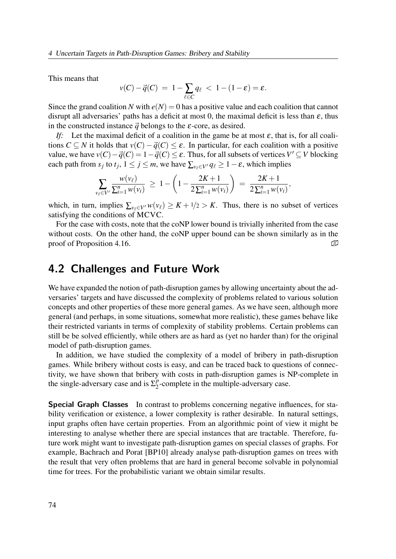This means that

$$
v(C) - \vec{q}(C) = 1 - \sum_{\ell \in C} q_{\ell} < 1 - (1 - \varepsilon) = \varepsilon.
$$

Since the grand coalition N with  $e(N) = 0$  has a positive value and each coalition that cannot disrupt all adversaries' paths has a deficit at most 0, the maximal deficit is less than  $\varepsilon$ , thus in the constructed instance  $\vec{q}$  belongs to the  $\varepsilon$ -core, as desired.

If: Let the maximal deficit of a coalition in the game be at most  $\varepsilon$ , that is, for all coalitions  $C \subseteq N$  it holds that  $v(C) - \vec{q}(C) \leq \varepsilon$ . In particular, for each coalition with a positive value, we have  $v(C) - \vec{q}(C) = 1 - \vec{q}(C) \le \varepsilon$ . Thus, for all subsets of vertices  $V' \subseteq V$  blocking each path from  $s_j$  to  $t_j$ ,  $1 \le j \le m$ , we have  $\sum_{v_\ell \in V'} q_\ell \ge 1 - \varepsilon$ , which implies

$$
\sum_{v_{\ell} \in V'} \frac{w(v_{\ell})}{\sum_{i=1}^n w(v_i)} \ \geq \ 1 - \left(1 - \frac{2K + 1}{2\sum_{i=1}^n w(v_i)}\right) \ = \ \frac{2K + 1}{2\sum_{i=1}^n w(v_i)},
$$

which, in turn, implies  $\sum_{v \in V'} w(v_\ell) \geq K + 1/2 > K$ . Thus, there is no subset of vertices satisfying the conditions of MCVC.

For the case with costs, note that the coNP lower bound is trivially inherited from the case without costs. On the other hand, the coNP upper bound can be shown similarly as in the proof of Proposition 4.16.  $\Box$ 

# 4.2 Challenges and Future Work

We have expanded the notion of path-disruption games by allowing uncertainty about the adversaries' targets and have discussed the complexity of problems related to various solution concepts and other properties of these more general games. As we have seen, although more general (and perhaps, in some situations, somewhat more realistic), these games behave like their restricted variants in terms of complexity of stability problems. Certain problems can still be be solved efficiently, while others are as hard as (yet no harder than) for the original model of path-disruption games.

In addition, we have studied the complexity of a model of bribery in path-disruption games. While bribery without costs is easy, and can be traced back to questions of connectivity, we have shown that bribery with costs in path-disruption games is NP-complete in the single-adversary case and is  $\Sigma_2^p$  $2^p$ -complete in the multiple-adversary case.

**Special Graph Classes** In contrast to problems concerning negative influences, for stability verification or existence, a lower complexity is rather desirable. In natural settings, input graphs often have certain properties. From an algorithmic point of view it might be interesting to analyse whether there are special instances that are tractable. Therefore, future work might want to investigate path-disruption games on special classes of graphs. For example, Bachrach and Porat [BP10] already analyse path-disruption games on trees with the result that very often problems that are hard in general become solvable in polynomial time for trees. For the probabilistic variant we obtain similar results.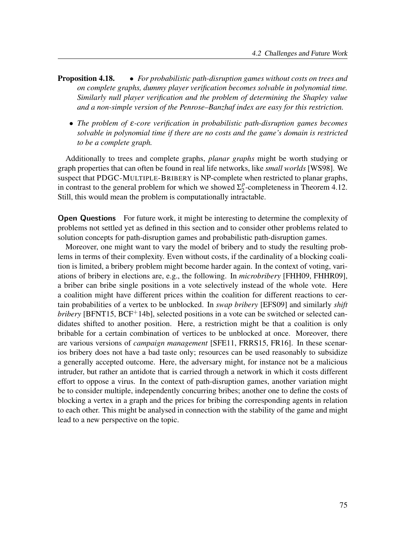- **Proposition 4.18.** For probabilistic path-disruption games without costs on trees and on complete graphs, dummy player verification becomes solvable in polynomial time. Similarly null player verification and the problem of determining the Shapley value and a non-simple version of the Penrose–Banzhaf index are easy for this restriction.
	- The problem of ε-core verification in probabilistic path-disruption games becomes solvable in polynomial time if there are no costs and the game's domain is restricted to be a complete graph.

Additionally to trees and complete graphs, planar graphs might be worth studying or graph properties that can often be found in real life networks, like small worlds [WS98]. We suspect that PDGC-MULTIPLE-BRIBERY is NP-complete when restricted to planar graphs, in contrast to the general problem for which we showed  $\Sigma_2^p$  $n<sub>2</sub><sup>p</sup>$ -completeness in Theorem 4.12. Still, this would mean the problem is computationally intractable.

**Open Questions** For future work, it might be interesting to determine the complexity of problems not settled yet as defined in this section and to consider other problems related to solution concepts for path-disruption games and probabilistic path-disruption games.

Moreover, one might want to vary the model of bribery and to study the resulting problems in terms of their complexity. Even without costs, if the cardinality of a blocking coalition is limited, a bribery problem might become harder again. In the context of voting, variations of bribery in elections are, e.g., the following. In microbribery [FHH09, FHHR09], a briber can bribe single positions in a vote selectively instead of the whole vote. Here a coalition might have different prices within the coalition for different reactions to certain probabilities of a vertex to be unblocked. In swap bribery [EFS09] and similarly shift bribery [BFNT15, BCF<sup>+</sup>14b], selected positions in a vote can be switched or selected candidates shifted to another position. Here, a restriction might be that a coalition is only bribable for a certain combination of vertices to be unblocked at once. Moreover, there are various versions of *campaign management* [SFE11, FRRS15, FR16]. In these scenarios bribery does not have a bad taste only; resources can be used reasonably to subsidize a generally accepted outcome. Here, the adversary might, for instance not be a malicious intruder, but rather an antidote that is carried through a network in which it costs different effort to oppose a virus. In the context of path-disruption games, another variation might be to consider multiple, independently concurring bribes; another one to define the costs of blocking a vertex in a graph and the prices for bribing the corresponding agents in relation to each other. This might be analysed in connection with the stability of the game and might lead to a new perspective on the topic.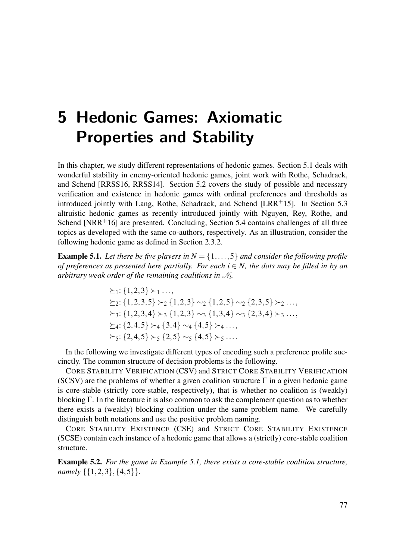# 5 Hedonic Games: Axiomatic Properties and Stability

In this chapter, we study different representations of hedonic games. Section 5.1 deals with wonderful stability in enemy-oriented hedonic games, joint work with Rothe, Schadrack, and Schend [RRSS16, RRSS14]. Section 5.2 covers the study of possible and necessary verification and existence in hedonic games with ordinal preferences and thresholds as introduced jointly with Lang, Rothe, Schadrack, and Schend [LRR+15]. In Section 5.3 altruistic hedonic games as recently introduced jointly with Nguyen, Rey, Rothe, and Schend  $INRR<sup>+</sup>16$ ] are presented. Concluding, Section 5.4 contains challenges of all three topics as developed with the same co-authors, respectively. As an illustration, consider the following hedonic game as defined in Section 2.3.2.

**Example 5.1.** Let there be five players in  $N = \{1, \ldots, 5\}$  and consider the following profile of preferences as presented here partially. For each  $i \in N$ , the dots may be filled in by an arbitrary weak order of the remaining coalitions in  $\mathcal{N}_i$ .

> $\succ_1: \{1,2,3\} \succ_1 \ldots$  $\succ_2$ : {1,2,3,5}  $\succ_2$  {1,2,3} ∼2 {1,2,5} ∼2 {2,3,5} ≻2 ...,  $\succ_3$ : {1,2,3,4}  $\succ_3$  {1,2,3} ∼3 {1,3,4} ∼3 {2,3,4} ≻3 ...,  $\succ_4$ : {2,4,5}  $\succ_4$  {3,4} ∼4 {4,5} ≻4 ...,  $\succeq_5$ : {2,4,5}  $\succ_5$  {2,5} ∼<sub>5</sub> {4,5} ≻<sub>5</sub> ....

In the following we investigate different types of encoding such a preference profile succinctly. The common structure of decision problems is the following.

CORE STABILITY VERIFICATION (CSV) and STRICT CORE STABILITY VERIFICATION (SCSV) are the problems of whether a given coalition structure  $\Gamma$  in a given hedonic game is core-stable (strictly core-stable, respectively), that is whether no coalition is (weakly) blocking  $\Gamma$ . In the literature it is also common to ask the complement question as to whether there exists a (weakly) blocking coalition under the same problem name. We carefully distinguish both notations and use the positive problem naming.

CORE STABILITY EXISTENCE (CSE) and STRICT CORE STABILITY EXISTENCE (SCSE) contain each instance of a hedonic game that allows a (strictly) core-stable coalition structure.

**Example 5.2.** For the game in Example 5.1, there exists a core-stable coalition structure, namely  $\{\{1,2,3\},\{4,5\}\}.$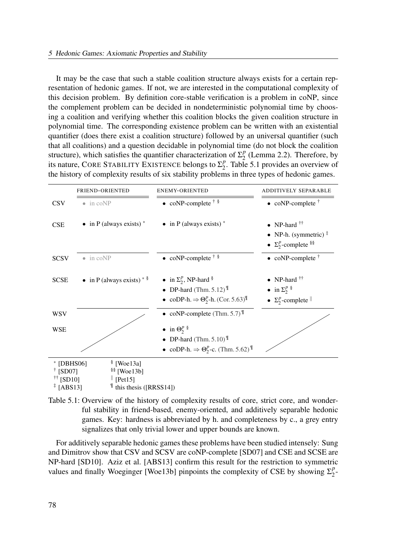It may be the case that such a stable coalition structure always exists for a certain representation of hedonic games. If not, we are interested in the computational complexity of this decision problem. By definition core-stable verification is a problem in coNP, since the complement problem can be decided in nondeterministic polynomial time by choosing a coalition and verifying whether this coalition blocks the given coalition structure in polynomial time. The corresponding existence problem can be written with an existential quantifier (does there exist a coalition structure) followed by an universal quantifier (such that all coalitions) and a question decidable in polynomial time (do not block the coalition structure), which satisfies the quantifier characterization of  $\Sigma_2^p$  $_2^p$  (Lemma 2.2). Therefore, by its nature, CORE STABILITY EXISTENCE belongs to  $\Sigma_2^p$  $_2^p$ . Table 5.1 provides an overview of the history of complexity results of six stability problems in three types of hedonic games.

|                                                                                                                                                                         | FRIEND-ORIENTED              | <b>ENEMY-ORIENTED</b>                                                                                                                        | ADDITIVELY SEPARABLE                                                                    |
|-------------------------------------------------------------------------------------------------------------------------------------------------------------------------|------------------------------|----------------------------------------------------------------------------------------------------------------------------------------------|-----------------------------------------------------------------------------------------|
| <b>CSV</b>                                                                                                                                                              | $\bullet$ in coNP            | • coNP-complete $\dagger$ $\delta$                                                                                                           | $\bullet$ coNP-complete <sup>†</sup>                                                    |
| <b>CSE</b>                                                                                                                                                              | • in P (always exists) $*$   | • in P (always exists) $*$                                                                                                                   | • NP-hard $††$<br>• NP-h. (symmetric) $\overline{a}$<br>• $\Sigma_2^p$ -complete $\S$ § |
| <b>SCSV</b>                                                                                                                                                             | $\bullet$ in coNP            | • coNP-complete $\dagger$ $\delta$                                                                                                           | $\bullet$ coNP-complete <sup>†</sup>                                                    |
| <b>SCSE</b>                                                                                                                                                             | • in P (always exists) $*$ § | • in $\Sigma_2^p$ , NP-hard $\S$<br>• DP-hard (Thm. 5.12) $^{\mathbb{T}}$<br>• coDP-h. $\Rightarrow \Theta_2^p$ -h. (Cor. 5.63) <sup>¶</sup> | • NP-hard $\ddagger$<br>• in $\Sigma_2^p$ \$<br>• $\Sigma_2^p$ -complete $\parallel$    |
| WSV                                                                                                                                                                     |                              | • coNP-complete (Thm. 5.7) $^{\{1\}}$                                                                                                        |                                                                                         |
| WSE                                                                                                                                                                     |                              | • in $\Theta_2^p$ <sup>§</sup><br>• DP-hard (Thm. $5.10$ )<br>• coDP-h. $\Rightarrow \Theta_2^p$ -c. (Thm. 5.62) <sup>¶</sup>                |                                                                                         |
| $\frac{8}{3}$ [Woe13a]<br>$*$ [DBHS06]<br>$\frac{$}{8}$ [Woe13b]<br>[SD07]<br>$\parallel$ [Pet15]<br>$^{\dagger\dagger}$ [SD10]<br>[ABS13]<br>If this thesis ([RRSS14]) |                              |                                                                                                                                              |                                                                                         |

Table 5.1: Overview of the history of complexity results of core, strict core, and wonderful stability in friend-based, enemy-oriented, and additively separable hedonic games. Key: hardness is abbreviated by h. and completeness by c., a grey entry signalizes that only trivial lower and upper bounds are known.

For additively separable hedonic games these problems have been studied intensely: Sung and Dimitrov show that CSV and SCSV are coNP-complete [SD07] and CSE and SCSE are NP-hard [SD10]. Aziz et al. [ABS13] confirm this result for the restriction to symmetric values and finally Woeginger [Woe13b] pinpoints the complexity of CSE by showing  $\Sigma_2^p$  $\frac{p}{2}$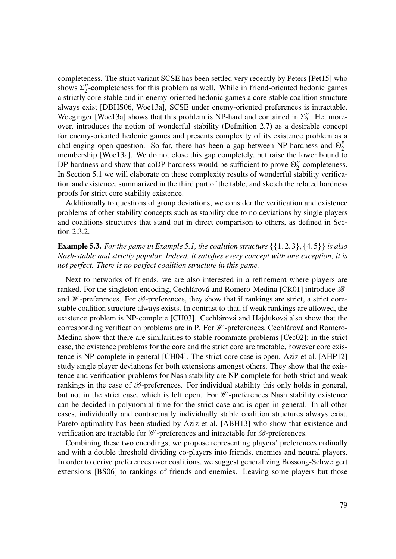completeness. The strict variant SCSE has been settled very recently by Peters [Pet15] who shows  $\Sigma_2^p$  $\frac{p}{2}$ -completeness for this problem as well. While in friend-oriented hedonic games a strictly core-stable and in enemy-oriented hedonic games a core-stable coalition structure always exist [DBHS06, Woe13a], SCSE under enemy-oriented preferences is intractable. Woeginger [Woe13a] shows that this problem is NP-hard and contained in  $\Sigma_2^p$  $_2^p$ . He, moreover, introduces the notion of wonderful stability (Definition 2.7) as a desirable concept for enemy-oriented hedonic games and presents complexity of its existence problem as a challenging open question. So far, there has been a gap between NP-hardness and  $\Theta_2^p$  $\frac{p}{2}$ membership [Woe13a]. We do not close this gap completely, but raise the lower bound to DP-hardness and show that coDP-hardness would be sufficient to prove  $\Theta_2^p$  $n<sub>2</sub><sup>p</sup>$ -completeness. In Section 5.1 we will elaborate on these complexity results of wonderful stability verification and existence, summarized in the third part of the table, and sketch the related hardness proofs for strict core stability existence.

Additionally to questions of group deviations, we consider the verification and existence problems of other stability concepts such as stability due to no deviations by single players and coalitions structures that stand out in direct comparison to others, as defined in Section 2.3.2.

### **Example 5.3.** For the game in Example 5.1, the coalition structure  $\{\{1,2,3\},\{4,5\}\}\$ is also Nash-stable and strictly popular. Indeed, it satisfies every concept with one exception, it is not perfect. There is no perfect coalition structure in this game.

Next to networks of friends, we are also interested in a refinement where players are ranked. For the singleton encoding, Cechlárová and Romero-Medina [CR01] introduce  $\mathscr{B}$ and  $W$ -preferences. For  $\mathscr{B}$ -preferences, they show that if rankings are strict, a strict corestable coalition structure always exists. In contrast to that, if weak rankings are allowed, the existence problem is NP-complete [CH03]. Cechlárová and Hajduková also show that the corresponding verification problems are in P. For W -preferences, Cechlárová and Romero-Medina show that there are similarities to stable roommate problems [Cec02]; in the strict case, the existence problems for the core and the strict core are tractable, however core existence is NP-complete in general [CH04]. The strict-core case is open. Aziz et al. [AHP12] study single player deviations for both extensions amongst others. They show that the existence and verification problems for Nash stability are NP-complete for both strict and weak rankings in the case of  $\mathscr{B}$ -preferences. For individual stability this only holds in general, but not in the strict case, which is left open. For W -preferences Nash stability existence can be decided in polynomial time for the strict case and is open in general. In all other cases, individually and contractually individually stable coalition structures always exist. Pareto-optimality has been studied by Aziz et al. [ABH13] who show that existence and verification are tractable for  $W$ -preferences and intractable for  $\mathscr{B}$ -preferences.

Combining these two encodings, we propose representing players' preferences ordinally and with a double threshold dividing co-players into friends, enemies and neutral players. In order to derive preferences over coalitions, we suggest generalizing Bossong-Schweigert extensions [BS06] to rankings of friends and enemies. Leaving some players but those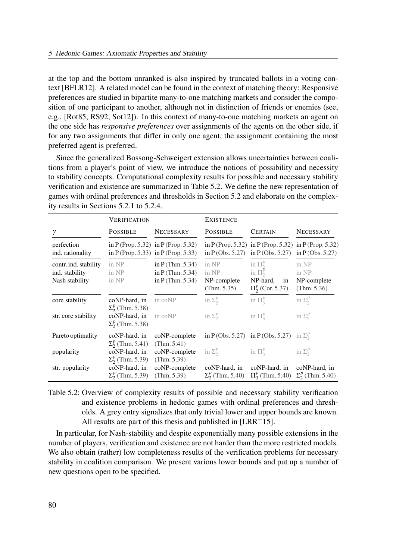at the top and the bottom unranked is also inspired by truncated ballots in a voting context [BFLR12]. A related model can be found in the context of matching theory: Responsive preferences are studied in bipartite many-to-one matching markets and consider the composition of one participant to another, although not in distinction of friends or enemies (see, e.g., [Rot85, RS92, Sot12]). In this context of many-to-one matching markets an agent on the one side has responsive preferences over assignments of the agents on the other side, if for any two assignments that differ in only one agent, the assignment containing the most preferred agent is preferred.

Since the generalized Bossong-Schweigert extension allows uncertainties between coalitions from a player's point of view, we introduce the notions of possibility and necessity to stability concepts. Computational complexity results for possible and necessary stability verification and existence are summarized in Table 5.2. We define the new representation of games with ordinal preferences and thresholds in Section 5.2 and elaborate on the complexity results in Sections 5.2.1 to 5.2.4.

|                                                           | VERIFICATION                              |                                                                            | <b>EXISTENCE</b>                             |                                                                                                                   |                                              |
|-----------------------------------------------------------|-------------------------------------------|----------------------------------------------------------------------------|----------------------------------------------|-------------------------------------------------------------------------------------------------------------------|----------------------------------------------|
| γ                                                         | <b>POSSIBLE</b>                           | <b>NECESSARY</b>                                                           | <b>POSSIBLE</b>                              | <b>CERTAIN</b>                                                                                                    | <b>NECESSARY</b>                             |
| perfection<br>ind. rationality                            |                                           | in P (Prop. 5.32) in P (Prop. 5.32)<br>in P (Prop. 5.33) in P (Prop. 5.33) |                                              | in P (Prop. 5.32) in P (Prop. 5.32) in P (Prop. 5.32)<br>in $P$ (Obs. 5.27) in $P$ (Obs. 5.27) in $P$ (Obs. 5.27) |                                              |
| contr. ind. stability<br>ind. stability<br>Nash stability | in NP<br>in NP<br>in NP                   | in $P$ (Thm. 5.34)<br>in $P$ (Thm. 5.34)<br>in $P$ (Thm. 5.34)             | in NP<br>in NP<br>NP-complete<br>(Thm. 5.35) | in $\Pi_2^p$<br>in $\Pi_2^p$<br>NP-hard,<br>in<br>$\Pi_2^p$ (Cor. 5.37)                                           | in NP<br>in NP<br>NP-complete<br>(Thm. 5.36) |
| core stability                                            | coNP-hard, in<br>$\Sigma_2^p$ (Thm. 5.38) | in coNP                                                                    | in $\Sigma_2^p$                              | in $\Pi_3^p$                                                                                                      | in $\Sigma_2^p$                              |
| str. core stability                                       | coNP-hard, in<br>$\Sigma_2^p$ (Thm. 5.38) | in coNP                                                                    | in $\Sigma_2^p$                              | in $\Pi_3^p$                                                                                                      | in $\Sigma_2^p$                              |
| Pareto optimality                                         | coNP-hard, in<br>$\Sigma_2^p$ (Thm. 5.41) | coNP-complete<br>(Thm. 5.41)                                               |                                              | in P(Obs. 5.27) in P(Obs. 5.27) in $\Sigma_2^p$                                                                   |                                              |
| popularity                                                | coNP-hard, in<br>$\Sigma_2^p$ (Thm. 5.39) | coNP-complete<br>(Thm. 5.39)                                               | in $\Sigma_2^p$                              | in $\Pi_3^p$                                                                                                      | in $\Sigma_2^p$                              |
| str. popularity                                           | coNP-hard, in<br>$\Sigma_2^p$ (Thm. 5.39) | coNP-complete<br>(Thm. 5.39)                                               | coNP-hard, in<br>$\Sigma_2^p$ (Thm. 5.40)    | coNP-hard, in<br>$\Pi_3^p$ (Thm. 5.40) $\Sigma_2^p$ (Thm. 5.40)                                                   | coNP-hard, in                                |

Table 5.2: Overview of complexity results of possible and necessary stability verification and existence problems in hedonic games with ordinal preferences and thresholds. A grey entry signalizes that only trivial lower and upper bounds are known. All results are part of this thesis and published in  $[LRR+15]$ .

In particular, for Nash-stability and despite exponentially many possible extensions in the number of players, verification and existence are not harder than the more restricted models. We also obtain (rather) low completeness results of the verification problems for necessary stability in coalition comparison. We present various lower bounds and put up a number of new questions open to be specified.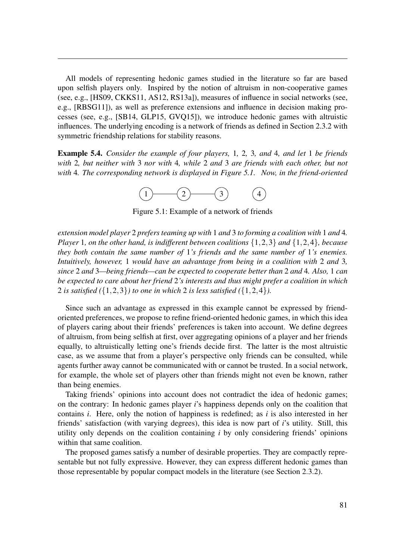All models of representing hedonic games studied in the literature so far are based upon selfish players only. Inspired by the notion of altruism in non-cooperative games (see, e.g., [HS09, CKKS11, AS12, RS13a]), measures of influence in social networks (see, e.g., [RBSG11]), as well as preference extensions and influence in decision making processes (see, e.g., [SB14, GLP15, GVQ15]), we introduce hedonic games with altruistic influences. The underlying encoding is a network of friends as defined in Section 2.3.2 with symmetric friendship relations for stability reasons.

**Example 5.4.** Consider the example of four players, 1, 2, 3, and 4, and let 1 be friends with 2, but neither with 3 nor with 4, while 2 and 3 are friends with each other, but not with 4. The corresponding network is displayed in Figure 5.1. Now, in the friend-oriented



Figure 5.1: Example of a network of friends

extension model player 2 prefers teaming up with 1 and 3 to forming a coalition with 1 and 4. Player 1, on the other hand, is indifferent between coalitions  $\{1,2,3\}$  and  $\{1,2,4\}$ , because they both contain the same number of  $1$ 's friends and the same number of  $1$ 's enemies. Intuitively, however, 1 would have an advantage from being in a coalition with 2 and 3, since 2 and 3—being friends—can be expected to cooperate better than 2 and 4. Also, 1 can be expected to care about her friend 2's interests and thus might prefer a coalition in which 2 is satisfied  $({1,2,3})$  to one in which 2 is less satisfied  $({1,2,4})$ .

Since such an advantage as expressed in this example cannot be expressed by friendoriented preferences, we propose to refine friend-oriented hedonic games, in which this idea of players caring about their friends' preferences is taken into account. We define degrees of altruism, from being selfish at first, over aggregating opinions of a player and her friends equally, to altruistically letting one's friends decide first. The latter is the most altruistic case, as we assume that from a player's perspective only friends can be consulted, while agents further away cannot be communicated with or cannot be trusted. In a social network, for example, the whole set of players other than friends might not even be known, rather than being enemies.

Taking friends' opinions into account does not contradict the idea of hedonic games; on the contrary: In hedonic games player i's happiness depends only on the coalition that contains *i*. Here, only the notion of happiness is redefined; as *i* is also interested in her friends' satisfaction (with varying degrees), this idea is now part of  $i$ 's utility. Still, this utility only depends on the coalition containing  $i$  by only considering friends' opinions within that same coalition.

The proposed games satisfy a number of desirable properties. They are compactly representable but not fully expressive. However, they can express different hedonic games than those representable by popular compact models in the literature (see Section 2.3.2).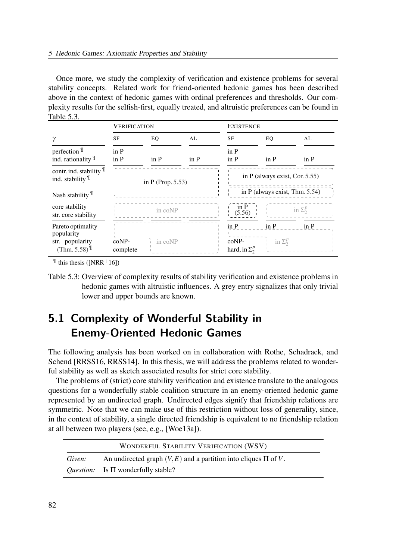Once more, we study the complexity of verification and existence problems for several stability concepts. Related work for friend-oriented hedonic games has been described above in the context of hedonic games with ordinal preferences and thresholds. Our complexity results for the selfish-first, equally treated, and altruistic preferences can be found in Table 5.3.

|                                                                                   | <b>VERIFICATION</b>  |                                  |                       | <b>EXISTENCE</b>                       |                                |                 |
|-----------------------------------------------------------------------------------|----------------------|----------------------------------|-----------------------|----------------------------------------|--------------------------------|-----------------|
| γ                                                                                 | <b>SF</b>            | EQ                               | AL                    | <b>SF</b>                              | EQ                             | AL              |
| perfection <sup>¶</sup><br>ind. rationality II                                    | in P<br>in P         | $\operatorname{in}$ $\mathbf{P}$ | $\operatorname{in}$ P | in P<br>in P                           | $\overline{p}$                 | in P            |
| contr. ind. stability 1<br>ind. stability $\mathbb{I}$                            | in P (Prop. $5.53$ ) |                                  |                       | in P (always exist, Cor. $5.55$ )      |                                |                 |
| Nash stability $\mathbb{I}$                                                       |                      |                                  |                       |                                        | in P (always exist, Thm. 5.54) |                 |
| core stability<br>str. core stability                                             |                      | in coNP                          |                       | in P<br>(5.56)                         |                                | in $\Sigma_2^p$ |
| Pareto optimality<br>popularity<br>str. popularity<br>$(Thm. 5.58)^{\frac{1}{2}}$ | $coNP-$<br>complete  | in coNP                          |                       | in P<br>coNP-<br>hard, in $\Sigma_2^p$ | in P<br>in $\Sigma_2^p$        | in P            |

 $\text{This thesis (INRR+16]}$ 

# 5.1 Complexity of Wonderful Stability in Enemy-Oriented Hedonic Games

The following analysis has been worked on in collaboration with Rothe, Schadrack, and Schend [RRSS16, RRSS14]. In this thesis, we will address the problems related to wonderful stability as well as sketch associated results for strict core stability.

The problems of (strict) core stability verification and existence translate to the analogous questions for a wonderfully stable coalition structure in an enemy-oriented hedonic game represented by an undirected graph. Undirected edges signify that friendship relations are symmetric. Note that we can make use of this restriction without loss of generality, since, in the context of stability, a single directed friendship is equivalent to no friendship relation at all between two players (see, e.g., [Woe13a]).

|        | WONDERFUL STABILITY VERIFICATION (WSV)                                |
|--------|-----------------------------------------------------------------------|
| Given: | An undirected graph $(V, E)$ and a partition into cliques $\Pi$ of V. |
|        | <i>Question:</i> Is $\Pi$ wonderfully stable?                         |

Table 5.3: Overview of complexity results of stability verification and existence problems in hedonic games with altruistic influences. A grey entry signalizes that only trivial lower and upper bounds are known.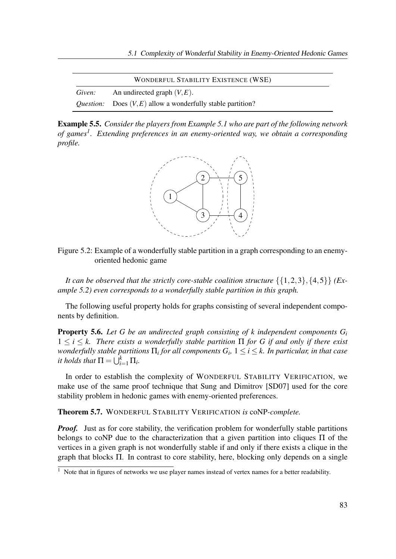|        | <b>WONDERFUL STABILITY EXISTENCE (WSE)</b>                           |
|--------|----------------------------------------------------------------------|
| Given: | An undirected graph $(V, E)$ .                                       |
|        | <i>Question:</i> Does $(V, E)$ allow a wonderfully stable partition? |

Example 5.5. Consider the players from Example 5.1 who are part of the following network of games<sup>1</sup>. Extending preferences in an enemy-oriented way, we obtain a corresponding profile.





It can be observed that the strictly core-stable coalition structure  $\{\{1,2,3\},\{4,5\}\}\$  (Example 5.2) even corresponds to a wonderfully stable partition in this graph.

The following useful property holds for graphs consisting of several independent components by definition.

**Property 5.6.** Let G be an undirected graph consisting of k independent components  $G_i$  $1 \leq i \leq k$ . There exists a wonderfully stable partition  $\Pi$  for G if and only if there exist wonderfully stable partitions  $\Pi_i$  for all components  $G_i, \, 1 \leq i \leq k.$  In particular, in that case it holds that  $\Pi = \bigcup_{i=1}^k \Pi_i$ .

In order to establish the complexity of WONDERFUL STABILITY VERIFICATION, we make use of the same proof technique that Sung and Dimitrov [SD07] used for the core stability problem in hedonic games with enemy-oriented preferences.

Theorem 5.7. WONDERFUL STABILITY VERIFICATION is coNP-complete.

**Proof.** Just as for core stability, the verification problem for wonderfully stable partitions belongs to coNP due to the characterization that a given partition into cliques Π of the vertices in a given graph is not wonderfully stable if and only if there exists a clique in the graph that blocks Π. In contrast to core stability, here, blocking only depends on a single

 $\frac{1}{1}$  Note that in figures of networks we use player names instead of vertex names for a better readability.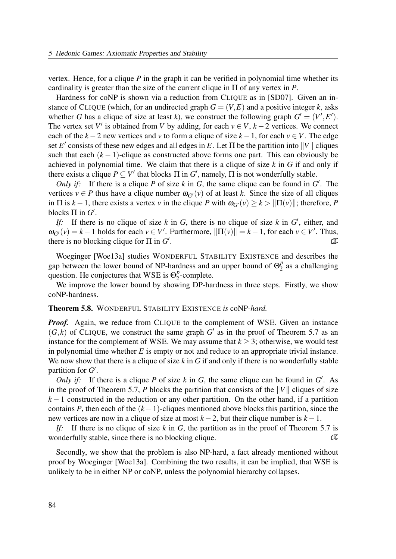vertex. Hence, for a clique  $P$  in the graph it can be verified in polynomial time whether its cardinality is greater than the size of the current clique in  $\Pi$  of any vertex in  $P$ .

Hardness for coNP is shown via a reduction from CLIQUE as in [SD07]. Given an instance of CLIQUE (which, for an undirected graph  $G = (V, E)$  and a positive integer k, asks whether G has a clique of size at least k), we construct the following graph  $G' = (V', E')$ . The vertex set V' is obtained from V by adding, for each  $v \in V$ ,  $k-2$  vertices. We connect each of the  $k-2$  new vertices and v to form a clique of size  $k-1$ , for each  $v \in V$ . The edge set E' consists of these new edges and all edges in E. Let  $\Pi$  be the partition into  $||V||$  cliques such that each  $(k - 1)$ -clique as constructed above forms one part. This can obviously be achieved in polynomial time. We claim that there is a clique of size  $k$  in  $G$  if and only if there exists a clique  $P \subseteq V'$  that blocks  $\Pi$  in  $G'$ , namely,  $\Pi$  is not wonderfully stable.

Only if: If there is a clique P of size k in G, the same clique can be found in  $G'$ . The vertices  $v \in P$  thus have a clique number  $\omega_{G'}(v)$  of at least k. Since the size of all cliques in  $\Pi$  is  $k-1$ , there exists a vertex v in the clique P with  $\omega_{G'}(v) \geq k > ||\Pi(v)||$ ; therefore, P blocks  $\Pi$  in  $G'.$ 

If: If there is no clique of size k in G, there is no clique of size k in  $G'$ , either, and  $\omega_{G'}(v) = k - 1$  holds for each  $v \in V'$ . Furthermore,  $\|\Pi(v)\| = k - 1$ , for each  $v \in V'$ . Thus, there is no blocking clique for  $\Pi$  in  $G'$ . �

Woeginger [Woe13a] studies WONDERFUL STABILITY EXISTENCE and describes the gap between the lower bound of NP-hardness and an upper bound of  $\Theta_2^p$  $_2^p$  as a challenging question. He conjectures that WSE is  $\Theta_2^p$  $n_2^p$ -complete.

We improve the lower bound by showing DP-hardness in three steps. Firstly, we show coNP-hardness.

#### Theorem 5.8. WONDERFUL STABILITY EXISTENCE is coNP-hard.

**Proof.** Again, we reduce from CLIQUE to the complement of WSE. Given an instance  $(G, k)$  of CLIQUE, we construct the same graph G' as in the proof of Theorem 5.7 as an instance for the complement of WSE. We may assume that  $k \geq 3$ ; otherwise, we would test in polynomial time whether  $E$  is empty or not and reduce to an appropriate trivial instance. We now show that there is a clique of size  $k$  in  $G$  if and only if there is no wonderfully stable partition for  $G'$ .

Only if: If there is a clique P of size  $k$  in  $G$ , the same clique can be found in  $G'$ . As in the proof of Theorem 5.7, P blocks the partition that consists of the  $||V||$  cliques of size  $k-1$  constructed in the reduction or any other partition. On the other hand, if a partition contains P, then each of the  $(k-1)$ -cliques mentioned above blocks this partition, since the new vertices are now in a clique of size at most  $k - 2$ , but their clique number is  $k - 1$ .

If: If there is no clique of size k in G, the partition as in the proof of Theorem 5.7 is wonderfully stable, since there is no blocking clique.  $\Box$ 

Secondly, we show that the problem is also NP-hard, a fact already mentioned without proof by Woeginger [Woe13a]. Combining the two results, it can be implied, that WSE is unlikely to be in either NP or coNP, unless the polynomial hierarchy collapses.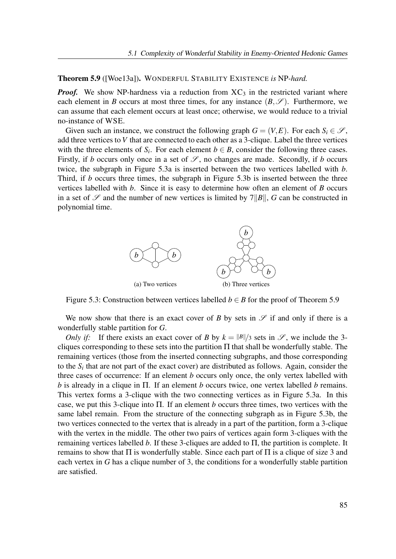#### Theorem 5.9 ([Woe13a]). WONDERFUL STABILITY EXISTENCE is NP-hard.

**Proof.** We show NP-hardness via a reduction from  $XC_3$  in the restricted variant where each element in B occurs at most three times, for any instance  $(B, \mathscr{S})$ . Furthermore, we can assume that each element occurs at least once; otherwise, we would reduce to a trivial no-instance of WSE.

Given such an instance, we construct the following graph  $G = (V, E)$ . For each  $S_i \in \mathcal{S}$ , add three vertices to V that are connected to each other as a 3-clique. Label the three vertices with the three elements of  $S_i$ . For each element  $b \in B$ , consider the following three cases. Firstly, if b occurs only once in a set of  $\mathscr{S}$ , no changes are made. Secondly, if b occurs twice, the subgraph in Figure 5.3a is inserted between the two vertices labelled with b. Third, if b occurs three times, the subgraph in Figure 5.3b is inserted between the three vertices labelled with  $b$ . Since it is easy to determine how often an element of  $B$  occurs in a set of  $\mathscr S$  and the number of new vertices is limited by  $7||B||$ , G can be constructed in polynomial time.



Figure 5.3: Construction between vertices labelled  $b \in B$  for the proof of Theorem 5.9

We now show that there is an exact cover of B by sets in  $\mathscr S$  if and only if there is a wonderfully stable partition for G.

Only if: If there exists an exact cover of B by  $k = ||B||/3$  sets in  $\mathscr{S}$ , we include the 3cliques corresponding to these sets into the partition  $\Pi$  that shall be wonderfully stable. The remaining vertices (those from the inserted connecting subgraphs, and those corresponding to the  $S_i$  that are not part of the exact cover) are distributed as follows. Again, consider the three cases of occurrence: If an element b occurs only once, the only vertex labelled with b is already in a clique in  $\Pi$ . If an element b occurs twice, one vertex labelled b remains. This vertex forms a 3-clique with the two connecting vertices as in Figure 5.3a. In this case, we put this 3-clique into  $\Pi$ . If an element b occurs three times, two vertices with the same label remain. From the structure of the connecting subgraph as in Figure 5.3b, the two vertices connected to the vertex that is already in a part of the partition, form a 3-clique with the vertex in the middle. The other two pairs of vertices again form 3-cliques with the remaining vertices labelled b. If these 3-cliques are added to  $\Pi$ , the partition is complete. It remains to show that  $\Pi$  is wonderfully stable. Since each part of  $\Pi$  is a clique of size 3 and each vertex in G has a clique number of 3, the conditions for a wonderfully stable partition are satisfied.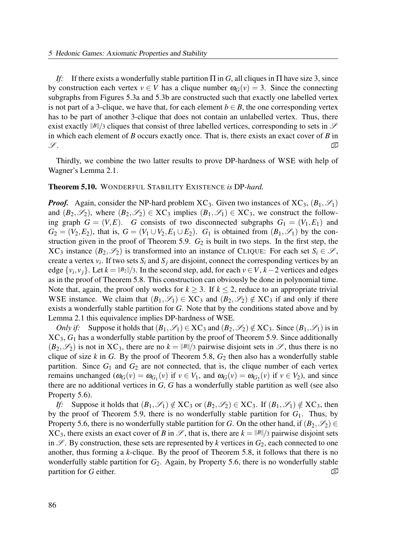If: If there exists a wonderfully stable partition  $\Pi$  in G, all cliques in  $\Pi$  have size 3, since by construction each vertex  $v \in V$  has a clique number  $\omega_G(v) = 3$ . Since the connecting subgraphs from Figures 5.3a and 5.3b are constructed such that exactly one labelled vertex is not part of a 3-clique, we have that, for each element  $b \in B$ , the one corresponding vertex has to be part of another 3-clique that does not contain an unlabelled vertex. Thus, there exist exactly  $||B||/3$  cliques that consist of three labelled vertices, corresponding to sets in  $\mathscr S$ in which each element of B occurs exactly once. That is, there exists an exact cover of B in  $\mathscr{S}.$ 

Thirdly, we combine the two latter results to prove DP-hardness of WSE with help of Wagner's Lemma 2.1.

#### Theorem 5.10. WONDERFUL STABILITY EXISTENCE is DP-hard.

**Proof.** Again, consider the NP-hard problem  $XC_3$ . Given two instances of  $XC_3$ ,  $(B_1, \mathscr{S}_1)$ and  $(B_2,\mathscr{S}_2)$ , where  $(B_2,\mathscr{S}_2) \in \text{XC}_3$  implies  $(B_1,\mathscr{S}_1) \in \text{XC}_3$ , we construct the following graph  $G = (V, E)$ . G consists of two disconnected subgraphs  $G_1 = (V_1, E_1)$  and  $G_2 = (V_2, E_2)$ , that is,  $G = (V_1 \cup V_2, E_1 \cup E_2)$ .  $G_1$  is obtained from  $(B_1, \mathscr{S}_1)$  by the construction given in the proof of Theorem 5.9.  $G_2$  is built in two steps. In the first step, the  $XC_3$  instance  $(B_2, \mathscr{S}_2)$  is transformed into an instance of CLIQUE: For each set  $S_i \in \mathscr{S}$ , create a vertex  $v_i$ . If two sets  $S_i$  and  $S_j$  are disjoint, connect the corresponding vertices by an edge  $\{v_i, v_j\}$ . Let  $k = \frac{||B_2||}{3}$ . In the second step, add, for each  $v \in V$ ,  $k-2$  vertices and edges as in the proof of Theorem 5.8. This construction can obviously be done in polynomial time. Note that, again, the proof only works for  $k \geq 3$ . If  $k \leq 2$ , reduce to an appropriate trivial WSE instance. We claim that  $(B_1,\mathscr{S}_1) \in XC_3$  and  $(B_2,\mathscr{S}_2) \notin XC_3$  if and only if there exists a wonderfully stable partition for G. Note that by the conditions stated above and by Lemma 2.1 this equivalence implies DP-hardness of WSE.

Only if: Suppose it holds that  $(B_1,\mathscr{S}_1) \in XC_3$  and  $(B_2,\mathscr{S}_2) \notin XC_3$ . Since  $(B_1,\mathscr{S}_1)$  is in  $XC_3$ ,  $G_1$  has a wonderfully stable partition by the proof of Theorem 5.9. Since additionally  $(B_2,\mathscr{S}_2)$  is not in XC<sub>3</sub>, there are no  $k = ||B||/3$  pairwise disjoint sets in  $\mathscr{S}$ , thus there is no clique of size k in G. By the proof of Theorem 5.8,  $G_2$  then also has a wonderfully stable partition. Since  $G_1$  and  $G_2$  are not connected, that is, the clique number of each vertex remains unchanged  $(\omega_G(v) = \omega_{G_1}(v)$  if  $v \in V_1$ , and  $\omega_G(v) = \omega_{G_2}(v)$  if  $v \in V_2$ ), and since there are no additional vertices in G, G has a wonderfully stable partition as well (see also Property 5.6).

If: Suppose it holds that  $(B_1,\mathscr{S}_1) \notin XC_3$  or  $(B_2,\mathscr{S}_2) \in XC_3$ . If  $(B_1,\mathscr{S}_1) \notin XC_3$ , then by the proof of Theorem 5.9, there is no wonderfully stable partition for  $G_1$ . Thus, by Property 5.6, there is no wonderfully stable partition for G. On the other hand, if  $(B_2, \mathscr{S}_2) \in$  $XC_3$ , there exists an exact cover of B in  $\mathscr{S}$ , that is, there are  $k = ||B||/3$  pairwise disjoint sets in  $\mathscr{S}$ . By construction, these sets are represented by k vertices in  $G_2$ , each connected to one another, thus forming a  $k$ -clique. By the proof of Theorem 5.8, it follows that there is no wonderfully stable partition for  $G_2$ . Again, by Property 5.6, there is no wonderfully stable partition for G either.  $\Box$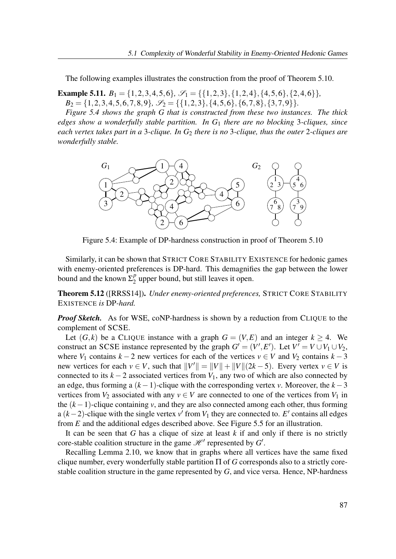The following examples illustrates the construction from the proof of Theorem 5.10.

**Example 5.11.**  $B_1 = \{1, 2, 3, 4, 5, 6\}, \mathcal{S}_1 = \{\{1, 2, 3\}, \{1, 2, 4\}, \{4, 5, 6\}, \{2, 4, 6\}\},\$  $B_2 = \{1, 2, 3, 4, 5, 6, 7, 8, 9\}, \mathcal{S}_2 = \{\{1, 2, 3\}, \{4, 5, 6\}, \{6, 7, 8\}, \{3, 7, 9\}\}.$ 

Figure 5.4 shows the graph G that is constructed from these two instances. The thick edges show a wonderfully stable partition. In  $G_1$  there are no blocking 3-cliques, since each vertex takes part in a 3-clique. In  $G_2$  there is no 3-clique, thus the outer 2-cliques are wonderfully stable.



Figure 5.4: Example of DP-hardness construction in proof of Theorem 5.10

Similarly, it can be shown that STRICT CORE STABILITY EXISTENCE for hedonic games with enemy-oriented preferences is DP-hard. This demagnifies the gap between the lower bound and the known  $\Sigma_2^p$  $_2^p$  upper bound, but still leaves it open.

Theorem 5.12 ([RRSS14]). Under enemy-oriented preferences, STRICT CORE STABILITY EXISTENCE is DP-hard.

**Proof Sketch.** As for WSE, coNP-hardness is shown by a reduction from CLIQUE to the complement of SCSE.

Let  $(G, k)$  be a CLIQUE instance with a graph  $G = (V, E)$  and an integer  $k > 4$ . We construct an SCSE instance represented by the graph  $G' = (V', E')$ . Let  $V' = V \cup V_1 \cup V_2$ , where  $V_1$  contains  $k - 2$  new vertices for each of the vertices  $v \in V$  and  $V_2$  contains  $k - 3$ new vertices for each  $v \in V$ , such that  $||V'|| = ||V|| + ||V||(2k-5)$ . Every vertex  $v \in V$  is connected to its  $k - 2$  associated vertices from  $V_1$ , any two of which are also connected by an edge, thus forming a  $(k-1)$ -clique with the corresponding vertex v. Moreover, the  $k-3$ vertices from  $V_2$  associated with any  $v \in V$  are connected to one of the vertices from  $V_1$  in the  $(k-1)$ -clique containing v, and they are also connected among each other, thus forming a  $(k-2)$ -clique with the single vertex v' from  $V_1$  they are connected to. E' contains all edges from  $E$  and the additional edges described above. See Figure 5.5 for an illustration.

It can be seen that G has a clique of size at least  $k$  if and only if there is no strictly core-stable coalition structure in the game  $\mathcal{H}'$  represented by  $G'$ .

Recalling Lemma 2.10, we know that in graphs where all vertices have the same fixed clique number, every wonderfully stable partition  $\Pi$  of G corresponds also to a strictly corestable coalition structure in the game represented by G, and vice versa. Hence, NP-hardness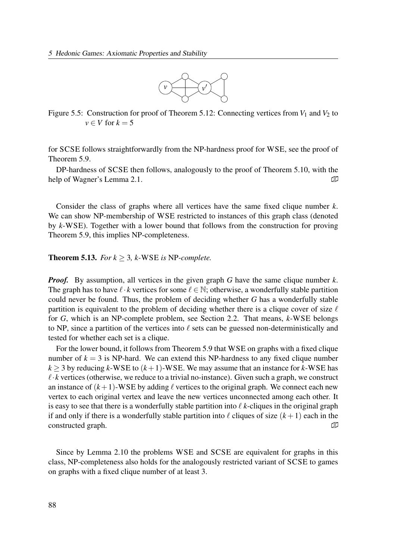

Figure 5.5: Construction for proof of Theorem 5.12: Connecting vertices from  $V_1$  and  $V_2$  to  $v \in V$  for  $k = 5$ 

for SCSE follows straightforwardly from the NP-hardness proof for WSE, see the proof of Theorem 5.9.

DP-hardness of SCSE then follows, analogously to the proof of Theorem 5.10, with the help of Wagner's Lemma 2.1.  $\Box$ 

Consider the class of graphs where all vertices have the same fixed clique number  $k$ . We can show NP-membership of WSE restricted to instances of this graph class (denoted by k-WSE). Together with a lower bound that follows from the construction for proving Theorem 5.9, this implies NP-completeness.

**Theorem 5.13.** For  $k > 3$ , k-WSE is NP-complete.

**Proof.** By assumption, all vertices in the given graph G have the same clique number  $k$ . The graph has to have  $\ell \cdot k$  vertices for some  $\ell \in \mathbb{N}$ ; otherwise, a wonderfully stable partition could never be found. Thus, the problem of deciding whether G has a wonderfully stable partition is equivalent to the problem of deciding whether there is a clique cover of size  $\ell$ for G, which is an NP-complete problem, see Section 2.2. That means, k-WSE belongs to NP, since a partition of the vertices into  $\ell$  sets can be guessed non-deterministically and tested for whether each set is a clique.

For the lower bound, it follows from Theorem 5.9 that WSE on graphs with a fixed clique number of  $k = 3$  is NP-hard. We can extend this NP-hardness to any fixed clique number  $k > 3$  by reducing k-WSE to  $(k+1)$ -WSE. We may assume that an instance for k-WSE has  $\ell$  k vertices (otherwise, we reduce to a trivial no-instance). Given such a graph, we construct an instance of  $(k+1)$ -WSE by adding  $\ell$  vertices to the original graph. We connect each new vertex to each original vertex and leave the new vertices unconnected among each other. It is easy to see that there is a wonderfully stable partition into  $\ell$  k-cliques in the original graph if and only if there is a wonderfully stable partition into  $\ell$  cliques of size  $(k+1)$  each in the constructed graph.  $\Box$ 

Since by Lemma 2.10 the problems WSE and SCSE are equivalent for graphs in this class, NP-completeness also holds for the analogously restricted variant of SCSE to games on graphs with a fixed clique number of at least 3.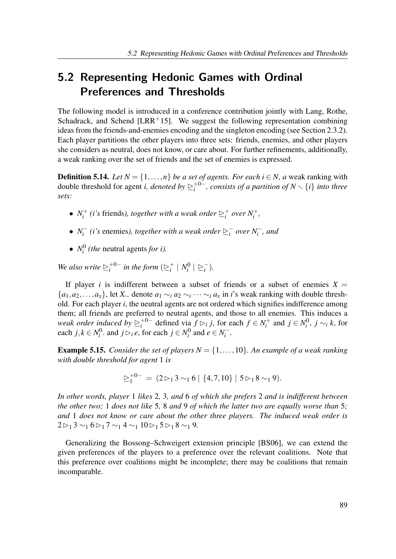# 5.2 Representing Hedonic Games with Ordinal Preferences and Thresholds

The following model is introduced in a conference contribution jointly with Lang, Rothe, Schadrack, and Schend [LRR<sup>+</sup>15]. We suggest the following representation combining ideas from the friends-and-enemies encoding and the singleton encoding (see Section 2.3.2). Each player partitions the other players into three sets: friends, enemies, and other players she considers as neutral, does not know, or care about. For further refinements, additionally, a weak ranking over the set of friends and the set of enemies is expressed.

**Definition 5.14.** Let  $N = \{1, ..., n\}$  be a set of agents. For each  $i \in N$ , a weak ranking with double threshold for agent *i*, *denoted by*  $\geq_i^{+0-}$  $i_{i}^{+0-}$ , consists of a partition of  $N\smallsetminus\{i\}$  into three sets:

- $\bullet$   $N_i^+$  $\hat{a}_i^+$  (i's friends), together with a weak order  $\sum_i^+$  $i$  over  $N_i^+$ ,
- $\bullet$   $N_i^ \sum_{i}^{i}$  (*i*'s enemies), together with a weak order  $\sum_{i}^{i}$  $\overline{i}$  over  $N_i^-$ , and
- $\bullet$   $N_i^0$  $i<sup>0</sup>$  (the neutral agents for i).

We also write  $\geq_i^{+0-}$  $i^{+0-}$  in the form  $(\geq i^+$  $\frac{1}{i} \mid N_i^0$  $\binom{0}{i} \geq i$  $\frac{1}{i}$ .

If player *i* is indifferent between a subset of friends or a subset of enemies  $X =$  $\{a_1, a_2, \ldots, a_x\}$ , let  $X_{\sim}$  denote  $a_1 \sim_i a_2 \sim_i \cdots \sim_i a_x$  in *i*'s weak ranking with double threshold. For each player  $i$ , the neutral agents are not ordered which signifies indifference among them; all friends are preferred to neutral agents, and those to all enemies. This induces a weak order induced by  $\trianglerighteq_i^{+0-}$  $i^{+0-}$  defined via  $f \rhd_i j$ , for each  $f \in N_i^+$  $j \in N_i^0$  and  $j \in N_i^0$  $j^0$ ,  $j \sim_i k$ , for each  $j, k \in N_i^0$  $j^0$ , and  $j \rhd_i e$ , for each  $j \in N_i^0$  $a_i^0$  and  $e \in N_i^ \frac{i}{i}$ .

**Example 5.15.** Consider the set of players  $N = \{1, \ldots, 10\}$ . An example of a weak ranking with double threshold for agent 1 is

$$
\underline{\triangleright}^{+0-}_1 = (2 \triangleright_1 3 \sim_1 6 \mid \{4,7,10\} \mid 5 \triangleright_1 8 \sim_1 9).
$$

In other words, player 1 likes 2, 3, and 6 of which she prefers 2 and is indifferent between the other two; 1 does not like 5, 8 and 9 of which the latter two are equally worse than 5; and 1 does not know or care about the other three players. The induced weak order is  $2\triangleright_1 3 \sim_1 6\triangleright_1 7 \sim_1 4 \sim_1 10 \triangleright_1 5 \triangleright_1 8 \sim_1 9.$ 

Generalizing the Bossong–Schweigert extension principle [BS06], we can extend the given preferences of the players to a preference over the relevant coalitions. Note that this preference over coalitions might be incomplete; there may be coalitions that remain incomparable.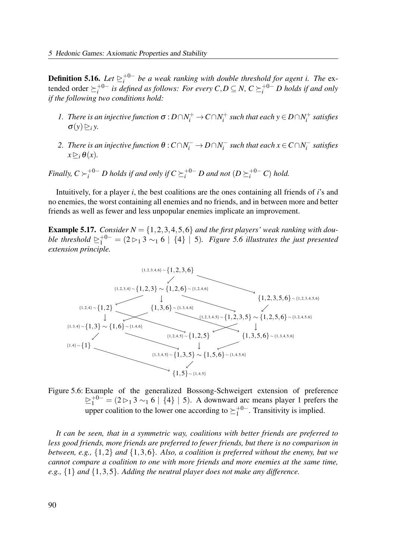**Definition 5.16.** Let  $\geq_i^{+0-}$  $i^{+0-}$  be a weak ranking with double threshold for agent i. The  $ex$ tended order  $\succeq_i^{+0-}$  $i^{+0-}$  is defined as follows: For every  $C, D \subseteq N$ ,  $C \succeq i^{+0-} D$  holds if and only if the following two conditions hold:

- 1. There is an injective function  $\sigma$  :  $D \cap N_i^+$   $\rightarrow$   $C \cap N_i^+$  $s_i^+$  such that each  $y \in D \cap N_i^+$  $l_i^+$  satisfies  $\sigma(y) \triangleright_i y$ .
- 2. There is an injective function  $\theta$  :  $C \cap N_i^- \to D \cap N_i^ \sum_{i=1}^{n}$  such that each  $x \in C \cap N_i^{-1}$  $\int_{i}^{-}$  satisfies  $x \triangleright_i \theta(x)$ .

Finally,  $C\succ_i^{+0-}D$  holds if and only if  $C\succeq_i^{+0-}D$  and not  $(D\succeq_i^{+0-}C)$  hold.

Intuitively, for a player  $i$ , the best coalitions are the ones containing all friends of  $i$ 's and no enemies, the worst containing all enemies and no friends, and in between more and better friends as well as fewer and less unpopular enemies implicate an improvement.

**Example 5.17.** Consider  $N = \{1, 2, 3, 4, 5, 6\}$  and the first players' weak ranking with double threshold  $\geq_1^{+0-}$  =  $(2 \rhd_1 3 \rhd_1 6 \mid \{4\} \mid 5)$ . Figure 5.6 illustrates the just presented extension principle.



Figure 5.6: Example of the generalized Bossong-Schweigert extension of preference  $\geq_1^{+0-}$  = (2  $\geq_1$  3  $\sim_1$  6 | {4} | 5). A downward arc means player 1 prefers the upper coalition to the lower one according to  $\succeq_1^{+0-}$  $1^{+0-}$ . Transitivity is implied.

It can be seen, that in a symmetric way, coalitions with better friends are preferred to less good friends, more friends are preferred to fewer friends, but there is no comparison in between, e.g.,  $\{1,2\}$  and  $\{1,3,6\}$ . Also, a coalition is preferred without the enemy, but we cannot compare a coalition to one with more friends and more enemies at the same time, e.g.,  $\{1\}$  and  $\{1,3,5\}$ . Adding the neutral player does not make any difference.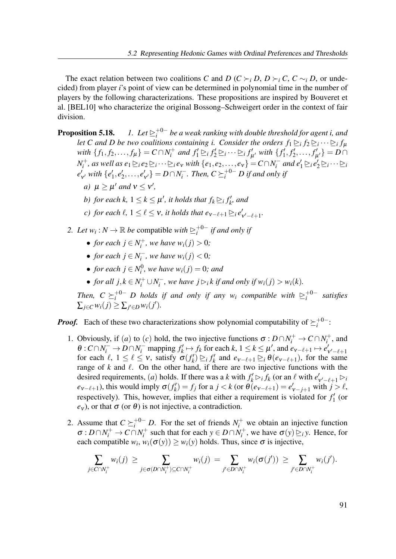The exact relation between two coalitions C and D (C  $\succ_i$  D, D  $\succ_i$  C, C  $\sim_i$  D, or undecided) from player i's point of view can be determined in polynomial time in the number of players by the following characterizations. These propositions are inspired by Bouveret et al. [BEL10] who characterize the original Bossong–Schweigert order in the context of fair division.

Proposition 5.18. +0−  $i^{+0-}_{i}$  be a weak ranking with double threshold for agent i, and let C and D be two coalitions containing i. Consider the orders  $f_1 \trianglerighteq_i f_2 \trianglerighteq_i \cdots \trianglerighteq_i f_\mu$ with  $\{f_1, f_2, ..., f_{\mu}\} = C \cap N_i^+$  $f'_i$  and  $f'_1 \trianglerighteq_i f'_2 \trianglerighteq_i \cdots \trianglerighteq_i f'_i$  $\int_{\mu'}^{\mu} with \{f'_1, f'_2, \ldots, f'_\mu\}$  $\{_{\mu'}^{\prime}\}=D\cap$  $N_i^+$  $e_i^+$ , as well as  $e_1 \trianglerighteq_i e_2 \trianglerighteq_i \cdots \trianglerighteq_i e_v$  with  $\{e_1, e_2, \ldots, e_v\} = C \cap N_i^$  $e_1' \rightharpoonup_i e_2' \rightharpoonup_i \cdots \rightharpoonup_i$  $e'$  $'_{v'}$  with  $\{e'_1, e'_2, \ldots, e'_n\}$  $\{V_{\mathcal{V}'}\} = D \cap N_i^{-1}$  $\int_{i}^{-}$ . Then,  $C \succeq_{i}^{+0-} D$  if and only if

- a)  $\mu \ge \mu'$  and  $v \le v'$ ,
- b) for each k,  $1 \leq k \leq \mu'$ , it holds that  $f_k \geq_i f'_k$ , and
- c) for each  $\ell$ ,  $1 \leq \ell \leq \nu$ , it holds that  $e_{\nu-\ell+1} \trianglerighteq_i e'$  $\int_{\mathsf{v}'-\ell+1}^{\prime}$
- 2. Let  $w_i : N \to \mathbb{R}$  be compatible with  $\geq_i^{+0-}$  $i<sup>+0-</sup>$  if and only if
	- for each  $j \in N_i^+$  $w_i^{+}$ , we have  $w_i(j) > 0$ ;
	- for each  $j \in N_i^$  $i^-$ , we have  $w_i(j) < 0$ ;
	- for each  $j \in N_i^0$  $w_i^{(0)}$ , we have  $w_i(j) = 0$ ; and
	- for all  $j, k \in N_i^+ \cup N_i^$  $i_{i}^{'}$ , we have  $j \triangleright_i k$  if and only if  $w_i(j) > w_i(k)$ .

Then,  $C \succeq_i^{+0-} D$  holds if and only if any  $w_i$  compatible with  $\succeq_i^{+0-}$  $i^{+0-}$  satisfies  $\sum_{j\in C} w_i(j) \geq \sum_{j'\in D} w_i(j').$ 

**Proof.** Each of these two characterizations show polynomial computability of  $\succeq_i^{+0-}$  $i^{+0-}$ :

- 1. Obviously, if (a) to (c) hold, the two injective functions  $\sigma: D \cap N_i^+ \to C \cap N_i^+$  $i^+$ , and  $\theta$ :  $C \cap N_i^ \to D \cap N_i^-$  mapping  $f'_k \mapsto f_k$  for each  $k, 1 \le k \le \mu'$ , and  $e_{\nu-\ell+1} \mapsto e'_k$  $v'-\ell+1$ for each  $\ell$ ,  $1 \leq \ell \leq \nu$ , satisfy  $\sigma(f'_k) \geq_i f'_k$  and  $e_{\nu-\ell+1} \geq_i \theta(e_{\nu-\ell+1})$ , for the same range of  $k$  and  $\ell$ . On the other hand, if there are two injective functions with the desired requirements, (*a*) holds. If there was a *k* with  $f'_k \rhd_i f_k$  (or an  $\ell$  with  $e'_i$  $\int_{\mathsf{v}'-\ell+1}^{\prime}$   $\triangleright_i$  $e_{v-\ell+1}$ ), this would imply  $\sigma(f_k') = f_j$  for a  $j < k$  (or  $\theta(e_{v-\ell+1}) = e'_{v-j+1}$  with  $j > \ell$ , respectively). This, however, implies that either a requirement is violated for  $f_1'$  (or  $e_v$ , or that  $\sigma$  (or  $\theta$ ) is not injective, a contradiction.
- 2. Assume that  $C \succeq_i^{+0^-} D$ . For the set of friends  $N_i^+$  we obtain an injective function  $\sigma: D \cap N_i^+ \to C \cap N_i^+$  $j_i^+$  such that for each  $y \in D \cap N_i^+$  $\sigma(y) \geq_i y$ . Hence, for each compatible  $w_i$ ,  $w_i(\sigma(y)) \geq w_i(y)$  holds. Thus, since  $\sigma$  is injective,

$$
\sum_{j\in C\cap N_i^+} w_i(j) \geq \sum_{j\in \sigma(D\cap N_i^+) \subseteq C\cap N_i^+} w_i(j) = \sum_{j'\in D\cap N_i^+} w_i(\sigma(j')) \geq \sum_{j'\in D\cap N_i^+} w_i(j').
$$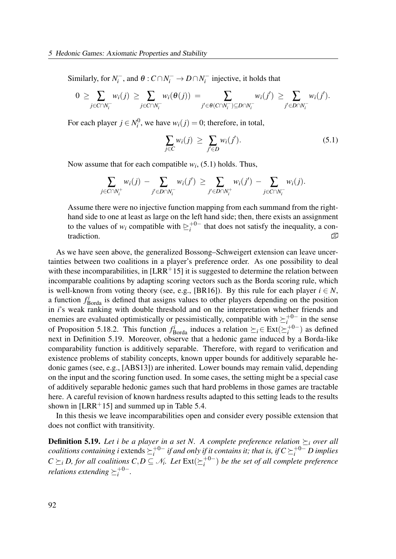Similarly, for  $N_i^$  $i^-$ , and  $\theta: C \cap N_i^- \to D \cap N_i^$  $i<sub>i</sub>$  injective, it holds that

$$
0 \geq \sum_{j \in C \cap N_i^-} w_i(j) \geq \sum_{j \in C \cap N_i^-} w_i(\theta(j)) = \sum_{j' \in \theta(C \cap N_i^-) \subseteq D \cap N_i^-} w_i(j') \geq \sum_{j' \in D \cap N_i^-} w_i(j').
$$

For each player  $j \in N_i^0$  $w_i^0$ , we have  $w_i(j) = 0$ ; therefore, in total,

$$
\sum_{j \in C} w_i(j) \ge \sum_{j' \in D} w_i(j'). \tag{5.1}
$$

Now assume that for each compatible  $w_i$ , (5.1) holds. Thus,

$$
\sum_{j\in C\cap N_i^+}w_i(j)\,-\!\!\sum_{j'\in D\cap N_i^-}w_i(j')\,\geq\sum_{j'\in D\cap N_i^+}w_i(j')\,-\!\!\sum_{j\in C\cap N_i^-}w_i(j).
$$

Assume there were no injective function mapping from each summand from the righthand side to one at least as large on the left hand side; then, there exists an assignment to the values of  $w_i$  compatible with  $\geq_i^{+0-}$  $t_i^{+0-}$  that does not satisfy the inequality, a contradiction.

As we have seen above, the generalized Bossong–Schweigert extension can leave uncertainties between two coalitions in a player's preference order. As one possibility to deal with these incomparabilities, in  $[LRR+15]$  it is suggested to determine the relation between incomparable coalitions by adapting scoring vectors such as the Borda scoring rule, which is well-known from voting theory (see, e.g., [BR16]). By this rule for each player  $i \in N$ , a function  $f_{\text{Borda}}^i$  is defined that assigns values to other players depending on the position in *i*'s weak ranking with double threshold and on the interpretation whether friends and enemies are evaluated optimistically or pessimistically, compatible with  $\succeq_i^{+0-}$  $i^{+0-}$  in the sense of Proposition 5.18.2. This function  $f_{\text{Borda}}^i$  induces a relation  $\succeq_i \in \text{Ext}(\succeq_i^{+0-})$  $i^{+0-}$ ) as defined next in Definition 5.19. Moreover, observe that a hedonic game induced by a Borda-like comparability function is additively separable. Therefore, with regard to verification and existence problems of stability concepts, known upper bounds for additively separable hedonic games (see, e.g., [ABS13]) are inherited. Lower bounds may remain valid, depending on the input and the scoring function used. In some cases, the setting might be a special case of additively separable hedonic games such that hard problems in those games are tractable here. A careful revision of known hardness results adapted to this setting leads to the results shown in  $[LRR+15]$  and summed up in Table 5.4.

In this thesis we leave incomparabilities open and consider every possible extension that does not conflict with transitivity.

**Definition 5.19.** Let i be a player in a set N. A complete preference relation  $\succeq_i$  over all *coalitions containing i* extends  $\succeq_i^{+0-}$  $i^{+0-}$  if and only if it contains it; that is, if  $C \succeq_i^{+0-} D$  implies  $C \succeq_i D$ , for all coalitions  $C, D \subseteq \mathcal{N}_i$ . Let  $\text{Ext}(\succeq_i^{+0-})$  $i^{+0-}$ ) be the set of all complete preference relations extending  $\succeq_i^{+0-}$  $i^{+0-}.$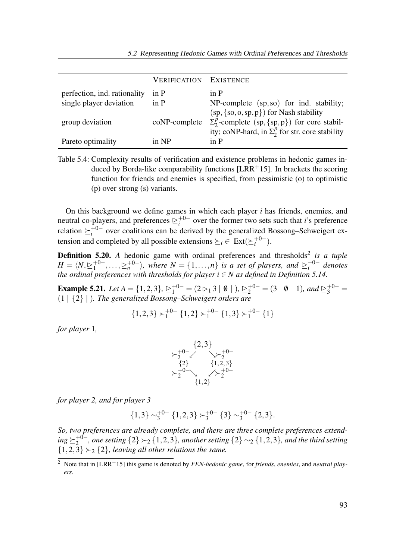|                              | <b>VERIFICATION EXISTENCE</b> |                                                                                                                                                            |
|------------------------------|-------------------------------|------------------------------------------------------------------------------------------------------------------------------------------------------------|
| perfection, ind. rationality | in P                          | in P                                                                                                                                                       |
| single player deviation      | in P                          | NP-complete (sp, so) for ind. stability;                                                                                                                   |
| group deviation              | coNP-complete                 | $(sp, {so, op, p})$ for Nash stability<br>$\Sigma_2^p$ -complete (sp, {sp, p}) for core stabil-<br>ity; coNP-hard, in $\Sigma_2^p$ for str. core stability |
| Pareto optimality            | in NP                         | in P                                                                                                                                                       |

Table 5.4: Complexity results of verification and existence problems in hedonic games induced by Borda-like comparability functions [LRR<sup>+</sup>15]. In brackets the scoring function for friends and enemies is specified, from pessimistic (o) to optimistic (p) over strong (s) variants.

On this background we define games in which each player  $i$  has friends, enemies, and neutral co-players, and preferences  $\sum_{i=1}^{+0}$  $i^{+0-}$  over the former two sets such that *i*'s preference relation  $\succeq_i^{+0-}$  $i_i^{+0-}$  over coalitions can be derived by the generalized Bossong–Schweigert extension and completed by all possible extensions  $\succeq_i \in \text{Ext}(\succeq_i^{+0-})$  $i^{+0-}$ ).

**Definition 5.20.** A hedonic game with ordinal preferences and thresholds<sup>2</sup> is a tuple  $H=\langle N, \unrhd_{1}^{+0-}$  $\frac{1}{1}^{+0-}, \ldots, \geq_n^{+0-}$ , where  $N = \{1, \ldots, n\}$  is a set of players, and  $\geq_i^{+0-}$  $i^{+0-}$  denotes the ordinal preferences with thresholds for player  $i \in N$  as defined in Definition 5.14.

**Example 5.21.** Let  $A = \{1,2,3\}$ ,  $\geq_1^{+0-} = (2 \rhd_1 3 \rhd 0 \rhd 0)$ ,  $\geq_2^{+0-} = (3 \rhd 0 \rhd 1)$ , and  $\geq_3^{+0-} =$  $(1 | {2} | )$ . The generalized Bossong–Schweigert orders are

$$
\{1,2,3\} \succ_1^{+0-} \{1,2\} \succ_1^{+0-} \{1,3\} \succ_1^{+0-} \{1\}
$$

for player 1,



for player 2, and for player 3

$$
{1,3} \sim_3^{+0^-} {1,2,3} \succ_3^{+0^-} {3} \sim_3^{+0^-} {2,3}.
$$

So, two preferences are already complete, and there are three complete preferences extend $ing \succeq_2^{+0-}$  $_2^{+0-}$ , one setting  $\{2\} \succ_2 \{1,2,3\}$ , another setting  $\{2\} \sim_2 \{1,2,3\}$ , and the third setting  $\{1,2,3\} \succ_2 \{2\}$ , leaving all other relations the same.

 $\overline{2}$  Note that in [LRR+15] this game is denoted by *FEN-hedonic game*, for *friends*, *enemies*, and *neutral play*ers.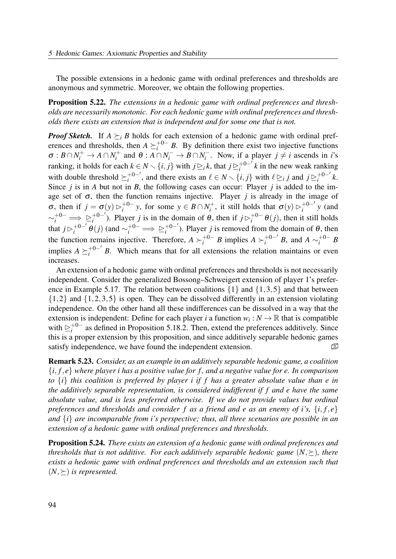The possible extensions in a hedonic game with ordinal preferences and thresholds are anonymous and symmetric. Moreover, we obtain the following properties.

Proposition 5.22. The extensions in a hedonic game with ordinal preferences and thresholds are necessarily monotonic. For each hedonic game with ordinal preferences and thresholds there exists an extension that is independent and for some one that is not.

**Proof Sketch.** If  $A \succeq_i B$  holds for each extension of a hedonic game with ordinal preferences and thresholds, then  $A \succeq_i^{+0^-} B$ . By definition there exist two injective functions  $\sigma: B \cap N_i^+ \to A \cap N_i^+$  $\eta_i^+$  and  $\theta : A \cap N_i^- \to B \cap N_i^$  $i^-$ . Now, if a player  $j \neq i$  ascends in *i*'s ranking, it holds for each  $k \in N \setminus \{i, j\}$  with  $j \trianglerighteq_i k$ , that  $j \trianglerighteq_i^{+0-j}$  $i^{+0-}$  *k* in the new weak ranking with double threshold  $\succeq_i^{+0-\prime}$  $i_i^{+0-i}$ , and there exists an  $\ell \in N \setminus \{i, j\}$  with  $\ell \geq i j$  and  $j \geq i_0^{+0-i}$  $i^{+0-'} k.$ Since *j* is in A but not in B, the following cases can occur: Player *j* is added to the image set of  $\sigma$ , then the function remains injective. Player *j* is already in the image of  $\sigma$ , then if  $j = \sigma(y) \triangleright_i^{+0-} y$ , for some  $y \in B \cap N_i^+$ , it still holds that  $\sigma(y) \triangleright_i^{+0-'} y$  (and  $i$  y, for some  $y \in D \cap N_i$ , it sum holds that  $\mathcal{O}(y) \nvdash i$  $\sim_i^{+0-} \implies \geq_i^{+0-'}$ <sup>+0-'</sup>). Player *j* is in the domain of  $\theta$ , then if  $j \triangleright_i^{+0-}$  $i^{+0-} \theta(j)$ , then it still holds that  $j \triangleright_i^{+0-j}$  $e_i^{+0-'}\theta(j)$  (and  $\sim_i^{+0-} \implies \ge_i^{+0-'}$  $i^{+0-}$ ). Player *j* is removed from the domain of  $\theta$ , then the function remains injective. Therefore,  $A \succ_i^{+0-} B$  implies  $A \succ_i^{+0-'} B$ , and  $A \sim_i^{+0-} B$ implies  $A \succeq_i^{+0-'} B$ . Which means that for all extensions the relation maintains or even increases.

An extension of a hedonic game with ordinal preferences and thresholds is not necessarily independent. Consider the generalized Bossong–Schweigert extension of player 1's preference in Example 5.17. The relation between coalitions  $\{1\}$  and  $\{1,3,5\}$  and that between  $\{1,2\}$  and  $\{1,2,3,5\}$  is open. They can be dissolved differently in an extension violating independence. On the other hand all these indifferences can be dissolved in a way that the extension is independent: Define for each player *i* a function  $w_i : N \to \mathbb{R}$  that is compatible with  $\sum_{i}^{+0-}$  $i<sup>+0-</sup>$  as defined in Proposition 5.18.2. Then, extend the preferences additively. Since this is a proper extension by this proposition, and since additively separable hedonic games satisfy independence, we have found the independent extension.  $\mathbb{D}$ 

Remark 5.23. Consider, as an example in an additively separable hedonic game, a coalition  $\{i, f, e\}$  where player i has a positive value for f, and a negative value for e. In comparison to  $\{i\}$  this coalition is preferred by player i if f has a greater absolute value than e in the additively separable representation, is considered indifferent if f and e have the same absolute value, and is less preferred otherwise. If we do not provide values but ordinal preferences and thresholds and consider f as a friend and e as an enemy of i's,  $\{i, f, e\}$ and  $\{i\}$  are incomparable from i's perspective; thus, all three scenarios are possible in an extension of a hedonic game with ordinal preferences and thresholds.

Proposition 5.24. There exists an extension of a hedonic game with ordinal preferences and thresholds that is not additive. For each additively separable hedonic game  $(N, \succ)$ , there exists a hedonic game with ordinal preferences and thresholds and an extension such that  $(N, \succeq)$  is represented.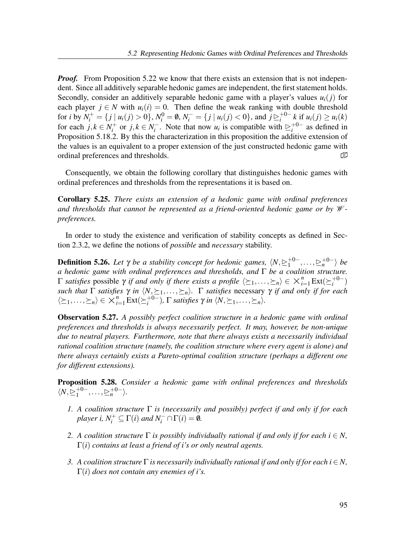*Proof.* From Proposition 5.22 we know that there exists an extension that is not independent. Since all additively separable hedonic games are independent, the first statement holds. Secondly, consider an additively separable hedonic game with a player's values  $u_i(j)$  for each player  $j \in N$  with  $u_i(i) = 0$ . Then define the weak ranking with double threshold for *i* by  $N_i^+ = \{ j \mid u_i(j) > 0 \}, N_i^0 = \emptyset, N_i^- = \{ j \mid u_i(j) < 0 \}, \text{ and } j \geq i^{0-1}$  $i^{+0-} k$  if  $u_i(j) \ge u_i(k)$ for each  $j, k \in N_i^+$  $j_i^+$  or  $j, k \in N_i^ \sum_{i}^{i-1}$ . Note that now  $u_i$  is compatible with  $\sum_{i}^{+0-1}$  $i^{+0-}$  as defined in Proposition 5.18.2. By this the characterization in this proposition the additive extension of the values is an equivalent to a proper extension of the just constructed hedonic game with ordinal preferences and thresholds.  $\Box$ 

Consequently, we obtain the following corollary that distinguishes hedonic games with ordinal preferences and thresholds from the representations it is based on.

Corollary 5.25. There exists an extension of a hedonic game with ordinal preferences and thresholds that cannot be represented as a friend-oriented hedonic game or by  $W$ preferences.

In order to study the existence and verification of stability concepts as defined in Section 2.3.2, we define the notions of possible and necessary stability.

**Definition 5.26.** Let  $\gamma$  be a stability concept for hedonic games,  $\langle N, \geq_1^{+0-}$  $\vert 1^{+0-}, \ldots, \geq_n^{+0-} \rangle$  be a hedonic game with ordinal preferences and thresholds, and  $\Gamma$  be a coalition structure.  $Γ$  satisfies possible  $γ$  if and only if there exists a profile  $\langle \succeq_1,\ldots,\succeq_n\rangle \in \times_{i=1}^n \text{Ext}(\succeq_i^{+0-})$  $i^{+0-}$ such that  $\Gamma$  satisfies  $\gamma$  in  $\langle N, \succeq_1,\ldots,\succeq_n \rangle$ .  $\Gamma$  satisfies necessary  $\gamma$  if and only if for each  $\langle \succeq_1,\ldots,\succeq_n \rangle \in X_{i=1}^n \text{Ext}(\succeq_i^{+0-})$  $i^{+0-}$ ),  $\Gamma$  satisfies  $\gamma$  in  $\langle N, \succeq_1, \ldots, \succeq_n \rangle$ .

**Observation 5.27.** A possibly perfect coalition structure in a hedonic game with ordinal preferences and thresholds is always necessarily perfect. It may, however, be non-unique due to neutral players. Furthermore, note that there always exists a necessarily individual rational coalition structure (namely, the coalition structure where every agent is alone) and there always certainly exists a Pareto-optimal coalition structure (perhaps a different one for different extensions).

Proposition 5.28. Consider a hedonic game with ordinal preferences and thresholds  $\langle N, \geq_1^{+0-}$  $\vert 1^{+0-}, \ldots, \geq n^{+0-} \rangle.$ 

- 1. A coalition structure  $\Gamma$  is (necessarily and possibly) perfect if and only if for each player i,  $N_i^+ \subseteq \Gamma(i)$  and  $N_i^- \cap \Gamma(i) = \emptyset$ .
- 2. A coalition structure  $\Gamma$  is possibly individually rational if and only if for each  $i \in N$ ,  $\Gamma(i)$  contains at least a friend of *i*'s or only neutral agents.
- 3. A coalition structure  $\Gamma$  is necessarily individually rational if and only if for each  $i \in N$ ,  $\Gamma(i)$  does not contain any enemies of *i*'s.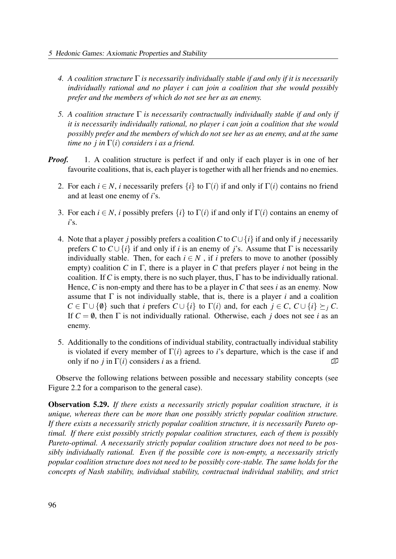- 4. A coalition structure  $\Gamma$  is necessarily individually stable if and only if it is necessarily individually rational and no player i can join a coalition that she would possibly prefer and the members of which do not see her as an enemy.
- 5. A coalition structure  $\Gamma$  is necessarily contractually individually stable if and only if it is necessarily individually rational, no player i can join a coalition that she would possibly prefer and the members of which do not see her as an enemy, and at the same time no *j* in  $\Gamma(i)$  considers *i* as a friend.
- **Proof.** 1. A coalition structure is perfect if and only if each player is in one of her favourite coalitions, that is, each player is together with all her friends and no enemies.
	- 2. For each  $i \in N$ , i necessarily prefers  $\{i\}$  to  $\Gamma(i)$  if and only if  $\Gamma(i)$  contains no friend and at least one enemy of i's.
	- 3. For each  $i \in N$ , i possibly prefers  $\{i\}$  to  $\Gamma(i)$  if and only if  $\Gamma(i)$  contains an enemy of  $i$ 's.
	- 4. Note that a player j possibly prefers a coalition C to  $C \cup \{i\}$  if and only if j necessarily prefers C to  $C \cup \{i\}$  if and only if i is an enemy of j's. Assume that  $\Gamma$  is necessarily individually stable. Then, for each  $i \in N$ , if i prefers to move to another (possibly empty) coalition C in  $\Gamma$ , there is a player in C that prefers player i not being in the coalition. If C is empty, there is no such player, thus,  $\Gamma$  has to be individually rational. Hence, C is non-empty and there has to be a player in C that sees i as an enemy. Now assume that  $\Gamma$  is not individually stable, that is, there is a player i and a coalition  $C \in \Gamma \cup \{0\}$  such that i prefers  $C \cup \{i\}$  to  $\Gamma(i)$  and, for each  $j \in C$ ,  $C \cup \{i\} \succeq_{i} C$ . If  $C = \emptyset$ , then  $\Gamma$  is not individually rational. Otherwise, each j does not see i as an enemy.
	- 5. Additionally to the conditions of individual stability, contractually individual stability is violated if every member of  $\Gamma(i)$  agrees to i's departure, which is the case if and only if no *j* in  $\Gamma(i)$  considers *i* as a friend.  $\Box$

Observe the following relations between possible and necessary stability concepts (see Figure 2.2 for a comparison to the general case).

**Observation 5.29.** If there exists a necessarily strictly popular coalition structure, it is unique, whereas there can be more than one possibly strictly popular coalition structure. If there exists a necessarily strictly popular coalition structure, it is necessarily Pareto optimal. If there exist possibly strictly popular coalition structures, each of them is possibly Pareto-optimal. A necessarily strictly popular coalition structure does not need to be possibly individually rational. Even if the possible core is non-empty, a necessarily strictly popular coalition structure does not need to be possibly core-stable. The same holds for the concepts of Nash stability, individual stability, contractual individual stability, and strict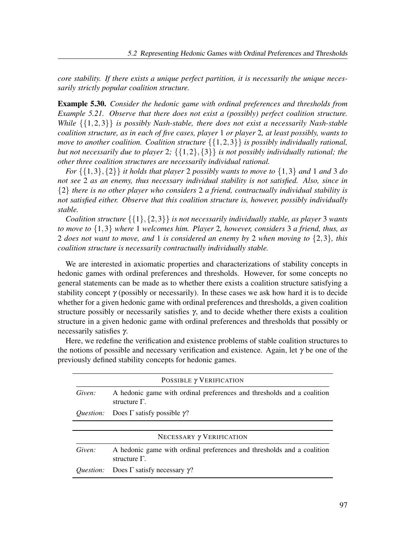core stability. If there exists a unique perfect partition, it is necessarily the unique necessarily strictly popular coalition structure.

Example 5.30. Consider the hedonic game with ordinal preferences and thresholds from Example 5.21. Observe that there does not exist a (possibly) perfect coalition structure. While  $\{\{1,2,3\}\}\$ is possibly Nash-stable, there does not exist a necessarily Nash-stable coalition structure, as in each of five cases, player 1 or player 2, at least possibly, wants to move to another coalition. Coalition structure  $\{\{1,2,3\}\}\$  is possibly individually rational, but not necessarily due to player 2;  $\{\{1,2\},\{3\}\}\$ is not possibly individually rational; the other three coalition structures are necessarily individual rational.

For  $\{\{1,3\},\{2\}\}\$ it holds that player 2 possibly wants to move to  $\{1,3\}$  and 1 and 3 do not see 2 as an enemy, thus necessary individual stability is not satisfied. Also, since in  ${2}$  there is no other player who considers 2 a friend, contractually individual stability is not satisfied either. Observe that this coalition structure is, however, possibly individually stable.

Coalition structure  $\{\{1\},\{2,3\}\}\$ is not necessarily individually stable, as player 3 wants to move to  $\{1,3\}$  where 1 welcomes him. Player 2, however, considers 3 a friend, thus, as 2 does not want to move, and 1 is considered an enemy by 2 when moving to  $\{2,3\}$ , this coalition structure is necessarily contractually individually stable.

We are interested in axiomatic properties and characterizations of stability concepts in hedonic games with ordinal preferences and thresholds. However, for some concepts no general statements can be made as to whether there exists a coalition structure satisfying a stability concept  $\gamma$  (possibly or necessarily). In these cases we ask how hard it is to decide whether for a given hedonic game with ordinal preferences and thresholds, a given coalition structure possibly or necessarily satisfies  $\gamma$ , and to decide whether there exists a coalition structure in a given hedonic game with ordinal preferences and thresholds that possibly or necessarily satisfies γ.

Here, we redefine the verification and existence problems of stable coalition structures to the notions of possible and necessary verification and existence. Again, let  $\gamma$  be one of the previously defined stability concepts for hedonic games.

| POSSIBLE $\gamma$ VERIFICATION  |                                                                                                |  |  |  |  |  |  |  |  |
|---------------------------------|------------------------------------------------------------------------------------------------|--|--|--|--|--|--|--|--|
| Given:                          | A hedonic game with ordinal preferences and thresholds and a coalition<br>structure $\Gamma$ . |  |  |  |  |  |  |  |  |
| <i>Ouestion:</i>                | Does $\Gamma$ satisfy possible $\gamma$ ?                                                      |  |  |  |  |  |  |  |  |
|                                 |                                                                                                |  |  |  |  |  |  |  |  |
| NECESSARY $\gamma$ VERIFICATION |                                                                                                |  |  |  |  |  |  |  |  |
| Given:                          | A hedonic game with ordinal preferences and thresholds and a coalition<br>structure $\Gamma$ . |  |  |  |  |  |  |  |  |
| <i>Ouestion:</i>                | Does $\Gamma$ satisfy necessary $\gamma$ ?                                                     |  |  |  |  |  |  |  |  |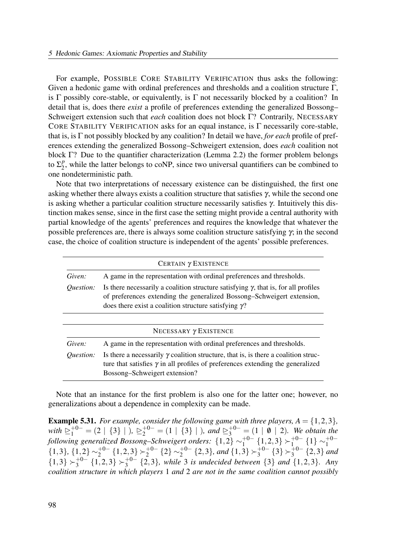For example, POSSIBLE CORE STABILITY VERIFICATION thus asks the following: Given a hedonic game with ordinal preferences and thresholds and a coalition structure Γ, is  $\Gamma$  possibly core-stable, or equivalently, is  $\Gamma$  not necessarily blocked by a coalition? In detail that is, does there *exist* a profile of preferences extending the generalized Bossong– Schweigert extension such that each coalition does not block Γ? Contrarily, NECESSARY CORE STABILITY VERIFICATION asks for an equal instance, is Γ necessarily core-stable, that is, is  $\Gamma$  not possibly blocked by any coalition? In detail we have, for each profile of preferences extending the generalized Bossong–Schweigert extension, does each coalition not block  $\Gamma$ ? Due to the quantifier characterization (Lemma 2.2) the former problem belongs to  $\Sigma_2^p$  $2<sub>2</sub>$ , while the latter belongs to coNP, since two universal quantifiers can be combined to one nondeterministic path.

Note that two interpretations of necessary existence can be distinguished, the first one asking whether there always exists a coalition structure that satisfies  $\gamma$ , while the second one is asking whether a particular coalition structure necessarily satisfies γ. Intuitively this distinction makes sense, since in the first case the setting might provide a central authority with partial knowledge of the agents' preferences and requires the knowledge that whatever the possible preferences are, there is always some coalition structure satisfying  $\gamma$ ; in the second case, the choice of coalition structure is independent of the agents' possible preferences.

| CERTAIN $\gamma$ EXISTENCE |                                                                                                                                                                                                                                      |  |  |  |  |  |  |  |  |  |
|----------------------------|--------------------------------------------------------------------------------------------------------------------------------------------------------------------------------------------------------------------------------------|--|--|--|--|--|--|--|--|--|
| Given:                     | A game in the representation with ordinal preferences and thresholds.                                                                                                                                                                |  |  |  |  |  |  |  |  |  |
| Question:                  | Is there necessarily a coalition structure satisfying $\gamma$ , that is, for all profiles<br>of preferences extending the generalized Bossong–Schweigert extension,<br>does there exist a coalition structure satisfying $\gamma$ ? |  |  |  |  |  |  |  |  |  |
|                            |                                                                                                                                                                                                                                      |  |  |  |  |  |  |  |  |  |
|                            | NECESSARY $\gamma$ EXISTENCE                                                                                                                                                                                                         |  |  |  |  |  |  |  |  |  |
| Given:                     | A game in the representation with ordinal preferences and thresholds.                                                                                                                                                                |  |  |  |  |  |  |  |  |  |
| <i><u>Ouestion:</u></i>    | Is there a necessarily $\gamma$ coalition structure, that is, is there a coalition struc-<br>ture that satisfies $\gamma$ in all profiles of preferences extending the generalized<br>Bossong–Schweigert extension?                  |  |  |  |  |  |  |  |  |  |

Note that an instance for the first problem is also one for the latter one; however, no generalizations about a dependence in complexity can be made.

**Example 5.31.** For example, consider the following game with three players,  $A = \{1,2,3\}$ , with  $\sum_{1}^{+0-} = (2 \mid \{3\} \mid)$ ,  $\sum_{2}^{+0-} = (1 \mid \{3\} \mid)$ , and  $\sum_{3}^{+0-} = (1 \mid \emptyset \mid 2)$ . We obtain the following generalized Bossong–Schweigert orders:  $\{1,2\} \sim_1^{+0-1}$  $_{1}^{+0-}$   $\{1,2,3\}$   $\succ_{1}^{+0-}$  $_{1}^{+0-}$  {1}  $\sim_1^{+0-}$ 1  $\{1,3\},\{1,2\} \sim_2^{+0-}$  $_{2}^{+0-}$  {1,2,3}  $\succ_{2}^{+0-}$  $_2^{+0-}$   $\{2\}$   $\sim_2^{+0-}$  $_{2}^{+0-}$  {2,3}, and {1,3}  $\succ_{3}^{+0-}$  $_{3}^{+0-}$   $\{3\}$   $\succ_{3}^{+0-}$  $j_3^{+0-}$   $\{2,3\}$  and  ${1,3} \succ_3^{+0-}$  $_{3}^{+0-}$  {1,2,3}  $\succ_{3}^{+0-}$  $_{3}^{+0-}$  {2,3}, while 3 is undecided between {3} and {1,2,3}. Any coalition structure in which players 1 and 2 are not in the same coalition cannot possibly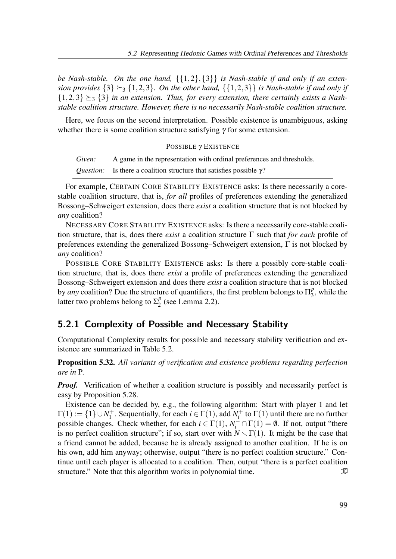be Nash-stable. On the one hand,  $\{\{1,2\},\{3\}\}\$ is Nash-stable if and only if an extension provides  $\{3\} \succeq_3 \{1,2,3\}$ . On the other hand,  $\{\{1,2,3\}\}$  is Nash-stable if and only if  ${1,2,3} \succeq_3 {3}$  in an extension. Thus, for every extension, there certainly exists a Nashstable coalition structure. However, there is no necessarily Nash-stable coalition structure.

Here, we focus on the second interpretation. Possible existence is unambiguous, asking whether there is some coalition structure satisfying  $\gamma$  for some extension.

| POSSIBLE $\gamma$ EXISTENCE |                                                                                    |  |  |  |  |  |  |  |
|-----------------------------|------------------------------------------------------------------------------------|--|--|--|--|--|--|--|
| Given:                      | A game in the representation with ordinal preferences and thresholds.              |  |  |  |  |  |  |  |
|                             | <i>Question:</i> Is there a coalition structure that satisfies possible $\gamma$ ? |  |  |  |  |  |  |  |

For example, CERTAIN CORE STABILITY EXISTENCE asks: Is there necessarily a corestable coalition structure, that is, *for all* profiles of preferences extending the generalized Bossong–Schweigert extension, does there *exist* a coalition structure that is not blocked by any coalition?

NECESSARY CORE STABILITY EXISTENCE asks: Is there a necessarily core-stable coalition structure, that is, does there *exist* a coalition structure  $\Gamma$  such that for each profile of preferences extending the generalized Bossong–Schweigert extension,  $\Gamma$  is not blocked by any coalition?

POSSIBLE CORE STABILITY EXISTENCE asks: Is there a possibly core-stable coalition structure, that is, does there exist a profile of preferences extending the generalized Bossong–Schweigert extension and does there exist a coalition structure that is not blocked by any coalition? Due the structure of quantifiers, the first problem belongs to  $\Pi_3^p$  $\frac{p}{3}$ , while the latter two problems belong to  $\Sigma_2^p$  $\frac{p}{2}$  (see Lemma 2.2).

## 5.2.1 Complexity of Possible and Necessary Stability

Computational Complexity results for possible and necessary stability verification and existence are summarized in Table 5.2.

Proposition 5.32. All variants of verification and existence problems regarding perfection are in P.

*Proof.* Verification of whether a coalition structure is possibly and necessarily perfect is easy by Proposition 5.28.

Existence can be decided by, e.g., the following algorithm: Start with player 1 and let  $\Gamma(1) := \{1\} \cup N_1^+$ <sup> $t_1^+$ </sup>. Sequentially, for each  $i \in \Gamma(1)$ , add  $N_i^+$  $\int_i^+$  to  $\Gamma(1)$  until there are no further possible changes. Check whether, for each  $i \in \Gamma(1)$ ,  $N_i^-\cap \Gamma(1) = \emptyset$ . If not, output "there is no perfect coalition structure"; if so, start over with  $N \setminus \Gamma(1)$ . It might be the case that a friend cannot be added, because he is already assigned to another coalition. If he is on his own, add him anyway; otherwise, output "there is no perfect coalition structure." Continue until each player is allocated to a coalition. Then, output "there is a perfect coalition structure." Note that this algorithm works in polynomial time.  $\mathbb{D}$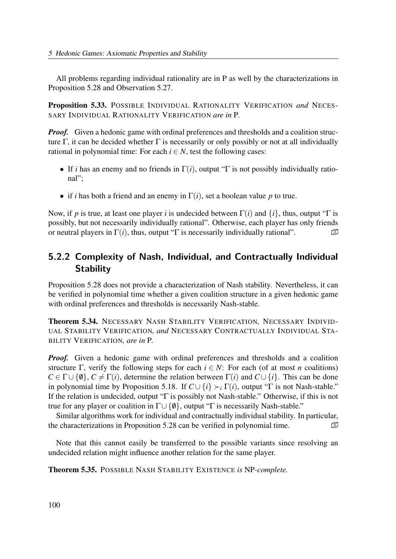All problems regarding individual rationality are in P as well by the characterizations in Proposition 5.28 and Observation 5.27.

Proposition 5.33. POSSIBLE INDIVIDUAL RATIONALITY VERIFICATION and NECES-SARY INDIVIDUAL RATIONALITY VERIFICATION are in P.

*Proof.* Given a hedonic game with ordinal preferences and thresholds and a coalition structure Γ, it can be decided whether Γ is necessarily or only possibly or not at all individually rational in polynomial time: For each  $i \in N$ , test the following cases:

- If i has an enemy and no friends in  $\Gamma(i)$ , output "Γ is not possibly individually rational";
- if *i* has both a friend and an enemy in  $\Gamma(i)$ , set a boolean value p to true.

Now, if p is true, at least one player i is undecided between  $\Gamma(i)$  and  $\{i\}$ , thus, output "Γ is possibly, but not necessarily individually rational". Otherwise, each player has only friends or neutral players in  $\Gamma(i)$ , thus, output "Γ is necessarily individually rational".  $\Box$ 

# 5.2.2 Complexity of Nash, Individual, and Contractually Individual **Stability**

Proposition 5.28 does not provide a characterization of Nash stability. Nevertheless, it can be verified in polynomial time whether a given coalition structure in a given hedonic game with ordinal preferences and thresholds is necessarily Nash-stable.

Theorem 5.34. NECESSARY NASH STABILITY VERIFICATION, NECESSARY INDIVID-UAL STABILITY VERIFICATION, and NECESSARY CONTRACTUALLY INDIVIDUAL STA-BILITY VERIFICATION, are in P.

**Proof.** Given a hedonic game with ordinal preferences and thresholds and a coalition structure Γ, verify the following steps for each  $i \in N$ : For each (of at most *n* coalitions)  $C \in \Gamma \cup \{\emptyset\}, C \neq \Gamma(i)$ , determine the relation between  $\Gamma(i)$  and  $C \cup \{i\}$ . This can be done in polynomial time by Proposition 5.18. If  $C \cup \{i\} \succ_i \Gamma(i)$ , output "Γ is not Nash-stable." If the relation is undecided, output "Γ is possibly not Nash-stable." Otherwise, if this is not true for any player or coalition in  $\Gamma \cup \{0\}$ , output "Γ is necessarily Nash-stable."

Similar algorithms work for individual and contractually individual stability. In particular, the characterizations in Proposition 5.28 can be verified in polynomial time.  $\mathbb D$ 

Note that this cannot easily be transferred to the possible variants since resolving an undecided relation might influence another relation for the same player.

Theorem 5.35. POSSIBLE NASH STABILITY EXISTENCE is NP-complete.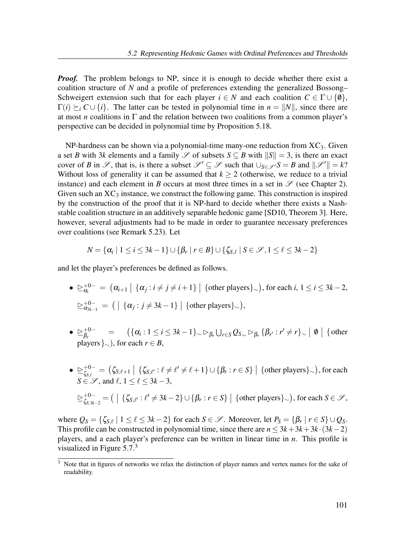**Proof.** The problem belongs to NP, since it is enough to decide whether there exist a coalition structure of N and a profile of preferences extending the generalized Bossong– Schweigert extension such that for each player  $i \in N$  and each coalition  $C \in \Gamma \cup \{0\}$ ,  $\Gamma(i) \succ_i C \cup \{i\}$ . The latter can be tested in polynomial time in  $n = ||N||$ , since there are at most *n* coalitions in  $\Gamma$  and the relation between two coalitions from a common player's perspective can be decided in polynomial time by Proposition 5.18.

NP-hardness can be shown via a polynomial-time many-one reduction from  $XC_3$ . Given a set B with 3k elements and a family  $\mathscr S$  of subsets  $S \subseteq B$  with  $||S|| = 3$ , is there an exact cover of B in  $\mathscr{S}$ , that is, is there a subset  $\mathscr{S}' \subseteq \mathscr{S}$  such that  $\bigcup_{S \in \mathscr{S}'} S = B$  and  $\|\mathscr{S}'\| = k$ ? Without loss of generality it can be assumed that  $k \ge 2$  (otherwise, we reduce to a trivial instance) and each element in B occurs at most three times in a set in  $\mathscr S$  (see Chapter 2). Given such an  $XC_3$  instance, we construct the following game. This construction is inspired by the construction of the proof that it is NP-hard to decide whether there exists a Nashstable coalition structure in an additively separable hedonic game [SD10, Theorem 3]. Here, however, several adjustments had to be made in order to guarantee necessary preferences over coalitions (see Remark 5.23). Let

$$
N = {\alpha_i | 1 \leq i \leq 3k-1} \cup {\beta_r | r \in B} \cup {\zeta_{S,\ell} | S \in \mathscr{S}, 1 \leq \ell \leq 3k-2}
$$

and let the player's preferences be defined as follows.

- $\bullet \geq_{\alpha_i}^{+0-} = (\alpha_{i+1} \mid \{\alpha_j : i \neq j \neq i+1\} \mid \{\text{other players}\}_{\sim}), \text{ for each } i, 1 \leq i \leq 3k-2,$  $\trianglerighteq_{\alpha_{3k-1}}^{+0-}= ( \begin{array}{c|c} \{\alpha_j : j \neq 3k-1\} & \{\text{other players}\}_{\sim} \end{array}),$
- $\bullet \geq^+_{R} 0^ \beta_r^{+0-} \quad = \quad (\{\alpha_i : 1 \leq i \leq 3k-1\} \sim \rhd_{\beta_r} \bigcup_{r \in S} Q_{S} \sim \rhd_{\beta_r} \{\beta_{r'} : r' \neq r\} \sim \; \mid \emptyset \mid \{\text{other}\}$ players  $\}_{\sim}$ ), for each  $r \in B$ .
- $\bullet \geq^{\text{+0-}}_{\zeta_{\alpha,\epsilon}}$  $\zeta_{\mathcal{S},\ell}^{+-}= \big( \zeta_{\mathcal{S},\ell+1} \; \big| \; \{ \zeta_{\mathcal{S},\ell'} : \ell \neq \ell' \neq \ell+1 \} \cup \{ \beta_r : r \in S \} \;\big|\; \{\text{other players}\}_\sim\big), \text{for each } \zeta_{\mathcal{S},\ell} \in \mathcal{S}, \forall \ell \in \mathcal{S} \}$  $S \in \mathscr{S}$ , and  $\ell$ ,  $1 \leq \ell \leq 3k-3$ ,  $\geq^{\pm 0-}_{\varepsilon}$  $C^{+0-}_{\zeta_{S,3k-2}}=\big(\;|\;\{\zeta_{S,\ell'}:\ell'\neq 3k-2\}\cup\{\beta_r:r\in S\}\;\big|\;\{\text{other players}\}_{\sim}\big), \text{ for each }S\in\mathscr{S},$

where  $Q_S = \{\zeta_{S,\ell} \mid 1 \leq \ell \leq 3k-2\}$  for each  $S \in \mathscr{S}$ . Moreover, let  $P_S = \{\beta_r \mid r \in S\} \cup Q_S$ . This profile can be constructed in polynomial time, since there are  $n \leq 3k+3k+3k \cdot (3k-2)$ players, and a each player's preference can be written in linear time in  $n$ . This profile is visualized in Figure  $5.7<sup>3</sup>$ 

 $\frac{3}{3}$  Note that in figures of networks we relax the distinction of player names and vertex names for the sake of readability.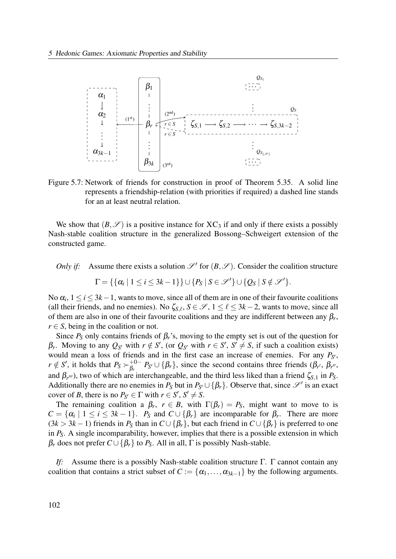

Figure 5.7: Network of friends for construction in proof of Theorem 5.35. A solid line represents a friendship-relation (with priorities if required) a dashed line stands for an at least neutral relation.

We show that  $(B,\mathscr{S})$  is a positive instance for  $XC_3$  if and only if there exists a possibly Nash-stable coalition structure in the generalized Bossong–Schweigert extension of the constructed game.

Only if: Assume there exists a solution  $\mathcal{S}'$  for  $(B, \mathcal{S})$ . Consider the coalition structure

 $\Gamma = \{ \{ \alpha_i \mid 1 \leq i \leq 3k-1 \} \} \cup \{ P_S \mid S \in \mathscr{S}' \} \cup \{ Q_S \mid S \notin \mathscr{S}' \}.$ 

No  $\alpha_i$ ,  $1 \le i \le 3k-1$ , wants to move, since all of them are in one of their favourite coalitions (all their friends, and no enemies). No  $\zeta_{S,\ell}, S \in \mathscr{S}, 1 \leq \ell \leq 3k-2$ , wants to move, since all of them are also in one of their favourite coalitions and they are indifferent between any  $\beta_r$ ,  $r \in S$ , being in the coalition or not.

Since  $P_S$  only contains friends of  $\beta_r$ 's, moving to the empty set is out of the question for β<sub>r</sub>. Moving to any  $Q_{S'}$  with  $r \notin S'$ , (or  $Q_{S'}$  with  $r \in S'$ ,  $S' \neq S$ , if such a coalition exists) would mean a loss of friends and in the first case an increase of enemies. For any  $P_{S'}$ ,  $r \notin S'$ , it holds that  $P_S \succ_{\beta_r}^{+0-}$  $\beta_r^{+0-} P_{S'} \cup \{\beta_r\}$ , since the second contains three friends  $(\beta_{r'}, \beta_{r''}, \beta_{r''}, \beta_{r''})$ and  $\beta_{r''}$ , two of which are interchangeable, and the third less liked than a friend  $\zeta_{S,1}$  in  $P_S$ . Additionally there are no enemies in  $P_S$  but in  $P_{S'} \cup \{\beta_r\}$ . Observe that, since  $\mathscr{S}'$  is an exact cover of B, there is no  $P_{S'} \in \Gamma$  with  $r \in S', S' \neq S$ .

The remaining coalition a  $\beta_r$ ,  $r \in B$ , with  $\Gamma(\beta_r) = P_S$ , might want to move to is  $C = \{ \alpha_i \mid 1 \le i \le 3k - 1 \}.$   $P_S$  and  $C \cup \{ \beta_r \}$  are incomparable for  $\beta_r$ . There are more  $(3k > 3k - 1)$  friends in  $P_S$  than in  $C \cup {\{\beta_r\}}$ , but each friend in  $C \cup {\{\beta_r\}}$  is preferred to one in  $P_S$ . A single incomparability, however, implies that there is a possible extension in which  $\beta_r$  does not prefer  $C \cup {\beta_r}$  to  $P_S$ . All in all,  $\Gamma$  is possibly Nash-stable.

If: Assume there is a possibly Nash-stable coalition structure  $\Gamma$ .  $\Gamma$  cannot contain any coalition that contains a strict subset of  $C := {\alpha_1, \ldots, \alpha_{3k-1}}$  by the following arguments.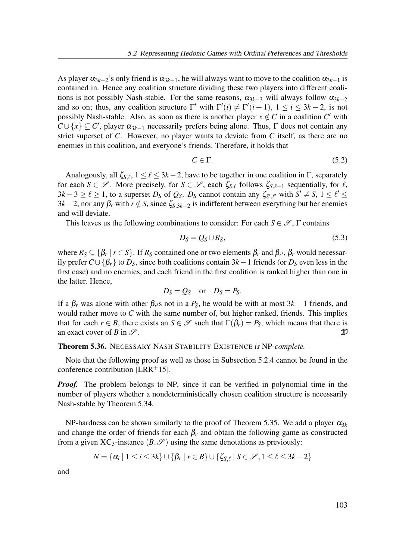As player  $\alpha_{3k-2}$ 's only friend is  $\alpha_{3k-1}$ , he will always want to move to the coalition  $\alpha_{3k-1}$  is contained in. Hence any coalition structure dividing these two players into different coalitions is not possibly Nash-stable. For the same reasons,  $\alpha_{3k-3}$  will always follow  $\alpha_{3k-2}$ and so on; thus, any coalition structure  $\Gamma'$  with  $\Gamma'(i) \neq \Gamma'(i+1)$ ,  $1 \leq i \leq 3k-2$ , is not possibly Nash-stable. Also, as soon as there is another player  $x \notin C$  in a coalition C' with  $C \cup \{x\} \subseteq C'$ , player  $\alpha_{3k-1}$  necessarily prefers being alone. Thus,  $\Gamma$  does not contain any strict superset of C. However, no player wants to deviate from C itself, as there are no enemies in this coalition, and everyone's friends. Therefore, it holds that

$$
C \in \Gamma. \tag{5.2}
$$

Analogously, all  $\zeta_{S,\ell}$ ,  $1 \leq \ell \leq 3k-2$ , have to be together in one coalition in  $\Gamma$ , separately for each  $S \in \mathscr{S}$ . More precisely, for  $S \in \mathscr{S}$ , each  $\zeta_{S,\ell}$  follows  $\zeta_{S,\ell+1}$  sequentially, for  $\ell$ ,  $3k-3 \geq \ell \geq 1$ , to a superset  $D_S$  of  $Q_S$ .  $D_S$  cannot contain any  $\zeta_{S',\ell'}$  with  $S' \neq S$ ,  $1 \leq \ell' \leq S$  $3k-2$ , nor any  $\beta_r$  with  $r \notin S$ , since  $\zeta_{S,3k-2}$  is indifferent between everything but her enemies and will deviate.

This leaves us the following combinations to consider: For each  $S \in \mathscr{S}$ ,  $\Gamma$  contains

$$
D_S = Q_S \cup R_S, \tag{5.3}
$$

where  $R_S \subseteq \{\beta_r \mid r \in S\}$ . If  $R_S$  contained one or two elements  $\beta_r$  and  $\beta_{r'}, \beta_r$  would necessarily prefer  $C \cup {\{\beta_r\}}$  to  $D_s$ , since both coalitions contain 3k – 1 friends (or  $D_s$  even less in the first case) and no enemies, and each friend in the first coalition is ranked higher than one in the latter. Hence,

$$
D_S = Q_S
$$
 or  $D_S = P_S$ .

If a  $\beta_r$  was alone with other  $\beta_{r}$ 's not in a  $P_S$ , he would be with at most 3k – 1 friends, and would rather move to  $C$  with the same number of, but higher ranked, friends. This implies that for each  $r \in B$ , there exists an  $S \in \mathscr{S}$  such that  $\Gamma(\beta_r) = P_S$ , which means that there is an exact cover of B in  $\mathscr{S}$ .

#### Theorem 5.36. NECESSARY NASH STABILITY EXISTENCE is NP-complete.

Note that the following proof as well as those in Subsection 5.2.4 cannot be found in the conference contribution [LRR+15].

**Proof.** The problem belongs to NP, since it can be verified in polynomial time in the number of players whether a nondeterministically chosen coalition structure is necessarily Nash-stable by Theorem 5.34.

NP-hardness can be shown similarly to the proof of Theorem 5.35. We add a player  $\alpha_{3k}$ and change the order of friends for each  $\beta_r$  and obtain the following game as constructed from a given XC<sub>3</sub>-instance  $(B, \mathscr{S})$  using the same denotations as previously:

$$
N = \{ \alpha_i \mid 1 \leq i \leq 3k \} \cup \{ \beta_r \mid r \in B \} \cup \{ \zeta_{S,\ell} \mid S \in \mathcal{S}, 1 \leq \ell \leq 3k - 2 \}
$$

and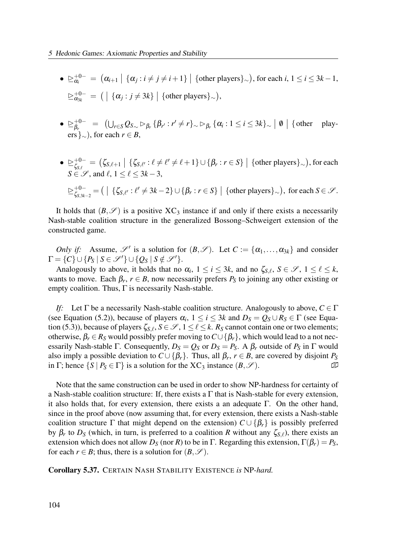- $\bullet \geq_{\alpha_i}^{+0-} = (\alpha_{i+1} \mid \{\alpha_j : i \neq j \neq i+1\} \mid \{\text{other players}\}_{\sim}), \text{ for each } i, 1 \leq i \leq 3k-1,$  $\trianglerighteq_{\alpha_{3k}}^{+0-} = ( | \{ \alpha_j : j \neq 3k \} | \{ \text{other players} \}_{\sim}),$
- $\bullet \geq_b^{+0-}$  $\beta_r^{+0-} = (\bigcup_{r \in S} Q_{S_{\sim}} \rhd_{\beta_r} {\{\beta_{r'} : r' \neq r\}}_{\sim} \rhd_{\beta_r} {\{\alpha_i : 1 \leq i \leq 3k\}}_{\sim} \mid \emptyset \rhd \{\text{other player } \emptyset\}$ ers  $\}_{\sim}$ ), for each  $r \in B$ ,
- $\bullet \geq^{\text{+0--}}_{\zeta_{\text{max}}}$  $\zeta_{\mathcal{S},\ell}^{+0-} = \big( \zeta_{\mathcal{S},\ell+1} \mid \{ \zeta_{\mathcal{S},\ell'} : \ell \neq \ell' \neq \ell+1 \} \cup \{ \beta_r : r \in S \} \mid \{\text{other players}\}_{\sim} \big) , \text{for each } \zeta_{\mathcal{S},\ell} \in \mathcal{S}, \forall \zeta_{\mathcal{S},\ell} \in \mathcal{S} \}$  $S \in \mathscr{S}$ , and  $\ell$ ,  $1 \leq \ell \leq 3k-3$ ,

$$
\geq_{\zeta_{S,3k-2}}^{+0-}=(\ \big| \ \{\zeta_{S,\ell'}:\ell'\neq 3k-2\}\cup\{\beta_r:r\in S\}\ \big| \ {\text{other players}}_{\sim}\},\ \text{for each}\ S\in\mathscr{S}.
$$

It holds that  $(B, \mathscr{S})$  is a positive XC<sub>3</sub> instance if and only if there exists a necessarily Nash-stable coalition structure in the generalized Bossong–Schweigert extension of the constructed game.

Only if: Assume,  $\mathscr{S}'$  is a solution for  $(B, \mathscr{S})$ . Let  $C := {\{\alpha_1, ..., \alpha_{3k}\}}$  and consider  $\Gamma = \{C\} \cup \{P_S \mid S \in \mathscr{S}'\} \cup \{Q_S \mid S \notin \mathscr{S}'\}.$ 

Analogously to above, it holds that no  $\alpha_i$ ,  $1 \le i \le 3k$ , and no  $\zeta_{S,\ell}$ ,  $S \in \mathscr{S}$ ,  $1 \le \ell \le k$ , wants to move. Each  $\beta_r$ ,  $r \in B$ , now necessarily prefers  $P_S$  to joining any other existing or empty coalition. Thus,  $\Gamma$  is necessarily Nash-stable.

If: Let  $\Gamma$  be a necessarily Nash-stable coalition structure. Analogously to above,  $C \in \Gamma$ (see Equation (5.2)), because of players  $\alpha_i$ ,  $1 \le i \le 3k$  and  $D_s = Q_s \cup R_s \in \Gamma$  (see Equation (5.3)), because of players  $\zeta_{S,\ell}$ ,  $S \in \mathscr{S}$ ,  $1 \leq \ell \leq k$ .  $R_S$  cannot contain one or two elements; otherwise,  $\beta_r \in R_S$  would possibly prefer moving to  $C \cup {\beta_r}$ , which would lead to a not necessarily Nash-stable Γ. Consequently,  $D_S = Q_S$  or  $D_S = P_S$ . A  $\beta_r$  outside of  $P_S$  in Γ would also imply a possible deviation to  $C \cup \{\beta_r\}$ . Thus, all  $\beta_r$ ,  $r \in B$ , are covered by disjoint  $P_S$ in Γ; hence  $\{S \mid P_S \in \Gamma\}$  is a solution for the XC<sub>3</sub> instance  $(B, \mathscr{S})$ .

Note that the same construction can be used in order to show NP-hardness for certainty of a Nash-stable coalition structure: If, there exists a  $\Gamma$  that is Nash-stable for every extension, it also holds that, for every extension, there exists a an adequate  $\Gamma$ . On the other hand, since in the proof above (now assuming that, for every extension, there exists a Nash-stable coalition structure Γ that might depend on the extension)  $C \cup {\{\beta_r\}}$  is possibly preferred by  $\beta_r$  to  $D_s$  (which, in turn, is preferred to a coalition R without any  $\zeta_{S,\ell}$ ), there exists an extension which does not allow  $D_S$  (nor R) to be in Γ. Regarding this extension,  $\Gamma(\beta_r) = P_S$ , for each  $r \in B$ ; thus, there is a solution for  $(B, \mathscr{S})$ .

Corollary 5.37. CERTAIN NASH STABILITY EXISTENCE is NP-hard.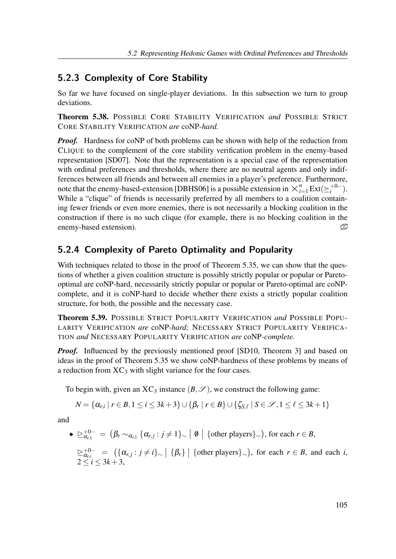## 5.2.3 Complexity of Core Stability

So far we have focused on single-player deviations. In this subsection we turn to group deviations.

Theorem 5.38. POSSIBLE CORE STABILITY VERIFICATION and POSSIBLE STRICT CORE STABILITY VERIFICATION are coNP-hard.

**Proof.** Hardness for coNP of both problems can be shown with help of the reduction from CLIQUE to the complement of the core stability verification problem in the enemy-based representation [SD07]. Note that the representation is a special case of the representation with ordinal preferences and thresholds, where there are no neutral agents and only indifferences between all friends and between all enemies in a player's preference. Furthermore, note that the enemy-based-extension [DBHS06] is a possible extension in  $\times_{i=1}^{n} Ext(\succeq_{i}^{+0-})$  $i^{+0-}$ ). While a "clique" of friends is necessarily preferred by all members to a coalition containing fewer friends or even more enemies, there is not necessarily a blocking coalition in the construction if there is no such clique (for example, there is no blocking coalition in the enemy-based extension).

# 5.2.4 Complexity of Pareto Optimality and Popularity

With techniques related to those in the proof of Theorem 5.35, we can show that the questions of whether a given coalition structure is possibly strictly popular or popular or Paretooptimal are coNP-hard, necessarily strictly popular or popular or Pareto-optimal are coNPcomplete, and it is coNP-hard to decide whether there exists a strictly popular coalition structure, for both, the possible and the necessary case.

Theorem 5.39. POSSIBLE STRICT POPULARITY VERIFICATION and POSSIBLE POPU-LARITY VERIFICATION are coNP-hard; NECESSARY STRICT POPULARITY VERIFICA-TION and NECESSARY POPULARITY VERIFICATION are coNP-complete.

*Proof.* Influenced by the previously mentioned proof [SD10, Theorem 3] and based on ideas in the proof of Theorem 5.35 we show coNP-hardness of these problems by means of a reduction from  $XC_3$  with slight variance for the four cases.

To begin with, given an  $XC_3$  instance  $(B, \mathscr{S})$ , we construct the following game:

$$
N = {\alpha_{r,i} | r \in B, 1 \leq i \leq 3k+3} \cup {\beta_r | r \in B} \cup {\zeta_{S,\ell} | S \in \mathcal{S}, 1 \leq \ell \leq 3k+1}
$$

and

 $\bullet \cong_{\alpha_{r,1}}^{+0-} = (\beta_r \sim_{\alpha_{r,1}} \{\alpha_{r,j} : j \neq 1\}_\sim \mid \emptyset \mid \{\text{other players}\}_\sim), \text{ for each } r \in B,$ 

 $\sum_{\alpha_{r,i}}^{+0-} = (\{\alpha_{r,j} : j \neq i\}_\sim | \{\beta_r\} | \{\text{other players}\}_\sim), \text{ for each } r \in B, \text{ and each } i,$  $2 \le i \le 3k+3$ ,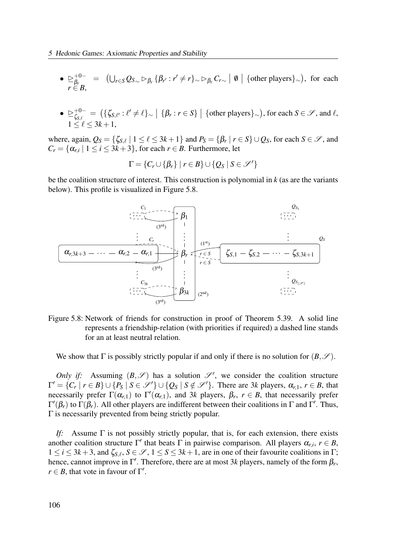- $\trianglerighteq^+_{\beta}$  $\beta_{\text{F}_{\text{max}}}^{+0-} = (\bigcup_{r \in S} Q_{S_{\text{max}}} \triangleright_{\beta_r} {\{\beta_{r'} : r' \neq r\}}_{\text{max}} \triangleright_{\beta_r} C_{r \sim} \mid \emptyset \mid {\text{other players}}_{\text{max}}), \text{ for each }$  $r \in B$ ,
- $\bullet \geq^{\text{+0--}}_{\zeta_{\text{max}}}$  $\zeta_{\mathcal{S},\ell}^{+-}= \left(\{\zeta_{\mathcal{S},\ell'}: \ell'\neq \ell\}_\sim\left|\right. \{\beta_r: r \in S\}\;\right| \; \{\text{other players}\}_\sim\right), \text{for each } S \in \mathscr{S}, \text{ and } \ell,$  $1 \leq \ell \leq 3k+1$ ,

where, again,  $Q_S = \{\zeta_{S,\ell} \mid 1 \leq \ell \leq 3k+1\}$  and  $P_S = \{\beta_r \mid r \in S\} \cup Q_S$ , for each  $S \in \mathcal{S}$ , and  $C_r = \{ \alpha_{r,i} \mid 1 \le i \le 3k+3 \},$  for each  $r \in B$ . Furthermore, let

$$
\Gamma = \{C_r \cup \{\beta_r\} \mid r \in B\} \cup \{Q_S \mid S \in \mathscr{S}'\}
$$

be the coalition structure of interest. This construction is polynomial in  $k$  (as are the variants below). This profile is visualized in Figure 5.8.



Figure 5.8: Network of friends for construction in proof of Theorem 5.39. A solid line represents a friendship-relation (with priorities if required) a dashed line stands for an at least neutral relation.

We show that  $\Gamma$  is possibly strictly popular if and only if there is no solution for  $(B,\mathscr{S})$ .

Only if: Assuming  $(B, \mathscr{S})$  has a solution  $\mathscr{S}'$ , we consider the coalition structure  $\Gamma' = \{C_r | r \in B\} \cup \{P_S | S \in \mathcal{S}'\} \cup \{Q_S | S \notin \mathcal{S}'\}$ . There are 3k players,  $\alpha_{r,1}, r \in B$ , that necessarily prefer  $\Gamma(\alpha_{r,1})$  to  $\Gamma'(\alpha_{r,1})$ , and 3k players,  $\beta_r$ ,  $r \in B$ , that necessarily prefer  $\Gamma'(\beta_r)$  to  $\Gamma(\beta_r)$ . All other players are indifferent between their coalitions in Γ and Γ'. Thus, Γ is necessarily prevented from being strictly popular.

If: Assume  $\Gamma$  is not possibly strictly popular, that is, for each extension, there exists another coalition structure  $\Gamma'$  that beats  $\Gamma$  in pairwise comparison. All players  $\alpha_{r,i}, r \in B$ ,  $1 \le i \le 3k+3$ , and  $\zeta_{S,\ell}, S \in \mathscr{S}, 1 \le S \le 3k+1$ , are in one of their favourite coalitions in  $\Gamma$ ; hence, cannot improve in  $\Gamma'$ . Therefore, there are at most 3k players, namely of the form  $\beta_r$ ,  $r \in B$ , that vote in favour of  $\Gamma'$ .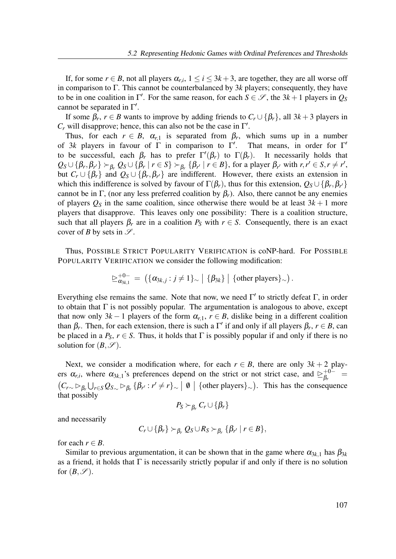If, for some  $r \in B$ , not all players  $\alpha_{r,i}$ ,  $1 \le i \le 3k+3$ , are together, they are all worse off in comparison to Γ. This cannot be counterbalanced by  $3k$  players; consequently, they have to be in one coalition in  $\Gamma'$ . For the same reason, for each  $S \in \mathscr{S}$ , the  $3k+1$  players in  $Q_S$ cannot be separated in  $\Gamma'$ .

If some  $\beta_r$ ,  $r \in B$  wants to improve by adding friends to  $C_r \cup {\beta_r}$ , all  $3k+3$  players in  $C_r$  will disapprove; hence, this can also not be the case in  $\Gamma'$ .

Thus, for each  $r \in B$ ,  $\alpha_{r,1}$  is separated from  $\beta_r$ , which sums up in a number of 3k players in favour of  $\Gamma$  in comparison to  $\Gamma'$ . That means, in order for  $\Gamma'$ to be successful, each  $\beta_r$  has to prefer  $\Gamma'(\beta_r)$  to  $\Gamma(\beta_r)$ . It necessarily holds that  $Q_S \cup \{\beta_r, \beta_{r'}\} \succ_{\beta_r} Q_S \cup \{\beta_r \mid r \in S\} \succ_{\beta_r} \{\beta_{r'} \mid r \in B\}$ , for a player  $\beta_{r'}$  with  $r, r' \in S, r \neq r'$ , but  $C_r \cup \{\beta_r\}$  and  $Q_s \cup \{\beta_r, \beta_{r'}\}$  are indifferent. However, there exists an extension in which this indifference is solved by favour of  $\Gamma(\beta_r)$ , thus for this extension,  $Q_S \cup \{\beta_r, \beta_{r'}\}$ cannot be in Γ, (nor any less preferred coalition by  $\beta_r$ ). Also, there cannot be any enemies of players  $Q_S$  in the same coalition, since otherwise there would be at least  $3k+1$  more players that disapprove. This leaves only one possibility: There is a coalition structure, such that all players  $\beta_r$  are in a coalition  $P_S$  with  $r \in S$ . Consequently, there is an exact cover of B by sets in  $\mathscr{S}$ .

Thus, POSSIBLE STRICT POPULARITY VERIFICATION is coNP-hard. For POSSIBLE POPULARITY VERIFICATION we consider the following modification:

$$
\trianglerighteq_{\alpha_{3k,1}}^{+0-} = (\{\alpha_{3k,j}: j \neq 1\}_{\sim} | \{\beta_{3k}\} | \{\text{other players}\}_{\sim}).
$$

Everything else remains the same. Note that now, we need  $\Gamma'$  to strictly defeat  $\Gamma$ , in order to obtain that  $\Gamma$  is not possibly popular. The argumentation is analogous to above, except that now only 3k – 1 players of the form  $\alpha_{r,1}$ ,  $r \in B$ , dislike being in a different coalition than  $\beta_r$ . Then, for each extension, there is such a  $\Gamma'$  if and only if all players  $\beta_r$ ,  $r \in B$ , can be placed in a  $P_S$ ,  $r \in S$ . Thus, it holds that  $\Gamma$  is possibly popular if and only if there is no solution for  $(B, \mathscr{S})$ .

Next, we consider a modification where, for each  $r \in B$ , there are only  $3k + 2$  players  $\alpha_{r,i}$ , where  $\alpha_{3k,1}$ 's preferences depend on the strict or not strict case, and  $\geq_{\beta_r}^{+0-}$  $\mathop{\beta_r}\limits^{+0-}=$  $(C_{r\sim} \rhd_{\beta_r} \rhd_{r\sim} C_{\beta_r} \rhd_{\beta_r} (\beta_{r'} : r' \neq r)_{\sim} | \emptyset |$  {other players}<sub>∼</sub>). This has the consequence that possibly

$$
P_S \succ_{\beta_r} C_r \cup \{\beta_r\}
$$

and necessarily

$$
C_r \cup \{\beta_r\} \succ_{\beta_r} Q_S \cup R_S \succ_{\beta_r} {\{\beta_{r'} \mid r \in B\}},
$$

for each  $r \in B$ .

Similar to previous argumentation, it can be shown that in the game where  $\alpha_{3k,1}$  has  $\beta_{3k}$ as a friend, it holds that  $\Gamma$  is necessarily strictly popular if and only if there is no solution for  $(B, \mathscr{S})$ .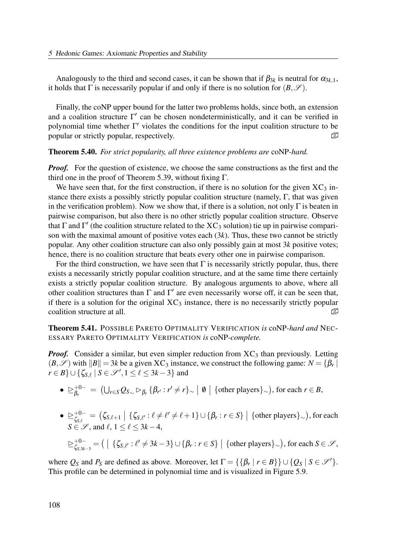Analogously to the third and second cases, it can be shown that if  $\beta_{3k}$  is neutral for  $\alpha_{3k,1}$ , it holds that  $\Gamma$  is necessarily popular if and only if there is no solution for  $(B,\mathscr{S})$ .

Finally, the coNP upper bound for the latter two problems holds, since both, an extension and a coalition structure  $\Gamma'$  can be chosen nondeterministically, and it can be verified in polynomial time whether  $\Gamma'$  violates the conditions for the input coalition structure to be popular or strictly popular, respectively.

Theorem 5.40. For strict popularity, all three existence problems are coNP-hard.

*Proof.* For the question of existence, we choose the same constructions as the first and the third one in the proof of Theorem 5.39, without fixing  $\Gamma$ .

We have seen that, for the first construction, if there is no solution for the given  $XC_3$  instance there exists a possibly strictly popular coalition structure (namely, Γ, that was given in the verification problem). Now we show that, if there is a solution, not only  $\Gamma$  is beaten in pairwise comparison, but also there is no other strictly popular coalition structure. Observe that  $\Gamma$  and  $\Gamma'$  (the coalition structure related to the XC<sub>3</sub> solution) tie up in pairwise comparison with the maximal amount of positive votes each  $(3k)$ . Thus, these two cannot be strictly popular. Any other coalition structure can also only possibly gain at most 3k positive votes; hence, there is no coalition structure that beats every other one in pairwise comparison.

For the third construction, we have seen that  $\Gamma$  is necessarily strictly popular, thus, there exists a necessarily strictly popular coalition structure, and at the same time there certainly exists a strictly popular coalition structure. By analogous arguments to above, where all other coalition structures than  $\Gamma$  and  $\Gamma'$  are even necessarily worse off, it can be seen that, if there is a solution for the original  $XC_3$  instance, there is no necessarily strictly popular coalition structure at all.  $\Box$ 

Theorem 5.41. POSSIBLE PARETO OPTIMALITY VERIFICATION is coNP-hard and NEC-ESSARY PARETO OPTIMALITY VERIFICATION is coNP-complete.

**Proof.** Consider a similar, but even simpler reduction from  $\chi C_3$  than previously. Letting  $(B, \mathscr{S})$  with  $||B|| = 3k$  be a given XC<sub>3</sub> instance, we construct the following game:  $N = \{\beta_r | S\}$  $r \in B$ } $\cup \{\zeta_{S,\ell} \mid S \in \mathscr{S}', 1 \leq \ell \leq 3k-3\}$  and

- $\trianglerighteq^+_{\beta}$  $\beta_r^{+0-}\;=\; \left( \bigcup_{r\in S} Q_{S_{\sim}} \rhd_{\beta_r} \left\{ \beta_{r'} : r'\neq r \right\}_{\sim} \;\right|\;\emptyset\;\left|\;\left\{\text{other players}\right\}_{\sim}\right), \text{for each } r\in B,$
- $\bullet \geq^{\text{+0-}}_{\zeta_{\alpha,\epsilon}}$  $\zeta_{\mathcal{S},\ell}^{+0-} = \big( \zeta_{\mathcal{S},\ell+1} \mid \{ \zeta_{\mathcal{S},\ell'} : \ell \neq \ell' \neq \ell+1 \} \cup \{ \beta_r : r \in S \} \mid \{\text{other players}\}_{\sim} \big) , \text{for each } \zeta_{\mathcal{S},\ell} \in \mathcal{S}, \forall \zeta_{\mathcal{S},\ell} \in \mathcal{S} \}$  $S \in \mathscr{S}$ , and  $\ell$ ,  $1 \leq \ell \leq 3k-4$ ,

$$
\geq_{\zeta_{S,3k-3}}^{+0-} = \big( \mid \{\zeta_{S,\ell'} : \ell' \neq 3k-3\} \cup \{\beta_r : r \in S\} \mid \{\text{other players}\}_{\sim} \big), \text{ for each } S \in \mathscr{S},
$$

where  $Q_S$  and  $P_S$  are defined as above. Moreover, let  $\Gamma = {\{\beta_r \mid r \in B\}} \cup {\{Q_S \mid S \in \mathcal{S}'\}}$ . This profile can be determined in polynomial time and is visualized in Figure 5.9.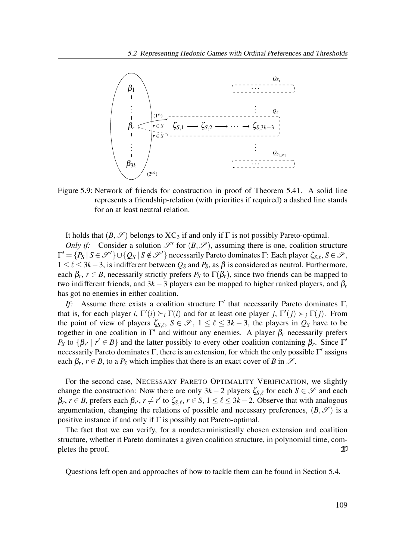

Figure 5.9: Network of friends for construction in proof of Theorem 5.41. A solid line represents a friendship-relation (with priorities if required) a dashed line stands for an at least neutral relation.

It holds that  $(B,\mathscr{S})$  belongs to  $XC_3$  if and only if  $\Gamma$  is not possibly Pareto-optimal.

Only if: Consider a solution  $\mathscr{S}'$  for  $(B, \mathscr{S})$ , assuming there is one, coalition structure  $\Gamma' = \{P_S \mid S \in \mathscr{S}'\} \cup \{Q_S \mid S \notin \mathscr{S}'\}$  necessarily Pareto dominates  $\Gamma$ : Each player  $\zeta_{S,\ell}, S \in \mathscr{S}$ ,  $1 \leq \ell \leq 3k-3$ , is indifferent between  $Q_S$  and  $P_S$ , as  $\beta$  is considered as neutral. Furthermore, each  $\beta_r$ ,  $r \in B$ , necessarily strictly prefers  $P_S$  to  $\Gamma(\beta_r)$ , since two friends can be mapped to two indifferent friends, and  $3k-3$  players can be mapped to higher ranked players, and  $\beta_r$ has got no enemies in either coalition.

If: Assume there exists a coalition structure  $\Gamma'$  that necessarily Pareto dominates  $\Gamma$ , that is, for each player i,  $\Gamma'(i) \succeq_i \Gamma(i)$  and for at least one player j,  $\Gamma'(j) \succ_j \Gamma(j)$ . From the point of view of players  $\zeta_{S,\ell}$ ,  $S \in \mathscr{S}$ ,  $1 \leq \ell \leq 3k-3$ , the players in  $\dot{Q}_S$  have to be together in one coalition in  $\Gamma'$  and without any enemies. A player  $\beta_r$  necessarily prefers P<sub>S</sub> to  $\{\beta_{r'} \mid r' \in B\}$  and the latter possibly to every other coalition containing  $\beta_r$ . Since  $\Gamma'$ necessarily Pareto dominates  $\Gamma$ , there is an extension, for which the only possible  $\Gamma'$  assigns each  $\beta_r$ ,  $r \in B$ , to a  $P_S$  which implies that there is an exact cover of B in  $\mathscr{S}$ .

For the second case, NECESSARY PARETO OPTIMALITY VERIFICATION, we slightly change the construction: Now there are only  $3k-2$  players  $\zeta_{S,\ell}$  for each  $S \in \mathscr{S}$  and each  $\beta_r$ ,  $r \in B$ , prefers each  $\beta_{r'}$ ,  $r \neq r'$  to  $\zeta_{S,\ell}$ ,  $r \in S$ ,  $1 \leq \ell \leq 3k-2$ . Observe that with analogous argumentation, changing the relations of possible and necessary preferences,  $(B, \mathscr{S})$  is a positive instance if and only if  $\Gamma$  is possibly not Pareto-optimal.

The fact that we can verify, for a nondeterministically chosen extension and coalition structure, whether it Pareto dominates a given coalition structure, in polynomial time, completes the proof.  $\Box$ 

Questions left open and approaches of how to tackle them can be found in Section 5.4.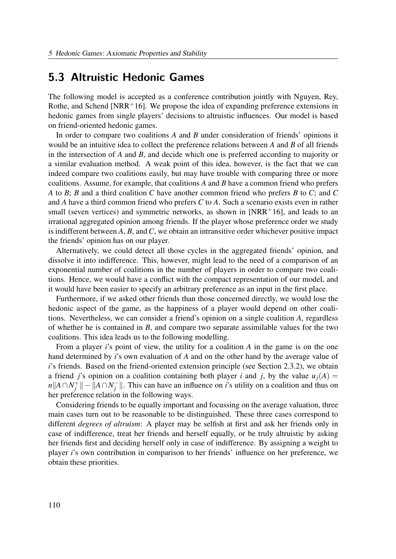# 5.3 Altruistic Hedonic Games

The following model is accepted as a conference contribution jointly with Nguyen, Rey, Rothe, and Schend [NRR+16]. We propose the idea of expanding preference extensions in hedonic games from single players' decisions to altruistic influences. Our model is based on friend-oriented hedonic games.

In order to compare two coalitions  $A$  and  $B$  under consideration of friends' opinions it would be an intuitive idea to collect the preference relations between  $A$  and  $B$  of all friends in the intersection of A and B, and decide which one is preferred according to majority or a similar evaluation method. A weak point of this idea, however, is the fact that we can indeed compare two coalitions easily, but may have trouble with comparing three or more coalitions. Assume, for example, that coalitions  $A$  and  $B$  have a common friend who prefers A to B; B and a third coalition C have another common friend who prefers B to C; and C and A have a third common friend who prefers C to A. Such a scenario exists even in rather small (seven vertices) and symmetric networks, as shown in  $\text{INRR}^{+1}$ 6, and leads to an irrational aggregated opinion among friends. If the player whose preference order we study is indifferent between  $A$ ,  $B$ , and  $C$ , we obtain an intransitive order whichever positive impact the friends' opinion has on our player.

Alternatively, we could detect all those cycles in the aggregated friends' opinion, and dissolve it into indifference. This, however, might lead to the need of a comparison of an exponential number of coalitions in the number of players in order to compare two coalitions. Hence, we would have a conflict with the compact representation of our model, and it would have been easier to specify an arbitrary preference as an input in the first place.

Furthermore, if we asked other friends than those concerned directly, we would lose the hedonic aspect of the game, as the happiness of a player would depend on other coalitions. Nevertheless, we can consider a friend's opinion on a single coalition A, regardless of whether he is contained in  $B$ , and compare two separate assimilable values for the two coalitions. This idea leads us to the following modelling.

From a player  $i$ 's point of view, the utility for a coalition  $A$  in the game is on the one hand determined by i's own evaluation of A and on the other hand by the average value of i's friends. Based on the friend-oriented extension principle (see Section 2.3.2), we obtain a friend j's opinion on a coalition containing both player i and j, by the value  $u_i(A)$  =  $n||A \cap N_i^+$  $\frac{1}{j}$ || – || $A \cap N_j^ \frac{1}{i}$ . This can have an influence on *i*'s utility on a coalition and thus on her preference relation in the following ways.

Considering friends to be equally important and focussing on the average valuation, three main cases turn out to be reasonable to be distinguished. These three cases correspond to different degrees of altruism: A player may be selfish at first and ask her friends only in case of indifference, treat her friends and herself equally, or be truly altruistic by asking her friends first and deciding herself only in case of indifference. By assigning a weight to player i's own contribution in comparison to her friends' influence on her preference, we obtain these priorities.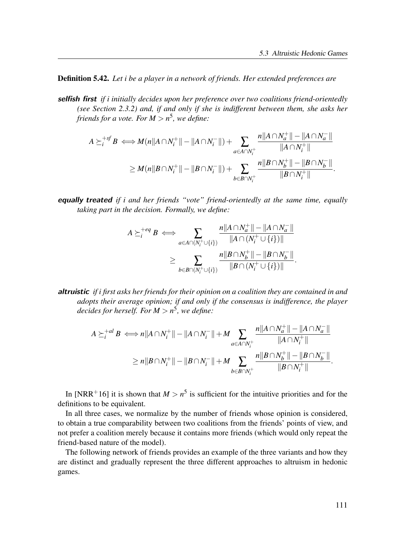Definition 5.42. Let i be a player in a network of friends. Her extended preferences are

selfish first if i initially decides upon her preference over two coalitions friend-orientedly (see Section 2.3.2) and, if and only if she is indifferent between them, she asks her friends for a vote. For  $M > n^5$ , we define:

$$
A \succeq_i^{+sf} B \iff M(n||A \cap N_i^+|| - ||A \cap N_i^-||) + \sum_{a \in A \cap N_i^+} \frac{n||A \cap N_a^+|| - ||A \cap N_a^-||}{||A \cap N_i^+||}
$$
  

$$
\geq M(n||B \cap N_i^+|| - ||B \cap N_i^-||) + \sum_{b \in B \cap N_i^+} \frac{n||B \cap N_b^+|| - ||B \cap N_b^-||}{||B \cap N_i^+||}.
$$

**equally treated** if i and her friends "vote" friend-orientedly at the same time, equally taking part in the decision. Formally, we define:

$$
A \succeq_{i}^{+ eq} B \iff \sum_{a \in A \cap (N_{i}^{+} \cup \{i\})} \frac{n||A \cap N_{a}^{+}|| - ||A \cap N_{a}^{-}||}{||A \cap (N_{i}^{+} \cup \{i\})||}
$$
  

$$
\geq \sum_{b \in B \cap (N_{i}^{+} \cup \{i\})} \frac{n||B \cap N_{b}^{+}|| - ||B \cap N_{b}^{-}||}{||B \cap (N_{i}^{+} \cup \{i\})||}.
$$

altruistic if i first asks her friends for their opinion on a coalition they are contained in and adopts their average opinion; if and only if the consensus is indifference, the player decides for herself. For  $M > n^5$ , we define:

$$
A \succeq_i^{+al} B \iff n||A \cap N_i^+|| - ||A \cap N_i^-|| + M \sum_{a \in A \cap N_i^+} \frac{n||A \cap N_a^+|| - ||A \cap N_a^-||}{||A \cap N_i^+||} \ge n||B \cap N_i^+|| - ||B \cap N_i^-|| + M \sum_{b \in B \cap N_i^+} \frac{n||B \cap N_b^+|| - ||B \cap N_b^-||}{||B \cap N_i^+||}.
$$

In [NRR<sup>+</sup>16] it is shown that  $M > n^5$  is sufficient for the intuitive priorities and for the definitions to be equivalent.

In all three cases, we normalize by the number of friends whose opinion is considered, to obtain a true comparability between two coalitions from the friends' points of view, and not prefer a coalition merely because it contains more friends (which would only repeat the friend-based nature of the model).

The following network of friends provides an example of the three variants and how they are distinct and gradually represent the three different approaches to altruism in hedonic games.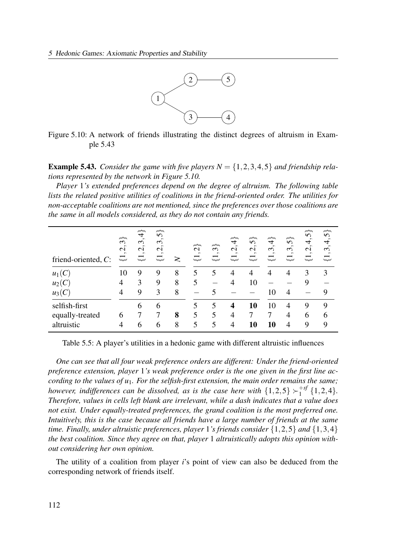

Figure 5.10: A network of friends illustrating the distinct degrees of altruism in Example 5.43

**Example 5.43.** Consider the game with five players  $N = \{1, 2, 3, 4, 5\}$  and friendship relations represented by the network in Figure 5.10.

Player 1's extended preferences depend on the degree of altruism. The following table lists the related positive utilities of coalitions in the friend-oriented order. The utilities for non-acceptable coalitions are not mentioned, since the preferences over those coalitions are the same in all models considered, as they do not contain any friends.

| friend-oriented, C: | $\widetilde{\mathfrak{S}}$<br>$\dot{S}$<br>누 | $\widetilde{\div}$<br>$\sim$<br>$\mathfrak{g}$<br>$\mathbf{\sim}$<br>$\sim$<br>$\overline{\overline{u}}$ | ∼<br>$\Omega$<br>$\epsilon$<br>$\mathcal{L}$<br>$\sim$<br>$\overline{\overline{u}}$ | ≳ | $\overline{\mathcal{C}}$<br>$\sim$<br>$\rightleftarrows$ | $\epsilon$<br>$\sim$ | 4<br>$\sim$<br>$\mathcal{C}$<br>$\sim$<br>$\rightleftarrows$ | $\Omega$<br>$\sim$<br>$\mathbf{\sim}$<br>$\sim$ | $\widetilde{\div}$<br>$\blacksquare$<br>$\epsilon$<br>$\sim$<br>$\overline{\overline{u}}$ | $\widetilde{\bm{\gamma}}$<br>$\hat{\phantom{a}}$<br>$\sim$<br>$\sim$<br>نټ | 5<br>$\sim$<br>4<br>$\blacksquare$<br>$\mathcal{L}$<br>$\sim$<br>$\overline{\overline{u}}$ | $\Omega$<br>4<br>$\epsilon$<br>$\overline{}$ |
|---------------------|----------------------------------------------|----------------------------------------------------------------------------------------------------------|-------------------------------------------------------------------------------------|---|----------------------------------------------------------|----------------------|--------------------------------------------------------------|-------------------------------------------------|-------------------------------------------------------------------------------------------|----------------------------------------------------------------------------|--------------------------------------------------------------------------------------------|----------------------------------------------|
| $u_1(C)$            | 10                                           | 9                                                                                                        | 9                                                                                   | 8 | 5                                                        |                      | 4                                                            | 4                                               | 4                                                                                         | 4                                                                          | 3                                                                                          | 3                                            |
| $u_2(C)$            | 4                                            | 3                                                                                                        | 9                                                                                   | 8 | 5                                                        |                      | 4                                                            | 10                                              |                                                                                           |                                                                            |                                                                                            |                                              |
| $u_3(C)$            | 4                                            | 9                                                                                                        | 3                                                                                   | 8 |                                                          |                      |                                                              |                                                 | 10                                                                                        | 4                                                                          |                                                                                            | 9                                            |
| selfish-first       |                                              | 6                                                                                                        | 6                                                                                   |   | 5                                                        | 5                    | 4                                                            | 10                                              | 10                                                                                        | 4                                                                          | 9                                                                                          | 9                                            |
| equally-treated     | 6                                            |                                                                                                          | 7                                                                                   | 8 | 5                                                        | 5                    | 4                                                            | ⇁                                               | 7                                                                                         | 4                                                                          | 6                                                                                          | 6                                            |
| altruistic          | 4                                            | 6                                                                                                        | 6                                                                                   | 8 | 5                                                        | 5                    | $\overline{4}$                                               | 10                                              | 10                                                                                        | 4                                                                          | 9                                                                                          | 9                                            |

Table 5.5: A player's utilities in a hedonic game with different altruistic influences

One can see that all four weak preference orders are different: Under the friend-oriented preference extension, player 1's weak preference order is the one given in the first line according to the values of  $u_1$ . For the selfish-first extension, the main order remains the same; however, indifferences can be dissolved, as is the case here with  $\{1,2,5\} \succ_1^{+sj}$  $_{1}^{+sj}$  {1,2,4}. Therefore, values in cells left blank are irrelevant, while a dash indicates that a value does not exist. Under equally-treated preferences, the grand coalition is the most preferred one. Intuitively, this is the case because all friends have a large number of friends at the same time. Finally, under altruistic preferences, player 1's friends consider  $\{1,2,5\}$  and  $\{1,3,4\}$ the best coalition. Since they agree on that, player 1 altruistically adopts this opinion without considering her own opinion.

The utility of a coalition from player  $i$ 's point of view can also be deduced from the corresponding network of friends itself.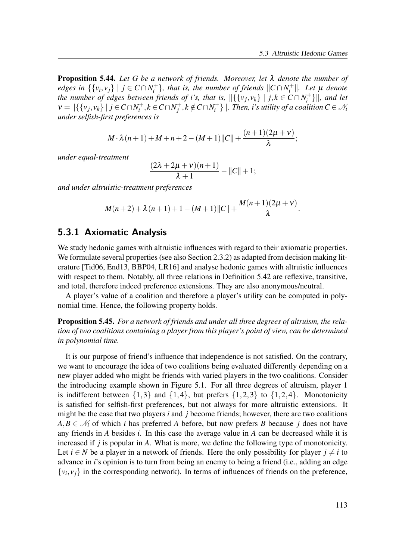**Proposition 5.44.** Let G be a network of friends. Moreover, let  $\lambda$  denote the number of edges in  $\{\{v_i, v_j\} \mid j \in C \cap N_i^+$  $\{f_i^+\}$ , that is, the number of friends  $\|C \cap N_i^+\|$  $\mathcal{U}_i^+$ ||. Let  $\mu$  denote the number of edges between friends of i's, that is,  $\|\{\{v_j,v_k\} \mid j,k \in C \cap N_i^+\}$  $\{a_i^{t+}\}\|$ , and let  $v = ||\{\{v_j, v_k\} \mid j \in C \cap N_i^+$  $i^+, k \in C \cap N_j^+$  $j^+, k \notin C \cap N_i^+$  $\{X_i^+\}\parallel$ . Then, i's utility of a coalition  $C\in\mathcal{N}_i$ under selfish-first preferences is

$$
M \cdot \lambda (n+1) + M + n + 2 - (M+1) ||C|| + \frac{(n+1)(2\mu + v)}{\lambda};
$$

under equal-treatment

$$
\frac{(2\lambda+2\mu+\nu)(n+1)}{\lambda+1}-||C||+1;
$$

and under altruistic-treatment preferences

$$
M(n+2) + \lambda (n+1) + 1 - (M+1) ||C|| + \frac{M(n+1)(2\mu + \nu)}{\lambda}.
$$

### 5.3.1 Axiomatic Analysis

We study hedonic games with altruistic influences with regard to their axiomatic properties. We formulate several properties (see also Section 2.3.2) as adapted from decision making literature [Tid06, End13, BBP04, LR16] and analyse hedonic games with altruistic influences with respect to them. Notably, all three relations in Definition 5.42 are reflexive, transitive, and total, therefore indeed preference extensions. They are also anonymous/neutral.

A player's value of a coalition and therefore a player's utility can be computed in polynomial time. Hence, the following property holds.

**Proposition 5.45.** For a network of friends and under all three degrees of altruism, the relation of two coalitions containing a player from this player's point of view, can be determined in polynomial time.

It is our purpose of friend's influence that independence is not satisfied. On the contrary, we want to encourage the idea of two coalitions being evaluated differently depending on a new player added who might be friends with varied players in the two coalitions. Consider the introducing example shown in Figure 5.1. For all three degrees of altruism, player 1 is indifferent between  $\{1,3\}$  and  $\{1,4\}$ , but prefers  $\{1,2,3\}$  to  $\{1,2,4\}$ . Monotonicity is satisfied for selfish-first preferences, but not always for more altruistic extensions. It might be the case that two players  $i$  and  $j$  become friends; however, there are two coalitions  $A, B \in \mathcal{N}_i$  of which *i* has preferred A before, but now prefers B because *j* does not have any friends in A besides i. In this case the average value in A can be decreased while it is increased if  $j$  is popular in  $A$ . What is more, we define the following type of monotonicity. Let  $i \in N$  be a player in a network of friends. Here the only possibility for player  $j \neq i$  to advance in *i*'s opinion is to turn from being an enemy to being a friend (i.e., adding an edge  $\{v_i, v_j\}$  in the corresponding network). In terms of influences of friends on the preference,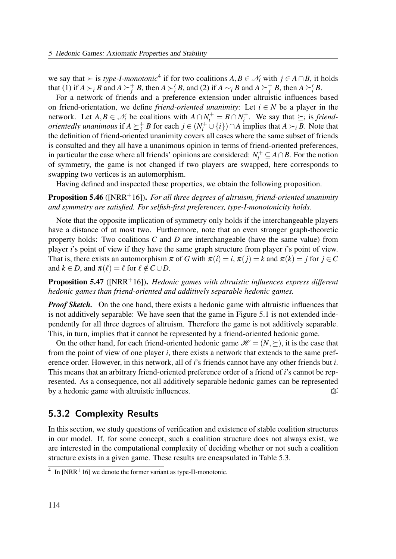we say that  $\succ$  is type-I-monotonic<sup>4</sup> if for two coalitions  $A, B \in \mathcal{N}_i$  with  $j \in A \cap B$ , it holds that (1) if  $A \succ_i B$  and  $A \succeq_i^+ B$ , then  $A \succ_i B$ , and (2) if  $A \sim_i B$  and  $A \succeq_i^+ B$ , then  $A \succeq_i B$ .

For a network of friends and a preference extension under altruistic influences based on friend-orientation, we define *friend-oriented unanimity*: Let  $i \in N$  be a player in the network. Let  $A, B \in \mathcal{N}_i$  be coalitions with  $A \cap N_i^+ = B \cap N_i^+$  $i^+$ . We say that  $\succeq_i$  is *friendorientedly unanimous* if  $A \succeq_i^+ B$  for each  $j \in (N_i^+ \cup \{i\}) \cap A$  implies that  $A \succ_i B$ . Note that the definition of friend-oriented unanimity covers all cases where the same subset of friends is consulted and they all have a unanimous opinion in terms of friend-oriented preferences, in particular the case where all friends' opinions are considered:  $N_i^+ \subseteq A \cap B$ . For the notion of symmetry, the game is not changed if two players are swapped, here corresponds to swapping two vertices is an automorphism.

Having defined and inspected these properties, we obtain the following proposition.

**Proposition 5.46** ([NRR<sup>+</sup>16]). For all three degrees of altruism, friend-oriented unanimity and symmetry are satisfied. For selfish-first preferences, type-I-monotonicity holds.

Note that the opposite implication of symmetry only holds if the interchangeable players have a distance of at most two. Furthermore, note that an even stronger graph-theoretic property holds: Two coalitions  $C$  and  $D$  are interchangeable (have the same value) from player i's point of view if they have the same graph structure from player i's point of view. That is, there exists an automorphism  $\pi$  of G with  $\pi(i) = i$ ,  $\pi(j) = k$  and  $\pi(k) = j$  for  $j \in C$ and  $k \in D$ , and  $\pi(\ell) = \ell$  for  $\ell \notin C \cup D$ .

**Proposition 5.47** ([NRR<sup>+</sup>16]). Hedonic games with altruistic influences express different hedonic games than friend-oriented and additively separable hedonic games.

**Proof Sketch.** On the one hand, there exists a hedonic game with altruistic influences that is not additively separable: We have seen that the game in Figure 5.1 is not extended independently for all three degrees of altruism. Therefore the game is not additively separable. This, in turn, implies that it cannot be represented by a friend-oriented hedonic game.

On the other hand, for each friend-oriented hedonic game  $\mathcal{H} = (N, \succeq)$ , it is the case that from the point of view of one player  $i$ , there exists a network that extends to the same preference order. However, in this network, all of i's friends cannot have any other friends but i. This means that an arbitrary friend-oriented preference order of a friend of i's cannot be represented. As a consequence, not all additively separable hedonic games can be represented by a hedonic game with altruistic influences.  $\mathbb{D}$ 

### 5.3.2 Complexity Results

In this section, we study questions of verification and existence of stable coalition structures in our model. If, for some concept, such a coalition structure does not always exist, we are interested in the computational complexity of deciding whether or not such a coalition structure exists in a given game. These results are encapsulated in Table 5.3.

 $4\;$  In [NRR<sup>+</sup>16] we denote the former variant as type-II-monotonic.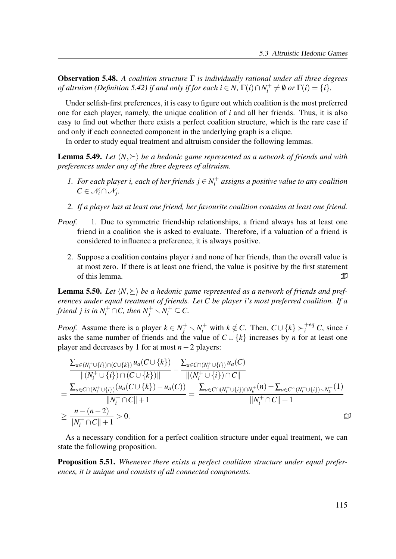**Observation 5.48.** A coalition structure  $\Gamma$  is individually rational under all three degrees of altruism (Definition 5.42) if and only if for each  $i \in N$ ,  $\Gamma(i) \cap N_i^+$  $U_i^+ \neq \emptyset$  or  $\Gamma(i) = \{i\}.$ 

Under selfish-first preferences, it is easy to figure out which coalition is the most preferred one for each player, namely, the unique coalition of  $i$  and all her friends. Thus, it is also easy to find out whether there exists a perfect coalition structure, which is the rare case if and only if each connected component in the underlying graph is a clique.

In order to study equal treatment and altruism consider the following lemmas.

**Lemma 5.49.** Let  $\langle N, \rangle$  be a hedonic game represented as a network of friends and with preferences under any of the three degrees of altruism.

- 1. For each player i, each of her friends  $j \in N_i^+$  $I_i^+$  assigns a positive value to any coalition  $C \in \mathcal{N}_i \cap \mathcal{N}_j$ .
- 2. If a player has at least one friend, her favourite coalition contains at least one friend.
- Proof. 1. Due to symmetric friendship relationships, a friend always has at least one friend in a coalition she is asked to evaluate. Therefore, if a valuation of a friend is considered to influence a preference, it is always positive.
	- 2. Suppose a coalition contains player  $i$  and none of her friends, than the overall value is at most zero. If there is at least one friend, the value is positive by the first statement of this lemma.  $\mathbb{Z}$

**Lemma 5.50.** Let  $\langle N, \succeq \rangle$  be a hedonic game represented as a network of friends and preferences under equal treatment of friends. Let C be player i's most preferred coalition. If a friend  $j$  is in  $N_i^+\cap C$ , then  $N_j^+\smallsetminus N_i^+\subseteq C$ .

*Proof.* Assume there is a player  $k \in N_j^+ \setminus N_i^+$  with  $k \notin C$ . Then,  $C \cup \{k\} \succ_i^{+eq} C$ , since i asks the same number of friends and the value of  $C \cup \{k\}$  increases by *n* for at least one player and decreases by 1 for at most  $n-2$  players:

$$
\frac{\sum_{a\in(N_i^+\cup\{i\})\cap(C\cup\{k\})}u_a(C\cup\{k\})}{\|(N_i^+\cup\{i\})\cap(C\cup\{k\})\|} - \frac{\sum_{a\in C\cap(N_i^+\cup\{i\})}u_a(C)}{\|(N_i^+\cup\{i\})\cap C\|} \n= \frac{\sum_{a\in C\cap(N_i^+\cup\{i\})}(u_a(C\cup\{k\}) - u_a(C))}{\|N_i^+\cap C\| + 1} = \frac{\sum_{a\in C\cap(N_i^+\cup\{i\})\cap N_k^+}(n) - \sum_{a\in C\cap(N_i^+\cup\{i\})\setminus N_k^+}(1)}{\|N_i^+\cap C\| + 1} \n\geq \frac{n - (n - 2)}{\|N_i^+\cap C\| + 1} > 0.
$$

As a necessary condition for a perfect coalition structure under equal treatment, we can state the following proposition.

**Proposition 5.51.** Whenever there exists a perfect coalition structure under equal preferences, it is unique and consists of all connected components.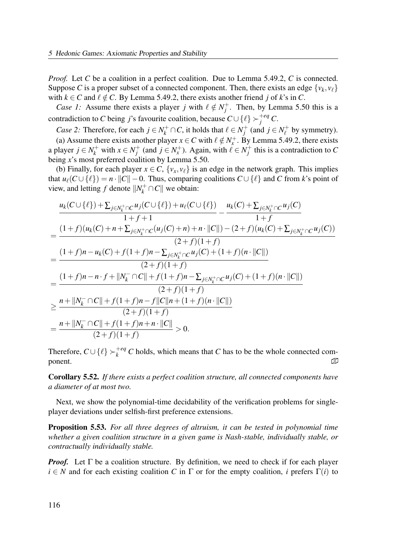Proof. Let C be a coalition in a perfect coalition. Due to Lemma 5.49.2, C is connected. Suppose C is a proper subset of a connected component. Then, there exists an edge  $\{v_k, v_\ell\}$ with  $k \in C$  and  $\ell \notin C$ . By Lemma 5.49.2, there exists another friend j of k's in C.

*Case 1*: Assume there exists a player *j* with  $\ell \notin N_i^+$  $j^+$ . Then, by Lemma 5.50 this is a contradiction to C being j's favourite coalition, because  $C \cup \{\ell\} \succ_j^{+eq} C$ .

*Case 2*: Therefore, for each  $j \in N_k^+ \cap C$ , it holds that  $\ell \in N_j^+$  $j^+$  (and  $j \in N_\ell^+$  by symmetry).

(a) Assume there exists another player  $x \in C$  with  $\ell \notin N_x^+$ . By Lemma 5.49.2, there exists a player  $j \in N_k^+$  with  $x \in N_j^+$  $j^+$  (and  $j \in N_x^+$ ). Again, with  $\ell \in N_j^+$  $j<sup>+</sup>$  this is a contradiction to C being x's most preferred coalition by Lemma 5.50.

(b) Finally, for each player  $x \in C$ ,  $\{v_x, v_\ell\}$  is an edge in the network graph. This implies that  $u_{\ell}(C \cup {\ell}) = n \cdot ||C|| - 0$ . Thus, comparing coalitions  $C \cup {\ell}$  and C from k's point of view, and letting f denote  $||N_k^+ \cap C||$  we obtain:

$$
\frac{u_{k}(C \cup \{\ell\}) + \sum_{j \in N_{k}^{+} \cap C} u_{j}(C \cup \{\ell\}) + u_{\ell}(C \cup \{\ell\})}{1 + f + 1} - \frac{(1 + f)(u_{k}(C) + n + \sum_{j \in N_{k}^{+} \cap C} (u_{j}(C) + n) + n \cdot ||C||) - (2 + f)(u_{k}(C) + \sum_{j \in N_{k}^{+} \cap C} u_{j}(C))}{(2 + f)(1 + f)}
$$
\n
$$
= \frac{(1 + f)n - u_{k}(C) + f(1 + f)n - \sum_{j \in N_{k}^{+} \cap C} u_{j}(C) + (1 + f)(n \cdot ||C||)}{(2 + f)(1 + f)}
$$
\n
$$
= \frac{(1 + f)n - n \cdot f + ||N_{k}^{-} \cap C|| + f(1 + f)n - \sum_{j \in N_{k}^{+} \cap C} u_{j}(C) + (1 + f)(n \cdot ||C||)}{(2 + f)(1 + f)}
$$
\n
$$
\geq \frac{n + ||N_{k}^{-} \cap C|| + f(1 + f)n - f||C||n + (1 + f)(n \cdot ||C||)}{(2 + f)(1 + f)}
$$
\n
$$
= \frac{n + ||N_{k}^{-} \cap C|| + f(1 + f)n + n \cdot ||C||}{(2 + f)(1 + f)} > 0.
$$

Therefore,  $C \cup \{\ell\} \succ_k^{+eq} C$  holds, which means that C has to be the whole connected component.  $\mathbb{Z}$ 

Corollary 5.52. If there exists a perfect coalition structure, all connected components have a diameter of at most two.

Next, we show the polynomial-time decidability of the verification problems for singleplayer deviations under selfish-first preference extensions.

Proposition 5.53. For all three degrees of altruism, it can be tested in polynomial time whether a given coalition structure in a given game is Nash-stable, individually stable, or contractually individually stable.

*Proof.* Let  $\Gamma$  be a coalition structure. By definition, we need to check if for each player  $i \in N$  and for each existing coalition C in  $\Gamma$  or for the empty coalition, i prefers  $\Gamma(i)$  to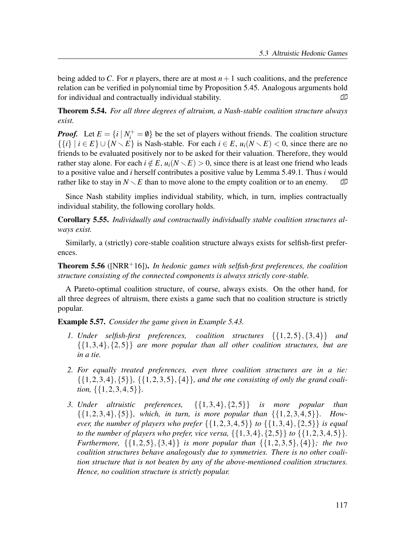being added to C. For *n* players, there are at most  $n+1$  such coalitions, and the preference relation can be verified in polynomial time by Proposition 5.45. Analogous arguments hold for individual and contractually individual stability.  $\Box$ 

Theorem 5.54. For all three degrees of altruism, a Nash-stable coalition structure always exist.

**Proof.** Let  $E = \{i | N_i^+ = \emptyset\}$  be the set of players without friends. The coalition structure  $\{\{i\} \mid i \in E\} \cup \{N \setminus E\}$  is Nash-stable. For each  $i \in E$ ,  $u_i(N \setminus E) < 0$ , since there are no friends to be evaluated positively nor to be asked for their valuation. Therefore, they would rather stay alone. For each  $i \notin E$ ,  $u_i(N \setminus E) > 0$ , since there is at least one friend who leads to a positive value and *i* herself contributes a positive value by Lemma 5.49.1. Thus *i* would rather like to stay in  $N \setminus E$  than to move alone to the empty coalition or to an enemy.  $\Box$ 

Since Nash stability implies individual stability, which, in turn, implies contractually individual stability, the following corollary holds.

Corollary 5.55. Individually and contractually individually stable coalition structures always exist.

Similarly, a (strictly) core-stable coalition structure always exists for selfish-first preferences.

**Theorem 5.56** ( $\text{INRR}^+16$ ). In hedonic games with selfish-first preferences, the coalition structure consisting of the connected components is always strictly core-stable.

A Pareto-optimal coalition structure, of course, always exists. On the other hand, for all three degrees of altruism, there exists a game such that no coalition structure is strictly popular.

Example 5.57. Consider the game given in Example 5.43.

- 1. Under selfish-first preferences, coalition structures  $\{\{1,2,5\},\{3,4\}\}\$  and  $\{\{1,3,4\},\{2,5\}\}\$  are more popular than all other coalition structures, but are in a tie.
- 2. For equally treated preferences, even three coalition structures are in a tie:  $\{\{1,2,3,4\},\{5\}\},\{\{1,2,3,5\},\{4\}\}\$ , and the one consisting of only the grand coalition, {{1,2,3,4,5}}.
- 3. Under altruistic preferences,  $\{\{1,3,4\},\{2,5\}\}\$  is more popular than  $\{\{1,2,3,4\},\{5\}\}\$ , which, in turn, is more popular than  $\{\{1,2,3,4,5\}\}\$ . However, the number of players who prefer  $\{\{1,2,3,4,5\}\}\$  to  $\{\{1,3,4\},\{2,5\}\}\$  is equal to the number of players who prefer, vice versa,  $\{\{1,3,4\},\{2,5\}\}\$  to  $\{\{1,2,3,4,5\}\}\$ . Furthermore,  $\{\{1,2,5\},\{3,4\}\}\$ is more popular than  $\{\{1,2,3,5\},\{4\}\}\$ ; the two coalition structures behave analogously due to symmetries. There is no other coalition structure that is not beaten by any of the above-mentioned coalition structures. Hence, no coalition structure is strictly popular.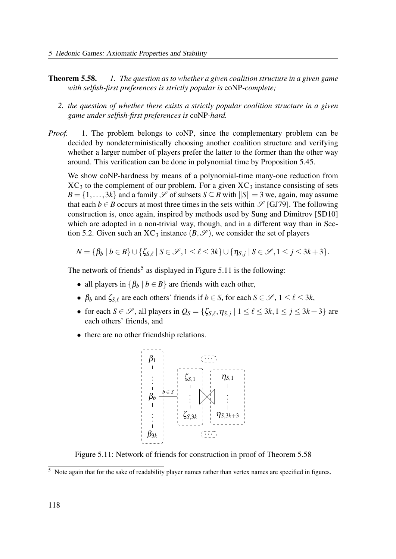- **Theorem 5.58.** 1. The question as to whether a given coalition structure in a given game with selfish-first preferences is strictly popular is coNP-complete;
	- 2. the question of whether there exists a strictly popular coalition structure in a given game under selfish-first preferences is coNP-hard.
- *Proof.* 1. The problem belongs to coNP, since the complementary problem can be decided by nondeterministically choosing another coalition structure and verifying whether a larger number of players prefer the latter to the former than the other way around. This verification can be done in polynomial time by Proposition 5.45.

We show coNP-hardness by means of a polynomial-time many-one reduction from  $XC_3$  to the complement of our problem. For a given  $XC_3$  instance consisting of sets  $B = \{1, \ldots, 3k\}$  and a family  $\mathscr S$  of subsets  $S \subseteq B$  with  $||S|| = 3$  we, again, may assume that each  $b \in B$  occurs at most three times in the sets within  $\mathscr{S}$  [GJ79]. The following construction is, once again, inspired by methods used by Sung and Dimitrov [SD10] which are adopted in a non-trivial way, though, and in a different way than in Section 5.2. Given such an  $XC_3$  instance  $(B, \mathscr{S})$ , we consider the set of players

$$
N = \{\beta_b \mid b \in B\} \cup \{\zeta_{S,\ell} \mid S \in \mathscr{S}, 1 \leq \ell \leq 3k\} \cup \{\eta_{S,j} \mid S \in \mathscr{S}, 1 \leq j \leq 3k+3\}.
$$

The network of friends<sup>5</sup> as displayed in Figure 5.11 is the following:

- all players in  $\{\beta_b | b \in B\}$  are friends with each other,
- $\beta_b$  and  $\zeta_{S,\ell}$  are each others' friends if  $b \in S$ , for each  $S \in \mathcal{S}$ ,  $1 \leq \ell \leq 3k$ ,
- for each  $S \in \mathcal{S}$ , all players in  $Q_S = \{ \zeta_{S,\ell}, \eta_{S,j} \mid 1 \leq \ell \leq 3k, 1 \leq j \leq 3k+3 \}$  are each others' friends, and
- there are no other friendship relations.



Figure 5.11: Network of friends for construction in proof of Theorem 5.58

<sup>&</sup>lt;sup>5</sup> Note again that for the sake of readability player names rather than vertex names are specified in figures.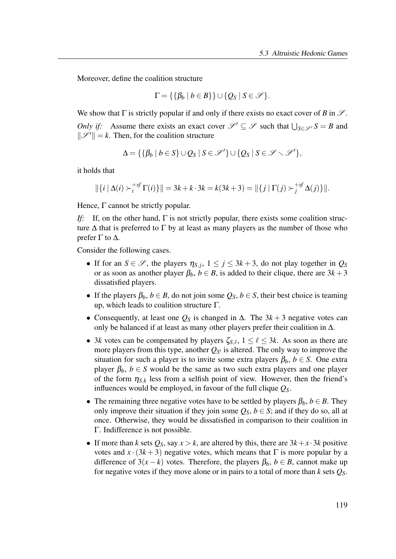Moreover, define the coalition structure

$$
\Gamma = \{ \{ \beta_b \mid b \in B \} \} \cup \{ Q_S \mid S \in \mathscr{S} \}.
$$

We show that  $\Gamma$  is strictly popular if and only if there exists no exact cover of B in  $\mathscr{S}$ . Only if: Assume there exists an exact cover  $\mathscr{S}' \subseteq \mathscr{S}$  such that  $\bigcup_{S \in \mathscr{S}'} S = B$  and  $\|\mathscr{S}'\| = k$ . Then, for the coalition structure

$$
\Delta = \{ \{ \beta_b \mid b \in S \} \cup Q_S \mid S \in \mathscr{S}' \} \cup \{ Q_S \mid S \in \mathscr{S} \setminus \mathscr{S}' \},
$$

it holds that

$$
\|\{i \mid \Delta(i) \succ_i^{+sf} \Gamma(i)\}\| = 3k + k \cdot 3k = k(3k + 3) = \|\{j \mid \Gamma(j) \succ_j^{+sf} \Delta(j)\}\|.
$$

Hence,  $\Gamma$  cannot be strictly popular.

If: If, on the other hand,  $\Gamma$  is not strictly popular, there exists some coalition structure  $\Delta$  that is preferred to  $\Gamma$  by at least as many players as the number of those who prefer Γ to Δ.

Consider the following cases.

- If for an  $S \in \mathscr{S}$ , the players  $\eta_{S,j}$ ,  $1 \le j \le 3k+3$ , do not play together in  $Q_S$ or as soon as another player  $\beta_b$ ,  $b \in B$ , is added to their clique, there are  $3k+3$ dissatisfied players.
- If the players  $\beta_b$ ,  $b \in B$ , do not join some  $Q_S$ ,  $b \in S$ , their best choice is teaming up, which leads to coalition structure  $\Gamma$ .
- Consequently, at least one  $Q_S$  is changed in  $\Delta$ . The 3k + 3 negative votes can only be balanced if at least as many other players prefer their coalition in ∆.
- 3k votes can be compensated by players  $\zeta_{S,\ell}$ ,  $1 \leq \ell \leq 3k$ . As soon as there are more players from this type, another  $Q_{S'}$  is altered. The only way to improve the situation for such a player is to invite some extra players  $\beta_b$ ,  $b \in S$ . One extra player  $\beta_b$ ,  $b \in S$  would be the same as two such extra players and one player of the form  $\eta_{S,k}$  less from a selfish point of view. However, then the friend's influences would be employed, in favour of the full clique  $Q<sub>S</sub>$ .
- The remaining three negative votes have to be settled by players  $\beta_b$ ,  $b \in B$ . They only improve their situation if they join some  $O_s$ ,  $b \in S$ ; and if they do so, all at once. Otherwise, they would be dissatisfied in comparison to their coalition in Γ. Indifference is not possible.
- If more than k sets  $Q_S$ , say  $x > k$ , are altered by this, there are  $3k + x \cdot 3k$  positive votes and  $x \cdot (3k+3)$  negative votes, which means that  $\Gamma$  is more popular by a difference of  $3(x-k)$  votes. Therefore, the players  $\beta_b$ ,  $b \in B$ , cannot make up for negative votes if they move alone or in pairs to a total of more than k sets  $Q_s$ .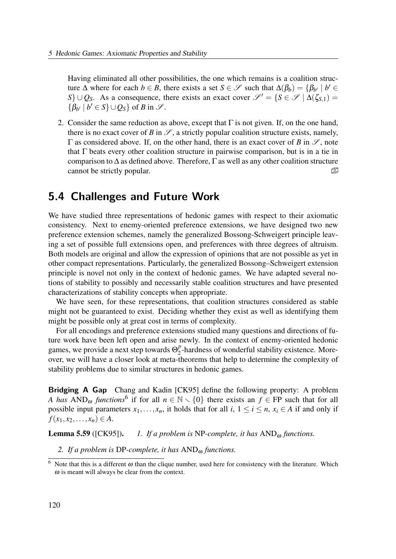Having eliminated all other possibilities, the one which remains is a coalition structure  $\Delta$  where for each  $b \in B$ , there exists a set  $S \in \mathscr{S}$  such that  $\Delta(\beta_b) = \{\beta_{b'} \mid b' \in B\}$  $S$ } ∪ Q<sub>S</sub>. As a consequence, there exists an exact cover  $\mathscr{S}' = \{S \in \mathscr{S} \mid \Delta(\zeta_{S,1}) =$  $\{\beta_{b'} \mid b' \in S\} \cup Q_S\}$  of B in  $\mathscr{S}$ .

2. Consider the same reduction as above, except that  $\Gamma$  is not given. If, on the one hand, there is no exact cover of B in  $\mathscr{S}$ , a strictly popular coalition structure exists, namely,  $\Gamma$  as considered above. If, on the other hand, there is an exact cover of B in  $\mathscr{S}$ , note that Γ beats every other coalition structure in pairwise comparison, but is in a tie in comparison to  $\Delta$  as defined above. Therefore,  $\Gamma$  as well as any other coalition structure cannot be strictly popular.

# 5.4 Challenges and Future Work

We have studied three representations of hedonic games with respect to their axiomatic consistency. Next to enemy-oriented preference extensions, we have designed two new preference extension schemes, namely the generalized Bossong-Schweigert principle leaving a set of possible full extensions open, and preferences with three degrees of altruism. Both models are original and allow the expression of opinions that are not possible as yet in other compact representations. Particularly, the generalized Bossong–Schweigert extension principle is novel not only in the context of hedonic games. We have adapted several notions of stability to possibly and necessarily stable coalition structures and have presented characterizations of stability concepts when appropriate.

We have seen, for these representations, that coalition structures considered as stable might not be guaranteed to exist. Deciding whether they exist as well as identifying them might be possible only at great cost in terms of complexity.

For all encodings and preference extensions studied many questions and directions of future work have been left open and arise newly. In the context of enemy-oriented hedonic games, we provide a next step towards  $\Theta_2^p$  $_2^p$ -hardness of wonderful stability existence. Moreover, we will have a closer look at meta-theorems that help to determine the complexity of stability problems due to similar structures in hedonic games.

Bridging A Gap Chang and Kadin [CK95] define the following property: A problem A has  $AND_{\omega}$  functions<sup>6</sup> if for all  $n \in \mathbb{N} \setminus \{0\}$  there exists an  $f \in FP$  such that for all possible input parameters  $x_1, \ldots, x_n$ , it holds that for all  $i, 1 \le i \le n$ ,  $x_i \in A$  if and only if  $f(x_1, x_2,..., x_n) \in A$ .

**Lemma 5.59** ([CK95]). 1. If a problem is NP-complete, it has  $AND_{\omega}$  functions.

2. If a problem is DP-complete, it has  $AND_{\omega}$  functions.

<sup>&</sup>lt;sup>6</sup> Note that this is a different  $\omega$  than the clique number, used here for consistency with the literature. Which  $\omega$  is meant will always be clear from the context.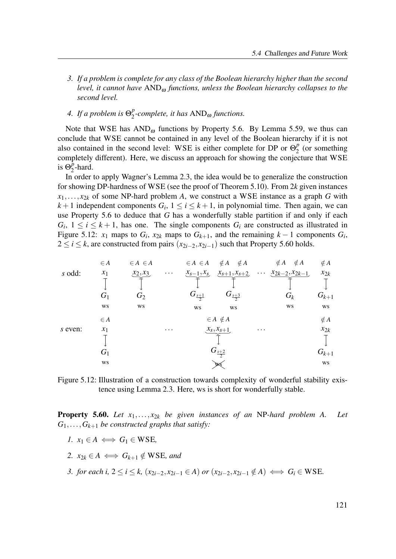- 3. If a problem is complete for any class of the Boolean hierarchy higher than the second level, it cannot have  $AND_{\omega}$  functions, unless the Boolean hierarchy collapses to the second level.
- 4. If a problem is  $\Theta_2^p$  $_{2}^{p}$ -complete, it has  $AND_{\omega}$  functions.

Note that WSE has  $AND_{\omega}$  functions by Property 5.6. By Lemma 5.59, we thus can conclude that WSE cannot be contained in any level of the Boolean hierarchy if it is not also contained in the second level: WSE is either complete for DP or  $\Theta_2^p$  $\frac{p}{2}$  (or something completely different). Here, we discuss an approach for showing the conjecture that WSE is  $\overline{\Theta_2^p}$  $_2^p$ -hard.

In order to apply Wagner's Lemma 2.3, the idea would be to generalize the construction for showing DP-hardness of WSE (see the proof of Theorem 5.10). From 2k given instances  $x_1, \ldots, x_{2k}$  of some NP-hard problem A, we construct a WSE instance as a graph G with  $k+1$  independent components  $G_i$ ,  $1 \le i \le k+1$ , in polynomial time. Then again, we can use Property 5.6 to deduce that G has a wonderfully stable partition if and only if each  $G_i$ ,  $1 \le i \le k+1$ , has one. The single components  $G_i$  are constructed as illustrated in Figure 5.12:  $x_1$  maps to  $G_i$ ,  $x_{2k}$  maps to  $G_{k+1}$ , and the remaining  $k-1$  components  $G_i$ ,  $2 \le i \le k$ , are constructed from pairs  $(x_{2i-2}, x_{2i-1})$  such that Property 5.60 holds.

|         | $\in A$        | $\in A \in A$ |          | $\in A \in A$       | $\notin A$ $\notin A$ |          | $\notin A$<br>$\notin A$          | $\notin A$ |
|---------|----------------|---------------|----------|---------------------|-----------------------|----------|-----------------------------------|------------|
| s odd:  | $x_1$          | $x_2, x_3$    | $\cdots$ | $x_{s-1}, x_{s}$    | $x_{s+1}, x_{s+2}$    |          | $\cdots \quad x_{2k-2}, x_{2k-1}$ | $x_{2k}$   |
|         | G <sub>1</sub> | $G_2$         |          | $G_{\frac{s+1}{2}}$ | $G_{\frac{s+3}{2}}$   |          | $G_k$                             | $G_{k+1}$  |
|         | WS             | WS            |          | WS                  | WS                    |          | WS                                | WS         |
|         | $\in A$        |               |          |                     | $\in A \notin A$      |          |                                   | $\notin A$ |
| s even: | $x_1$          |               | $\cdots$ |                     | $(x_s, x_{s+1})$      | $\cdots$ |                                   | $x_{2k}$   |
|         | $G_1$          |               |          |                     | $G_{\frac{s+2}{2}}$   |          |                                   | $G_{k+1}$  |
|         | WS             |               |          |                     |                       |          |                                   | WS         |

Figure 5.12: Illustration of a construction towards complexity of wonderful stability existence using Lemma 2.3. Here, ws is short for wonderfully stable.

**Property 5.60.** Let  $x_1, \ldots, x_{2k}$  be given instances of an NP-hard problem A. Let  $G_1, \ldots, G_{k+1}$  be constructed graphs that satisfy:

- 1.  $x_1 \in A \iff G_1 \in WSE$ ,
- 2.  $x_{2k} \in A \iff G_{k+1} \notin WSE$ , and
- 3. for each i,  $2 \le i \le k$ ,  $(x_{2i-2}, x_{2i-1} \in A)$  or  $(x_{2i-2}, x_{2i-1} \notin A) \iff G_i \in WSE$ .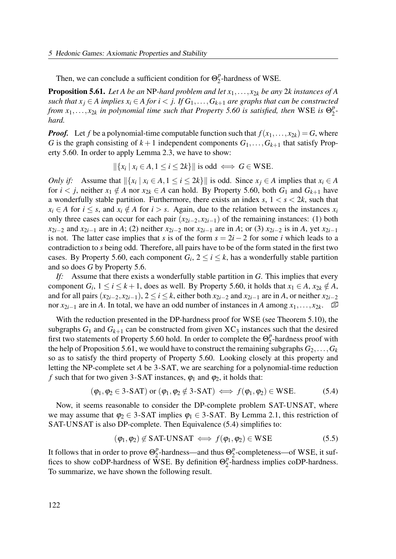Then, we can conclude a sufficient condition for  $\Theta_2^p$  $_2^p$ -hardness of WSE.

**Proposition 5.61.** Let A be an NP-hard problem and let  $x_1, \ldots, x_{2k}$  be any 2k instances of A such that  $x_i \in A$  implies  $x_i \in A$  for  $i < j$ . If  $G_1, \ldots, G_{k+1}$  are graphs that can be constructed from  $x_1, \ldots, x_{2k}$  in polynomial time such that Property 5.60 is satisfied, then WSE is  $\Theta_2^p$  $\frac{p}{2}$ hard.

**Proof.** Let f be a polynomial-time computable function such that  $f(x_1,...,x_{2k}) = G$ , where G is the graph consisting of  $k+1$  independent components  $G_1, \ldots, G_{k+1}$  that satisfy Property 5.60. In order to apply Lemma 2.3, we have to show:

 $\|\{x_i \mid x_i \in A, 1 \le i \le 2k\}\|$  is odd  $\iff G \in \text{WSE}.$ 

*Only if:* Assume that  $\|\{x_i \mid x_i \in A, 1 \le i \le 2k\}\|$  is odd. Since  $x_j \in A$  implies that  $x_i \in A$ for  $i < j$ , neither  $x_1 \notin A$  nor  $x_{2k} \in A$  can hold. By Property 5.60, both  $G_1$  and  $G_{k+1}$  have a wonderfully stable partition. Furthermore, there exists an index s,  $1 < s < 2k$ , such that  $x_i \in A$  for  $i \leq s$ , and  $x_i \notin A$  for  $i > s$ . Again, due to the relation between the instances  $x_i$ only three cases can occur for each pair  $(x_{2i-2}, x_{2i-1})$  of the remaining instances: (1) both  $x_{2i-2}$  and  $x_{2i-1}$  are in A; (2) neither  $x_{2i-2}$  nor  $x_{2i-1}$  are in A; or (3)  $x_{2i-2}$  is in A, yet  $x_{2i-1}$ is not. The latter case implies that s is of the form  $s = 2i - 2$  for some i which leads to a contradiction to s being odd. Therefore, all pairs have to be of the form stated in the first two cases. By Property 5.60, each component  $G_i$ ,  $2 \le i \le k$ , has a wonderfully stable partition and so does G by Property 5.6.

If: Assume that there exists a wonderfully stable partition in G. This implies that every component  $G_i$ ,  $1 \le i \le k+1$ , does as well. By Property 5.60, it holds that  $x_1 \in A$ ,  $x_{2k} \notin A$ , and for all pairs  $(x_{2i-2}, x_{2i-1}), 2 \le i \le k$ , either both  $x_{2i-2}$  and  $x_{2i-1}$  are in A, or neither  $x_{2i-2}$ nor  $x_{2i-1}$  are in A. In total, we have an odd number of instances in A among  $x_1, \ldots, x_{2k}$ .  $\Box$ 

With the reduction presented in the DP-hardness proof for WSE (see Theorem 5.10), the subgraphs  $G_1$  and  $G_{k+1}$  can be constructed from given  $XC_3$  instances such that the desired first two statements of Property 5.60 hold. In order to complete the  $\Theta_2^p$  $n<sub>2</sub><sup>p</sup>$ -hardness proof with the help of Proposition 5.61, we would have to construct the remaining subgraphs  $G_2, \ldots, G_k$ so as to satisfy the third property of Property 5.60. Looking closely at this property and letting the NP-complete set A be 3-SAT, we are searching for a polynomial-time reduction f such that for two given 3-SAT instances,  $\varphi_1$  and  $\varphi_2$ , it holds that:

$$
(\varphi_1, \varphi_2 \in 3\text{-SAT}) \text{ or } (\varphi_1, \varphi_2 \notin 3\text{-SAT}) \iff f(\varphi_1, \varphi_2) \in \text{WSE.}
$$
 (5.4)

Now, it seems reasonable to consider the DP-complete problem SAT-UNSAT, where we may assume that  $\varphi_2 \in 3$ -SAT implies  $\varphi_1 \in 3$ -SAT. By Lemma 2.1, this restriction of SAT-UNSAT is also DP-complete. Then Equivalence (5.4) simplifies to:

$$
(\varphi_1, \varphi_2) \notin SAT-UNSAT \iff f(\varphi_1, \varphi_2) \in WSE
$$
 (5.5)

It follows that in order to prove  $\Theta_2^p$  $^{p}_{2}$ -hardness—and thus  $\Theta_{2}^{p}$  $2^P$ -completeness—of WSE, it suffices to show coDP-hardness of WSE. By definition  $\Theta_2^p$  $n<sub>2</sub><sup>p</sup>$ -hardness implies coDP-hardness. To summarize, we have shown the following result.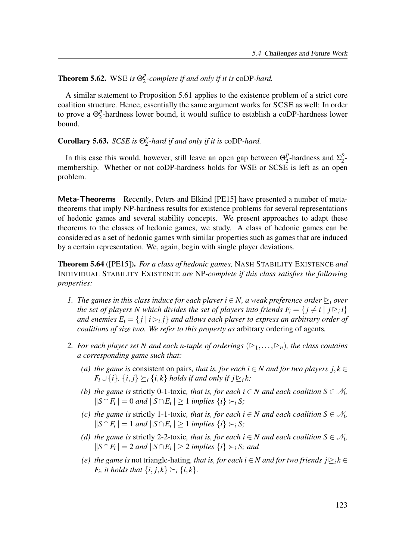#### **Theorem 5.62.** WSE is  $\Theta_2^p$  $2^P$ -complete if and only if it is coDP-hard.

A similar statement to Proposition 5.61 applies to the existence problem of a strict core coalition structure. Hence, essentially the same argument works for SCSE as well: In order to prove a  $\Theta_2^p$  $\frac{p}{2}$ -hardness lower bound, it would suffice to establish a coDP-hardness lower bound.

Corollary 5.63. SCSE is  $\Theta_2^p$  $_2^p$ -hard if and only if it is  $\text{coDP-hard.}$ 

In this case this would, however, still leave an open gap between  $\Theta_2^p$  $n_2^p$ -hardness and  $\Sigma_2^p$  $\frac{p}{2}$ membership. Whether or not coDP-hardness holds for WSE or SCSE is left as an open problem.

Meta-Theorems Recently, Peters and Elkind [PE15] have presented a number of metatheorems that imply NP-hardness results for existence problems for several representations of hedonic games and several stability concepts. We present approaches to adapt these theorems to the classes of hedonic games, we study. A class of hedonic games can be considered as a set of hedonic games with similar properties such as games that are induced by a certain representation. We, again, begin with single player deviations.

**Theorem 5.64** ([PE15]). For a class of hedonic games, NASH STABILITY EXISTENCE and INDIVIDUAL STABILITY EXISTENCE are NP-complete if this class satisfies the following properties:

- 1. The games in this class induce for each player  $i \in N$ , a weak preference order  $\geq_i$  over the set of players N which divides the set of players into friends  $F_i = \{j \neq i \mid j \trianglerighteq_i i\}$ and enemies  $E_i = \{j \,|\, i \rhd_i j\}$  and allows each player to express an arbitrary order of coalitions of size two. We refer to this property as arbitrary ordering of agents.
- 2. For each player set N and each n-tuple of orderings  $(\triangleright_1,\dots,\triangleright_n)$ , the class contains a corresponding game such that:
	- (a) the game is consistent on pairs, that is, for each  $i \in N$  and for two players  $j, k \in \mathbb{Z}$  $F_i \cup \{i\}, \{i, j\} \succeq_i \{i, k\}$  holds if and only if  $j \trianglerighteq_i k$ ;
	- (b) the game is strictly 0-1-toxic, that is, for each  $i \in N$  and each coalition  $S \in \mathcal{N}_i$ ,  $||S \cap F_i|| = 0$  and  $||S \cap E_i|| \ge 1$  implies  $\{i\} \succ_i S;$
	- (c) the game is strictly 1-1-toxic, that is, for each  $i \in N$  and each coalition  $S \in \mathcal{N}_i$ ,  $||S \cap F_i|| = 1$  and  $||S \cap E_i|| \ge 1$  implies  $\{i\} \succ_i S;$
	- (d) the game is strictly 2-2-toxic, that is, for each  $i \in N$  and each coalition  $S \in \mathcal{N}_i$ ,  $||S ∩ F_i|| = 2$  and  $||S ∩ E_i|| \ge 2$  implies  $\{i\} \succ_i S$ ; and
	- (e) the game is not triangle-hating, that is, for each  $i \in N$  and for two friends  $j \geq i k \in N$  $F_i$ , it holds that  $\{i, j, k\} \succeq_i \{i, k\}.$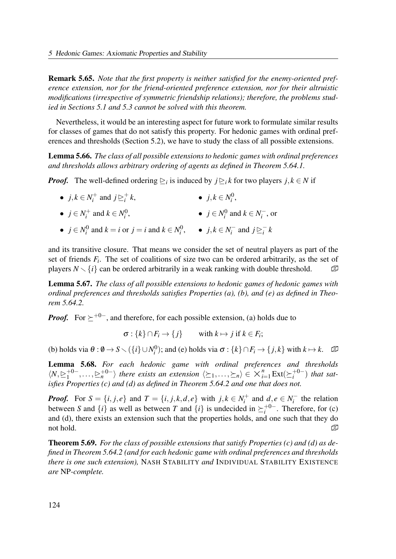Remark 5.65. Note that the first property is neither satisfied for the enemy-oriented preference extension, nor for the friend-oriented preference extension, nor for their altruistic modifications (irrespective of symmetric friendship relations); therefore, the problems studied in Sections 5.1 and 5.3 cannot be solved with this theorem.

Nevertheless, it would be an interesting aspect for future work to formulate similar results for classes of games that do not satisfy this property. For hedonic games with ordinal preferences and thresholds (Section 5.2), we have to study the class of all possible extensions.

Lemma 5.66. The class of all possible extensions to hedonic games with ordinal preferences and thresholds allows arbitrary ordering of agents as defined in Theorem 5.64.1.

**Proof.** The well-defined ordering  $\geq_i$  is induced by  $j \geq_i k$  for two players  $j, k \in N$  if

- $j, k \in N_i^+$  $j \trianglerighteq i^+$  and  $j \trianglerighteq i^+$  $i^+k$ •  $j, k \in N_i^0$  $i^0$
- $j \in N_i^+$  $i^+$  and  $k \in N_i^0$  $\frac{1}{i}$ , •  $j \in N_i^0$  $\mathbf{z}_i^0$  and  $k \in N_i^$  $i^-,$  or
- $j \in N_i^0$  $i^0$  and  $k = i$  or  $j = i$  and  $k \in N_i^0$  $j^0$ ,  $\bullet$   $j, k \in N_i^$  $i^-$  and  $j \trianglerighteq i^ \int_{i}^{-} k$

and its transitive closure. That means we consider the set of neutral players as part of the set of friends  $F_i$ . The set of coalitions of size two can be ordered arbitrarily, as the set of players  $N \setminus \{i\}$  can be ordered arbitrarily in a weak ranking with double threshold.  $\Box$ 

Lemma 5.67. The class of all possible extensions to hedonic games of hedonic games with ordinal preferences and thresholds satisfies Properties  $(a)$ ,  $(b)$ , and  $(e)$  as defined in Theorem 5.64.2.

*Proof.* For  $\succ^{+0-}$ , and therefore, for each possible extension, (a) holds due to

 $\sigma : \{k\} \cap F_i \to \{j\}$  with  $k \mapsto j$  if  $k \in F_i$ ;

(b) holds via  $\theta : \emptyset \to S \setminus (\{i\} \cup N_i^0)$  $\mathcal{F}_i^{(0)}$ ; and (e) holds via  $\sigma: \{k\} \cap F_i \to \{j,k\}$  with  $k \mapsto k$ .  $\Box$ 

Lemma 5.68. For each hedonic game with ordinal preferences and thresholds  $\langle N, \geq_1^{+0-}$  $\langle \sum_{i=1}^{n} \frac{1}{n} \mathbf{Ext}(\sum_{i=1}^{n} \mathbf{Ext}(\sum_{i=1}^{n} \mathbf{Ext}(\sum_{i=1}^{n} \mathbf{Ext}(\sum_{i=1}^{n} \mathbf{Ext}(\sum_{i=1}^{n} \mathbf{Ext}(\sum_{i=1}^{n} \mathbf{Ext}(\sum_{i=1}^{n} \mathbf{Ext}(\sum_{i=1}^{n} \mathbf{Ext}(\sum_{i=1}^{n} \mathbf{Ext}(\sum_{i=1}^{n} \mathbf{Ext}(\sum_{i=1}^{n} \mathbf{Ext}(\sum_{i=1}^{n} \mathbf{Ext}(\sum_{$  $i^{+0-}$ ) that satisfies Properties (c) and (d) as defined in Theorem 5.64.2 and one that does not.

**Proof.** For  $S = \{i, j, e\}$  and  $T = \{i, j, k, d, e\}$  with  $j, k \in N_i^+$  $a_i^+$  and  $d, e \in N_i^$  $i<sub>i</sub>$  the relation between S and  $\{i\}$  as well as between T and  $\{i\}$  is undecided in  $\succeq_i^{+0-}$  $i^{+0-}$ . Therefore, for (c) and (d), there exists an extension such that the properties holds, and one such that they do not hold.  $\Box$ 

**Theorem 5.69.** For the class of possible extensions that satisfy Properties (c) and (d) as defined in Theorem 5.64.2 (and for each hedonic game with ordinal preferences and thresholds there is one such extension), NASH STABILITY and INDIVIDUAL STABILITY EXISTENCE are NP-complete.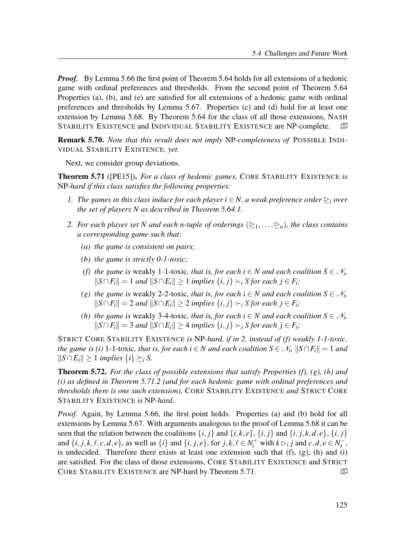**Proof.** By Lemma 5.66 the first point of Theorem 5.64 holds for all extensions of a hedonic game with ordinal preferences and thresholds. From the second point of Theorem 5.64 Properties (a), (b), and (e) are satisfied for all extensions of a hedonic game with ordinal preferences and thresholds by Lemma 5.67. Properties (c) and (d) hold for at least one extension by Lemma 5.68. By Theorem 5.64 for the class of all those extensions, NASH STABILITY EXISTENCE and INDIVIDUAL STABILITY EXISTENCE are NP-complete.

Remark 5.70. Note that this result does not imply NP-completeness of POSSIBLE INDI-VIDUAL STABILITY EXISTENCE, yet.

Next, we consider group deviations.

**Theorem 5.71** ([PE15]). For a class of hedonic games, CORE STABILITY EXISTENCE is NP-hard if this class satisfies the following properties:

- 1. The games in this class induce for each player  $i \in N$ , a weak preference order  $\triangleright_i$  over the set of players N as described in Theorem 5.64.1.
- 2. For each player set N and each n-tuple of orderings  $(\geq_1,\ldots,\geq_n)$ , the class contains a corresponding game such that:
	- (a) the game is consistent on pairs;
	- (b) the game is strictly  $0$ -1-toxic;
	- (f) the game is weakly 1-1-toxic, that is, for each  $i \in N$  and each coalition  $S \in \mathcal{N}_i$ ,  $||S ∩ F_i|| = 1$  and  $||S ∩ E_i|| \ge 1$  implies  $\{i, j\} \succ_i S$  for each  $j \in F_i$ ;
	- (g) the game is weakly 2-2-toxic, that is, for each  $i \in N$  and each coalition  $S \in \mathcal{N}_i$ ,  $||S ∩ F_i|| = 2$  and  $||S ∩ E_i|| \ge 2$  implies  $\{i, j\} \succ_i S$  for each  $j \in F_i$ ;
	- (h) the game is weakly 3-4-toxic, that is, for each  $i \in N$  and each coalition  $S \in \mathcal{N}_i$ ,  $||S ∩ F_i|| = 3$  and  $||S ∩ E_i|| \ge 4$  implies  $\{i, j\} \succ_i S$  for each  $j \in F_i$ ;

STRICT CORE STABILITY EXISTENCE is NP-hard, if in 2. instead of (f) weakly 1-1-toxic, the game is (i) 1-1-toxic, that is, for each  $i \in N$  and each coalition  $S \in \mathcal{N}_i$ ,  $||S \cap F_i|| = 1$  and  $||S ∩ E_i|| \ge 1$  implies  $\{i\} \succeq_i S$ .

**Theorem 5.72.** For the class of possible extensions that satisfy Properties (f), (g), (h) and (i) as defined in Theorem 5.71.2 (and for each hedonic game with ordinal preferences and thresholds there is one such extension), CORE STABILITY EXISTENCE and STRICT CORE STABILITY EXISTENCE is NP-hard.

*Proof.* Again, by Lemma 5.66, the first point holds. Properties (a) and (b) hold for all extensions by Lemma 5.67. With arguments analogous to the proof of Lemma 5.68 it can be seen that the relation between the coalitions  $\{i, j\}$  and  $\{i, k, e\}$ ,  $\{i, j\}$  and  $\{i, j, k, d, e\}$ ,  $\{i, j\}$ and  $\{i, j, k, \ell, c, d, e\}$ , as well as  $\{i\}$  and  $\{i, j, e\}$ , for  $j, k, \ell \in N_i^+$  with  $k \triangleright_i j$  and  $c, d, e \in N_x^-,$ is undecided. Therefore there exists at least one extension such that  $(f)$ ,  $(g)$ ,  $(h)$  and  $(i)$ are satisfied. For the class of those extensions, CORE STABILITY EXISTENCE and STRICT CORE STABILITY EXISTENCE are NP-hard by Theorem 5.71.  $\mathbb{D}$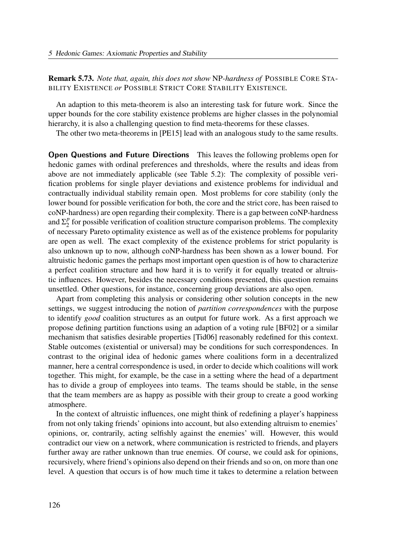Remark 5.73. Note that, again, this does not show NP-hardness of POSSIBLE CORE STA-BILITY EXISTENCE or POSSIBLE STRICT CORE STABILITY EXISTENCE.

An adaption to this meta-theorem is also an interesting task for future work. Since the upper bounds for the core stability existence problems are higher classes in the polynomial hierarchy, it is also a challenging question to find meta-theorems for these classes.

The other two meta-theorems in [PE15] lead with an analogous study to the same results.

Open Questions and Future Directions This leaves the following problems open for hedonic games with ordinal preferences and thresholds, where the results and ideas from above are not immediately applicable (see Table 5.2): The complexity of possible verification problems for single player deviations and existence problems for individual and contractually individual stability remain open. Most problems for core stability (only the lower bound for possible verification for both, the core and the strict core, has been raised to coNP-hardness) are open regarding their complexity. There is a gap between coNP-hardness and  $\Sigma^p_2$  $\frac{p}{2}$  for possible verification of coalition structure comparison problems. The complexity of necessary Pareto optimality existence as well as of the existence problems for popularity are open as well. The exact complexity of the existence problems for strict popularity is also unknown up to now, although coNP-hardness has been shown as a lower bound. For altruistic hedonic games the perhaps most important open question is of how to characterize a perfect coalition structure and how hard it is to verify it for equally treated or altruistic influences. However, besides the necessary conditions presented, this question remains unsettled. Other questions, for instance, concerning group deviations are also open.

Apart from completing this analysis or considering other solution concepts in the new settings, we suggest introducing the notion of *partition correspondences* with the purpose to identify good coalition structures as an output for future work. As a first approach we propose defining partition functions using an adaption of a voting rule [BF02] or a similar mechanism that satisfies desirable properties [Tid06] reasonably redefined for this context. Stable outcomes (existential or universal) may be conditions for such correspondences. In contrast to the original idea of hedonic games where coalitions form in a decentralized manner, here a central correspondence is used, in order to decide which coalitions will work together. This might, for example, be the case in a setting where the head of a department has to divide a group of employees into teams. The teams should be stable, in the sense that the team members are as happy as possible with their group to create a good working atmosphere.

In the context of altruistic influences, one might think of redefining a player's happiness from not only taking friends' opinions into account, but also extending altruism to enemies' opinions, or, contrarily, acting selfishly against the enemies' will. However, this would contradict our view on a network, where communication is restricted to friends, and players further away are rather unknown than true enemies. Of course, we could ask for opinions, recursively, where friend's opinions also depend on their friends and so on, on more than one level. A question that occurs is of how much time it takes to determine a relation between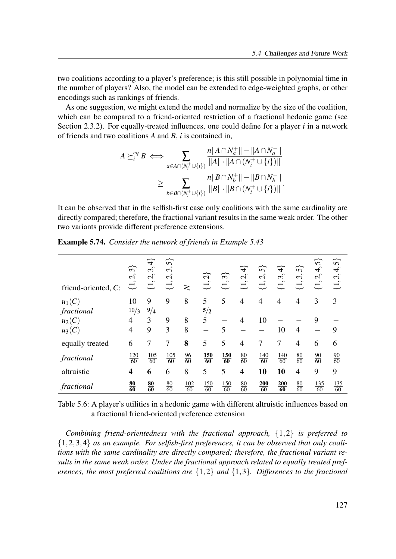two coalitions according to a player's preference; is this still possible in polynomial time in the number of players? Also, the model can be extended to edge-weighted graphs, or other encodings such as rankings of friends.

As one suggestion, we might extend the model and normalize by the size of the coalition, which can be compared to a friend-oriented restriction of a fractional hedonic game (see Section 2.3.2). For equally-treated influences, one could define for a player  $i$  in a network of friends and two coalitions  $A$  and  $B$ ,  $i$  is contained in,

$$
A \succeq_i^{eq} B \iff \sum_{a \in A \cap (N_i^+ \cup \{i\})} \frac{n ||A \cap N_a^+|| - ||A \cap N_a^-||}{||A|| \cdot ||A \cap (N_i^+ \cup \{i\})||}
$$
  

$$
\geq \sum_{b \in B \cap (N_i^+ \cup \{i\})} \frac{n ||B \cap N_b^+|| - ||B \cap N_b^-||}{||B|| \cdot ||B \cap (N_i^+ \cup \{i\})||}.
$$

It can be observed that in the selfish-first case only coalitions with the same cardinality are directly compared; therefore, the fractional variant results in the same weak order. The other two variants provide different preference extensions.

| friend-oriented, C: | $\widetilde{\mathfrak{F}}$<br>$\dot{c}$<br>$\rightleftarrows$ | $\overrightarrow{4}$<br>$\sim$<br>$\epsilon$<br>$\mathcal{C}$<br>$\sim$<br>$\rightleftarrows$ | 57<br>$\sim$<br>$\mathcal{L}$<br>$\sim$ | $\geq$                 | $\widetilde{\mathcal{L}}$<br>$\overline{\overline{u}}$ | ∼<br>$\omega$<br>$\rightleftarrows$ | $\overrightarrow{4}$<br>$\hat{\phantom{a}}$<br>$\mathbf{C}$<br>$\sim$<br>$\overline{\mathfrak{L}}$ | 57<br>$\mathbf{\Omega}$<br>$\sim$<br>$\rightleftarrows$ | $\overline{+}$<br>$\epsilon$<br>$\sim$<br>$\overline{\overline{u}}$ | ᢛ<br>$\omega$<br>$\sim$<br>$\overline{\overline{u}}$ | $\widetilde{\mathbf{5}}$<br>$\sim$<br>4<br>$\sim$<br>$\mathbf{C}$<br>$\sim$<br>$\rightleftarrows$ | $\widetilde{\mathcal{S}}$<br>4,<br>$\omega_{\rm}$<br>$\rightleftarrows$ |
|---------------------|---------------------------------------------------------------|-----------------------------------------------------------------------------------------------|-----------------------------------------|------------------------|--------------------------------------------------------|-------------------------------------|----------------------------------------------------------------------------------------------------|---------------------------------------------------------|---------------------------------------------------------------------|------------------------------------------------------|---------------------------------------------------------------------------------------------------|-------------------------------------------------------------------------|
| $u_1(C)$            | 10                                                            | 9                                                                                             | 9                                       | 8                      | 5                                                      | 5                                   | $\overline{4}$                                                                                     | $\overline{4}$                                          | $\overline{4}$                                                      | $\overline{4}$                                       | 3                                                                                                 | 3                                                                       |
| fractional          | 10/3                                                          | 9/4                                                                                           |                                         |                        | 5/2                                                    |                                     |                                                                                                    |                                                         |                                                                     |                                                      |                                                                                                   |                                                                         |
| $u_2(C)$            | $\overline{4}$                                                | 3                                                                                             | 9                                       | 8                      | 5                                                      |                                     | $\overline{4}$                                                                                     | 10                                                      |                                                                     |                                                      | 9                                                                                                 |                                                                         |
| $u_3(C)$            | $\overline{4}$                                                | 9                                                                                             | 3                                       | 8                      |                                                        | 5                                   |                                                                                                    |                                                         | 10                                                                  | $\overline{4}$                                       |                                                                                                   | 9                                                                       |
| equally treated     | 6                                                             | 7                                                                                             | 7                                       | 8                      | 5                                                      | 5                                   | $\overline{4}$                                                                                     | 7                                                       | 7                                                                   | $\overline{4}$                                       | 6                                                                                                 | 6                                                                       |
| fractional          | $\frac{120}{60}$                                              | 105<br>60                                                                                     | <u>105</u><br>$\overline{60}$           | $\frac{96}{60}$        | $\frac{150}{60}$                                       | $\frac{150}{60}$                    | $\frac{80}{60}$                                                                                    | 140<br>60                                               | $\frac{140}{60}$                                                    | $\frac{80}{60}$                                      | $\frac{90}{60}$                                                                                   | $\frac{90}{60}$                                                         |
| altruistic          | $\overline{\mathbf{4}}$                                       | 6                                                                                             | 6                                       | 8                      | 5                                                      | 5                                   | $\overline{4}$                                                                                     | 10                                                      | 10                                                                  | $\overline{4}$                                       | 9                                                                                                 | 9                                                                       |
| fractional          | $\frac{80}{60}$                                               | $\frac{80}{60}$                                                                               | $\frac{80}{60}$                         | 102<br>$\overline{60}$ | 150<br>$\overline{60}$                                 | 150<br>$\overline{60}$              | $\frac{80}{60}$                                                                                    | 200<br>60                                               | 200<br>$\overline{60}$                                              | $\frac{80}{60}$                                      | 135<br>$\overline{60}$                                                                            | $\frac{135}{60}$                                                        |

Example 5.74. Consider the network of friends in Example 5.43

Table 5.6: A player's utilities in a hedonic game with different altruistic influences based on a fractional friend-oriented preference extension

Combining friend-orientedness with the fractional approach,  $\{1,2\}$  is preferred to  $\{1,2,3,4\}$  as an example. For selfish-first preferences, it can be observed that only coalitions with the same cardinality are directly compared; therefore, the fractional variant results in the same weak order. Under the fractional approach related to equally treated preferences, the most preferred coalitions are  $\{1,2\}$  and  $\{1,3\}$ . Differences to the fractional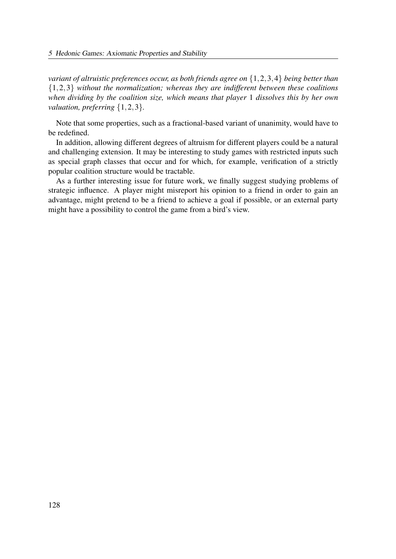variant of altruistic preferences occur, as both friends agree on  $\{1,2,3,4\}$  being better than  $\{1,2,3\}$  without the normalization; whereas they are indifferent between these coalitions when dividing by the coalition size, which means that player 1 dissolves this by her own valuation, preferring  $\{1,2,3\}$ .

Note that some properties, such as a fractional-based variant of unanimity, would have to be redefined.

In addition, allowing different degrees of altruism for different players could be a natural and challenging extension. It may be interesting to study games with restricted inputs such as special graph classes that occur and for which, for example, verification of a strictly popular coalition structure would be tractable.

As a further interesting issue for future work, we finally suggest studying problems of strategic influence. A player might misreport his opinion to a friend in order to gain an advantage, might pretend to be a friend to achieve a goal if possible, or an external party might have a possibility to control the game from a bird's view.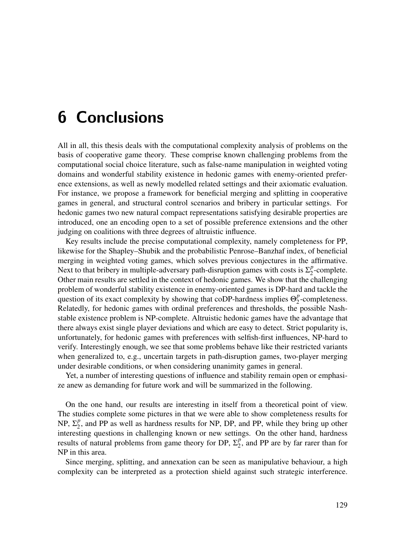# 6 Conclusions

All in all, this thesis deals with the computational complexity analysis of problems on the basis of cooperative game theory. These comprise known challenging problems from the computational social choice literature, such as false-name manipulation in weighted voting domains and wonderful stability existence in hedonic games with enemy-oriented preference extensions, as well as newly modelled related settings and their axiomatic evaluation. For instance, we propose a framework for beneficial merging and splitting in cooperative games in general, and structural control scenarios and bribery in particular settings. For hedonic games two new natural compact representations satisfying desirable properties are introduced, one an encoding open to a set of possible preference extensions and the other judging on coalitions with three degrees of altruistic influence.

Key results include the precise computational complexity, namely completeness for PP, likewise for the Shapley–Shubik and the probabilistic Penrose–Banzhaf index, of beneficial merging in weighted voting games, which solves previous conjectures in the affirmative. Next to that bribery in multiple-adversary path-disruption games with costs is  $\Sigma_2^p$  $n_2^p$ -complete. Other main results are settled in the context of hedonic games. We show that the challenging problem of wonderful stability existence in enemy-oriented games is DP-hard and tackle the question of its exact complexity by showing that coDP-hardness implies  $\Theta_2^p$  $n<sub>2</sub><sup>p</sup>$ -completeness. Relatedly, for hedonic games with ordinal preferences and thresholds, the possible Nashstable existence problem is NP-complete. Altruistic hedonic games have the advantage that there always exist single player deviations and which are easy to detect. Strict popularity is, unfortunately, for hedonic games with preferences with selfish-first influences, NP-hard to verify. Interestingly enough, we see that some problems behave like their restricted variants when generalized to, e.g., uncertain targets in path-disruption games, two-player merging under desirable conditions, or when considering unanimity games in general.

Yet, a number of interesting questions of influence and stability remain open or emphasize anew as demanding for future work and will be summarized in the following.

On the one hand, our results are interesting in itself from a theoretical point of view. The studies complete some pictures in that we were able to show completeness results for NP,  $\Sigma^p_2$  $_2^p$ , and PP as well as hardness results for NP, DP, and PP, while they bring up other interesting questions in challenging known or new settings. On the other hand, hardness results of natural problems from game theory for DP,  $\Sigma_2^p$  $P_2$ , and PP are by far rarer than for NP in this area.

Since merging, splitting, and annexation can be seen as manipulative behaviour, a high complexity can be interpreted as a protection shield against such strategic interference.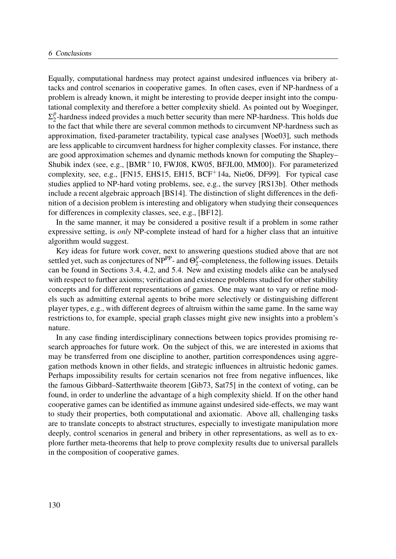Equally, computational hardness may protect against undesired influences via bribery attacks and control scenarios in cooperative games. In often cases, even if NP-hardness of a problem is already known, it might be interesting to provide deeper insight into the computational complexity and therefore a better complexity shield. As pointed out by Woeginger,  $\Sigma^p_2$  $\frac{p}{2}$ -hardness indeed provides a much better security than mere NP-hardness. This holds due to the fact that while there are several common methods to circumvent NP-hardness such as approximation, fixed-parameter tractability, typical case analyses [Woe03], such methods are less applicable to circumvent hardness for higher complexity classes. For instance, there are good approximation schemes and dynamic methods known for computing the Shapley– Shubik index (see, e.g.,  $[BMR^+10, FWJ08, KW05, BFJL00, MM00]$ ). For parameterized complexity, see, e.g., [FN15, EHS15, EH15, BCF+14a, Nie06, DF99]. For typical case studies applied to NP-hard voting problems, see, e.g., the survey [RS13b]. Other methods include a recent algebraic approach [BS14]. The distinction of slight differences in the definition of a decision problem is interesting and obligatory when studying their consequences for differences in complexity classes, see, e.g., [BF12].

In the same manner, it may be considered a positive result if a problem in some rather expressive setting, is only NP-complete instead of hard for a higher class that an intuitive algorithm would suggest.

Key ideas for future work cover, next to answering questions studied above that are not settled yet, such as conjectures of NP<sup>PP</sup>- and  $\Theta_2^p$  $_2^p$ -completeness, the following issues. Details can be found in Sections 3.4, 4.2, and 5.4. New and existing models alike can be analysed with respect to further axioms; verification and existence problems studied for other stability concepts and for different representations of games. One may want to vary or refine models such as admitting external agents to bribe more selectively or distinguishing different player types, e.g., with different degrees of altruism within the same game. In the same way restrictions to, for example, special graph classes might give new insights into a problem's nature.

In any case finding interdisciplinary connections between topics provides promising research approaches for future work. On the subject of this, we are interested in axioms that may be transferred from one discipline to another, partition correspondences using aggregation methods known in other fields, and strategic influences in altruistic hedonic games. Perhaps impossibility results for certain scenarios not free from negative influences, like the famous Gibbard–Satterthwaite theorem [Gib73, Sat75] in the context of voting, can be found, in order to underline the advantage of a high complexity shield. If on the other hand cooperative games can be identified as immune against undesired side-effects, we may want to study their properties, both computational and axiomatic. Above all, challenging tasks are to translate concepts to abstract structures, especially to investigate manipulation more deeply, control scenarios in general and bribery in other representations, as well as to explore further meta-theorems that help to prove complexity results due to universal parallels in the composition of cooperative games.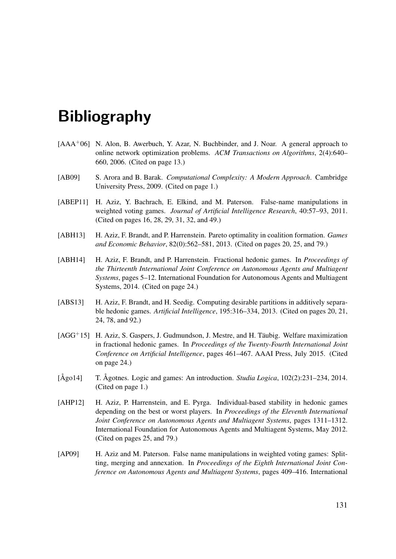# Bibliography

- [AAA<sup>+</sup>06] N. Alon, B. Awerbuch, Y. Azar, N. Buchbinder, and J. Noar. A general approach to online network optimization problems. ACM Transactions on Algorithms, 2(4):640– 660, 2006. (Cited on page 13.)
- [AB09] S. Arora and B. Barak. Computational Complexity: A Modern Approach. Cambridge University Press, 2009. (Cited on page 1.)
- [ABEP11] H. Aziz, Y. Bachrach, E. Elkind, and M. Paterson. False-name manipulations in weighted voting games. Journal of Artificial Intelligence Research, 40:57–93, 2011. (Cited on pages 16, 28, 29, 31, 32, and 49.)
- [ABH13] H. Aziz, F. Brandt, and P. Harrenstein. Pareto optimality in coalition formation. *Games* and Economic Behavior, 82(0):562–581, 2013. (Cited on pages 20, 25, and 79.)
- [ABH14] H. Aziz, F. Brandt, and P. Harrenstein. Fractional hedonic games. In *Proceedings of* the Thirteenth International Joint Conference on Autonomous Agents and Multiagent Systems, pages 5–12. International Foundation for Autonomous Agents and Multiagent Systems, 2014. (Cited on page 24.)
- [ABS13] H. Aziz, F. Brandt, and H. Seedig. Computing desirable partitions in additively separable hedonic games. Artificial Intelligence, 195:316–334, 2013. (Cited on pages 20, 21, 24, 78, and 92.)
- [AGG+15] H. Aziz, S. Gaspers, J. Gudmundson, J. Mestre, and H. Täubig. Welfare maximization in fractional hedonic games. In Proceedings of the Twenty-Fourth International Joint Conference on Artificial Intelligence, pages 461–467. AAAI Press, July 2015. (Cited on page 24.)
- [Ågo14] T. Ågotnes. Logic and games: An introduction. *Studia Logica*, 102(2):231–234, 2014. (Cited on page 1.)
- [AHP12] H. Aziz, P. Harrenstein, and E. Pyrga. Individual-based stability in hedonic games depending on the best or worst players. In Proceedings of the Eleventh International Joint Conference on Autonomous Agents and Multiagent Systems, pages 1311–1312. International Foundation for Autonomous Agents and Multiagent Systems, May 2012. (Cited on pages 25, and 79.)
- [AP09] H. Aziz and M. Paterson. False name manipulations in weighted voting games: Splitting, merging and annexation. In Proceedings of the Eighth International Joint Conference on Autonomous Agents and Multiagent Systems, pages 409–416. International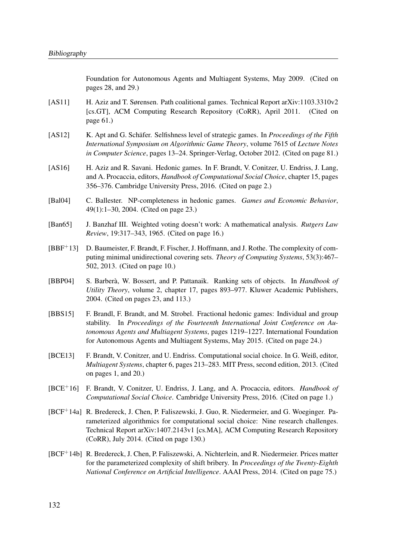Foundation for Autonomous Agents and Multiagent Systems, May 2009. (Cited on pages 28, and 29.)

- [AS11] H. Aziz and T. Sørensen. Path coalitional games. Technical Report arXiv:1103.3310v2 [cs.GT], ACM Computing Research Repository (CoRR), April 2011. (Cited on page 61.)
- [AS12] K. Apt and G. Schäfer. Selfishness level of strategic games. In *Proceedings of the Fifth* International Symposium on Algorithmic Game Theory, volume 7615 of Lecture Notes in Computer Science, pages 13–24. Springer-Verlag, October 2012. (Cited on page 81.)
- [AS16] H. Aziz and R. Savani. Hedonic games. In F. Brandt, V. Conitzer, U. Endriss, J. Lang, and A. Procaccia, editors, Handbook of Computational Social Choice, chapter 15, pages 356–376. Cambridge University Press, 2016. (Cited on page 2.)
- [Bal04] C. Ballester. NP-completeness in hedonic games. Games and Economic Behavior, 49(1):1–30, 2004. (Cited on page 23.)
- [Ban65] J. Banzhaf III. Weighted voting doesn't work: A mathematical analysis. Rutgers Law Review, 19:317–343, 1965. (Cited on page 16.)
- [BBF+13] D. Baumeister, F. Brandt, F. Fischer, J. Hoffmann, and J. Rothe. The complexity of computing minimal unidirectional covering sets. Theory of Computing Systems, 53(3):467– 502, 2013. (Cited on page 10.)
- [BBP04] S. Barberà, W. Bossert, and P. Pattanaik. Ranking sets of objects. In Handbook of Utility Theory, volume 2, chapter 17, pages 893–977. Kluwer Academic Publishers, 2004. (Cited on pages 23, and 113.)
- [BBS15] F. Brandl, F. Brandt, and M. Strobel. Fractional hedonic games: Individual and group stability. In Proceedings of the Fourteenth International Joint Conference on Autonomous Agents and Multiagent Systems, pages 1219–1227. International Foundation for Autonomous Agents and Multiagent Systems, May 2015. (Cited on page 24.)
- [BCE13] F. Brandt, V. Conitzer, and U. Endriss. Computational social choice. In G. Weiß, editor, Multiagent Systems, chapter 6, pages 213–283. MIT Press, second edition, 2013. (Cited on pages 1, and 20.)
- [BCE<sup>+</sup>16] F. Brandt, V. Conitzer, U. Endriss, J. Lang, and A. Procaccia, editors. *Handbook of* Computational Social Choice. Cambridge University Press, 2016. (Cited on page 1.)
- [BCF+14a] R. Bredereck, J. Chen, P. Faliszewski, J. Guo, R. Niedermeier, and G. Woeginger. Parameterized algorithmics for computational social choice: Nine research challenges. Technical Report arXiv:1407.2143v1 [cs.MA], ACM Computing Research Repository (CoRR), July 2014. (Cited on page 130.)
- [BCF+14b] R. Bredereck, J. Chen, P. Faliszewski, A. Nichterlein, and R. Niedermeier. Prices matter for the parameterized complexity of shift bribery. In Proceedings of the Twenty-Eighth National Conference on Artificial Intelligence. AAAI Press, 2014. (Cited on page 75.)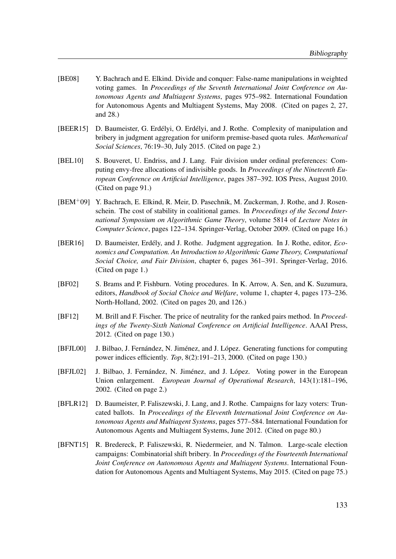- [BE08] Y. Bachrach and E. Elkind. Divide and conquer: False-name manipulations in weighted voting games. In Proceedings of the Seventh International Joint Conference on Autonomous Agents and Multiagent Systems, pages 975–982. International Foundation for Autonomous Agents and Multiagent Systems, May 2008. (Cited on pages 2, 27, and 28.)
- [BEER15] D. Baumeister, G. Erdélyi, O. Erdélyi, and J. Rothe. Complexity of manipulation and bribery in judgment aggregation for uniform premise-based quota rules. Mathematical Social Sciences, 76:19–30, July 2015. (Cited on page 2.)
- [BEL10] S. Bouveret, U. Endriss, and J. Lang. Fair division under ordinal preferences: Computing envy-free allocations of indivisible goods. In Proceedings of the Nineteenth European Conference on Artificial Intelligence, pages 387–392. IOS Press, August 2010. (Cited on page 91.)
- [BEM+09] Y. Bachrach, E. Elkind, R. Meir, D. Pasechnik, M. Zuckerman, J. Rothe, and J. Rosenschein. The cost of stability in coalitional games. In Proceedings of the Second International Symposium on Algorithmic Game Theory, volume 5814 of Lecture Notes in Computer Science, pages 122–134. Springer-Verlag, October 2009. (Cited on page 16.)
- [BER16] D. Baumeister, Erdély, and J. Rothe. Judgment aggregation. In J. Rothe, editor, Economics and Computation. An Introduction to Algorithmic Game Theory, Computational Social Choice, and Fair Division, chapter 6, pages 361–391. Springer-Verlag, 2016. (Cited on page 1.)
- [BF02] S. Brams and P. Fishburn. Voting procedures. In K. Arrow, A. Sen, and K. Suzumura, editors, Handbook of Social Choice and Welfare, volume 1, chapter 4, pages 173–236. North-Holland, 2002. (Cited on pages 20, and 126.)
- [BF12] M. Brill and F. Fischer. The price of neutrality for the ranked pairs method. In Proceedings of the Twenty-Sixth National Conference on Artificial Intelligence. AAAI Press, 2012. (Cited on page 130.)
- [BFJL00] J. Bilbao, J. Fernández, N. Jiménez, and J. López. Generating functions for computing power indices efficiently. Top, 8(2):191–213, 2000. (Cited on page 130.)
- [BFJL02] J. Bilbao, J. Fernández, N. Jiménez, and J. López. Voting power in the European Union enlargement. European Journal of Operational Research, 143(1):181–196, 2002. (Cited on page 2.)
- [BFLR12] D. Baumeister, P. Faliszewski, J. Lang, and J. Rothe. Campaigns for lazy voters: Truncated ballots. In Proceedings of the Eleventh International Joint Conference on Autonomous Agents and Multiagent Systems, pages 577–584. International Foundation for Autonomous Agents and Multiagent Systems, June 2012. (Cited on page 80.)
- [BFNT15] R. Bredereck, P. Faliszewski, R. Niedermeier, and N. Talmon. Large-scale election campaigns: Combinatorial shift bribery. In Proceedings of the Fourteenth International Joint Conference on Autonomous Agents and Multiagent Systems. International Foundation for Autonomous Agents and Multiagent Systems, May 2015. (Cited on page 75.)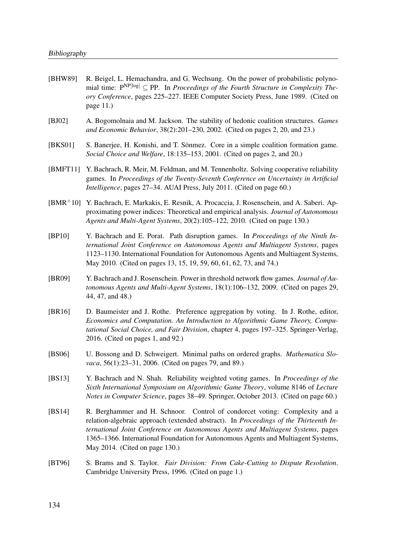- [BHW89] R. Beigel, L. Hemachandra, and G. Wechsung. On the power of probabilistic polynomial time:  $P^{NP[log]} \subset PP$ . In *Proceedings of the Fourth Structure in Complexity The*ory Conference, pages 225–227. IEEE Computer Society Press, June 1989. (Cited on page 11.)
- [BJ02] A. Bogomolnaia and M. Jackson. The stability of hedonic coalition structures. Games and Economic Behavior, 38(2):201–230, 2002. (Cited on pages 2, 20, and 23.)
- [BKS01] S. Banerjee, H. Konishi, and T. Sönmez. Core in a simple coalition formation game. Social Choice and Welfare, 18:135–153, 2001. (Cited on pages 2, and 20.)
- [BMFT11] Y. Bachrach, R. Meir, M. Feldman, and M. Tennenholtz. Solving cooperative reliability games. In Proceedings of the Twenty-Seventh Conference on Uncertainty in Artificial Intelligence, pages 27–34. AUAI Press, July 2011. (Cited on page 60.)
- [BMR+10] Y. Bachrach, E. Markakis, E. Resnik, A. Procaccia, J. Rosenschein, and A. Saberi. Approximating power indices: Theoretical and empirical analysis. Journal of Autonomous Agents and Multi-Agent Systems, 20(2):105–122, 2010. (Cited on page 130.)
- [BP10] Y. Bachrach and E. Porat. Path disruption games. In Proceedings of the Ninth International Joint Conference on Autonomous Agents and Multiagent Systems, pages 1123–1130. International Foundation for Autonomous Agents and Multiagent Systems, May 2010. (Cited on pages 13, 15, 19, 59, 60, 61, 62, 73, and 74.)
- [BR09] Y. Bachrach and J. Rosenschein. Power in threshold network flow games. *Journal of Au*tonomous Agents and Multi-Agent Systems, 18(1):106–132, 2009. (Cited on pages 29, 44, 47, and 48.)
- [BR16] D. Baumeister and J. Rothe. Preference aggregation by voting. In J. Rothe, editor, Economics and Computation. An Introduction to Algorithmic Game Theory, Computational Social Choice, and Fair Division, chapter 4, pages 197–325. Springer-Verlag, 2016. (Cited on pages 1, and 92.)
- [BS06] U. Bossong and D. Schweigert. Minimal paths on ordered graphs. Mathematica Slovaca, 56(1):23–31, 2006. (Cited on pages 79, and 89.)
- [BS13] Y. Bachrach and N. Shah. Reliability weighted voting games. In Proceedings of the Sixth International Symposium on Algorithmic Game Theory, volume 8146 of Lecture Notes in Computer Science, pages 38–49. Springer, October 2013. (Cited on page 60.)
- [BS14] R. Berghammer and H. Schnoor. Control of condorcet voting: Complexity and a relation-algebraic approach (extended abstract). In Proceedings of the Thirteenth International Joint Conference on Autonomous Agents and Multiagent Systems, pages 1365–1366. International Foundation for Autonomous Agents and Multiagent Systems, May 2014. (Cited on page 130.)
- [BT96] S. Brams and S. Taylor. Fair Division: From Cake-Cutting to Dispute Resolution. Cambridge University Press, 1996. (Cited on page 1.)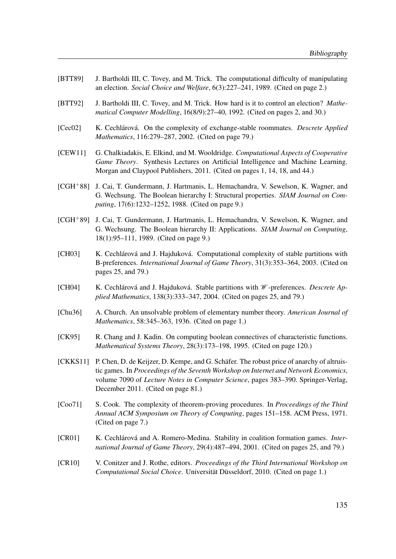- [BTT89] J. Bartholdi III, C. Tovey, and M. Trick. The computational difficulty of manipulating an election. Social Choice and Welfare, 6(3):227–241, 1989. (Cited on page 2.)
- [BTT92] J. Bartholdi III, C. Tovey, and M. Trick. How hard is it to control an election? Mathematical Computer Modelling, 16(8/9):27–40, 1992. (Cited on pages 2, and 30.)
- [Cec02] K. Cechlárová. On the complexity of exchange-stable roommates. Descrete Applied Mathematics, 116:279–287, 2002. (Cited on page 79.)
- [CEW11] G. Chalkiadakis, E. Elkind, and M. Wooldridge. Computational Aspects of Cooperative Game Theory. Synthesis Lectures on Artificial Intelligence and Machine Learning. Morgan and Claypool Publishers, 2011. (Cited on pages 1, 14, 18, and 44.)
- [CGH+88] J. Cai, T. Gundermann, J. Hartmanis, L. Hemachandra, V. Sewelson, K. Wagner, and G. Wechsung. The Boolean hierarchy I: Structural properties. SIAM Journal on Computing, 17(6):1232–1252, 1988. (Cited on page 9.)
- [CGH+89] J. Cai, T. Gundermann, J. Hartmanis, L. Hemachandra, V. Sewelson, K. Wagner, and G. Wechsung. The Boolean hierarchy II: Applications. SIAM Journal on Computing, 18(1):95–111, 1989. (Cited on page 9.)
- [CH03] K. Cechlárová and J. Hajduková. Computational complexity of stable partitions with B-preferences. International Journal of Game Theory, 31(3):353–364, 2003. (Cited on pages 25, and 79.)
- [CH04] K. Cechlárová and J. Hajduková. Stable partitions with *W*-preferences. *Descrete Ap*plied Mathematics, 138(3):333–347, 2004. (Cited on pages 25, and 79.)
- [Chu36] A. Church. An unsolvable problem of elementary number theory. American Journal of Mathematics, 58:345–363, 1936. (Cited on page 1.)
- [CK95] R. Chang and J. Kadin. On computing boolean connectives of characteristic functions. Mathematical Systems Theory, 28(3):173–198, 1995. (Cited on page 120.)
- [CKKS11] P. Chen, D. de Keijzer, D. Kempe, and G. Schäfer. The robust price of anarchy of altruistic games. In Proceedings of the Seventh Workshop on Internet and Network Economics, volume 7090 of Lecture Notes in Computer Science, pages 383–390. Springer-Verlag, December 2011. (Cited on page 81.)
- [Coo71] S. Cook. The complexity of theorem-proving procedures. In *Proceedings of the Third* Annual ACM Symposium on Theory of Computing, pages 151–158. ACM Press, 1971. (Cited on page 7.)
- [CR01] K. Cechlárová and A. Romero-Medina. Stability in coalition formation games. International Journal of Game Theory, 29(4):487–494, 2001. (Cited on pages 25, and 79.)
- [CR10] V. Conitzer and J. Rothe, editors. *Proceedings of the Third International Workshop on* Computational Social Choice. Universität Düsseldorf, 2010. (Cited on page 1.)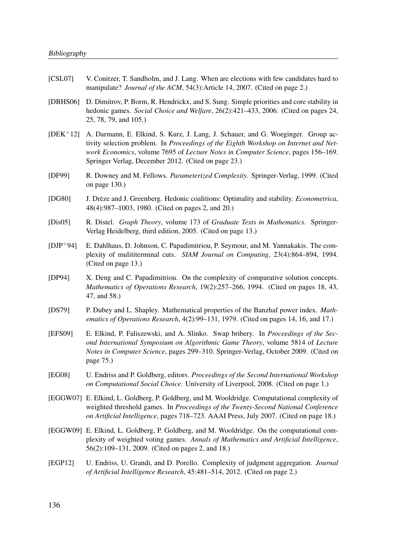- [CSL07] V. Conitzer, T. Sandholm, and J. Lang. When are elections with few candidates hard to manipulate? *Journal of the ACM*, 54(3):Article 14, 2007. (Cited on page 2.)
- [DBHS06] D. Dimitrov, P. Borm, R. Hendrickx, and S. Sung. Simple priorities and core stability in hedonic games. Social Choice and Welfare, 26(2):421–433, 2006. (Cited on pages 24, 25, 78, 79, and 105.)
- [DEK+12] A. Darmann, E. Elkind, S. Kurz, J. Lang, J. Schauer, and G. Woeginger. Group activity selection problem. In *Proceedings of the Eighth Workshop on Internet and Net*work Economics, volume 7695 of Lecture Notes in Computer Science, pages 156–169. Springer Verlag, December 2012. (Cited on page 23.)
- [DF99] R. Downey and M. Fellows. Parameterized Complexity. Springer-Verlag, 1999. (Cited on page 130.)
- [DG80] J. Drèze and J. Greenberg. Hedonic coalitions: Optimality and stability. *Econometrica*, 48(4):987–1003, 1980. (Cited on pages 2, and 20.)
- [Dis05] R. Distel. Graph Theory, volume 173 of Graduate Texts in Mathematics. Springer-Verlag Heidelberg, third edition, 2005. (Cited on page 13.)
- [DJP+94] E. Dahlhaus, D. Johnson, C. Papadimitriou, P. Seymour, and M. Yannakakis. The complexity of mulititerminal cuts. SIAM Journal on Computing, 23(4):864–894, 1994. (Cited on page 13.)
- [DP94] X. Deng and C. Papadimitriou. On the complexity of comparative solution concepts. Mathematics of Operations Research, 19(2):257–266, 1994. (Cited on pages 18, 43, 47, and 58.)
- [DS79] P. Dubey and L. Shapley. Mathematical properties of the Banzhaf power index. *Math*ematics of Operations Research, 4(2):99–131, 1979. (Cited on pages 14, 16, and 17.)
- [EFS09] E. Elkind, P. Faliszewski, and A. Slinko. Swap bribery. In Proceedings of the Second International Symposium on Algorithmic Game Theory, volume 5814 of Lecture Notes in Computer Science, pages 299–310. Springer-Verlag, October 2009. (Cited on page 75.)
- [EG08] U. Endriss and P. Goldberg, editors. Proceedings of the Second International Workshop on Computational Social Choice. University of Liverpool, 2008. (Cited on page 1.)
- [EGGW07] E. Elkind, L. Goldberg, P. Goldberg, and M. Wooldridge. Computational complexity of weighted threshold games. In Proceedings of the Twenty-Second National Conference on Artificial Intelligence, pages 718–723. AAAI Press, July 2007. (Cited on page 18.)
- [EGGW09] E. Elkind, L. Goldberg, P. Goldberg, and M. Wooldridge. On the computational complexity of weighted voting games. Annals of Mathematics and Artificial Intelligence, 56(2):109–131, 2009. (Cited on pages 2, and 18.)
- [EGP12] U. Endriss, U. Grandi, and D. Porello. Complexity of judgment aggregation. Journal of Artificial Intelligence Research, 45:481–514, 2012. (Cited on page 2.)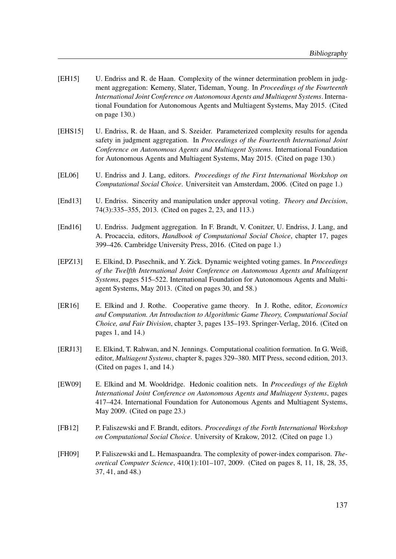- [EH15] U. Endriss and R. de Haan. Complexity of the winner determination problem in judgment aggregation: Kemeny, Slater, Tideman, Young. In Proceedings of the Fourteenth International Joint Conference on Autonomous Agents and Multiagent Systems. International Foundation for Autonomous Agents and Multiagent Systems, May 2015. (Cited on page 130.)
- [EHS15] U. Endriss, R. de Haan, and S. Szeider. Parameterized complexity results for agenda safety in judgment aggregation. In Proceedings of the Fourteenth International Joint Conference on Autonomous Agents and Multiagent Systems. International Foundation for Autonomous Agents and Multiagent Systems, May 2015. (Cited on page 130.)
- [EL06] U. Endriss and J. Lang, editors. Proceedings of the First International Workshop on Computational Social Choice. Universiteit van Amsterdam, 2006. (Cited on page 1.)
- [End13] U. Endriss. Sincerity and manipulation under approval voting. *Theory and Decision*, 74(3):335–355, 2013. (Cited on pages 2, 23, and 113.)
- [End16] U. Endriss. Judgment aggregation. In F. Brandt, V. Conitzer, U. Endriss, J. Lang, and A. Procaccia, editors, Handbook of Computational Social Choice, chapter 17, pages 399–426. Cambridge University Press, 2016. (Cited on page 1.)
- [EPZ13] E. Elkind, D. Pasechnik, and Y. Zick. Dynamic weighted voting games. In Proceedings of the Twelfth International Joint Conference on Autonomous Agents and Multiagent Systems, pages 515–522. International Foundation for Autonomous Agents and Multiagent Systems, May 2013. (Cited on pages 30, and 58.)
- [ER16] E. Elkind and J. Rothe. Cooperative game theory. In J. Rothe, editor, Economics and Computation. An Introduction to Algorithmic Game Theory, Computational Social Choice, and Fair Division, chapter 3, pages 135–193. Springer-Verlag, 2016. (Cited on pages 1, and 14.)
- [ERJ13] E. Elkind, T. Rahwan, and N. Jennings. Computational coalition formation. In G. Weiß, editor, Multiagent Systems, chapter 8, pages 329–380. MIT Press, second edition, 2013. (Cited on pages 1, and 14.)
- [EW09] E. Elkind and M. Wooldridge. Hedonic coalition nets. In Proceedings of the Eighth International Joint Conference on Autonomous Agents and Multiagent Systems, pages 417–424. International Foundation for Autonomous Agents and Multiagent Systems, May 2009. (Cited on page 23.)
- [FB12] P. Faliszewski and F. Brandt, editors. Proceedings of the Forth International Workshop on Computational Social Choice. University of Krakow, 2012. (Cited on page 1.)
- [FH09] P. Faliszewski and L. Hemaspaandra. The complexity of power-index comparison. Theoretical Computer Science, 410(1):101–107, 2009. (Cited on pages 8, 11, 18, 28, 35, 37, 41, and 48.)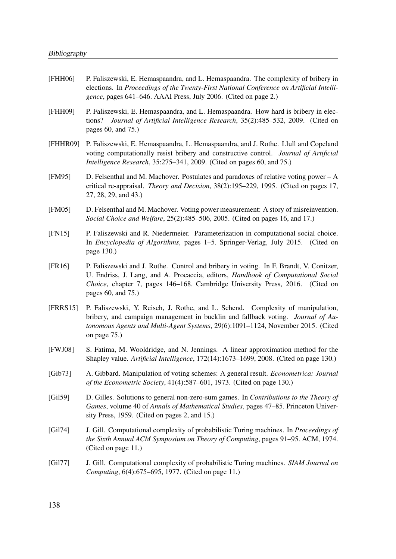- [FHH06] P. Faliszewski, E. Hemaspaandra, and L. Hemaspaandra. The complexity of bribery in elections. In Proceedings of the Twenty-First National Conference on Artificial Intelligence, pages 641–646. AAAI Press, July 2006. (Cited on page 2.)
- [FHH09] P. Faliszewski, E. Hemaspaandra, and L. Hemaspaandra. How hard is bribery in elections? Journal of Artificial Intelligence Research, 35(2):485–532, 2009. (Cited on pages 60, and 75.)
- [FHHR09] P. Faliszewski, E. Hemaspaandra, L. Hemaspaandra, and J. Rothe. Llull and Copeland voting computationally resist bribery and constructive control. Journal of Artificial Intelligence Research, 35:275–341, 2009. (Cited on pages 60, and 75.)
- [FM95] D. Felsenthal and M. Machover. Postulates and paradoxes of relative voting power A critical re-appraisal. Theory and Decision, 38(2):195–229, 1995. (Cited on pages 17, 27, 28, 29, and 43.)
- [FM05] D. Felsenthal and M. Machover. Voting power measurement: A story of misreinvention. Social Choice and Welfare, 25(2):485–506, 2005. (Cited on pages 16, and 17.)
- [FN15] P. Faliszewski and R. Niedermeier. Parameterization in computational social choice. In Encyclopedia of Algorithms, pages 1–5. Springer-Verlag, July 2015. (Cited on page 130.)
- [FR16] P. Faliszewski and J. Rothe. Control and bribery in voting. In F. Brandt, V. Conitzer, U. Endriss, J. Lang, and A. Procaccia, editors, Handbook of Computational Social Choice, chapter 7, pages 146–168. Cambridge University Press, 2016. (Cited on pages 60, and 75.)
- [FRRS15] P. Faliszewski, Y. Reisch, J. Rothe, and L. Schend. Complexity of manipulation, bribery, and campaign management in bucklin and fallback voting. Journal of Autonomous Agents and Multi-Agent Systems, 29(6):1091–1124, November 2015. (Cited on page 75.)
- [FWJ08] S. Fatima, M. Wooldridge, and N. Jennings. A linear approximation method for the Shapley value. Artificial Intelligence, 172(14):1673–1699, 2008. (Cited on page 130.)
- [Gib73] A. Gibbard. Manipulation of voting schemes: A general result. Econometrica: Journal of the Econometric Society, 41(4):587–601, 1973. (Cited on page 130.)
- [Gil59] D. Gilles. Solutions to general non-zero-sum games. In Contributions to the Theory of Games, volume 40 of Annals of Mathematical Studies, pages 47–85. Princeton University Press, 1959. (Cited on pages 2, and 15.)
- [Gil74] J. Gill. Computational complexity of probabilistic Turing machines. In *Proceedings of* the Sixth Annual ACM Symposium on Theory of Computing, pages 91–95. ACM, 1974. (Cited on page 11.)
- [Gil77] J. Gill. Computational complexity of probabilistic Turing machines. *SIAM Journal on* Computing, 6(4):675–695, 1977. (Cited on page 11.)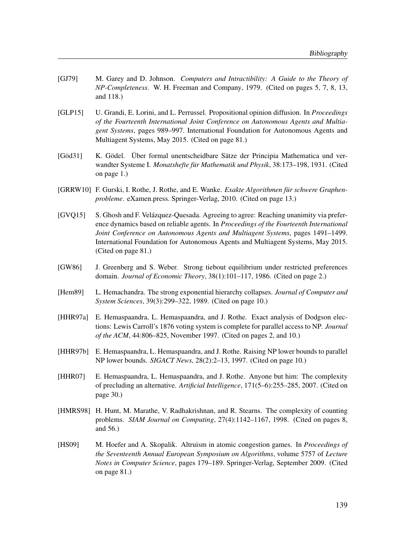- [GJ79] M. Garey and D. Johnson. Computers and Intractibility: A Guide to the Theory of NP-Completeness. W. H. Freeman and Company, 1979. (Cited on pages 5, 7, 8, 13, and 118.)
- [GLP15] U. Grandi, E. Lorini, and L. Perrussel. Propositional opinion diffusion. In *Proceedings* of the Fourteenth International Joint Conference on Autonomous Agents and Multiagent Systems, pages 989–997. International Foundation for Autonomous Agents and Multiagent Systems, May 2015. (Cited on page 81.)
- [Göd31] K. Gödel. Über formal unentscheidbare Sätze der Principia Mathematica und verwandter Systeme I. Monatshefte für Mathematik und Physik, 38:173–198, 1931. (Cited on page 1.)
- [GRRW10] F. Gurski, I. Rothe, J. Rothe, and E. Wanke. Exakte Algorithmen für schwere Graphenprobleme. eXamen.press. Springer-Verlag, 2010. (Cited on page 13.)
- [GVQ15] S. Ghosh and F. Velázquez-Quesada. Agreeing to agree: Reaching unanimity via preference dynamics based on reliable agents. In Proceedings of the Fourteenth International Joint Conference on Autonomous Agents and Multiagent Systems, pages 1491–1499. International Foundation for Autonomous Agents and Multiagent Systems, May 2015. (Cited on page 81.)
- [GW86] J. Greenberg and S. Weber. Strong tiebout equilibrium under restricted preferences domain. Journal of Economic Theory, 38(1):101–117, 1986. (Cited on page 2.)
- [Hem89] L. Hemachandra. The strong exponential hierarchy collapses. *Journal of Computer and* System Sciences, 39(3):299–322, 1989. (Cited on page 10.)
- [HHR97a] E. Hemaspaandra, L. Hemaspaandra, and J. Rothe. Exact analysis of Dodgson elections: Lewis Carroll's 1876 voting system is complete for parallel access to NP. Journal of the ACM, 44:806–825, November 1997. (Cited on pages 2, and 10.)
- [HHR97b] E. Hemaspaandra, L. Hemaspaandra, and J. Rothe. Raising NP lower bounds to parallel NP lower bounds. SIGACT News, 28(2):2–13, 1997. (Cited on page 10.)
- [HHR07] E. Hemaspaandra, L. Hemaspaandra, and J. Rothe. Anyone but him: The complexity of precluding an alternative. Artificial Intelligence, 171(5–6):255–285, 2007. (Cited on page 30.)
- [HMRS98] H. Hunt, M. Marathe, V. Radhakrishnan, and R. Stearns. The complexity of counting problems. SIAM Journal on Computing, 27(4):1142–1167, 1998. (Cited on pages 8, and 56.)
- [HS09] M. Hoefer and A. Skopalik. Altruism in atomic congestion games. In *Proceedings of* the Seventeenth Annual European Symposium on Algorithms, volume 5757 of Lecture Notes in Computer Science, pages 179–189. Springer-Verlag, September 2009. (Cited on page 81.)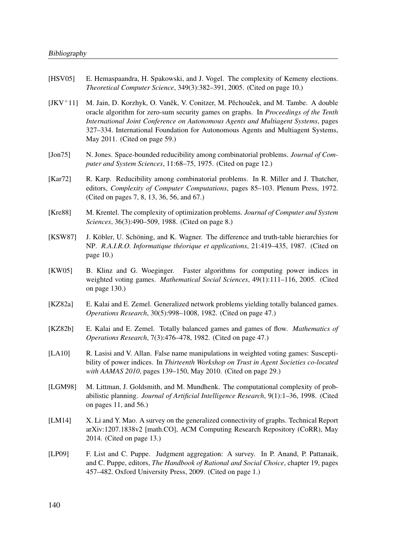- [HSV05] E. Hemaspaandra, H. Spakowski, and J. Vogel. The complexity of Kemeny elections. Theoretical Computer Science, 349(3):382–391, 2005. (Cited on page 10.)
- $[JKV<sup>+</sup>11]$  M. Jain, D. Korzhyk, O. Vaněk, V. Conitzer, M. Pěchouček, and M. Tambe. A double oracle algorithm for zero-sum security games on graphs. In Proceedings of the Tenth International Joint Conference on Autonomous Agents and Multiagent Systems, pages 327–334. International Foundation for Autonomous Agents and Multiagent Systems, May 2011. (Cited on page 59.)
- [Jon75] N. Jones. Space-bounded reducibility among combinatorial problems. *Journal of Com*puter and System Sciences, 11:68–75, 1975. (Cited on page 12.)
- [Kar72] R. Karp. Reducibility among combinatorial problems. In R. Miller and J. Thatcher, editors, Complexity of Computer Computations, pages 85–103. Plenum Press, 1972. (Cited on pages 7, 8, 13, 36, 56, and 67.)
- [Kre88] M. Krentel. The complexity of optimization problems. Journal of Computer and System Sciences, 36(3):490–509, 1988. (Cited on page 8.)
- [KSW87] J. Köbler, U. Schöning, and K. Wagner. The difference and truth-table hierarchies for NP. R.A.I.R.O. Informatique théorique et applications, 21:419–435, 1987. (Cited on page 10.)
- [KW05] B. Klinz and G. Woeginger. Faster algorithms for computing power indices in weighted voting games. *Mathematical Social Sciences*, 49(1):111-116, 2005. (Cited on page 130.)
- [KZ82a] E. Kalai and E. Zemel. Generalized network problems yielding totally balanced games. Operations Research, 30(5):998–1008, 1982. (Cited on page 47.)
- [KZ82b] E. Kalai and E. Zemel. Totally balanced games and games of flow. *Mathematics of* Operations Research, 7(3):476–478, 1982. (Cited on page 47.)
- [LA10] R. Lasisi and V. Allan. False name manipulations in weighted voting games: Susceptibility of power indices. In Thirteenth Workshop on Trust in Agent Societies co-located with AAMAS 2010, pages 139–150, May 2010. (Cited on page 29.)
- [LGM98] M. Littman, J. Goldsmith, and M. Mundhenk. The computational complexity of probabilistic planning. Journal of Artificial Intelligence Research, 9(1):1–36, 1998. (Cited on pages 11, and 56.)
- [LM14] X. Li and Y. Mao. A survey on the generalized connectivity of graphs. Technical Report arXiv:1207.1838v2 [math.CO], ACM Computing Research Repository (CoRR), May 2014. (Cited on page 13.)
- [LP09] F. List and C. Puppe. Judgment aggregation: A survey. In P. Anand, P. Pattanaik, and C. Puppe, editors, The Handbook of Rational and Social Choice, chapter 19, pages 457–482. Oxford University Press, 2009. (Cited on page 1.)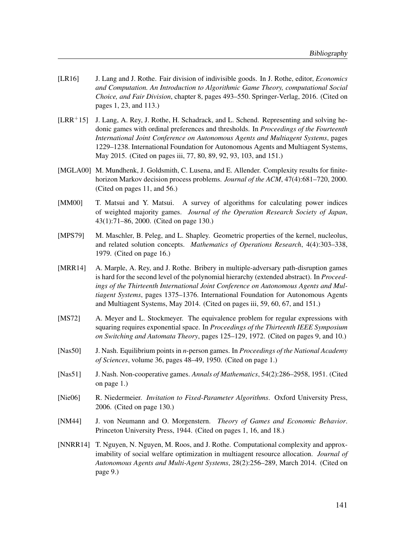- [LR16] J. Lang and J. Rothe. Fair division of indivisible goods. In J. Rothe, editor, *Economics* and Computation. An Introduction to Algorithmic Game Theory, computational Social Choice, and Fair Division, chapter 8, pages 493–550. Springer-Verlag, 2016. (Cited on pages 1, 23, and 113.)
- $[LRR+15]$  J. Lang, A. Rey, J. Rothe, H. Schadrack, and L. Schend. Representing and solving hedonic games with ordinal preferences and thresholds. In Proceedings of the Fourteenth International Joint Conference on Autonomous Agents and Multiagent Systems, pages 1229–1238. International Foundation for Autonomous Agents and Multiagent Systems, May 2015. (Cited on pages iii, 77, 80, 89, 92, 93, 103, and 151.)
- [MGLA00] M. Mundhenk, J. Goldsmith, C. Lusena, and E. Allender. Complexity results for finitehorizon Markov decision process problems. Journal of the ACM, 47(4):681–720, 2000. (Cited on pages 11, and 56.)
- [MM00] T. Matsui and Y. Matsui. A survey of algorithms for calculating power indices of weighted majority games. Journal of the Operation Research Society of Japan, 43(1):71–86, 2000. (Cited on page 130.)
- [MPS79] M. Maschler, B. Peleg, and L. Shapley. Geometric properties of the kernel, nucleolus, and related solution concepts. Mathematics of Operations Research, 4(4):303–338, 1979. (Cited on page 16.)
- [MRR14] A. Marple, A. Rey, and J. Rothe. Bribery in multiple-adversary path-disruption games is hard for the second level of the polynomial hierarchy (extended abstract). In Proceedings of the Thirteenth International Joint Conference on Autonomous Agents and Multiagent Systems, pages 1375–1376. International Foundation for Autonomous Agents and Multiagent Systems, May 2014. (Cited on pages iii, 59, 60, 67, and 151.)
- [MS72] A. Meyer and L. Stockmeyer. The equivalence problem for regular expressions with squaring requires exponential space. In *Proceedings of the Thirteenth IEEE Symposium* on Switching and Automata Theory, pages 125–129, 1972. (Cited on pages 9, and 10.)
- [Nas50] J. Nash. Equilibrium points in *n*-person games. In *Proceedings of the National Academy* of Sciences, volume 36, pages 48–49, 1950. (Cited on page 1.)
- [Nas51] J. Nash. Non-cooperative games. Annals of Mathematics, 54(2):286–2958, 1951. (Cited on page 1.)
- [Nie06] R. Niedermeier. *Invitation to Fixed-Parameter Algorithms*. Oxford University Press, 2006. (Cited on page 130.)
- [NM44] J. von Neumann and O. Morgenstern. Theory of Games and Economic Behavior. Princeton University Press, 1944. (Cited on pages 1, 16, and 18.)
- [NNRR14] T. Nguyen, N. Nguyen, M. Roos, and J. Rothe. Computational complexity and approximability of social welfare optimization in multiagent resource allocation. Journal of Autonomous Agents and Multi-Agent Systems, 28(2):256–289, March 2014. (Cited on page 9.)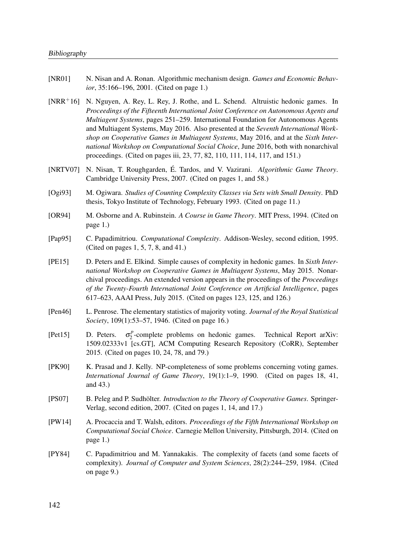- [NR01] N. Nisan and A. Ronan. Algorithmic mechanism design. *Games and Economic Behav*ior, 35:166–196, 2001. (Cited on page 1.)
- [NRR+16] N. Nguyen, A. Rey, L. Rey, J. Rothe, and L. Schend. Altruistic hedonic games. In Proceedings of the Fifteenth International Joint Conference on Autonomous Agents and Multiagent Systems, pages 251–259. International Foundation for Autonomous Agents and Multiagent Systems, May 2016. Also presented at the Seventh International Workshop on Cooperative Games in Multiagent Systems, May 2016, and at the Sixth International Workshop on Computational Social Choice, June 2016, both with nonarchival proceedings. (Cited on pages iii, 23, 77, 82, 110, 111, 114, 117, and 151.)
- [NRTV07] N. Nisan, T. Roughgarden, É. Tardos, and V. Vazirani. Algorithmic Game Theory. Cambridge University Press, 2007. (Cited on pages 1, and 58.)
- [Ogi93] M. Ogiwara. Studies of Counting Complexity Classes via Sets with Small Density. PhD thesis, Tokyo Institute of Technology, February 1993. (Cited on page 11.)
- [OR94] M. Osborne and A. Rubinstein. A Course in Game Theory. MIT Press, 1994. (Cited on page 1.)
- [Pap95] C. Papadimitriou. Computational Complexity. Addison-Wesley, second edition, 1995. (Cited on pages 1, 5, 7, 8, and 41.)
- [PE15] D. Peters and E. Elkind. Simple causes of complexity in hedonic games. In Sixth International Workshop on Cooperative Games in Multiagent Systems, May 2015. Nonarchival proceedings. An extended version appears in the proceedings of the Proceedings of the Twenty-Fourth International Joint Conference on Artificial Intelligence, pages 617–623, AAAI Press, July 2015. (Cited on pages 123, 125, and 126.)
- [Pen46] L. Penrose. The elementary statistics of majority voting. Journal of the Royal Statistical Society, 109(1):53–57, 1946. (Cited on page 16.)
- [Pet15] D. Peters. p  $2^p$ -complete problems on hedonic games. Technical Report arXiv: 1509.02333v1 [cs.GT], ACM Computing Research Repository (CoRR), September 2015. (Cited on pages 10, 24, 78, and 79.)
- [PK90] K. Prasad and J. Kelly. NP-completeness of some problems concerning voting games. International Journal of Game Theory, 19(1):1–9, 1990. (Cited on pages 18, 41, and 43.)
- [PS07] B. Peleg and P. Sudhölter. *Introduction to the Theory of Cooperative Games*. Springer-Verlag, second edition, 2007. (Cited on pages 1, 14, and 17.)
- [PW14] A. Procaccia and T. Walsh, editors. *Proceedings of the Fifth International Workshop on* Computational Social Choice. Carnegie Mellon University, Pittsburgh, 2014. (Cited on page 1.)
- [PY84] C. Papadimitriou and M. Yannakakis. The complexity of facets (and some facets of complexity). Journal of Computer and System Sciences, 28(2):244–259, 1984. (Cited on page 9.)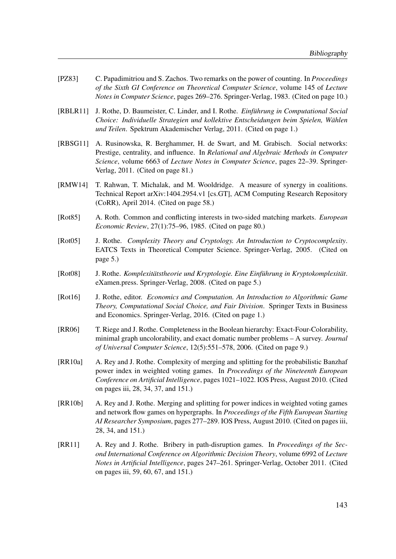- [PZ83] C. Papadimitriou and S. Zachos. Two remarks on the power of counting. In *Proceedings* of the Sixth GI Conference on Theoretical Computer Science, volume 145 of Lecture Notes in Computer Science, pages 269–276. Springer-Verlag, 1983. (Cited on page 10.)
- [RBLR11] J. Rothe, D. Baumeister, C. Linder, and I. Rothe. Einführung in Computational Social Choice: Individuelle Strategien und kollektive Entscheidungen beim Spielen, Wählen und Teilen. Spektrum Akademischer Verlag, 2011. (Cited on page 1.)
- [RBSG11] A. Rusinowska, R. Berghammer, H. de Swart, and M. Grabisch. Social networks: Prestige, centrality, and influence. In Relational and Algebraic Methods in Computer Science, volume 6663 of Lecture Notes in Computer Science, pages 22–39. Springer-Verlag, 2011. (Cited on page 81.)
- [RMW14] T. Rahwan, T. Michalak, and M. Wooldridge. A measure of synergy in coalitions. Technical Report arXiv:1404.2954.v1 [cs.GT], ACM Computing Research Repository (CoRR), April 2014. (Cited on page 58.)
- [Rot85] A. Roth. Common and conflicting interests in two-sided matching markets. *European* Economic Review, 27(1):75–96, 1985. (Cited on page 80.)
- [Rot05] J. Rothe. Complexity Theory and Cryptology. An Introduction to Cryptocomplexity. EATCS Texts in Theoretical Computer Science. Springer-Verlag, 2005. (Cited on page 5.)
- [Rot08] J. Rothe. Komplexitätstheorie und Kryptologie. Eine Einführung in Kryptokomplexität. eXamen.press. Springer-Verlag, 2008. (Cited on page 5.)
- [Rot16] J. Rothe, editor. Economics and Computation. An Introduction to Algorithmic Game Theory, Computational Social Choice, and Fair Division. Springer Texts in Business and Economics. Springer-Verlag, 2016. (Cited on page 1.)
- [RR06] T. Riege and J. Rothe. Completeness in the Boolean hierarchy: Exact-Four-Colorability, minimal graph uncolorability, and exact domatic number problems – A survey. Journal of Universal Computer Science, 12(5):551–578, 2006. (Cited on page 9.)
- [RR10a] A. Rey and J. Rothe. Complexity of merging and splitting for the probabilistic Banzhaf power index in weighted voting games. In Proceedings of the Nineteenth European Conference on Artificial Intelligence, pages 1021–1022. IOS Press, August 2010. (Cited on pages iii, 28, 34, 37, and 151.)
- [RR10b] A. Rey and J. Rothe. Merging and splitting for power indices in weighted voting games and network flow games on hypergraphs. In Proceedings of the Fifth European Starting AI Researcher Symposium, pages 277–289. IOS Press, August 2010. (Cited on pages iii, 28, 34, and 151.)
- [RR11] A. Rey and J. Rothe. Bribery in path-disruption games. In *Proceedings of the Sec*ond International Conference on Algorithmic Decision Theory, volume 6992 of Lecture Notes in Artificial Intelligence, pages 247–261. Springer-Verlag, October 2011. (Cited on pages iii, 59, 60, 67, and 151.)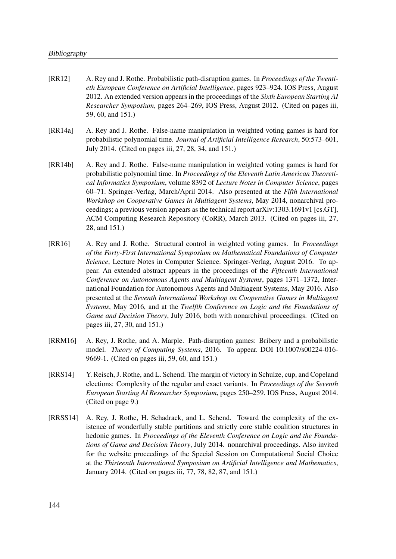- [RR12] A. Rey and J. Rothe. Probabilistic path-disruption games. In *Proceedings of the Twenti*eth European Conference on Artificial Intelligence, pages 923–924. IOS Press, August 2012. An extended version appears in the proceedings of the *Sixth European Starting AI* Researcher Symposium, pages 264–269, IOS Press, August 2012. (Cited on pages iii, 59, 60, and 151.)
- [RR14a] A. Rey and J. Rothe. False-name manipulation in weighted voting games is hard for probabilistic polynomial time. Journal of Artificial Intelligence Research, 50:573–601, July 2014. (Cited on pages iii, 27, 28, 34, and 151.)
- [RR14b] A. Rey and J. Rothe. False-name manipulation in weighted voting games is hard for probabilistic polynomial time. In Proceedings of the Eleventh Latin American Theoretical Informatics Symposium, volume 8392 of Lecture Notes in Computer Science, pages 60–71. Springer-Verlag, March/April 2014. Also presented at the Fifth International Workshop on Cooperative Games in Multiagent Systems, May 2014, nonarchival proceedings; a previous version appears as the technical report arXiv:1303.1691v1 [cs.GT], ACM Computing Research Repository (CoRR), March 2013. (Cited on pages iii, 27, 28, and 151.)
- [RR16] A. Rey and J. Rothe. Structural control in weighted voting games. In Proceedings of the Forty-First International Symposium on Mathematical Foundations of Computer Science, Lecture Notes in Computer Science. Springer-Verlag, August 2016. To appear. An extended abstract appears in the proceedings of the Fifteenth International Conference on Autonomous Agents and Multiagent Systems, pages 1371–1372, International Foundation for Autonomous Agents and Multiagent Systems, May 2016. Also presented at the Seventh International Workshop on Cooperative Games in Multiagent Systems, May 2016, and at the Twelfth Conference on Logic and the Foundations of Game and Decision Theory, July 2016, both with nonarchival proceedings. (Cited on pages iii, 27, 30, and 151.)
- [RRM16] A. Rey, J. Rothe, and A. Marple. Path-disruption games: Bribery and a probabilistic model. Theory of Computing Systems, 2016. To appear. DOI 10.1007/s00224-016- 9669-1. (Cited on pages iii, 59, 60, and 151.)
- [RRS14] Y. Reisch, J. Rothe, and L. Schend. The margin of victory in Schulze, cup, and Copeland elections: Complexity of the regular and exact variants. In *Proceedings of the Seventh* European Starting AI Researcher Symposium, pages 250–259. IOS Press, August 2014. (Cited on page 9.)
- [RRSS14] A. Rey, J. Rothe, H. Schadrack, and L. Schend. Toward the complexity of the existence of wonderfully stable partitions and strictly core stable coalition structures in hedonic games. In Proceedings of the Eleventh Conference on Logic and the Foundations of Game and Decision Theory, July 2014. nonarchival proceedings. Also invited for the website proceedings of the Special Session on Computational Social Choice at the Thirteenth International Symposium on Artificial Intelligence and Mathematics, January 2014. (Cited on pages iii, 77, 78, 82, 87, and 151.)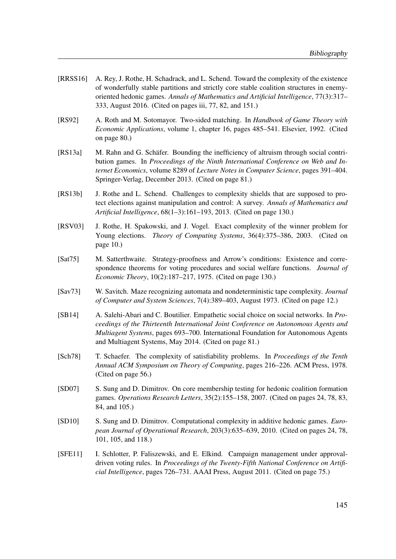- [RRSS16] A. Rey, J. Rothe, H. Schadrack, and L. Schend. Toward the complexity of the existence of wonderfully stable partitions and strictly core stable coalition structures in enemyoriented hedonic games. Annals of Mathematics and Artificial Intelligence, 77(3):317– 333, August 2016. (Cited on pages iii, 77, 82, and 151.)
- [RS92] A. Roth and M. Sotomayor. Two-sided matching. In Handbook of Game Theory with Economic Applications, volume 1, chapter 16, pages 485–541. Elsevier, 1992. (Cited on page 80.)
- [RS13a] M. Rahn and G. Schäfer. Bounding the inefficiency of altruism through social contribution games. In Proceedings of the Ninth International Conference on Web and Internet Economics, volume 8289 of Lecture Notes in Computer Science, pages 391–404. Springer-Verlag, December 2013. (Cited on page 81.)
- [RS13b] J. Rothe and L. Schend. Challenges to complexity shields that are supposed to protect elections against manipulation and control: A survey. Annals of Mathematics and Artificial Intelligence, 68(1–3):161–193, 2013. (Cited on page 130.)
- [RSV03] J. Rothe, H. Spakowski, and J. Vogel. Exact complexity of the winner problem for Young elections. Theory of Computing Systems, 36(4):375-386, 2003. (Cited on page 10.)
- [Sat75] M. Satterthwaite. Strategy-proofness and Arrow's conditions: Existence and correspondence theorems for voting procedures and social welfare functions. *Journal of* Economic Theory, 10(2):187–217, 1975. (Cited on page 130.)
- [Sav73] W. Savitch. Maze recognizing automata and nondeterministic tape complexity. *Journal* of Computer and System Sciences, 7(4):389–403, August 1973. (Cited on page 12.)
- [SB14] A. Salehi-Abari and C. Boutilier. Empathetic social choice on social networks. In Proceedings of the Thirteenth International Joint Conference on Autonomous Agents and Multiagent Systems, pages 693–700. International Foundation for Autonomous Agents and Multiagent Systems, May 2014. (Cited on page 81.)
- [Sch78] T. Schaefer. The complexity of satisfiability problems. In *Proceedings of the Tenth* Annual ACM Symposium on Theory of Computing, pages 216–226. ACM Press, 1978. (Cited on page 56.)
- [SD07] S. Sung and D. Dimitrov. On core membership testing for hedonic coalition formation games. Operations Research Letters, 35(2):155–158, 2007. (Cited on pages 24, 78, 83, 84, and 105.)
- [SD10] S. Sung and D. Dimitrov. Computational complexity in additive hedonic games. *Euro*pean Journal of Operational Research, 203(3):635–639, 2010. (Cited on pages 24, 78, 101, 105, and 118.)
- [SFE11] I. Schlotter, P. Faliszewski, and E. Elkind. Campaign management under approvaldriven voting rules. In Proceedings of the Twenty-Fifth National Conference on Artificial Intelligence, pages 726–731. AAAI Press, August 2011. (Cited on page 75.)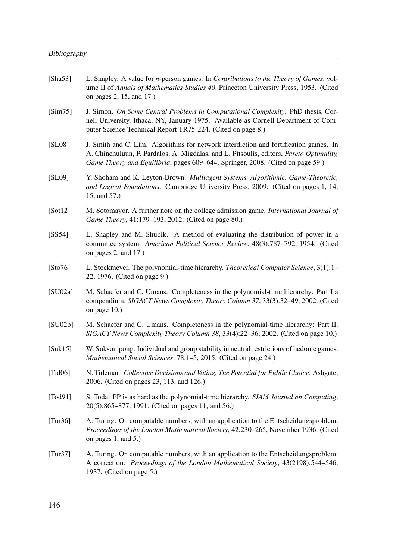| [ $Sha53$ ]  | L. Shapley. A value for <i>n</i> -person games. In <i>Contributions to the Theory of Games</i> , vol-<br>ume II of Annals of Mathematics Studies 40. Princeton University Press, 1953. (Cited<br>on pages 2, 15, and 17.)                                         |
|--------------|-------------------------------------------------------------------------------------------------------------------------------------------------------------------------------------------------------------------------------------------------------------------|
| [Sim75]      | J. Simon. On Some Central Problems in Computational Complexity. PhD thesis, Cor-<br>nell University, Ithaca, NY, January 1975. Available as Cornell Department of Com-<br>puter Science Technical Report TR75-224. (Cited on page 8.)                             |
| [SL08]       | J. Smith and C. Lim. Algorithms for network interdiction and fortification games. In<br>A. Chinchuluun, P. Pardalos, A. Migdalas, and L. Pitsoulis, editors, Pareto Optimality,<br>Game Theory and Equilibria, pages 609–644. Springer, 2008. (Cited on page 59.) |
| [SL09]       | Y. Shoham and K. Leyton-Brown. Multiagent Systems. Algorithmic, Game-Theoretic,<br>and Logical Foundations. Cambridge University Press, 2009. (Cited on pages 1, 14,<br>15, and 57.)                                                                              |
| [Soft12]     | M. Sotomayor. A further note on the college admission game. International Journal of<br>Game Theory, 41:179–193, 2012. (Cited on page 80.)                                                                                                                        |
| [SS54]       | L. Shapley and M. Shubik. A method of evaluating the distribution of power in a<br>committee system. American Political Science Review, 48(3):787-792, 1954. (Cited<br>on pages 2, and 17.)                                                                       |
| [Sto76]      | L. Stockmeyer. The polynomial-time hierarchy. Theoretical Computer Science, 3(1):1–<br>22, 1976. (Cited on page 9.)                                                                                                                                               |
| [SU02a]      | M. Schaefer and C. Umans. Completeness in the polynomial-time hierarchy: Part I a<br>compendium. SIGACT News Complexity Theory Column 37, 33(3):32-49, 2002. (Cited<br>on page $10$ .)                                                                            |
| [SU02b]      | M. Schaefer and C. Umans. Completeness in the polynomial-time hierarchy: Part II.<br>SIGACT News Complexity Theory Column 38, 33(4):22-36, 2002. (Cited on page 10.)                                                                                              |
| [Suk15]      | W. Suksompong. Individual and group stability in neutral restrictions of hedonic games.<br>Mathematical Social Sciences, 78:1-5, 2015. (Cited on page 24.)                                                                                                        |
| [Tid06]      | N. Tideman. Collective Decisions and Voting. The Potential for Public Choice. Ashgate,<br>2006. (Cited on pages 23, 113, and 126.)                                                                                                                                |
| [ $Todd91$ ] | S. Toda. PP is as hard as the polynomial-time hierarchy. SIAM Journal on Computing,<br>20(5):865–877, 1991. (Cited on pages 11, and 56.)                                                                                                                          |
| Tur36        | A. Turing. On computable numbers, with an application to the Entscheidungsproblem.<br>Proceedings of the London Mathematical Society, 42:230-265, November 1936. (Cited<br>on pages $1$ , and $5$ .)                                                              |
| [Tur37]      | A. Turing. On computable numbers, with an application to the Entscheidungsproblem:<br>A correction. Proceedings of the London Mathematical Society, 43(2198):544–546,<br>1937. (Cited on page 5.)                                                                 |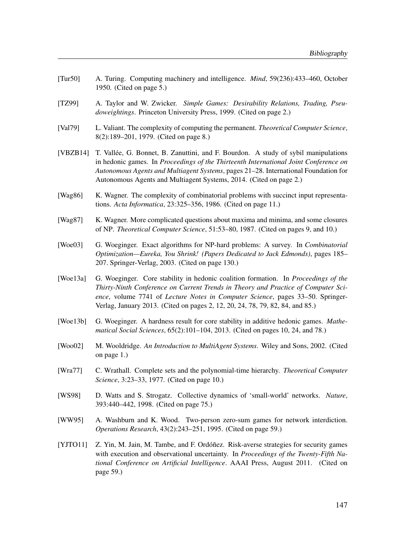- [Tur50] A. Turing. Computing machinery and intelligence. Mind, 59(236):433–460, October 1950. (Cited on page 5.)
- [TZ99] A. Taylor and W. Zwicker. Simple Games: Desirability Relations, Trading, Pseudoweightings. Princeton University Press, 1999. (Cited on page 2.)
- [Val79] L. Valiant. The complexity of computing the permanent. *Theoretical Computer Science*, 8(2):189–201, 1979. (Cited on page 8.)
- [VBZB14] T. Vallée, G. Bonnet, B. Zanuttini, and F. Bourdon. A study of sybil manipulations in hedonic games. In Proceedings of the Thirteenth International Joint Conference on Autonomous Agents and Multiagent Systems, pages 21–28. International Foundation for Autonomous Agents and Multiagent Systems, 2014. (Cited on page 2.)
- [Wag86] K. Wagner. The complexity of combinatorial problems with succinct input representations. Acta Informatica, 23:325–356, 1986. (Cited on page 11.)
- [Wag87] K. Wagner. More complicated questions about maxima and minima, and some closures of NP. Theoretical Computer Science, 51:53–80, 1987. (Cited on pages 9, and 10.)
- [Woe03] G. Woeginger. Exact algorithms for NP-hard problems: A survey. In Combinatorial Optimization—Eureka, You Shrink! (Papers Dedicated to Jack Edmonds), pages 185– 207. Springer-Verlag, 2003. (Cited on page 130.)
- [Woe13a] G. Woeginger. Core stability in hedonic coalition formation. In Proceedings of the Thirty-Ninth Conference on Current Trends in Theory and Practice of Computer Science, volume 7741 of Lecture Notes in Computer Science, pages 33–50. Springer-Verlag, January 2013. (Cited on pages 2, 12, 20, 24, 78, 79, 82, 84, and 85.)
- [Woe13b] G. Woeginger. A hardness result for core stability in additive hedonic games. Mathematical Social Sciences, 65(2):101–104, 2013. (Cited on pages 10, 24, and 78.)
- [Woo02] M. Wooldridge. An Introduction to MultiAgent Systems. Wiley and Sons, 2002. (Cited on page 1.)
- [Wra77] C. Wrathall. Complete sets and the polynomial-time hierarchy. Theoretical Computer Science, 3:23–33, 1977. (Cited on page 10.)
- [WS98] D. Watts and S. Strogatz. Collective dynamics of 'small-world' networks. Nature, 393:440–442, 1998. (Cited on page 75.)
- [WW95] A. Washburn and K. Wood. Two-person zero-sum games for network interdiction. Operations Research, 43(2):243–251, 1995. (Cited on page 59.)
- [YJTO11] Z. Yin, M. Jain, M. Tambe, and F. Ordóñez. Risk-averse strategies for security games with execution and observational uncertainty. In Proceedings of the Twenty-Fifth National Conference on Artificial Intelligence. AAAI Press, August 2011. (Cited on page 59.)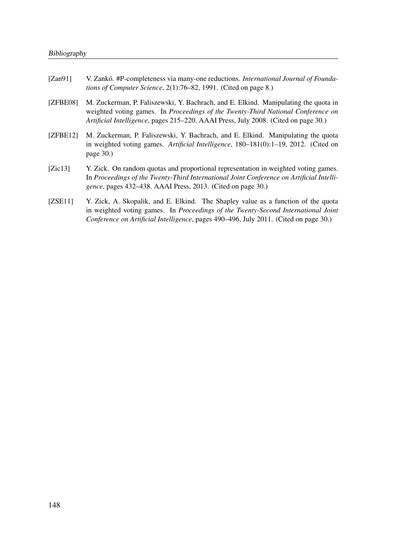| [Zan91]  | V. Zankó. #P-completeness via many-one reductions. <i>International Journal of Founda</i><br>tions of Computer Science, 2(1):76–82, 1991. (Cited on page 8.)                                                                                                  |
|----------|---------------------------------------------------------------------------------------------------------------------------------------------------------------------------------------------------------------------------------------------------------------|
| [ZFBE08] | M. Zuckerman, P. Faliszewski, Y. Bachrach, and E. Elkind. Manipulating the quota in<br>weighted voting games. In Proceedings of the Twenty-Third National Conference on<br>Artificial Intelligence, pages 215–220. AAAI Press, July 2008. (Cited on page 30.) |

- [ZFBE12] M. Zuckerman, P. Faliszewski, Y. Bachrach, and E. Elkind. Manipulating the quota in weighted voting games. Artificial Intelligence, 180–181(0):1–19, 2012. (Cited on page 30.)
- [Zic13] Y. Zick. On random quotas and proportional representation in weighted voting games. In Proceedings of the Twenty-Third International Joint Conference on Artificial Intelligence, pages 432–438. AAAI Press, 2013. (Cited on page 30.)
- [ZSE11] Y. Zick, A. Skopalik, and E. Elkind. The Shapley value as a function of the quota in weighted voting games. In Proceedings of the Twenty-Second International Joint Conference on Artificial Intelligence, pages 490–496, July 2011. (Cited on page 30.)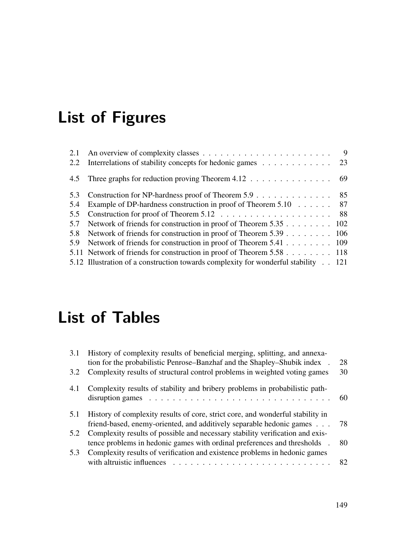## List of Figures

|     |                                                                                    | - 9 |
|-----|------------------------------------------------------------------------------------|-----|
| 2.2 | Interrelations of stability concepts for hedonic games 23                          |     |
|     | 4.5 Three graphs for reduction proving Theorem 4.12 69                             |     |
|     | 5.3 Construction for NP-hardness proof of Theorem 5.9 85                           |     |
| 5.4 | Example of DP-hardness construction in proof of Theorem 5.10 87                    |     |
|     |                                                                                    |     |
| 5.7 | Network of friends for construction in proof of Theorem 5.35 102                   |     |
| 5.8 | Network of friends for construction in proof of Theorem 5.39 106                   |     |
| 5.9 | Network of friends for construction in proof of Theorem 5.41 109                   |     |
|     | 5.11 Network of friends for construction in proof of Theorem 5.58 118              |     |
|     | 5.12 Illustration of a construction towards complexity for wonderful stability 121 |     |

## List of Tables

| 3.1           | History of complexity results of beneficial merging, splitting, and annexa-<br>tion for the probabilistic Penrose–Banzhaf and the Shapley–Shubik index.                        | 28 |
|---------------|--------------------------------------------------------------------------------------------------------------------------------------------------------------------------------|----|
| $3.2^{\circ}$ | Complexity results of structural control problems in weighted voting games                                                                                                     | 30 |
| 4.1           | Complexity results of stability and bribery problems in probabilistic path-<br>disruption games $\ldots \ldots \ldots \ldots \ldots \ldots \ldots \ldots \ldots \ldots \ldots$ |    |
| 5.1           | History of complexity results of core, strict core, and wonderful stability in<br>friend-based, enemy-oriented, and additively separable hedonic games                         | 78 |
| 5.2           | Complexity results of possible and necessary stability verification and exis-<br>tence problems in hedonic games with ordinal preferences and thresholds.                      | 80 |
| 5.3           |                                                                                                                                                                                |    |